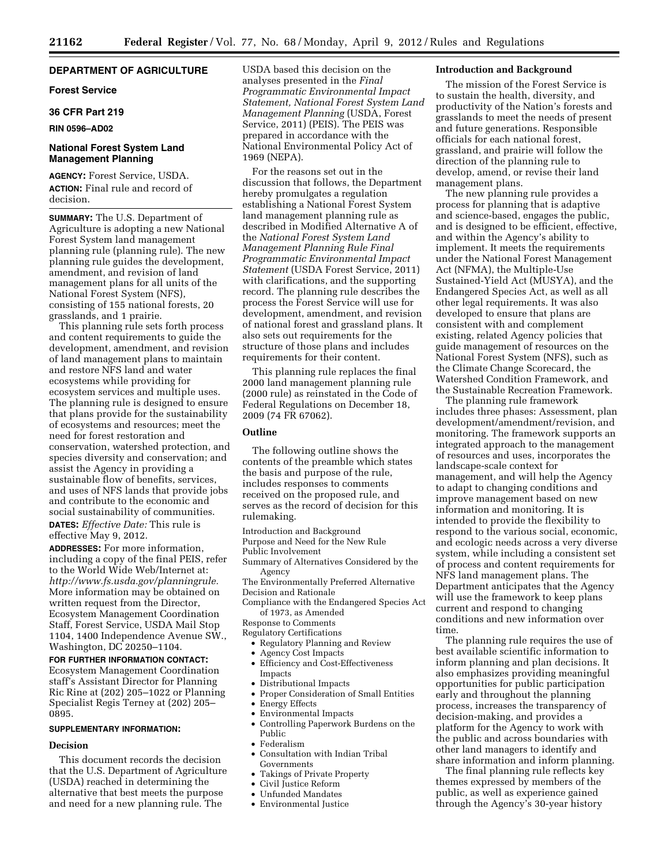# **DEPARTMENT OF AGRICULTURE**

## **Forest Service**

## **36 CFR Part 219**

### **RIN 0596–AD02**

# **National Forest System Land Management Planning**

**AGENCY:** Forest Service, USDA. **ACTION:** Final rule and record of decision.

**SUMMARY:** The U.S. Department of Agriculture is adopting a new National Forest System land management planning rule (planning rule). The new planning rule guides the development, amendment, and revision of land management plans for all units of the National Forest System (NFS), consisting of 155 national forests, 20 grasslands, and 1 prairie.

This planning rule sets forth process and content requirements to guide the development, amendment, and revision of land management plans to maintain and restore NFS land and water ecosystems while providing for ecosystem services and multiple uses. The planning rule is designed to ensure that plans provide for the sustainability of ecosystems and resources; meet the need for forest restoration and conservation, watershed protection, and species diversity and conservation; and assist the Agency in providing a sustainable flow of benefits, services, and uses of NFS lands that provide jobs and contribute to the economic and social sustainability of communities. **DATES:** *Effective Date:* This rule is effective May 9, 2012.

**ADDRESSES:** For more information, including a copy of the final PEIS, refer to the World Wide Web/Internet at: *[http://www.fs.usda.gov/planningrule.](http://www.fs.usda.gov/planningrule)*  More information may be obtained on written request from the Director, Ecosystem Management Coordination Staff, Forest Service, USDA Mail Stop 1104, 1400 Independence Avenue SW., Washington, DC 20250–1104.

**FOR FURTHER INFORMATION CONTACT:**  Ecosystem Management Coordination staff's Assistant Director for Planning Ric Rine at (202) 205–1022 or Planning Specialist Regis Terney at (202) 205– 0895.

#### **SUPPLEMENTARY INFORMATION:**

# **Decision**

This document records the decision that the U.S. Department of Agriculture (USDA) reached in determining the alternative that best meets the purpose and need for a new planning rule. The

USDA based this decision on the analyses presented in the *Final Programmatic Environmental Impact Statement, National Forest System Land Management Planning* (USDA, Forest Service, 2011) (PEIS). The PEIS was prepared in accordance with the National Environmental Policy Act of 1969 (NEPA).

For the reasons set out in the discussion that follows, the Department hereby promulgates a regulation establishing a National Forest System land management planning rule as described in Modified Alternative A of the *National Forest System Land Management Planning Rule Final Programmatic Environmental Impact Statement* (USDA Forest Service, 2011) with clarifications, and the supporting record. The planning rule describes the process the Forest Service will use for development, amendment, and revision of national forest and grassland plans. It also sets out requirements for the structure of those plans and includes requirements for their content.

This planning rule replaces the final 2000 land management planning rule (2000 rule) as reinstated in the Code of Federal Regulations on December 18, 2009 (74 FR 67062).

# **Outline**

The following outline shows the contents of the preamble which states the basis and purpose of the rule, includes responses to comments received on the proposed rule, and serves as the record of decision for this rulemaking.

Introduction and Background

Purpose and Need for the New Rule Public Involvement

Summary of Alternatives Considered by the Agency

The Environmentally Preferred Alternative Decision and Rationale

Compliance with the Endangered Species Act of 1973, as Amended

Response to Comments

- Regulatory Certifications
- Regulatory Planning and Review
- Agency Cost Impacts
- Efficiency and Cost-Effectiveness Impacts
- Distributional Impacts
- Proper Consideration of Small Entities • Energy Effects
- 
- Environmental Impacts
- Controlling Paperwork Burdens on the Public
- Federalism
- Consultation with Indian Tribal Governments
- Takings of Private Property
- Civil Justice Reform
- Unfunded Mandates
- Environmental Justice

### **Introduction and Background**

The mission of the Forest Service is to sustain the health, diversity, and productivity of the Nation's forests and grasslands to meet the needs of present and future generations. Responsible officials for each national forest, grassland, and prairie will follow the direction of the planning rule to develop, amend, or revise their land management plans.

The new planning rule provides a process for planning that is adaptive and science-based, engages the public, and is designed to be efficient, effective, and within the Agency's ability to implement. It meets the requirements under the National Forest Management Act (NFMA), the Multiple-Use Sustained-Yield Act (MUSYA), and the Endangered Species Act, as well as all other legal requirements. It was also developed to ensure that plans are consistent with and complement existing, related Agency policies that guide management of resources on the National Forest System (NFS), such as the Climate Change Scorecard, the Watershed Condition Framework, and the Sustainable Recreation Framework.

The planning rule framework includes three phases: Assessment, plan development/amendment/revision, and monitoring. The framework supports an integrated approach to the management of resources and uses, incorporates the landscape-scale context for management, and will help the Agency to adapt to changing conditions and improve management based on new information and monitoring. It is intended to provide the flexibility to respond to the various social, economic, and ecologic needs across a very diverse system, while including a consistent set of process and content requirements for NFS land management plans. The Department anticipates that the Agency will use the framework to keep plans current and respond to changing conditions and new information over time.

The planning rule requires the use of best available scientific information to inform planning and plan decisions. It also emphasizes providing meaningful opportunities for public participation early and throughout the planning process, increases the transparency of decision-making, and provides a platform for the Agency to work with the public and across boundaries with other land managers to identify and share information and inform planning.

The final planning rule reflects key themes expressed by members of the public, as well as experience gained through the Agency's 30-year history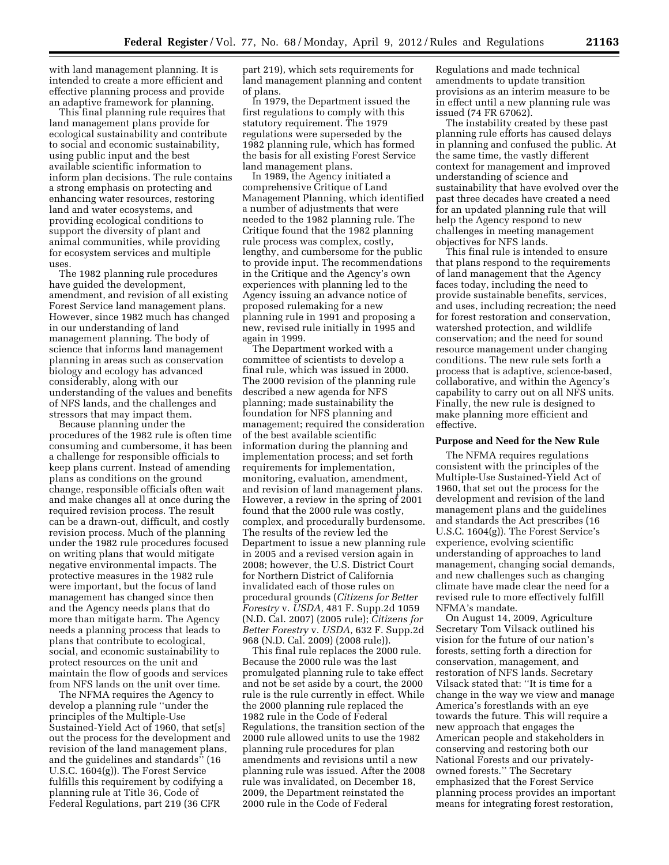with land management planning. It is intended to create a more efficient and effective planning process and provide an adaptive framework for planning.

This final planning rule requires that land management plans provide for ecological sustainability and contribute to social and economic sustainability, using public input and the best available scientific information to inform plan decisions. The rule contains a strong emphasis on protecting and enhancing water resources, restoring land and water ecosystems, and providing ecological conditions to support the diversity of plant and animal communities, while providing for ecosystem services and multiple uses.

The 1982 planning rule procedures have guided the development, amendment, and revision of all existing Forest Service land management plans. However, since 1982 much has changed in our understanding of land management planning. The body of science that informs land management planning in areas such as conservation biology and ecology has advanced considerably, along with our understanding of the values and benefits of NFS lands, and the challenges and stressors that may impact them.

Because planning under the procedures of the 1982 rule is often time consuming and cumbersome, it has been a challenge for responsible officials to keep plans current. Instead of amending plans as conditions on the ground change, responsible officials often wait and make changes all at once during the required revision process. The result can be a drawn-out, difficult, and costly revision process. Much of the planning under the 1982 rule procedures focused on writing plans that would mitigate negative environmental impacts. The protective measures in the 1982 rule were important, but the focus of land management has changed since then and the Agency needs plans that do more than mitigate harm. The Agency needs a planning process that leads to plans that contribute to ecological, social, and economic sustainability to protect resources on the unit and maintain the flow of goods and services from NFS lands on the unit over time.

The NFMA requires the Agency to develop a planning rule ''under the principles of the Multiple-Use Sustained-Yield Act of 1960, that set[s] out the process for the development and revision of the land management plans, and the guidelines and standards'' (16 U.S.C. 1604(g)). The Forest Service fulfills this requirement by codifying a planning rule at Title 36, Code of Federal Regulations, part 219 (36 CFR

part 219), which sets requirements for land management planning and content of plans.

In 1979, the Department issued the first regulations to comply with this statutory requirement. The 1979 regulations were superseded by the 1982 planning rule, which has formed the basis for all existing Forest Service land management plans.

In 1989, the Agency initiated a comprehensive Critique of Land Management Planning, which identified a number of adjustments that were needed to the 1982 planning rule. The Critique found that the 1982 planning rule process was complex, costly, lengthy, and cumbersome for the public to provide input. The recommendations in the Critique and the Agency's own experiences with planning led to the Agency issuing an advance notice of proposed rulemaking for a new planning rule in 1991 and proposing a new, revised rule initially in 1995 and again in 1999.

The Department worked with a committee of scientists to develop a final rule, which was issued in 2000. The 2000 revision of the planning rule described a new agenda for NFS planning; made sustainability the foundation for NFS planning and management; required the consideration of the best available scientific information during the planning and implementation process; and set forth requirements for implementation, monitoring, evaluation, amendment, and revision of land management plans. However, a review in the spring of 2001 found that the 2000 rule was costly, complex, and procedurally burdensome. The results of the review led the Department to issue a new planning rule in 2005 and a revised version again in 2008; however, the U.S. District Court for Northern District of California invalidated each of those rules on procedural grounds (*Citizens for Better Forestry* v. *USDA,* 481 F. Supp.2d 1059 (N.D. Cal. 2007) (2005 rule); *Citizens for Better Forestry* v. *USDA,* 632 F. Supp.2d 968 (N.D. Cal. 2009) (2008 rule)).

This final rule replaces the 2000 rule. Because the 2000 rule was the last promulgated planning rule to take effect and not be set aside by a court, the 2000 rule is the rule currently in effect. While the 2000 planning rule replaced the 1982 rule in the Code of Federal Regulations, the transition section of the 2000 rule allowed units to use the 1982 planning rule procedures for plan amendments and revisions until a new planning rule was issued. After the 2008 rule was invalidated, on December 18, 2009, the Department reinstated the 2000 rule in the Code of Federal

Regulations and made technical amendments to update transition provisions as an interim measure to be in effect until a new planning rule was issued (74 FR 67062).

The instability created by these past planning rule efforts has caused delays in planning and confused the public. At the same time, the vastly different context for management and improved understanding of science and sustainability that have evolved over the past three decades have created a need for an updated planning rule that will help the Agency respond to new challenges in meeting management objectives for NFS lands.

This final rule is intended to ensure that plans respond to the requirements of land management that the Agency faces today, including the need to provide sustainable benefits, services, and uses, including recreation; the need for forest restoration and conservation, watershed protection, and wildlife conservation; and the need for sound resource management under changing conditions. The new rule sets forth a process that is adaptive, science-based, collaborative, and within the Agency's capability to carry out on all NFS units. Finally, the new rule is designed to make planning more efficient and effective.

## **Purpose and Need for the New Rule**

The NFMA requires regulations consistent with the principles of the Multiple-Use Sustained-Yield Act of 1960, that set out the process for the development and revision of the land management plans and the guidelines and standards the Act prescribes (16 U.S.C. 1604(g)). The Forest Service's experience, evolving scientific understanding of approaches to land management, changing social demands, and new challenges such as changing climate have made clear the need for a revised rule to more effectively fulfill NFMA's mandate.

On August 14, 2009, Agriculture Secretary Tom Vilsack outlined his vision for the future of our nation's forests, setting forth a direction for conservation, management, and restoration of NFS lands. Secretary Vilsack stated that: ''It is time for a change in the way we view and manage America's forestlands with an eye towards the future. This will require a new approach that engages the American people and stakeholders in conserving and restoring both our National Forests and our privatelyowned forests.'' The Secretary emphasized that the Forest Service planning process provides an important means for integrating forest restoration,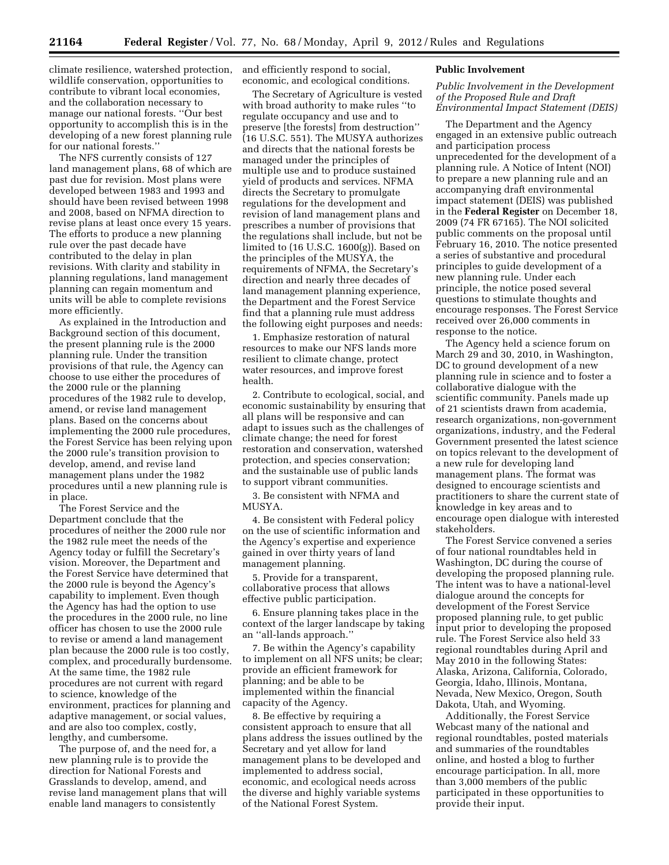climate resilience, watershed protection, and efficiently respond to social, wildlife conservation, opportunities to contribute to vibrant local economies, and the collaboration necessary to manage our national forests. ''Our best opportunity to accomplish this is in the developing of a new forest planning rule for our national forests.''

The NFS currently consists of 127 land management plans, 68 of which are past due for revision. Most plans were developed between 1983 and 1993 and should have been revised between 1998 and 2008, based on NFMA direction to revise plans at least once every 15 years. The efforts to produce a new planning rule over the past decade have contributed to the delay in plan revisions. With clarity and stability in planning regulations, land management planning can regain momentum and units will be able to complete revisions more efficiently.

As explained in the Introduction and Background section of this document, the present planning rule is the 2000 planning rule. Under the transition provisions of that rule, the Agency can choose to use either the procedures of the 2000 rule or the planning procedures of the 1982 rule to develop, amend, or revise land management plans. Based on the concerns about implementing the 2000 rule procedures, the Forest Service has been relying upon the 2000 rule's transition provision to develop, amend, and revise land management plans under the 1982 procedures until a new planning rule is in place.

The Forest Service and the Department conclude that the procedures of neither the 2000 rule nor the 1982 rule meet the needs of the Agency today or fulfill the Secretary's vision. Moreover, the Department and the Forest Service have determined that the 2000 rule is beyond the Agency's capability to implement. Even though the Agency has had the option to use the procedures in the 2000 rule, no line officer has chosen to use the 2000 rule to revise or amend a land management plan because the 2000 rule is too costly, complex, and procedurally burdensome. At the same time, the 1982 rule procedures are not current with regard to science, knowledge of the environment, practices for planning and adaptive management, or social values, and are also too complex, costly, lengthy, and cumbersome.

The purpose of, and the need for, a new planning rule is to provide the direction for National Forests and Grasslands to develop, amend, and revise land management plans that will enable land managers to consistently

economic, and ecological conditions.

The Secretary of Agriculture is vested with broad authority to make rules ''to regulate occupancy and use and to preserve [the forests] from destruction'' (16 U.S.C. 551). The MUSYA authorizes and directs that the national forests be managed under the principles of multiple use and to produce sustained yield of products and services. NFMA directs the Secretary to promulgate regulations for the development and revision of land management plans and prescribes a number of provisions that the regulations shall include, but not be limited to (16 U.S.C. 1600(g)). Based on the principles of the MUSYA, the requirements of NFMA, the Secretary's direction and nearly three decades of land management planning experience, the Department and the Forest Service find that a planning rule must address the following eight purposes and needs:

1. Emphasize restoration of natural resources to make our NFS lands more resilient to climate change, protect water resources, and improve forest health.

2. Contribute to ecological, social, and economic sustainability by ensuring that all plans will be responsive and can adapt to issues such as the challenges of climate change; the need for forest restoration and conservation, watershed protection, and species conservation; and the sustainable use of public lands to support vibrant communities.

3. Be consistent with NFMA and MUSYA.

4. Be consistent with Federal policy on the use of scientific information and the Agency's expertise and experience gained in over thirty years of land management planning.

5. Provide for a transparent, collaborative process that allows effective public participation.

6. Ensure planning takes place in the context of the larger landscape by taking an ''all-lands approach.''

7. Be within the Agency's capability to implement on all NFS units; be clear; provide an efficient framework for planning; and be able to be implemented within the financial capacity of the Agency.

8. Be effective by requiring a consistent approach to ensure that all plans address the issues outlined by the Secretary and yet allow for land management plans to be developed and implemented to address social, economic, and ecological needs across the diverse and highly variable systems of the National Forest System.

## **Public Involvement**

*Public Involvement in the Development of the Proposed Rule and Draft Environmental Impact Statement (DEIS)* 

The Department and the Agency engaged in an extensive public outreach and participation process unprecedented for the development of a planning rule. A Notice of Intent (NOI) to prepare a new planning rule and an accompanying draft environmental impact statement (DEIS) was published in the **Federal Register** on December 18, 2009 (74 FR 67165). The NOI solicited public comments on the proposal until February 16, 2010. The notice presented a series of substantive and procedural principles to guide development of a new planning rule. Under each principle, the notice posed several questions to stimulate thoughts and encourage responses. The Forest Service received over 26,000 comments in response to the notice.

The Agency held a science forum on March 29 and 30, 2010, in Washington, DC to ground development of a new planning rule in science and to foster a collaborative dialogue with the scientific community. Panels made up of 21 scientists drawn from academia, research organizations, non-government organizations, industry, and the Federal Government presented the latest science on topics relevant to the development of a new rule for developing land management plans. The format was designed to encourage scientists and practitioners to share the current state of knowledge in key areas and to encourage open dialogue with interested stakeholders.

The Forest Service convened a series of four national roundtables held in Washington, DC during the course of developing the proposed planning rule. The intent was to have a national-level dialogue around the concepts for development of the Forest Service proposed planning rule, to get public input prior to developing the proposed rule. The Forest Service also held 33 regional roundtables during April and May 2010 in the following States: Alaska, Arizona, California, Colorado, Georgia, Idaho, Illinois, Montana, Nevada, New Mexico, Oregon, South Dakota, Utah, and Wyoming.

Additionally, the Forest Service Webcast many of the national and regional roundtables, posted materials and summaries of the roundtables online, and hosted a blog to further encourage participation. In all, more than 3,000 members of the public participated in these opportunities to provide their input.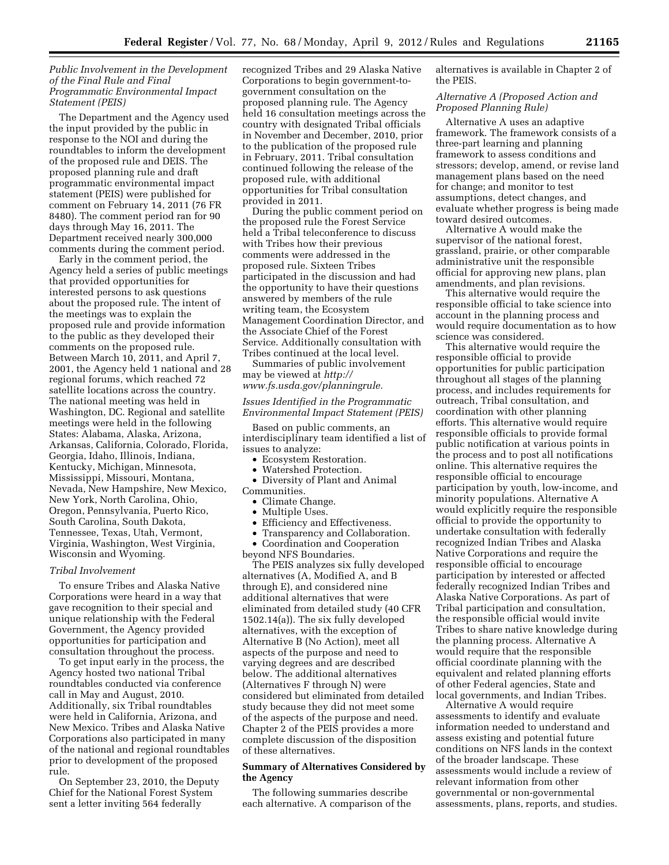# *Public Involvement in the Development of the Final Rule and Final Programmatic Environmental Impact Statement (PEIS)*

The Department and the Agency used the input provided by the public in response to the NOI and during the roundtables to inform the development of the proposed rule and DEIS. The proposed planning rule and draft programmatic environmental impact statement (PEIS) were published for comment on February 14, 2011 (76 FR 8480). The comment period ran for 90 days through May 16, 2011. The Department received nearly 300,000 comments during the comment period.

Early in the comment period, the Agency held a series of public meetings that provided opportunities for interested persons to ask questions about the proposed rule. The intent of the meetings was to explain the proposed rule and provide information to the public as they developed their comments on the proposed rule. Between March 10, 2011, and April 7, 2001, the Agency held 1 national and 28 regional forums, which reached 72 satellite locations across the country. The national meeting was held in Washington, DC. Regional and satellite meetings were held in the following States: Alabama, Alaska, Arizona, Arkansas, California, Colorado, Florida, Georgia, Idaho, Illinois, Indiana, Kentucky, Michigan, Minnesota, Mississippi, Missouri, Montana, Nevada, New Hampshire, New Mexico, New York, North Carolina, Ohio, Oregon, Pennsylvania, Puerto Rico, South Carolina, South Dakota, Tennessee, Texas, Utah, Vermont, Virginia, Washington, West Virginia, Wisconsin and Wyoming.

# *Tribal Involvement*

To ensure Tribes and Alaska Native Corporations were heard in a way that gave recognition to their special and unique relationship with the Federal Government, the Agency provided opportunities for participation and consultation throughout the process.

To get input early in the process, the Agency hosted two national Tribal roundtables conducted via conference call in May and August, 2010. Additionally, six Tribal roundtables were held in California, Arizona, and New Mexico. Tribes and Alaska Native Corporations also participated in many of the national and regional roundtables prior to development of the proposed rule.

On September 23, 2010, the Deputy Chief for the National Forest System sent a letter inviting 564 federally

recognized Tribes and 29 Alaska Native Corporations to begin government-togovernment consultation on the proposed planning rule. The Agency held 16 consultation meetings across the country with designated Tribal officials in November and December, 2010, prior to the publication of the proposed rule in February, 2011. Tribal consultation continued following the release of the proposed rule, with additional opportunities for Tribal consultation provided in 2011.

During the public comment period on the proposed rule the Forest Service held a Tribal teleconference to discuss with Tribes how their previous comments were addressed in the proposed rule. Sixteen Tribes participated in the discussion and had the opportunity to have their questions answered by members of the rule writing team, the Ecosystem Management Coordination Director, and the Associate Chief of the Forest Service. Additionally consultation with Tribes continued at the local level.

Summaries of public involvement may be viewed at *[http://](http://www.fs.usda.gov/planningrule)  [www.fs.usda.gov/planningrule.](http://www.fs.usda.gov/planningrule)* 

## *Issues Identified in the Programmatic Environmental Impact Statement (PEIS)*

Based on public comments, an interdisciplinary team identified a list of issues to analyze:

- Ecosystem Restoration.
- Watershed Protection.
- Diversity of Plant and Animal Communities.
	- Climate Change.
	- Multiple Uses.
	- Efficiency and Effectiveness.
- Transparency and Collaboration. • Coordination and Cooperation

beyond NFS Boundaries. The PEIS analyzes six fully developed alternatives (A, Modified A, and B through E), and considered nine additional alternatives that were eliminated from detailed study (40 CFR 1502.14(a)). The six fully developed alternatives, with the exception of Alternative B (No Action), meet all aspects of the purpose and need to varying degrees and are described below. The additional alternatives (Alternatives F through N) were considered but eliminated from detailed study because they did not meet some of the aspects of the purpose and need. Chapter 2 of the PEIS provides a more complete discussion of the disposition of these alternatives.

# **Summary of Alternatives Considered by the Agency**

The following summaries describe each alternative. A comparison of the alternatives is available in Chapter 2 of the PEIS.

# *Alternative A (Proposed Action and Proposed Planning Rule)*

Alternative A uses an adaptive framework. The framework consists of a three-part learning and planning framework to assess conditions and stressors; develop, amend, or revise land management plans based on the need for change; and monitor to test assumptions, detect changes, and evaluate whether progress is being made toward desired outcomes.

Alternative A would make the supervisor of the national forest, grassland, prairie, or other comparable administrative unit the responsible official for approving new plans, plan amendments, and plan revisions.

This alternative would require the responsible official to take science into account in the planning process and would require documentation as to how science was considered.

This alternative would require the responsible official to provide opportunities for public participation throughout all stages of the planning process, and includes requirements for outreach, Tribal consultation, and coordination with other planning efforts. This alternative would require responsible officials to provide formal public notification at various points in the process and to post all notifications online. This alternative requires the responsible official to encourage participation by youth, low-income, and minority populations. Alternative A would explicitly require the responsible official to provide the opportunity to undertake consultation with federally recognized Indian Tribes and Alaska Native Corporations and require the responsible official to encourage participation by interested or affected federally recognized Indian Tribes and Alaska Native Corporations. As part of Tribal participation and consultation, the responsible official would invite Tribes to share native knowledge during the planning process. Alternative A would require that the responsible official coordinate planning with the equivalent and related planning efforts of other Federal agencies, State and local governments, and Indian Tribes.

Alternative A would require assessments to identify and evaluate information needed to understand and assess existing and potential future conditions on NFS lands in the context of the broader landscape. These assessments would include a review of relevant information from other governmental or non-governmental assessments, plans, reports, and studies.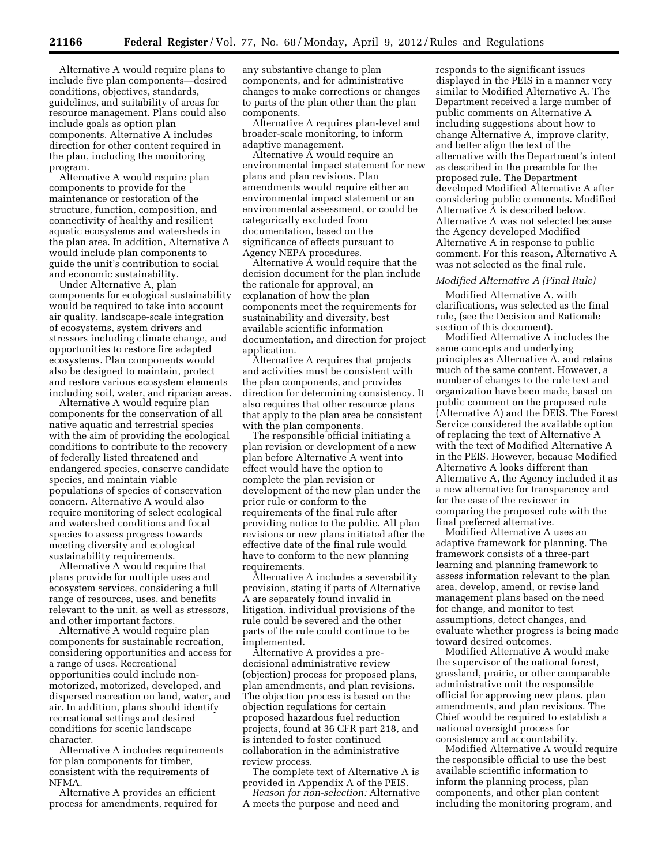Alternative A would require plans to include five plan components—desired conditions, objectives, standards, guidelines, and suitability of areas for resource management. Plans could also include goals as option plan components. Alternative A includes direction for other content required in the plan, including the monitoring program.

Alternative A would require plan components to provide for the maintenance or restoration of the structure, function, composition, and connectivity of healthy and resilient aquatic ecosystems and watersheds in the plan area. In addition, Alternative A would include plan components to guide the unit's contribution to social and economic sustainability.

Under Alternative A, plan components for ecological sustainability would be required to take into account air quality, landscape-scale integration of ecosystems, system drivers and stressors including climate change, and opportunities to restore fire adapted ecosystems. Plan components would also be designed to maintain, protect and restore various ecosystem elements including soil, water, and riparian areas.

Alternative A would require plan components for the conservation of all native aquatic and terrestrial species with the aim of providing the ecological conditions to contribute to the recovery of federally listed threatened and endangered species, conserve candidate species, and maintain viable populations of species of conservation concern. Alternative A would also require monitoring of select ecological and watershed conditions and focal species to assess progress towards meeting diversity and ecological sustainability requirements.

Alternative A would require that plans provide for multiple uses and ecosystem services, considering a full range of resources, uses, and benefits relevant to the unit, as well as stressors, and other important factors.

Alternative A would require plan components for sustainable recreation, considering opportunities and access for a range of uses. Recreational opportunities could include nonmotorized, motorized, developed, and dispersed recreation on land, water, and air. In addition, plans should identify recreational settings and desired conditions for scenic landscape character.

Alternative A includes requirements for plan components for timber, consistent with the requirements of NFMA.

Alternative A provides an efficient process for amendments, required for any substantive change to plan components, and for administrative changes to make corrections or changes to parts of the plan other than the plan components.

Alternative A requires plan-level and broader-scale monitoring, to inform adaptive management.

Alternative  $\overline{A}$  would require an environmental impact statement for new plans and plan revisions. Plan amendments would require either an environmental impact statement or an environmental assessment, or could be categorically excluded from documentation, based on the significance of effects pursuant to Agency NEPA procedures.

Alternative  $\overline{A}$  would require that the decision document for the plan include the rationale for approval, an explanation of how the plan components meet the requirements for sustainability and diversity, best available scientific information documentation, and direction for project application.

Alternative A requires that projects and activities must be consistent with the plan components, and provides direction for determining consistency. It also requires that other resource plans that apply to the plan area be consistent with the plan components.

The responsible official initiating a plan revision or development of a new plan before Alternative A went into effect would have the option to complete the plan revision or development of the new plan under the prior rule or conform to the requirements of the final rule after providing notice to the public. All plan revisions or new plans initiated after the effective date of the final rule would have to conform to the new planning requirements.

Alternative A includes a severability provision, stating if parts of Alternative A are separately found invalid in litigation, individual provisions of the rule could be severed and the other parts of the rule could continue to be implemented.

Alternative A provides a predecisional administrative review (objection) process for proposed plans, plan amendments, and plan revisions. The objection process is based on the objection regulations for certain proposed hazardous fuel reduction projects, found at 36 CFR part 218, and is intended to foster continued collaboration in the administrative review process.

The complete text of Alternative A is provided in Appendix A of the PEIS.

*Reason for non-selection:* Alternative A meets the purpose and need and

responds to the significant issues displayed in the PEIS in a manner very similar to Modified Alternative A. The Department received a large number of public comments on Alternative A including suggestions about how to change Alternative A, improve clarity, and better align the text of the alternative with the Department's intent as described in the preamble for the proposed rule. The Department developed Modified Alternative A after considering public comments. Modified Alternative A is described below. Alternative A was not selected because the Agency developed Modified Alternative A in response to public comment. For this reason, Alternative A was not selected as the final rule.

#### *Modified Alternative A (Final Rule)*

Modified Alternative A, with clarifications, was selected as the final rule, (see the Decision and Rationale section of this document).

Modified Alternative A includes the same concepts and underlying principles as Alternative A, and retains much of the same content. However, a number of changes to the rule text and organization have been made, based on public comment on the proposed rule (Alternative A) and the DEIS. The Forest Service considered the available option of replacing the text of Alternative A with the text of Modified Alternative A in the PEIS. However, because Modified Alternative A looks different than Alternative A, the Agency included it as a new alternative for transparency and for the ease of the reviewer in comparing the proposed rule with the final preferred alternative.

Modified Alternative A uses an adaptive framework for planning. The framework consists of a three-part learning and planning framework to assess information relevant to the plan area, develop, amend, or revise land management plans based on the need for change, and monitor to test assumptions, detect changes, and evaluate whether progress is being made toward desired outcomes.

Modified Alternative A would make the supervisor of the national forest, grassland, prairie, or other comparable administrative unit the responsible official for approving new plans, plan amendments, and plan revisions. The Chief would be required to establish a national oversight process for consistency and accountability.

Modified Alternative A would require the responsible official to use the best available scientific information to inform the planning process, plan components, and other plan content including the monitoring program, and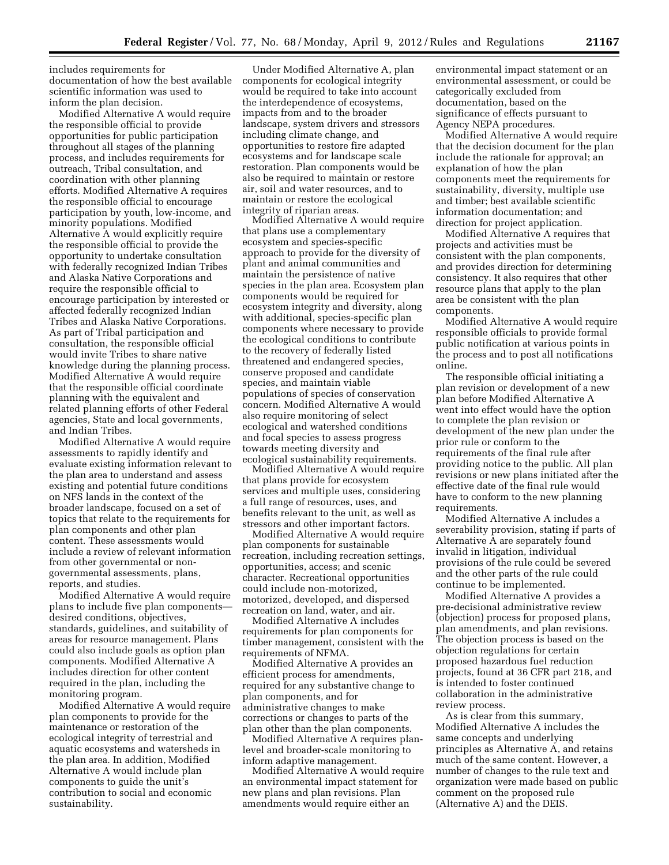includes requirements for documentation of how the best available scientific information was used to inform the plan decision.

Modified Alternative A would require the responsible official to provide opportunities for public participation throughout all stages of the planning process, and includes requirements for outreach, Tribal consultation, and coordination with other planning efforts. Modified Alternative A requires the responsible official to encourage participation by youth, low-income, and minority populations. Modified Alternative A would explicitly require the responsible official to provide the opportunity to undertake consultation with federally recognized Indian Tribes and Alaska Native Corporations and require the responsible official to encourage participation by interested or affected federally recognized Indian Tribes and Alaska Native Corporations. As part of Tribal participation and consultation, the responsible official would invite Tribes to share native knowledge during the planning process. Modified Alternative A would require that the responsible official coordinate planning with the equivalent and related planning efforts of other Federal agencies, State and local governments, and Indian Tribes.

Modified Alternative A would require assessments to rapidly identify and evaluate existing information relevant to the plan area to understand and assess existing and potential future conditions on NFS lands in the context of the broader landscape, focused on a set of topics that relate to the requirements for plan components and other plan content. These assessments would include a review of relevant information from other governmental or nongovernmental assessments, plans, reports, and studies.

Modified Alternative A would require plans to include five plan components desired conditions, objectives, standards, guidelines, and suitability of areas for resource management. Plans could also include goals as option plan components. Modified Alternative A includes direction for other content required in the plan, including the monitoring program.

Modified Alternative A would require plan components to provide for the maintenance or restoration of the ecological integrity of terrestrial and aquatic ecosystems and watersheds in the plan area. In addition, Modified Alternative A would include plan components to guide the unit's contribution to social and economic sustainability.

Under Modified Alternative A, plan components for ecological integrity would be required to take into account the interdependence of ecosystems, impacts from and to the broader landscape, system drivers and stressors including climate change, and opportunities to restore fire adapted ecosystems and for landscape scale restoration. Plan components would be also be required to maintain or restore air, soil and water resources, and to maintain or restore the ecological integrity of riparian areas.

Modified Alternative A would require that plans use a complementary ecosystem and species-specific approach to provide for the diversity of plant and animal communities and maintain the persistence of native species in the plan area. Ecosystem plan components would be required for ecosystem integrity and diversity, along with additional, species-specific plan components where necessary to provide the ecological conditions to contribute to the recovery of federally listed threatened and endangered species, conserve proposed and candidate species, and maintain viable populations of species of conservation concern. Modified Alternative A would also require monitoring of select ecological and watershed conditions and focal species to assess progress towards meeting diversity and ecological sustainability requirements.

Modified Alternative A would require that plans provide for ecosystem services and multiple uses, considering a full range of resources, uses, and benefits relevant to the unit, as well as stressors and other important factors.

Modified Alternative A would require plan components for sustainable recreation, including recreation settings, opportunities, access; and scenic character. Recreational opportunities could include non-motorized, motorized, developed, and dispersed recreation on land, water, and air.

Modified Alternative A includes requirements for plan components for timber management, consistent with the requirements of NFMA.

Modified Alternative A provides an efficient process for amendments, required for any substantive change to plan components, and for administrative changes to make corrections or changes to parts of the plan other than the plan components.

Modified Alternative A requires planlevel and broader-scale monitoring to inform adaptive management.

Modified Alternative A would require an environmental impact statement for new plans and plan revisions. Plan amendments would require either an

environmental impact statement or an environmental assessment, or could be categorically excluded from documentation, based on the significance of effects pursuant to Agency NEPA procedures.

Modified Alternative A would require that the decision document for the plan include the rationale for approval; an explanation of how the plan components meet the requirements for sustainability, diversity, multiple use and timber; best available scientific information documentation; and direction for project application.

Modified Alternative A requires that projects and activities must be consistent with the plan components, and provides direction for determining consistency. It also requires that other resource plans that apply to the plan area be consistent with the plan components.

Modified Alternative A would require responsible officials to provide formal public notification at various points in the process and to post all notifications online.

The responsible official initiating a plan revision or development of a new plan before Modified Alternative A went into effect would have the option to complete the plan revision or development of the new plan under the prior rule or conform to the requirements of the final rule after providing notice to the public. All plan revisions or new plans initiated after the effective date of the final rule would have to conform to the new planning requirements.

Modified Alternative A includes a severability provision, stating if parts of Alternative A are separately found invalid in litigation, individual provisions of the rule could be severed and the other parts of the rule could continue to be implemented.

Modified Alternative A provides a pre-decisional administrative review (objection) process for proposed plans, plan amendments, and plan revisions. The objection process is based on the objection regulations for certain proposed hazardous fuel reduction projects, found at 36 CFR part 218, and is intended to foster continued collaboration in the administrative review process.

As is clear from this summary, Modified Alternative A includes the same concepts and underlying principles as Alternative A, and retains much of the same content. However, a number of changes to the rule text and organization were made based on public comment on the proposed rule (Alternative A) and the DEIS.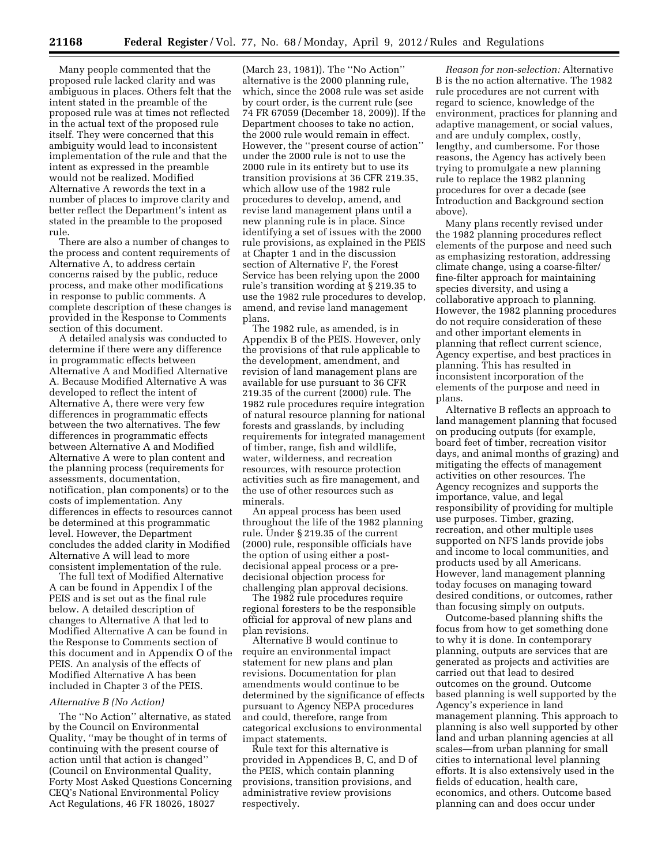Many people commented that the proposed rule lacked clarity and was ambiguous in places. Others felt that the intent stated in the preamble of the proposed rule was at times not reflected in the actual text of the proposed rule itself. They were concerned that this ambiguity would lead to inconsistent implementation of the rule and that the intent as expressed in the preamble would not be realized. Modified Alternative A rewords the text in a number of places to improve clarity and better reflect the Department's intent as stated in the preamble to the proposed rule.

There are also a number of changes to the process and content requirements of Alternative A, to address certain concerns raised by the public, reduce process, and make other modifications in response to public comments. A complete description of these changes is provided in the Response to Comments section of this document.

A detailed analysis was conducted to determine if there were any difference in programmatic effects between Alternative A and Modified Alternative A. Because Modified Alternative A was developed to reflect the intent of Alternative A, there were very few differences in programmatic effects between the two alternatives. The few differences in programmatic effects between Alternative A and Modified Alternative A were to plan content and the planning process (requirements for assessments, documentation, notification, plan components) or to the costs of implementation. Any differences in effects to resources cannot be determined at this programmatic level. However, the Department concludes the added clarity in Modified Alternative A will lead to more consistent implementation of the rule.

The full text of Modified Alternative A can be found in Appendix I of the PEIS and is set out as the final rule below. A detailed description of changes to Alternative A that led to Modified Alternative A can be found in the Response to Comments section of this document and in Appendix O of the PEIS. An analysis of the effects of Modified Alternative A has been included in Chapter 3 of the PEIS.

#### *Alternative B (No Action)*

The ''No Action'' alternative, as stated by the Council on Environmental Quality, ''may be thought of in terms of continuing with the present course of action until that action is changed'' (Council on Environmental Quality, Forty Most Asked Questions Concerning CEQ's National Environmental Policy Act Regulations, 46 FR 18026, 18027

(March 23, 1981)). The ''No Action'' alternative is the 2000 planning rule, which, since the 2008 rule was set aside by court order, is the current rule (see 74 FR 67059 (December 18, 2009)). If the Department chooses to take no action, the 2000 rule would remain in effect. However, the ''present course of action'' under the 2000 rule is not to use the 2000 rule in its entirety but to use its transition provisions at 36 CFR 219.35, which allow use of the 1982 rule procedures to develop, amend, and revise land management plans until a new planning rule is in place. Since identifying a set of issues with the 2000 rule provisions, as explained in the PEIS at Chapter 1 and in the discussion section of Alternative F, the Forest Service has been relying upon the 2000 rule's transition wording at § 219.35 to use the 1982 rule procedures to develop, amend, and revise land management plans.

The 1982 rule, as amended, is in Appendix B of the PEIS. However, only the provisions of that rule applicable to the development, amendment, and revision of land management plans are available for use pursuant to 36 CFR 219.35 of the current (2000) rule. The 1982 rule procedures require integration of natural resource planning for national forests and grasslands, by including requirements for integrated management of timber, range, fish and wildlife, water, wilderness, and recreation resources, with resource protection activities such as fire management, and the use of other resources such as minerals.

An appeal process has been used throughout the life of the 1982 planning rule. Under § 219.35 of the current (2000) rule, responsible officials have the option of using either a postdecisional appeal process or a predecisional objection process for challenging plan approval decisions.

The 1982 rule procedures require regional foresters to be the responsible official for approval of new plans and plan revisions.

Alternative B would continue to require an environmental impact statement for new plans and plan revisions. Documentation for plan amendments would continue to be determined by the significance of effects pursuant to Agency NEPA procedures and could, therefore, range from categorical exclusions to environmental impact statements.

Rule text for this alternative is provided in Appendices B, C, and D of the PEIS, which contain planning provisions, transition provisions, and administrative review provisions respectively.

*Reason for non-selection:* Alternative B is the no action alternative. The 1982 rule procedures are not current with regard to science, knowledge of the environment, practices for planning and adaptive management, or social values, and are unduly complex, costly, lengthy, and cumbersome. For those reasons, the Agency has actively been trying to promulgate a new planning rule to replace the 1982 planning procedures for over a decade (see Introduction and Background section above).

Many plans recently revised under the 1982 planning procedures reflect elements of the purpose and need such as emphasizing restoration, addressing climate change, using a coarse-filter/ fine-filter approach for maintaining species diversity, and using a collaborative approach to planning. However, the 1982 planning procedures do not require consideration of these and other important elements in planning that reflect current science, Agency expertise, and best practices in planning. This has resulted in inconsistent incorporation of the elements of the purpose and need in plans.

Alternative B reflects an approach to land management planning that focused on producing outputs (for example, board feet of timber, recreation visitor days, and animal months of grazing) and mitigating the effects of management activities on other resources. The Agency recognizes and supports the importance, value, and legal responsibility of providing for multiple use purposes. Timber, grazing, recreation, and other multiple uses supported on NFS lands provide jobs and income to local communities, and products used by all Americans. However, land management planning today focuses on managing toward desired conditions, or outcomes, rather than focusing simply on outputs.

Outcome-based planning shifts the focus from how to get something done to why it is done. In contemporary planning, outputs are services that are generated as projects and activities are carried out that lead to desired outcomes on the ground. Outcome based planning is well supported by the Agency's experience in land management planning. This approach to planning is also well supported by other land and urban planning agencies at all scales—from urban planning for small cities to international level planning efforts. It is also extensively used in the fields of education, health care, economics, and others. Outcome based planning can and does occur under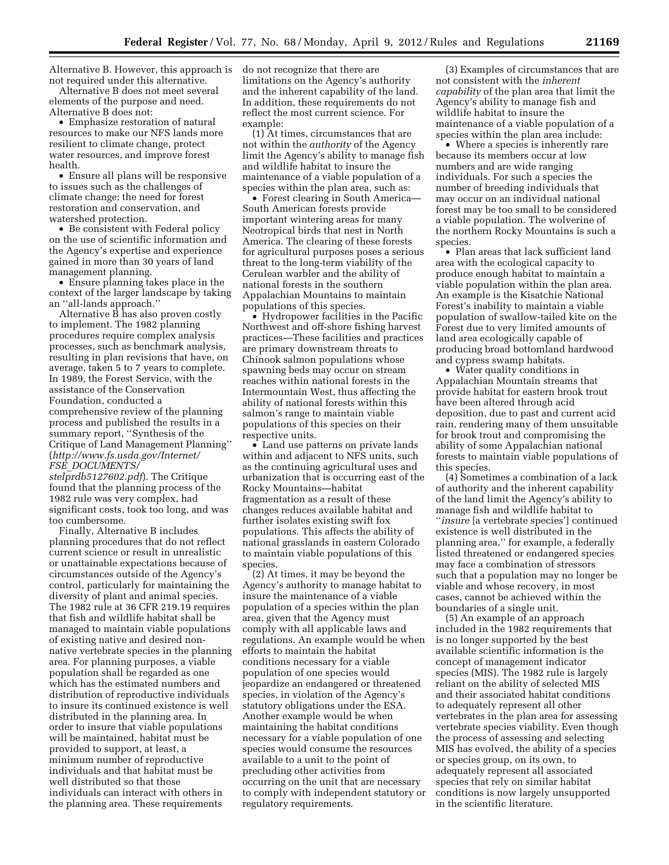Alternative B. However, this approach is not required under this alternative.

Alternative B does not meet several elements of the purpose and need. Alternative B does not:

• Emphasize restoration of natural resources to make our NFS lands more resilient to climate change, protect water resources, and improve forest health.

• Ensure all plans will be responsive to issues such as the challenges of climate change; the need for forest restoration and conservation, and watershed protection.

• Be consistent with Federal policy on the use of scientific information and the Agency's expertise and experience gained in more than 30 years of land management planning.

• Ensure planning takes place in the context of the larger landscape by taking an ''all-lands approach.''

Alternative B has also proven costly to implement. The 1982 planning procedures require complex analysis processes, such as benchmark analysis, resulting in plan revisions that have, on average, taken 5 to 7 years to complete. In 1989, the Forest Service, with the assistance of the Conservation Foundation, conducted a comprehensive review of the planning process and published the results in a summary report, ''Synthesis of the Critique of Land Management Planning'' (*[http://www.fs.usda.gov/Internet/](http://www.fs.usda.gov/Internet/FSE_DOCUMENTS/stelprdb5127602.pdf) FSE*\_*[DOCUMENTS/](http://www.fs.usda.gov/Internet/FSE_DOCUMENTS/stelprdb5127602.pdf)* 

*[stelprdb5127602.pdf](http://www.fs.usda.gov/Internet/FSE_DOCUMENTS/stelprdb5127602.pdf)*). The Critique found that the planning process of the 1982 rule was very complex, had significant costs, took too long, and was too cumbersome.

Finally, Alternative B includes planning procedures that do not reflect current science or result in unrealistic or unattainable expectations because of circumstances outside of the Agency's control, particularly for maintaining the diversity of plant and animal species. The 1982 rule at 36 CFR 219.19 requires that fish and wildlife habitat shall be managed to maintain viable populations of existing native and desired nonnative vertebrate species in the planning area. For planning purposes, a viable population shall be regarded as one which has the estimated numbers and distribution of reproductive individuals to insure its continued existence is well distributed in the planning area. In order to insure that viable populations will be maintained, habitat must be provided to support, at least, a minimum number of reproductive individuals and that habitat must be well distributed so that those individuals can interact with others in the planning area. These requirements

do not recognize that there are limitations on the Agency's authority and the inherent capability of the land. In addition, these requirements do not reflect the most current science. For example:

(1) At times, circumstances that are not within the *authority* of the Agency limit the Agency's ability to manage fish and wildlife habitat to insure the maintenance of a viable population of a species within the plan area, such as:

• Forest clearing in South America— South American forests provide important wintering areas for many Neotropical birds that nest in North America. The clearing of these forests for agricultural purposes poses a serious threat to the long-term viability of the Cerulean warbler and the ability of national forests in the southern Appalachian Mountains to maintain populations of this species.

• Hydropower facilities in the Pacific Northwest and off-shore fishing harvest practices—These facilities and practices are primary downstream threats to Chinook salmon populations whose spawning beds may occur on stream reaches within national forests in the Intermountain West, thus affecting the ability of national forests within this salmon's range to maintain viable populations of this species on their respective units.

• Land use patterns on private lands within and adjacent to NFS units, such as the continuing agricultural uses and urbanization that is occurring east of the Rocky Mountains—habitat fragmentation as a result of these changes reduces available habitat and further isolates existing swift fox populations. This affects the ability of national grasslands in eastern Colorado to maintain viable populations of this species.

(2) At times, it may be beyond the Agency's authority to manage habitat to insure the maintenance of a viable population of a species within the plan area, given that the Agency must comply with all applicable laws and regulations. An example would be when efforts to maintain the habitat conditions necessary for a viable population of one species would jeopardize an endangered or threatened species, in violation of the Agency's statutory obligations under the ESA. Another example would be when maintaining the habitat conditions necessary for a viable population of one species would consume the resources available to a unit to the point of precluding other activities from occurring on the unit that are necessary to comply with independent statutory or regulatory requirements.

(3) Examples of circumstances that are not consistent with the *inherent capability* of the plan area that limit the Agency's ability to manage fish and wildlife habitat to insure the maintenance of a viable population of a species within the plan area include:

• Where a species is inherently rare because its members occur at low numbers and are wide ranging individuals. For such a species the number of breeding individuals that may occur on an individual national forest may be too small to be considered a viable population. The wolverine of the northern Rocky Mountains is such a species.

• Plan areas that lack sufficient land area with the ecological capacity to produce enough habitat to maintain a viable population within the plan area. An example is the Kisatchie National Forest's inability to maintain a viable population of swallow-tailed kite on the Forest due to very limited amounts of land area ecologically capable of producing broad bottomland hardwood and cypress swamp habitats.

• Water quality conditions in Appalachian Mountain streams that provide habitat for eastern brook trout have been altered through acid deposition, due to past and current acid rain, rendering many of them unsuitable for brook trout and compromising the ability of some Appalachian national forests to maintain viable populations of this species.

(4) Sometimes a combination of a lack of authority and the inherent capability of the land limit the Agency's ability to manage fish and wildlife habitat to ''*insure* [a vertebrate species'] continued existence is well distributed in the planning area,'' for example, a federally listed threatened or endangered species may face a combination of stressors such that a population may no longer be viable and whose recovery, in most cases, cannot be achieved within the boundaries of a single unit.

(5) An example of an approach included in the 1982 requirements that is no longer supported by the best available scientific information is the concept of management indicator species (MIS). The 1982 rule is largely reliant on the ability of selected MIS and their associated habitat conditions to adequately represent all other vertebrates in the plan area for assessing vertebrate species viability. Even though the process of assessing and selecting MIS has evolved, the ability of a species or species group, on its own, to adequately represent all associated species that rely on similar habitat conditions is now largely unsupported in the scientific literature.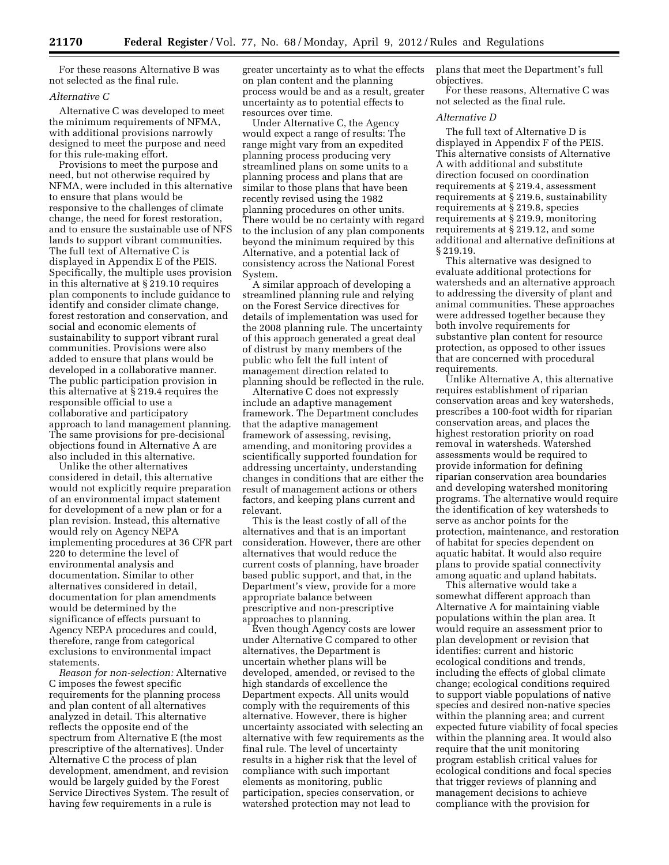For these reasons Alternative B was not selected as the final rule.

# *Alternative C*

Alternative C was developed to meet the minimum requirements of NFMA, with additional provisions narrowly designed to meet the purpose and need for this rule-making effort.

Provisions to meet the purpose and need, but not otherwise required by NFMA, were included in this alternative to ensure that plans would be responsive to the challenges of climate change, the need for forest restoration, and to ensure the sustainable use of NFS lands to support vibrant communities. The full text of Alternative C is displayed in Appendix E of the PEIS. Specifically, the multiple uses provision in this alternative at § 219.10 requires plan components to include guidance to identify and consider climate change, forest restoration and conservation, and social and economic elements of sustainability to support vibrant rural communities. Provisions were also added to ensure that plans would be developed in a collaborative manner. The public participation provision in this alternative at § 219.4 requires the responsible official to use a collaborative and participatory approach to land management planning. The same provisions for pre-decisional objections found in Alternative A are also included in this alternative.

Unlike the other alternatives considered in detail, this alternative would not explicitly require preparation of an environmental impact statement for development of a new plan or for a plan revision. Instead, this alternative would rely on Agency NEPA implementing procedures at 36 CFR part 220 to determine the level of environmental analysis and documentation. Similar to other alternatives considered in detail, documentation for plan amendments would be determined by the significance of effects pursuant to Agency NEPA procedures and could, therefore, range from categorical exclusions to environmental impact statements.

*Reason for non-selection:* Alternative C imposes the fewest specific requirements for the planning process and plan content of all alternatives analyzed in detail. This alternative reflects the opposite end of the spectrum from Alternative E (the most prescriptive of the alternatives). Under Alternative C the process of plan development, amendment, and revision would be largely guided by the Forest Service Directives System. The result of having few requirements in a rule is

greater uncertainty as to what the effects on plan content and the planning process would be and as a result, greater uncertainty as to potential effects to resources over time.

Under Alternative C, the Agency would expect a range of results: The range might vary from an expedited planning process producing very streamlined plans on some units to a planning process and plans that are similar to those plans that have been recently revised using the 1982 planning procedures on other units. There would be no certainty with regard to the inclusion of any plan components beyond the minimum required by this Alternative, and a potential lack of consistency across the National Forest System.

A similar approach of developing a streamlined planning rule and relying on the Forest Service directives for details of implementation was used for the 2008 planning rule. The uncertainty of this approach generated a great deal of distrust by many members of the public who felt the full intent of management direction related to planning should be reflected in the rule.

Alternative C does not expressly include an adaptive management framework. The Department concludes that the adaptive management framework of assessing, revising, amending, and monitoring provides a scientifically supported foundation for addressing uncertainty, understanding changes in conditions that are either the result of management actions or others factors, and keeping plans current and relevant.

This is the least costly of all of the alternatives and that is an important consideration. However, there are other alternatives that would reduce the current costs of planning, have broader based public support, and that, in the Department's view, provide for a more appropriate balance between prescriptive and non-prescriptive approaches to planning.

Even though Agency costs are lower under Alternative C compared to other alternatives, the Department is uncertain whether plans will be developed, amended, or revised to the high standards of excellence the Department expects. All units would comply with the requirements of this alternative. However, there is higher uncertainty associated with selecting an alternative with few requirements as the final rule. The level of uncertainty results in a higher risk that the level of compliance with such important elements as monitoring, public participation, species conservation, or watershed protection may not lead to

plans that meet the Department's full objectives.

For these reasons, Alternative C was not selected as the final rule.

### *Alternative D*

The full text of Alternative D is displayed in Appendix F of the PEIS. This alternative consists of Alternative A with additional and substitute direction focused on coordination requirements at § 219.4, assessment requirements at § 219.6, sustainability requirements at § 219.8, species requirements at § 219.9, monitoring requirements at § 219.12, and some additional and alternative definitions at § 219.19.

This alternative was designed to evaluate additional protections for watersheds and an alternative approach to addressing the diversity of plant and animal communities. These approaches were addressed together because they both involve requirements for substantive plan content for resource protection, as opposed to other issues that are concerned with procedural requirements.

Unlike Alternative A, this alternative requires establishment of riparian conservation areas and key watersheds, prescribes a 100-foot width for riparian conservation areas, and places the highest restoration priority on road removal in watersheds. Watershed assessments would be required to provide information for defining riparian conservation area boundaries and developing watershed monitoring programs. The alternative would require the identification of key watersheds to serve as anchor points for the protection, maintenance, and restoration of habitat for species dependent on aquatic habitat. It would also require plans to provide spatial connectivity among aquatic and upland habitats.

This alternative would take a somewhat different approach than Alternative A for maintaining viable populations within the plan area. It would require an assessment prior to plan development or revision that identifies: current and historic ecological conditions and trends, including the effects of global climate change; ecological conditions required to support viable populations of native species and desired non-native species within the planning area; and current expected future viability of focal species within the planning area. It would also require that the unit monitoring program establish critical values for ecological conditions and focal species that trigger reviews of planning and management decisions to achieve compliance with the provision for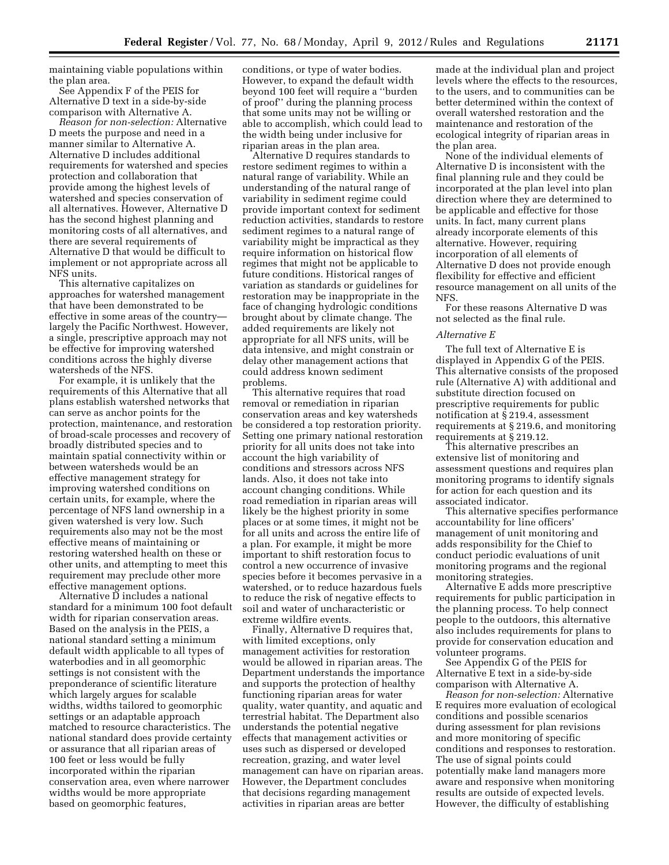maintaining viable populations within the plan area.

See Appendix F of the PEIS for Alternative D text in a side-by-side comparison with Alternative A.

*Reason for non-selection:* Alternative D meets the purpose and need in a manner similar to Alternative A. Alternative D includes additional requirements for watershed and species protection and collaboration that provide among the highest levels of watershed and species conservation of all alternatives. However, Alternative D has the second highest planning and monitoring costs of all alternatives, and there are several requirements of Alternative D that would be difficult to implement or not appropriate across all NFS units.

This alternative capitalizes on approaches for watershed management that have been demonstrated to be effective in some areas of the country largely the Pacific Northwest. However, a single, prescriptive approach may not be effective for improving watershed conditions across the highly diverse watersheds of the NFS.

For example, it is unlikely that the requirements of this Alternative that all plans establish watershed networks that can serve as anchor points for the protection, maintenance, and restoration of broad-scale processes and recovery of broadly distributed species and to maintain spatial connectivity within or between watersheds would be an effective management strategy for improving watershed conditions on certain units, for example, where the percentage of NFS land ownership in a given watershed is very low. Such requirements also may not be the most effective means of maintaining or restoring watershed health on these or other units, and attempting to meet this requirement may preclude other more effective management options.

Alternative D includes a national standard for a minimum 100 foot default width for riparian conservation areas. Based on the analysis in the PEIS, a national standard setting a minimum default width applicable to all types of waterbodies and in all geomorphic settings is not consistent with the preponderance of scientific literature which largely argues for scalable widths, widths tailored to geomorphic settings or an adaptable approach matched to resource characteristics. The national standard does provide certainty or assurance that all riparian areas of 100 feet or less would be fully incorporated within the riparian conservation area, even where narrower widths would be more appropriate based on geomorphic features,

conditions, or type of water bodies. However, to expand the default width beyond 100 feet will require a ''burden of proof'' during the planning process that some units may not be willing or able to accomplish, which could lead to the width being under inclusive for riparian areas in the plan area.

Alternative D requires standards to restore sediment regimes to within a natural range of variability. While an understanding of the natural range of variability in sediment regime could provide important context for sediment reduction activities, standards to restore sediment regimes to a natural range of variability might be impractical as they require information on historical flow regimes that might not be applicable to future conditions. Historical ranges of variation as standards or guidelines for restoration may be inappropriate in the face of changing hydrologic conditions brought about by climate change. The added requirements are likely not appropriate for all NFS units, will be data intensive, and might constrain or delay other management actions that could address known sediment problems.

This alternative requires that road removal or remediation in riparian conservation areas and key watersheds be considered a top restoration priority. Setting one primary national restoration priority for all units does not take into account the high variability of conditions and stressors across NFS lands. Also, it does not take into account changing conditions. While road remediation in riparian areas will likely be the highest priority in some places or at some times, it might not be for all units and across the entire life of a plan. For example, it might be more important to shift restoration focus to control a new occurrence of invasive species before it becomes pervasive in a watershed, or to reduce hazardous fuels to reduce the risk of negative effects to soil and water of uncharacteristic or extreme wildfire events.

Finally, Alternative D requires that, with limited exceptions, only management activities for restoration would be allowed in riparian areas. The Department understands the importance and supports the protection of healthy functioning riparian areas for water quality, water quantity, and aquatic and terrestrial habitat. The Department also understands the potential negative effects that management activities or uses such as dispersed or developed recreation, grazing, and water level management can have on riparian areas. However, the Department concludes that decisions regarding management activities in riparian areas are better

made at the individual plan and project levels where the effects to the resources, to the users, and to communities can be better determined within the context of overall watershed restoration and the maintenance and restoration of the ecological integrity of riparian areas in the plan area.

None of the individual elements of Alternative D is inconsistent with the final planning rule and they could be incorporated at the plan level into plan direction where they are determined to be applicable and effective for those units. In fact, many current plans already incorporate elements of this alternative. However, requiring incorporation of all elements of Alternative D does not provide enough flexibility for effective and efficient resource management on all units of the NFS.

For these reasons Alternative D was not selected as the final rule.

#### *Alternative E*

The full text of Alternative E is displayed in Appendix G of the PEIS. This alternative consists of the proposed rule (Alternative A) with additional and substitute direction focused on prescriptive requirements for public notification at § 219.4, assessment requirements at § 219.6, and monitoring requirements at § 219.12.

This alternative prescribes an extensive list of monitoring and assessment questions and requires plan monitoring programs to identify signals for action for each question and its associated indicator.

This alternative specifies performance accountability for line officers' management of unit monitoring and adds responsibility for the Chief to conduct periodic evaluations of unit monitoring programs and the regional monitoring strategies.

Alternative E adds more prescriptive requirements for public participation in the planning process. To help connect people to the outdoors, this alternative also includes requirements for plans to provide for conservation education and volunteer programs.

See Appendix G of the PEIS for Alternative E text in a side-by-side comparison with Alternative A.

*Reason for non-selection:* Alternative E requires more evaluation of ecological conditions and possible scenarios during assessment for plan revisions and more monitoring of specific conditions and responses to restoration. The use of signal points could potentially make land managers more aware and responsive when monitoring results are outside of expected levels. However, the difficulty of establishing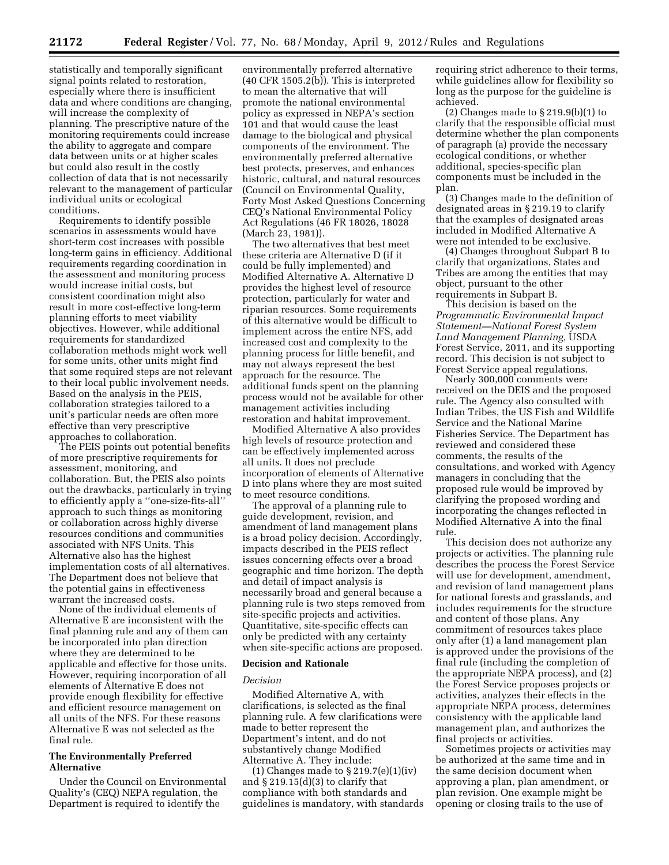statistically and temporally significant signal points related to restoration, especially where there is insufficient data and where conditions are changing, will increase the complexity of planning. The prescriptive nature of the monitoring requirements could increase the ability to aggregate and compare data between units or at higher scales but could also result in the costly collection of data that is not necessarily relevant to the management of particular individual units or ecological conditions.

Requirements to identify possible scenarios in assessments would have short-term cost increases with possible long-term gains in efficiency. Additional requirements regarding coordination in the assessment and monitoring process would increase initial costs, but consistent coordination might also result in more cost-effective long-term planning efforts to meet viability objectives. However, while additional requirements for standardized collaboration methods might work well for some units, other units might find that some required steps are not relevant to their local public involvement needs. Based on the analysis in the PEIS, collaboration strategies tailored to a unit's particular needs are often more effective than very prescriptive approaches to collaboration.

The PEIS points out potential benefits of more prescriptive requirements for assessment, monitoring, and collaboration. But, the PEIS also points out the drawbacks, particularly in trying to efficiently apply a ''one-size-fits-all'' approach to such things as monitoring or collaboration across highly diverse resources conditions and communities associated with NFS Units. This Alternative also has the highest implementation costs of all alternatives. The Department does not believe that the potential gains in effectiveness warrant the increased costs.

None of the individual elements of Alternative E are inconsistent with the final planning rule and any of them can be incorporated into plan direction where they are determined to be applicable and effective for those units. However, requiring incorporation of all elements of Alternative E does not provide enough flexibility for effective and efficient resource management on all units of the NFS. For these reasons Alternative E was not selected as the final rule.

# **The Environmentally Preferred Alternative**

Under the Council on Environmental Quality's (CEQ) NEPA regulation, the Department is required to identify the

environmentally preferred alternative (40 CFR 1505.2(b)). This is interpreted to mean the alternative that will promote the national environmental policy as expressed in NEPA's section 101 and that would cause the least damage to the biological and physical components of the environment. The environmentally preferred alternative best protects, preserves, and enhances historic, cultural, and natural resources (Council on Environmental Quality, Forty Most Asked Questions Concerning CEQ's National Environmental Policy Act Regulations (46 FR 18026, 18028 (March 23, 1981)).

The two alternatives that best meet these criteria are Alternative D (if it could be fully implemented) and Modified Alternative A. Alternative D provides the highest level of resource protection, particularly for water and riparian resources. Some requirements of this alternative would be difficult to implement across the entire NFS, add increased cost and complexity to the planning process for little benefit, and may not always represent the best approach for the resource. The additional funds spent on the planning process would not be available for other management activities including restoration and habitat improvement.

Modified Alternative A also provides high levels of resource protection and can be effectively implemented across all units. It does not preclude incorporation of elements of Alternative D into plans where they are most suited to meet resource conditions.

The approval of a planning rule to guide development, revision, and amendment of land management plans is a broad policy decision. Accordingly, impacts described in the PEIS reflect issues concerning effects over a broad geographic and time horizon. The depth and detail of impact analysis is necessarily broad and general because a planning rule is two steps removed from site-specific projects and activities. Quantitative, site-specific effects can only be predicted with any certainty when site-specific actions are proposed.

#### **Decision and Rationale**

#### *Decision*

Modified Alternative A, with clarifications, is selected as the final planning rule. A few clarifications were made to better represent the Department's intent, and do not substantively change Modified Alternative A. They include:

(1) Changes made to § 219.7(e)(1)(iv) and  $\S 219.15(d)(3)$  to clarify that compliance with both standards and guidelines is mandatory, with standards requiring strict adherence to their terms, while guidelines allow for flexibility so long as the purpose for the guideline is achieved.

(2) Changes made to § 219.9(b)(1) to clarify that the responsible official must determine whether the plan components of paragraph (a) provide the necessary ecological conditions, or whether additional, species-specific plan components must be included in the plan.

(3) Changes made to the definition of designated areas in § 219.19 to clarify that the examples of designated areas included in Modified Alternative A were not intended to be exclusive.

(4) Changes throughout Subpart B to clarify that organizations, States and Tribes are among the entities that may object, pursuant to the other requirements in Subpart B.

This decision is based on the *Programmatic Environmental Impact Statement—National Forest System Land Management Planning,* USDA Forest Service, 2011, and its supporting record. This decision is not subject to Forest Service appeal regulations.

Nearly 300,000 comments were received on the DEIS and the proposed rule. The Agency also consulted with Indian Tribes, the US Fish and Wildlife Service and the National Marine Fisheries Service. The Department has reviewed and considered these comments, the results of the consultations, and worked with Agency managers in concluding that the proposed rule would be improved by clarifying the proposed wording and incorporating the changes reflected in Modified Alternative A into the final rule.

This decision does not authorize any projects or activities. The planning rule describes the process the Forest Service will use for development, amendment, and revision of land management plans for national forests and grasslands, and includes requirements for the structure and content of those plans. Any commitment of resources takes place only after (1) a land management plan is approved under the provisions of the final rule (including the completion of the appropriate NEPA process), and (2) the Forest Service proposes projects or activities, analyzes their effects in the appropriate NEPA process, determines consistency with the applicable land management plan, and authorizes the final projects or activities.

Sometimes projects or activities may be authorized at the same time and in the same decision document when approving a plan, plan amendment, or plan revision. One example might be opening or closing trails to the use of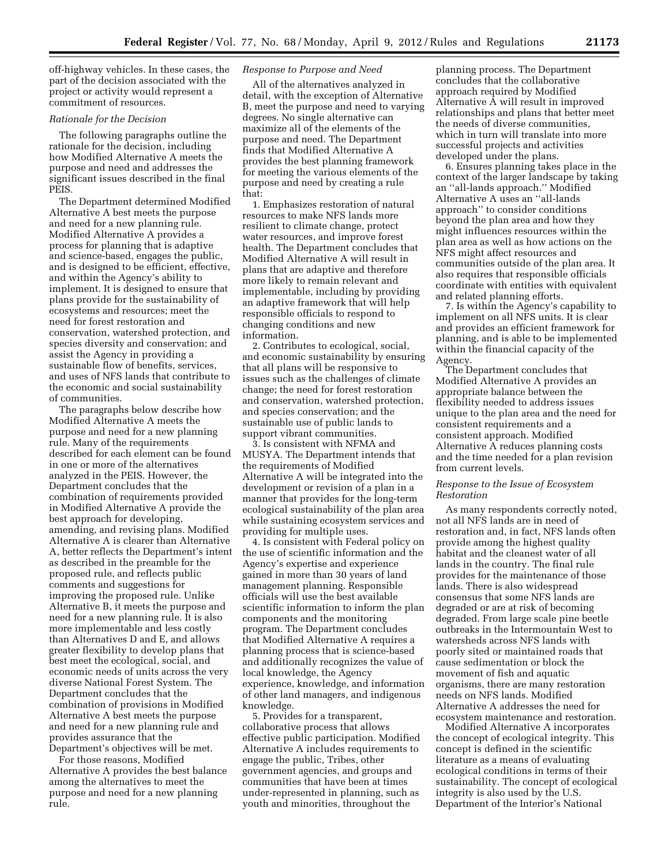off-highway vehicles. In these cases, the part of the decision associated with the project or activity would represent a commitment of resources.

### *Rationale for the Decision*

The following paragraphs outline the rationale for the decision, including how Modified Alternative A meets the purpose and need and addresses the significant issues described in the final PEIS.

The Department determined Modified Alternative A best meets the purpose and need for a new planning rule. Modified Alternative A provides a process for planning that is adaptive and science-based, engages the public, and is designed to be efficient, effective, and within the Agency's ability to implement. It is designed to ensure that plans provide for the sustainability of ecosystems and resources; meet the need for forest restoration and conservation, watershed protection, and species diversity and conservation; and assist the Agency in providing a sustainable flow of benefits, services, and uses of NFS lands that contribute to the economic and social sustainability of communities.

The paragraphs below describe how Modified Alternative A meets the purpose and need for a new planning rule. Many of the requirements described for each element can be found in one or more of the alternatives analyzed in the PEIS. However, the Department concludes that the combination of requirements provided in Modified Alternative A provide the best approach for developing, amending, and revising plans. Modified Alternative A is clearer than Alternative A, better reflects the Department's intent as described in the preamble for the proposed rule, and reflects public comments and suggestions for improving the proposed rule. Unlike Alternative B, it meets the purpose and need for a new planning rule. It is also more implementable and less costly than Alternatives D and E, and allows greater flexibility to develop plans that best meet the ecological, social, and economic needs of units across the very diverse National Forest System. The Department concludes that the combination of provisions in Modified Alternative A best meets the purpose and need for a new planning rule and provides assurance that the

Department's objectives will be met. For those reasons, Modified

Alternative A provides the best balance among the alternatives to meet the purpose and need for a new planning rule.

# *Response to Purpose and Need*

All of the alternatives analyzed in detail, with the exception of Alternative B, meet the purpose and need to varying degrees. No single alternative can maximize all of the elements of the purpose and need. The Department finds that Modified Alternative A provides the best planning framework for meeting the various elements of the purpose and need by creating a rule that:

1. Emphasizes restoration of natural resources to make NFS lands more resilient to climate change, protect water resources, and improve forest health. The Department concludes that Modified Alternative A will result in plans that are adaptive and therefore more likely to remain relevant and implementable, including by providing an adaptive framework that will help responsible officials to respond to changing conditions and new information.

2. Contributes to ecological, social, and economic sustainability by ensuring that all plans will be responsive to issues such as the challenges of climate change; the need for forest restoration and conservation, watershed protection, and species conservation; and the sustainable use of public lands to support vibrant communities.

3. Is consistent with NFMA and MUSYA. The Department intends that the requirements of Modified Alternative A will be integrated into the development or revision of a plan in a manner that provides for the long-term ecological sustainability of the plan area while sustaining ecosystem services and providing for multiple uses.

4. Is consistent with Federal policy on the use of scientific information and the Agency's expertise and experience gained in more than 30 years of land management planning. Responsible officials will use the best available scientific information to inform the plan components and the monitoring program. The Department concludes that Modified Alternative A requires a planning process that is science-based and additionally recognizes the value of local knowledge, the Agency experience, knowledge, and information of other land managers, and indigenous knowledge.

5. Provides for a transparent, collaborative process that allows effective public participation. Modified Alternative A includes requirements to engage the public, Tribes, other government agencies, and groups and communities that have been at times under-represented in planning, such as youth and minorities, throughout the

planning process. The Department concludes that the collaborative approach required by Modified Alternative A will result in improved relationships and plans that better meet the needs of diverse communities, which in turn will translate into more successful projects and activities developed under the plans.

6. Ensures planning takes place in the context of the larger landscape by taking an ''all-lands approach.'' Modified Alternative A uses an ''all-lands approach'' to consider conditions beyond the plan area and how they might influences resources within the plan area as well as how actions on the NFS might affect resources and communities outside of the plan area. It also requires that responsible officials coordinate with entities with equivalent and related planning efforts.

7. Is within the Agency's capability to implement on all NFS units. It is clear and provides an efficient framework for planning, and is able to be implemented within the financial capacity of the Agency.

The Department concludes that Modified Alternative A provides an appropriate balance between the flexibility needed to address issues unique to the plan area and the need for consistent requirements and a consistent approach. Modified Alternative A reduces planning costs and the time needed for a plan revision from current levels.

# *Response to the Issue of Ecosystem Restoration*

As many respondents correctly noted, not all NFS lands are in need of restoration and, in fact, NFS lands often provide among the highest quality habitat and the cleanest water of all lands in the country. The final rule provides for the maintenance of those lands. There is also widespread consensus that some NFS lands are degraded or are at risk of becoming degraded. From large scale pine beetle outbreaks in the Intermountain West to watersheds across NFS lands with poorly sited or maintained roads that cause sedimentation or block the movement of fish and aquatic organisms, there are many restoration needs on NFS lands. Modified Alternative A addresses the need for ecosystem maintenance and restoration.

Modified Alternative A incorporates the concept of ecological integrity. This concept is defined in the scientific literature as a means of evaluating ecological conditions in terms of their sustainability. The concept of ecological integrity is also used by the U.S. Department of the Interior's National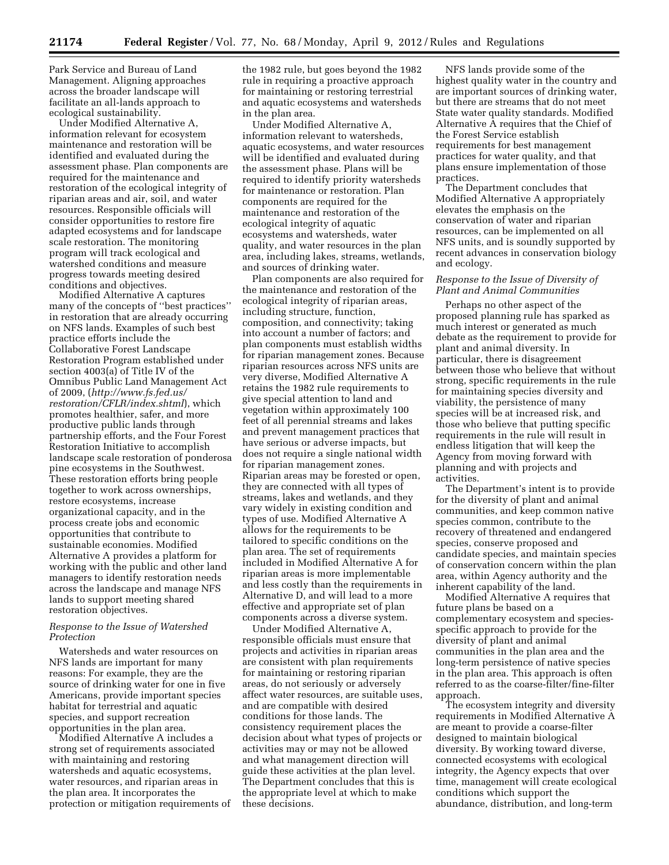Park Service and Bureau of Land Management. Aligning approaches across the broader landscape will facilitate an all-lands approach to ecological sustainability.

Under Modified Alternative A, information relevant for ecosystem maintenance and restoration will be identified and evaluated during the assessment phase. Plan components are required for the maintenance and restoration of the ecological integrity of riparian areas and air, soil, and water resources. Responsible officials will consider opportunities to restore fire adapted ecosystems and for landscape scale restoration. The monitoring program will track ecological and watershed conditions and measure progress towards meeting desired conditions and objectives.

Modified Alternative A captures many of the concepts of ''best practices'' in restoration that are already occurring on NFS lands. Examples of such best practice efforts include the Collaborative Forest Landscape Restoration Program established under section 4003(a) of Title IV of the Omnibus Public Land Management Act of 2009, (*[http://www.fs.fed.us/](http://www.fs.fed.us/restoration/CFLR/index.shtml)  [restoration/CFLR/index.shtml](http://www.fs.fed.us/restoration/CFLR/index.shtml)*), which promotes healthier, safer, and more productive public lands through partnership efforts, and the Four Forest Restoration Initiative to accomplish landscape scale restoration of ponderosa pine ecosystems in the Southwest. These restoration efforts bring people together to work across ownerships, restore ecosystems, increase organizational capacity, and in the process create jobs and economic opportunities that contribute to sustainable economies. Modified Alternative A provides a platform for working with the public and other land managers to identify restoration needs across the landscape and manage NFS lands to support meeting shared restoration objectives.

# *Response to the Issue of Watershed Protection*

Watersheds and water resources on NFS lands are important for many reasons: For example, they are the source of drinking water for one in five Americans, provide important species habitat for terrestrial and aquatic species, and support recreation opportunities in the plan area.

Modified Alternative A includes a strong set of requirements associated with maintaining and restoring watersheds and aquatic ecosystems, water resources, and riparian areas in the plan area. It incorporates the protection or mitigation requirements of the 1982 rule, but goes beyond the 1982 rule in requiring a proactive approach for maintaining or restoring terrestrial and aquatic ecosystems and watersheds in the plan area.

Under Modified Alternative A, information relevant to watersheds, aquatic ecosystems, and water resources will be identified and evaluated during the assessment phase. Plans will be required to identify priority watersheds for maintenance or restoration. Plan components are required for the maintenance and restoration of the ecological integrity of aquatic ecosystems and watersheds, water quality, and water resources in the plan area, including lakes, streams, wetlands, and sources of drinking water.

Plan components are also required for the maintenance and restoration of the ecological integrity of riparian areas, including structure, function, composition, and connectivity; taking into account a number of factors; and plan components must establish widths for riparian management zones. Because riparian resources across NFS units are very diverse, Modified Alternative A retains the 1982 rule requirements to give special attention to land and vegetation within approximately 100 feet of all perennial streams and lakes and prevent management practices that have serious or adverse impacts, but does not require a single national width for riparian management zones. Riparian areas may be forested or open, they are connected with all types of streams, lakes and wetlands, and they vary widely in existing condition and types of use. Modified Alternative A allows for the requirements to be tailored to specific conditions on the plan area. The set of requirements included in Modified Alternative A for riparian areas is more implementable and less costly than the requirements in Alternative D, and will lead to a more effective and appropriate set of plan components across a diverse system.

Under Modified Alternative A, responsible officials must ensure that projects and activities in riparian areas are consistent with plan requirements for maintaining or restoring riparian areas, do not seriously or adversely affect water resources, are suitable uses, and are compatible with desired conditions for those lands. The consistency requirement places the decision about what types of projects or activities may or may not be allowed and what management direction will guide these activities at the plan level. The Department concludes that this is the appropriate level at which to make these decisions.

NFS lands provide some of the highest quality water in the country and are important sources of drinking water, but there are streams that do not meet State water quality standards. Modified Alternative A requires that the Chief of the Forest Service establish requirements for best management practices for water quality, and that plans ensure implementation of those practices.

The Department concludes that Modified Alternative A appropriately elevates the emphasis on the conservation of water and riparian resources, can be implemented on all NFS units, and is soundly supported by recent advances in conservation biology and ecology.

# *Response to the Issue of Diversity of Plant and Animal Communities*

Perhaps no other aspect of the proposed planning rule has sparked as much interest or generated as much debate as the requirement to provide for plant and animal diversity. In particular, there is disagreement between those who believe that without strong, specific requirements in the rule for maintaining species diversity and viability, the persistence of many species will be at increased risk, and those who believe that putting specific requirements in the rule will result in endless litigation that will keep the Agency from moving forward with planning and with projects and activities.

The Department's intent is to provide for the diversity of plant and animal communities, and keep common native species common, contribute to the recovery of threatened and endangered species, conserve proposed and candidate species, and maintain species of conservation concern within the plan area, within Agency authority and the inherent capability of the land.

Modified Alternative A requires that future plans be based on a complementary ecosystem and speciesspecific approach to provide for the diversity of plant and animal communities in the plan area and the long-term persistence of native species in the plan area. This approach is often referred to as the coarse-filter/fine-filter approach.

The ecosystem integrity and diversity requirements in Modified Alternative A are meant to provide a coarse-filter designed to maintain biological diversity. By working toward diverse, connected ecosystems with ecological integrity, the Agency expects that over time, management will create ecological conditions which support the abundance, distribution, and long-term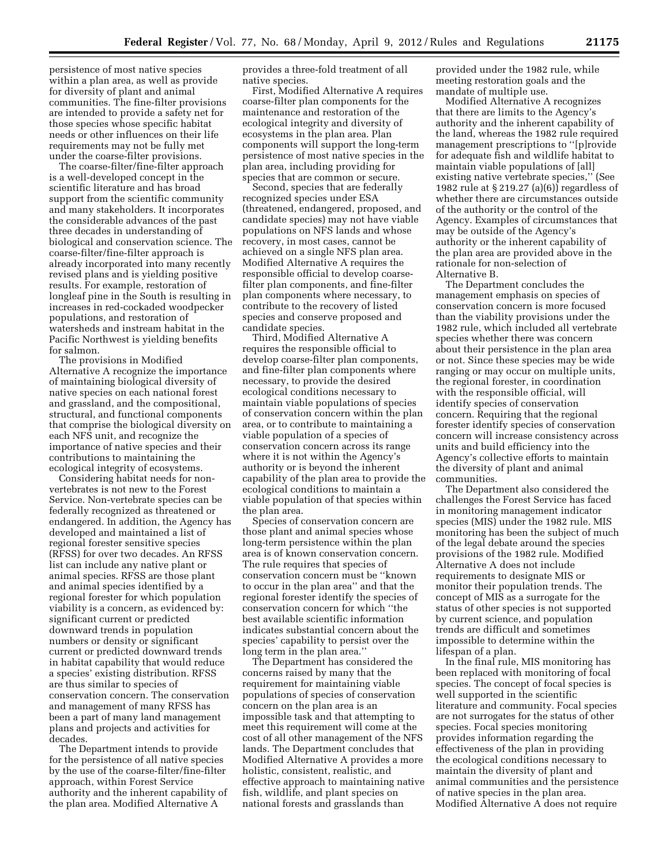persistence of most native species within a plan area, as well as provide for diversity of plant and animal communities. The fine-filter provisions are intended to provide a safety net for those species whose specific habitat needs or other influences on their life requirements may not be fully met under the coarse-filter provisions.

The coarse-filter/fine-filter approach is a well-developed concept in the scientific literature and has broad support from the scientific community and many stakeholders. It incorporates the considerable advances of the past three decades in understanding of biological and conservation science. The coarse-filter/fine-filter approach is already incorporated into many recently revised plans and is yielding positive results. For example, restoration of longleaf pine in the South is resulting in increases in red-cockaded woodpecker populations, and restoration of watersheds and instream habitat in the Pacific Northwest is yielding benefits for salmon.

The provisions in Modified Alternative A recognize the importance of maintaining biological diversity of native species on each national forest and grassland, and the compositional, structural, and functional components that comprise the biological diversity on each NFS unit, and recognize the importance of native species and their contributions to maintaining the ecological integrity of ecosystems.

Considering habitat needs for nonvertebrates is not new to the Forest Service. Non-vertebrate species can be federally recognized as threatened or endangered. In addition, the Agency has developed and maintained a list of regional forester sensitive species (RFSS) for over two decades. An RFSS list can include any native plant or animal species. RFSS are those plant and animal species identified by a regional forester for which population viability is a concern, as evidenced by: significant current or predicted downward trends in population numbers or density or significant current or predicted downward trends in habitat capability that would reduce a species' existing distribution. RFSS are thus similar to species of conservation concern. The conservation and management of many RFSS has been a part of many land management plans and projects and activities for decades.

The Department intends to provide for the persistence of all native species by the use of the coarse-filter/fine-filter approach, within Forest Service authority and the inherent capability of the plan area. Modified Alternative A

provides a three-fold treatment of all native species.

First, Modified Alternative A requires coarse-filter plan components for the maintenance and restoration of the ecological integrity and diversity of ecosystems in the plan area. Plan components will support the long-term persistence of most native species in the plan area, including providing for species that are common or secure.

Second, species that are federally recognized species under ESA (threatened, endangered, proposed, and candidate species) may not have viable populations on NFS lands and whose recovery, in most cases, cannot be achieved on a single NFS plan area. Modified Alternative A requires the responsible official to develop coarsefilter plan components, and fine-filter plan components where necessary, to contribute to the recovery of listed species and conserve proposed and candidate species.

Third, Modified Alternative A requires the responsible official to develop coarse-filter plan components, and fine-filter plan components where necessary, to provide the desired ecological conditions necessary to maintain viable populations of species of conservation concern within the plan area, or to contribute to maintaining a viable population of a species of conservation concern across its range where it is not within the Agency's authority or is beyond the inherent capability of the plan area to provide the ecological conditions to maintain a viable population of that species within the plan area.

Species of conservation concern are those plant and animal species whose long-term persistence within the plan area is of known conservation concern. The rule requires that species of conservation concern must be ''known to occur in the plan area'' and that the regional forester identify the species of conservation concern for which ''the best available scientific information indicates substantial concern about the species' capability to persist over the long term in the plan area.''

The Department has considered the concerns raised by many that the requirement for maintaining viable populations of species of conservation concern on the plan area is an impossible task and that attempting to meet this requirement will come at the cost of all other management of the NFS lands. The Department concludes that Modified Alternative A provides a more holistic, consistent, realistic, and effective approach to maintaining native fish, wildlife, and plant species on national forests and grasslands than

provided under the 1982 rule, while meeting restoration goals and the mandate of multiple use.

Modified Alternative A recognizes that there are limits to the Agency's authority and the inherent capability of the land, whereas the 1982 rule required management prescriptions to ''[p]rovide for adequate fish and wildlife habitat to maintain viable populations of [all] existing native vertebrate species,'' (See 1982 rule at § 219.27 (a)(6)) regardless of whether there are circumstances outside of the authority or the control of the Agency. Examples of circumstances that may be outside of the Agency's authority or the inherent capability of the plan area are provided above in the rationale for non-selection of Alternative B.

The Department concludes the management emphasis on species of conservation concern is more focused than the viability provisions under the 1982 rule, which included all vertebrate species whether there was concern about their persistence in the plan area or not. Since these species may be wide ranging or may occur on multiple units, the regional forester, in coordination with the responsible official, will identify species of conservation concern. Requiring that the regional forester identify species of conservation concern will increase consistency across units and build efficiency into the Agency's collective efforts to maintain the diversity of plant and animal communities.

The Department also considered the challenges the Forest Service has faced in monitoring management indicator species (MIS) under the 1982 rule. MIS monitoring has been the subject of much of the legal debate around the species provisions of the 1982 rule. Modified Alternative A does not include requirements to designate MIS or monitor their population trends. The concept of MIS as a surrogate for the status of other species is not supported by current science, and population trends are difficult and sometimes impossible to determine within the lifespan of a plan.

In the final rule, MIS monitoring has been replaced with monitoring of focal species. The concept of focal species is well supported in the scientific literature and community. Focal species are not surrogates for the status of other species. Focal species monitoring provides information regarding the effectiveness of the plan in providing the ecological conditions necessary to maintain the diversity of plant and animal communities and the persistence of native species in the plan area. Modified Alternative A does not require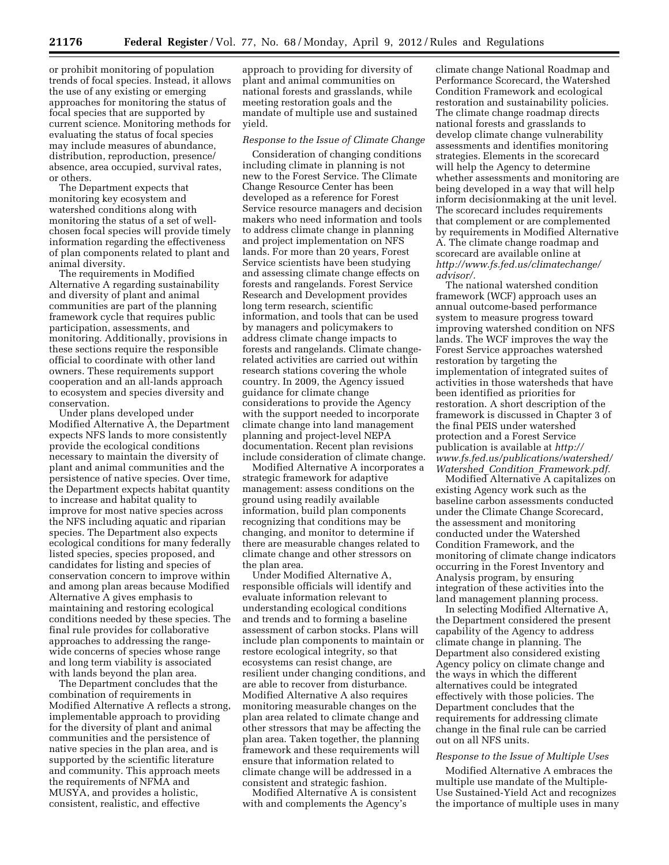or prohibit monitoring of population trends of focal species. Instead, it allows the use of any existing or emerging approaches for monitoring the status of focal species that are supported by current science. Monitoring methods for evaluating the status of focal species may include measures of abundance, distribution, reproduction, presence/ absence, area occupied, survival rates, or others.

The Department expects that monitoring key ecosystem and watershed conditions along with monitoring the status of a set of wellchosen focal species will provide timely information regarding the effectiveness of plan components related to plant and animal diversity.

The requirements in Modified Alternative A regarding sustainability and diversity of plant and animal communities are part of the planning framework cycle that requires public participation, assessments, and monitoring. Additionally, provisions in these sections require the responsible official to coordinate with other land owners. These requirements support cooperation and an all-lands approach to ecosystem and species diversity and conservation.

Under plans developed under Modified Alternative A, the Department expects NFS lands to more consistently provide the ecological conditions necessary to maintain the diversity of plant and animal communities and the persistence of native species. Over time, the Department expects habitat quantity to increase and habitat quality to improve for most native species across the NFS including aquatic and riparian species. The Department also expects ecological conditions for many federally listed species, species proposed, and candidates for listing and species of conservation concern to improve within and among plan areas because Modified Alternative A gives emphasis to maintaining and restoring ecological conditions needed by these species. The final rule provides for collaborative approaches to addressing the rangewide concerns of species whose range and long term viability is associated with lands beyond the plan area.

The Department concludes that the combination of requirements in Modified Alternative A reflects a strong, implementable approach to providing for the diversity of plant and animal communities and the persistence of native species in the plan area, and is supported by the scientific literature and community. This approach meets the requirements of NFMA and MUSYA, and provides a holistic, consistent, realistic, and effective

approach to providing for diversity of plant and animal communities on national forests and grasslands, while meeting restoration goals and the mandate of multiple use and sustained yield.

#### *Response to the Issue of Climate Change*

Consideration of changing conditions including climate in planning is not new to the Forest Service. The Climate Change Resource Center has been developed as a reference for Forest Service resource managers and decision makers who need information and tools to address climate change in planning and project implementation on NFS lands. For more than 20 years, Forest Service scientists have been studying and assessing climate change effects on forests and rangelands. Forest Service Research and Development provides long term research, scientific information, and tools that can be used by managers and policymakers to address climate change impacts to forests and rangelands. Climate changerelated activities are carried out within research stations covering the whole country. In 2009, the Agency issued guidance for climate change considerations to provide the Agency with the support needed to incorporate climate change into land management planning and project-level NEPA documentation. Recent plan revisions include consideration of climate change.

Modified Alternative A incorporates a strategic framework for adaptive management: assess conditions on the ground using readily available information, build plan components recognizing that conditions may be changing, and monitor to determine if there are measurable changes related to climate change and other stressors on the plan area.

Under Modified Alternative A, responsible officials will identify and evaluate information relevant to understanding ecological conditions and trends and to forming a baseline assessment of carbon stocks. Plans will include plan components to maintain or restore ecological integrity, so that ecosystems can resist change, are resilient under changing conditions, and are able to recover from disturbance. Modified Alternative A also requires monitoring measurable changes on the plan area related to climate change and other stressors that may be affecting the plan area. Taken together, the planning framework and these requirements will ensure that information related to climate change will be addressed in a consistent and strategic fashion.

Modified Alternative A is consistent with and complements the Agency's

climate change National Roadmap and Performance Scorecard, the Watershed Condition Framework and ecological restoration and sustainability policies. The climate change roadmap directs national forests and grasslands to develop climate change vulnerability assessments and identifies monitoring strategies. Elements in the scorecard will help the Agency to determine whether assessments and monitoring are being developed in a way that will help inform decisionmaking at the unit level. The scorecard includes requirements that complement or are complemented by requirements in Modified Alternative A. The climate change roadmap and scorecard are available online at *[http://www.fs.fed.us/climatechange/](http://www.fs.fed.us/climatechange/advisor/) [advisor/.](http://www.fs.fed.us/climatechange/advisor/)* 

The national watershed condition framework (WCF) approach uses an annual outcome-based performance system to measure progress toward improving watershed condition on NFS lands. The WCF improves the way the Forest Service approaches watershed restoration by targeting the implementation of integrated suites of activities in those watersheds that have been identified as priorities for restoration. A short description of the framework is discussed in Chapter 3 of the final PEIS under watershed protection and a Forest Service publication is available at *[http://](http://www.fs.fed.us/publications/watershed/Watershed_Condition_Framework.pdf) [www.fs.fed.us/publications/watershed/](http://www.fs.fed.us/publications/watershed/Watershed_Condition_Framework.pdf)  Watershed*\_*Condition*\_*[Framework.pdf.](http://www.fs.fed.us/publications/watershed/Watershed_Condition_Framework.pdf)* 

Modified Alternative A capitalizes on existing Agency work such as the baseline carbon assessments conducted under the Climate Change Scorecard, the assessment and monitoring conducted under the Watershed Condition Framework, and the monitoring of climate change indicators occurring in the Forest Inventory and Analysis program, by ensuring integration of these activities into the land management planning process.

In selecting Modified Alternative A, the Department considered the present capability of the Agency to address climate change in planning. The Department also considered existing Agency policy on climate change and the ways in which the different alternatives could be integrated effectively with those policies. The Department concludes that the requirements for addressing climate change in the final rule can be carried out on all NFS units.

#### *Response to the Issue of Multiple Uses*

Modified Alternative A embraces the multiple use mandate of the Multiple-Use Sustained-Yield Act and recognizes the importance of multiple uses in many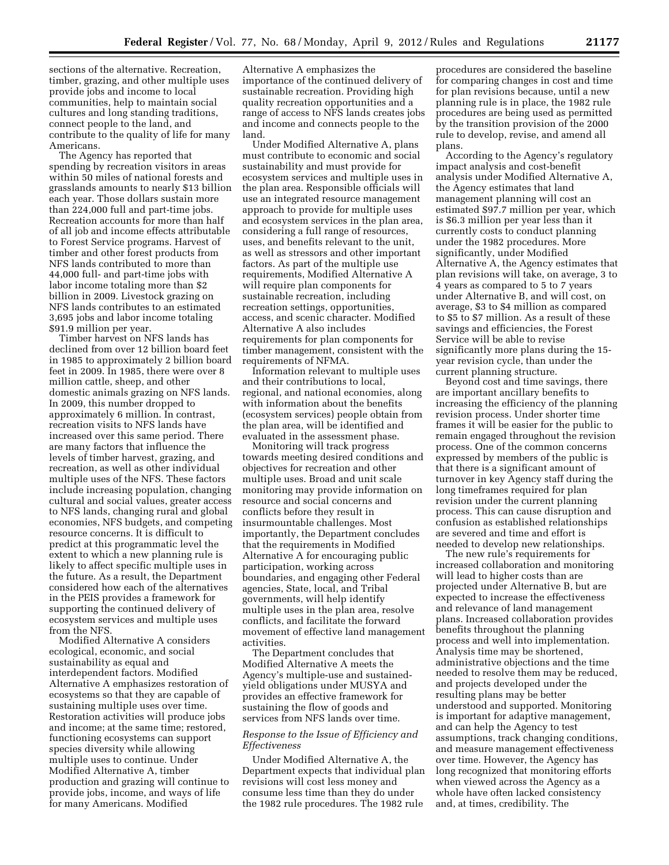sections of the alternative. Recreation, timber, grazing, and other multiple uses provide jobs and income to local communities, help to maintain social cultures and long standing traditions, connect people to the land, and contribute to the quality of life for many Americans.

The Agency has reported that spending by recreation visitors in areas within 50 miles of national forests and grasslands amounts to nearly \$13 billion each year. Those dollars sustain more than 224,000 full and part-time jobs. Recreation accounts for more than half of all job and income effects attributable to Forest Service programs. Harvest of timber and other forest products from NFS lands contributed to more than 44,000 full- and part-time jobs with labor income totaling more than \$2 billion in 2009. Livestock grazing on NFS lands contributes to an estimated 3,695 jobs and labor income totaling \$91.9 million per year.

Timber harvest on NFS lands has declined from over 12 billion board feet in 1985 to approximately 2 billion board feet in 2009. In 1985, there were over 8 million cattle, sheep, and other domestic animals grazing on NFS lands. In 2009, this number dropped to approximately 6 million. In contrast, recreation visits to NFS lands have increased over this same period. There are many factors that influence the levels of timber harvest, grazing, and recreation, as well as other individual multiple uses of the NFS. These factors include increasing population, changing cultural and social values, greater access to NFS lands, changing rural and global economies, NFS budgets, and competing resource concerns. It is difficult to predict at this programmatic level the extent to which a new planning rule is likely to affect specific multiple uses in the future. As a result, the Department considered how each of the alternatives in the PEIS provides a framework for supporting the continued delivery of ecosystem services and multiple uses from the NFS.

Modified Alternative A considers ecological, economic, and social sustainability as equal and interdependent factors. Modified Alternative A emphasizes restoration of ecosystems so that they are capable of sustaining multiple uses over time. Restoration activities will produce jobs and income; at the same time; restored, functioning ecosystems can support species diversity while allowing multiple uses to continue. Under Modified Alternative A, timber production and grazing will continue to provide jobs, income, and ways of life for many Americans. Modified

Alternative A emphasizes the importance of the continued delivery of sustainable recreation. Providing high quality recreation opportunities and a range of access to NFS lands creates jobs and income and connects people to the land.

Under Modified Alternative A, plans must contribute to economic and social sustainability and must provide for ecosystem services and multiple uses in the plan area. Responsible officials will use an integrated resource management approach to provide for multiple uses and ecosystem services in the plan area, considering a full range of resources, uses, and benefits relevant to the unit, as well as stressors and other important factors. As part of the multiple use requirements, Modified Alternative A will require plan components for sustainable recreation, including recreation settings, opportunities, access, and scenic character. Modified Alternative A also includes requirements for plan components for timber management, consistent with the requirements of NFMA.

Information relevant to multiple uses and their contributions to local, regional, and national economies, along with information about the benefits (ecosystem services) people obtain from the plan area, will be identified and evaluated in the assessment phase.

Monitoring will track progress towards meeting desired conditions and objectives for recreation and other multiple uses. Broad and unit scale monitoring may provide information on resource and social concerns and conflicts before they result in insurmountable challenges. Most importantly, the Department concludes that the requirements in Modified Alternative A for encouraging public participation, working across boundaries, and engaging other Federal agencies, State, local, and Tribal governments, will help identify multiple uses in the plan area, resolve conflicts, and facilitate the forward movement of effective land management activities.

The Department concludes that Modified Alternative A meets the Agency's multiple-use and sustainedyield obligations under MUSYA and provides an effective framework for sustaining the flow of goods and services from NFS lands over time.

# *Response to the Issue of Efficiency and Effectiveness*

Under Modified Alternative A, the Department expects that individual plan revisions will cost less money and consume less time than they do under the 1982 rule procedures. The 1982 rule

procedures are considered the baseline for comparing changes in cost and time for plan revisions because, until a new planning rule is in place, the 1982 rule procedures are being used as permitted by the transition provision of the 2000 rule to develop, revise, and amend all plans.

According to the Agency's regulatory impact analysis and cost-benefit analysis under Modified Alternative A, the Agency estimates that land management planning will cost an estimated \$97.7 million per year, which is \$6.3 million per year less than it currently costs to conduct planning under the 1982 procedures. More significantly, under Modified Alternative A, the Agency estimates that plan revisions will take, on average, 3 to 4 years as compared to 5 to 7 years under Alternative B, and will cost, on average, \$3 to \$4 million as compared to \$5 to \$7 million. As a result of these savings and efficiencies, the Forest Service will be able to revise significantly more plans during the 15 year revision cycle, than under the current planning structure.

Beyond cost and time savings, there are important ancillary benefits to increasing the efficiency of the planning revision process. Under shorter time frames it will be easier for the public to remain engaged throughout the revision process. One of the common concerns expressed by members of the public is that there is a significant amount of turnover in key Agency staff during the long timeframes required for plan revision under the current planning process. This can cause disruption and confusion as established relationships are severed and time and effort is needed to develop new relationships.

The new rule's requirements for increased collaboration and monitoring will lead to higher costs than are projected under Alternative B, but are expected to increase the effectiveness and relevance of land management plans. Increased collaboration provides benefits throughout the planning process and well into implementation. Analysis time may be shortened, administrative objections and the time needed to resolve them may be reduced, and projects developed under the resulting plans may be better understood and supported. Monitoring is important for adaptive management, and can help the Agency to test assumptions, track changing conditions, and measure management effectiveness over time. However, the Agency has long recognized that monitoring efforts when viewed across the Agency as a whole have often lacked consistency and, at times, credibility. The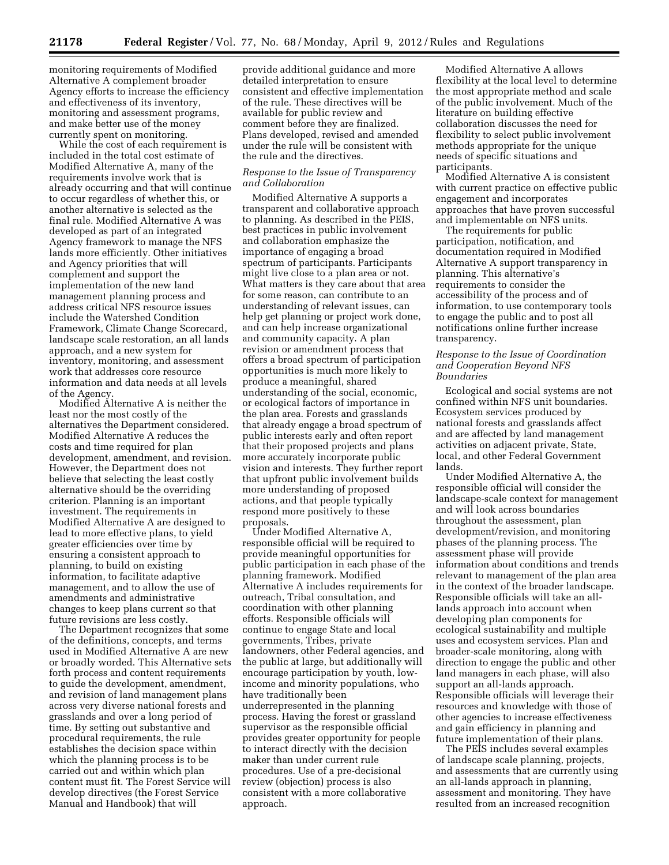monitoring requirements of Modified Alternative A complement broader Agency efforts to increase the efficiency and effectiveness of its inventory, monitoring and assessment programs, and make better use of the money currently spent on monitoring.

While the cost of each requirement is included in the total cost estimate of Modified Alternative A, many of the requirements involve work that is already occurring and that will continue to occur regardless of whether this, or another alternative is selected as the final rule. Modified Alternative A was developed as part of an integrated Agency framework to manage the NFS lands more efficiently. Other initiatives and Agency priorities that will complement and support the implementation of the new land management planning process and address critical NFS resource issues include the Watershed Condition Framework, Climate Change Scorecard, landscape scale restoration, an all lands approach, and a new system for inventory, monitoring, and assessment work that addresses core resource information and data needs at all levels of the Agency.

Modified Alternative A is neither the least nor the most costly of the alternatives the Department considered. Modified Alternative A reduces the costs and time required for plan development, amendment, and revision. However, the Department does not believe that selecting the least costly alternative should be the overriding criterion. Planning is an important investment. The requirements in Modified Alternative A are designed to lead to more effective plans, to yield greater efficiencies over time by ensuring a consistent approach to planning, to build on existing information, to facilitate adaptive management, and to allow the use of amendments and administrative changes to keep plans current so that future revisions are less costly.

The Department recognizes that some of the definitions, concepts, and terms used in Modified Alternative A are new or broadly worded. This Alternative sets forth process and content requirements to guide the development, amendment, and revision of land management plans across very diverse national forests and grasslands and over a long period of time. By setting out substantive and procedural requirements, the rule establishes the decision space within which the planning process is to be carried out and within which plan content must fit. The Forest Service will develop directives (the Forest Service Manual and Handbook) that will

provide additional guidance and more detailed interpretation to ensure consistent and effective implementation of the rule. These directives will be available for public review and comment before they are finalized. Plans developed, revised and amended under the rule will be consistent with the rule and the directives.

# *Response to the Issue of Transparency and Collaboration*

Modified Alternative A supports a transparent and collaborative approach to planning. As described in the PEIS, best practices in public involvement and collaboration emphasize the importance of engaging a broad spectrum of participants. Participants might live close to a plan area or not. What matters is they care about that area for some reason, can contribute to an understanding of relevant issues, can help get planning or project work done, and can help increase organizational and community capacity. A plan revision or amendment process that offers a broad spectrum of participation opportunities is much more likely to produce a meaningful, shared understanding of the social, economic, or ecological factors of importance in the plan area. Forests and grasslands that already engage a broad spectrum of public interests early and often report that their proposed projects and plans more accurately incorporate public vision and interests. They further report that upfront public involvement builds more understanding of proposed actions, and that people typically respond more positively to these proposals.

Under Modified Alternative A, responsible official will be required to provide meaningful opportunities for public participation in each phase of the planning framework. Modified Alternative A includes requirements for outreach, Tribal consultation, and coordination with other planning efforts. Responsible officials will continue to engage State and local governments, Tribes, private landowners, other Federal agencies, and the public at large, but additionally will encourage participation by youth, lowincome and minority populations, who have traditionally been underrepresented in the planning process. Having the forest or grassland supervisor as the responsible official provides greater opportunity for people to interact directly with the decision maker than under current rule procedures. Use of a pre-decisional review (objection) process is also consistent with a more collaborative approach.

Modified Alternative A allows flexibility at the local level to determine the most appropriate method and scale of the public involvement. Much of the literature on building effective collaboration discusses the need for flexibility to select public involvement methods appropriate for the unique needs of specific situations and participants.

Modified Alternative A is consistent with current practice on effective public engagement and incorporates approaches that have proven successful and implementable on NFS units.

The requirements for public participation, notification, and documentation required in Modified Alternative A support transparency in planning. This alternative's requirements to consider the accessibility of the process and of information, to use contemporary tools to engage the public and to post all notifications online further increase transparency.

# *Response to the Issue of Coordination and Cooperation Beyond NFS Boundaries*

Ecological and social systems are not confined within NFS unit boundaries. Ecosystem services produced by national forests and grasslands affect and are affected by land management activities on adjacent private, State, local, and other Federal Government lands.

Under Modified Alternative A, the responsible official will consider the landscape-scale context for management and will look across boundaries throughout the assessment, plan development/revision, and monitoring phases of the planning process. The assessment phase will provide information about conditions and trends relevant to management of the plan area in the context of the broader landscape. Responsible officials will take an alllands approach into account when developing plan components for ecological sustainability and multiple uses and ecosystem services. Plan and broader-scale monitoring, along with direction to engage the public and other land managers in each phase, will also support an all-lands approach. Responsible officials will leverage their resources and knowledge with those of other agencies to increase effectiveness and gain efficiency in planning and future implementation of their plans.

The PEIS includes several examples of landscape scale planning, projects, and assessments that are currently using an all-lands approach in planning, assessment and monitoring. They have resulted from an increased recognition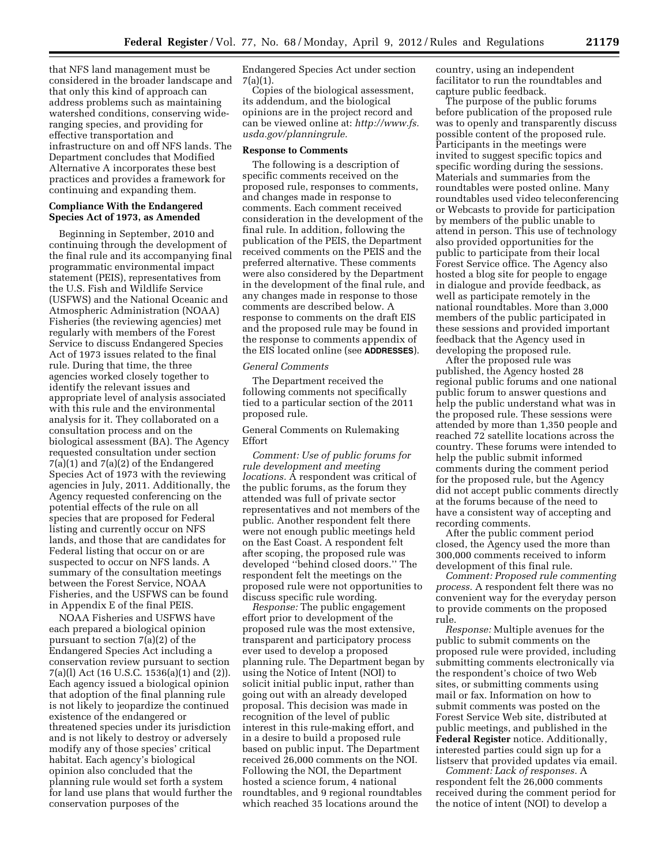that NFS land management must be considered in the broader landscape and that only this kind of approach can address problems such as maintaining watershed conditions, conserving wideranging species, and providing for effective transportation and infrastructure on and off NFS lands. The Department concludes that Modified Alternative A incorporates these best practices and provides a framework for continuing and expanding them.

### **Compliance With the Endangered Species Act of 1973, as Amended**

Beginning in September, 2010 and continuing through the development of the final rule and its accompanying final programmatic environmental impact statement (PEIS), representatives from the U.S. Fish and Wildlife Service (USFWS) and the National Oceanic and Atmospheric Administration (NOAA) Fisheries (the reviewing agencies) met regularly with members of the Forest Service to discuss Endangered Species Act of 1973 issues related to the final rule. During that time, the three agencies worked closely together to identify the relevant issues and appropriate level of analysis associated with this rule and the environmental analysis for it. They collaborated on a consultation process and on the biological assessment (BA). The Agency requested consultation under section 7(a)(1) and 7(a)(2) of the Endangered Species Act of 1973 with the reviewing agencies in July, 2011. Additionally, the Agency requested conferencing on the potential effects of the rule on all species that are proposed for Federal listing and currently occur on NFS lands, and those that are candidates for Federal listing that occur on or are suspected to occur on NFS lands. A summary of the consultation meetings between the Forest Service, NOAA Fisheries, and the USFWS can be found in Appendix E of the final PEIS.

NOAA Fisheries and USFWS have each prepared a biological opinion pursuant to section 7(a)(2) of the Endangered Species Act including a conservation review pursuant to section 7(a)(l) Act (16 U.S.C. 1536(a)(1) and (2)). Each agency issued a biological opinion that adoption of the final planning rule is not likely to jeopardize the continued existence of the endangered or threatened species under its jurisdiction and is not likely to destroy or adversely modify any of those species' critical habitat. Each agency's biological opinion also concluded that the planning rule would set forth a system for land use plans that would further the conservation purposes of the

Endangered Species Act under section 7(a)(1).

Copies of the biological assessment, its addendum, and the biological opinions are in the project record and can be viewed online at: *[http://www.fs.](http://www.fs.usda.gov/planningrule) [usda.gov/planningrule.](http://www.fs.usda.gov/planningrule)* 

# **Response to Comments**

The following is a description of specific comments received on the proposed rule, responses to comments, and changes made in response to comments. Each comment received consideration in the development of the final rule. In addition, following the publication of the PEIS, the Department received comments on the PEIS and the preferred alternative. These comments were also considered by the Department in the development of the final rule, and any changes made in response to those comments are described below. A response to comments on the draft EIS and the proposed rule may be found in the response to comments appendix of the EIS located online (see **ADDRESSES**).

## *General Comments*

The Department received the following comments not specifically tied to a particular section of the 2011 proposed rule.

General Comments on Rulemaking Effort

*Comment: Use of public forums for rule development and meeting locations.* A respondent was critical of the public forums, as the forum they attended was full of private sector representatives and not members of the public. Another respondent felt there were not enough public meetings held on the East Coast. A respondent felt after scoping, the proposed rule was developed ''behind closed doors.'' The respondent felt the meetings on the proposed rule were not opportunities to discuss specific rule wording.

*Response:* The public engagement effort prior to development of the proposed rule was the most extensive, transparent and participatory process ever used to develop a proposed planning rule. The Department began by using the Notice of Intent (NOI) to solicit initial public input, rather than going out with an already developed proposal. This decision was made in recognition of the level of public interest in this rule-making effort, and in a desire to build a proposed rule based on public input. The Department received 26,000 comments on the NOI. Following the NOI, the Department hosted a science forum, 4 national roundtables, and 9 regional roundtables which reached 35 locations around the

country, using an independent facilitator to run the roundtables and capture public feedback.

The purpose of the public forums before publication of the proposed rule was to openly and transparently discuss possible content of the proposed rule. Participants in the meetings were invited to suggest specific topics and specific wording during the sessions. Materials and summaries from the roundtables were posted online. Many roundtables used video teleconferencing or Webcasts to provide for participation by members of the public unable to attend in person. This use of technology also provided opportunities for the public to participate from their local Forest Service office. The Agency also hosted a blog site for people to engage in dialogue and provide feedback, as well as participate remotely in the national roundtables. More than 3,000 members of the public participated in these sessions and provided important feedback that the Agency used in developing the proposed rule.

After the proposed rule was published, the Agency hosted 28 regional public forums and one national public forum to answer questions and help the public understand what was in the proposed rule. These sessions were attended by more than 1,350 people and reached 72 satellite locations across the country. These forums were intended to help the public submit informed comments during the comment period for the proposed rule, but the Agency did not accept public comments directly at the forums because of the need to have a consistent way of accepting and recording comments.

After the public comment period closed, the Agency used the more than 300,000 comments received to inform development of this final rule.

*Comment: Proposed rule commenting process.* A respondent felt there was no convenient way for the everyday person to provide comments on the proposed rule.

*Response:* Multiple avenues for the public to submit comments on the proposed rule were provided, including submitting comments electronically via the respondent's choice of two Web sites, or submitting comments using mail or fax. Information on how to submit comments was posted on the Forest Service Web site, distributed at public meetings, and published in the **Federal Register** notice. Additionally, interested parties could sign up for a listserv that provided updates via email.

*Comment: Lack of responses.* A respondent felt the 26,000 comments received during the comment period for the notice of intent (NOI) to develop a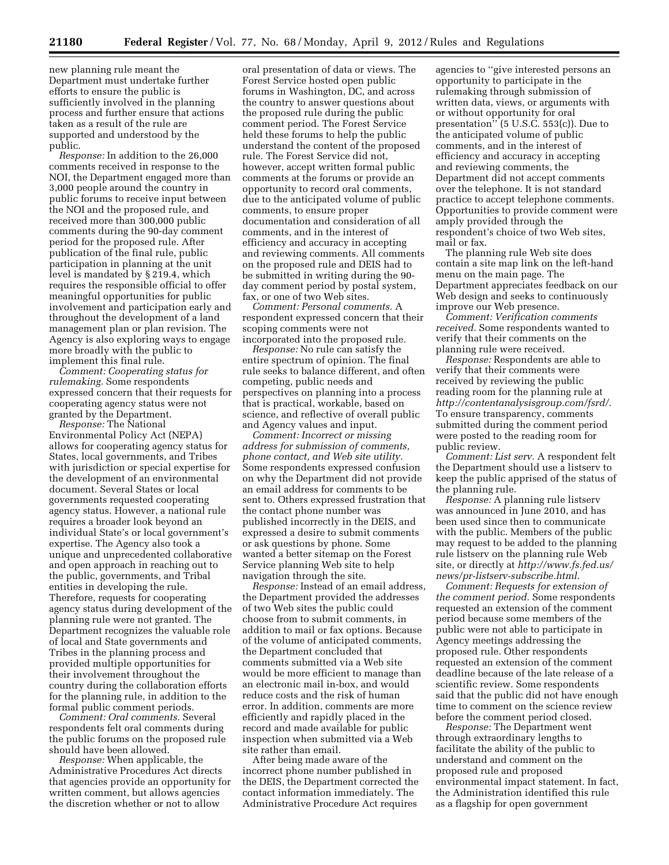new planning rule meant the Department must undertake further efforts to ensure the public is sufficiently involved in the planning process and further ensure that actions taken as a result of the rule are supported and understood by the public.

*Response:* In addition to the 26,000 comments received in response to the NOI, the Department engaged more than 3,000 people around the country in public forums to receive input between the NOI and the proposed rule, and received more than 300,000 public comments during the 90-day comment period for the proposed rule. After publication of the final rule, public participation in planning at the unit level is mandated by § 219.4, which requires the responsible official to offer meaningful opportunities for public involvement and participation early and throughout the development of a land management plan or plan revision. The Agency is also exploring ways to engage more broadly with the public to implement this final rule.

*Comment: Cooperating status for rulemaking.* Some respondents expressed concern that their requests for cooperating agency status were not granted by the Department.

*Response:* The National Environmental Policy Act (NEPA) allows for cooperating agency status for States, local governments, and Tribes with jurisdiction or special expertise for the development of an environmental document. Several States or local governments requested cooperating agency status. However, a national rule requires a broader look beyond an individual State's or local government's expertise. The Agency also took a unique and unprecedented collaborative and open approach in reaching out to the public, governments, and Tribal entities in developing the rule. Therefore, requests for cooperating agency status during development of the planning rule were not granted. The Department recognizes the valuable role of local and State governments and Tribes in the planning process and provided multiple opportunities for their involvement throughout the country during the collaboration efforts for the planning rule, in addition to the formal public comment periods.

*Comment: Oral comments.* Several respondents felt oral comments during the public forums on the proposed rule should have been allowed.

*Response:* When applicable, the Administrative Procedures Act directs that agencies provide an opportunity for written comment, but allows agencies the discretion whether or not to allow

oral presentation of data or views. The Forest Service hosted open public forums in Washington, DC, and across the country to answer questions about the proposed rule during the public comment period. The Forest Service held these forums to help the public understand the content of the proposed rule. The Forest Service did not, however, accept written formal public comments at the forums or provide an opportunity to record oral comments, due to the anticipated volume of public comments, to ensure proper documentation and consideration of all comments, and in the interest of efficiency and accuracy in accepting and reviewing comments. All comments on the proposed rule and DEIS had to be submitted in writing during the 90 day comment period by postal system, fax, or one of two Web sites.

*Comment: Personal comments.* A respondent expressed concern that their scoping comments were not incorporated into the proposed rule.

*Response:* No rule can satisfy the entire spectrum of opinion. The final rule seeks to balance different, and often competing, public needs and perspectives on planning into a process that is practical, workable, based on science, and reflective of overall public and Agency values and input.

*Comment: Incorrect or missing address for submission of comments, phone contact, and Web site utility.*  Some respondents expressed confusion on why the Department did not provide an email address for comments to be sent to. Others expressed frustration that the contact phone number was published incorrectly in the DEIS, and expressed a desire to submit comments or ask questions by phone. Some wanted a better sitemap on the Forest Service planning Web site to help navigation through the site.

*Response:* Instead of an email address, the Department provided the addresses of two Web sites the public could choose from to submit comments, in addition to mail or fax options. Because of the volume of anticipated comments, the Department concluded that comments submitted via a Web site would be more efficient to manage than an electronic mail in-box, and would reduce costs and the risk of human error. In addition, comments are more efficiently and rapidly placed in the record and made available for public inspection when submitted via a Web site rather than email.

After being made aware of the incorrect phone number published in the DEIS, the Department corrected the contact information immediately. The Administrative Procedure Act requires

agencies to ''give interested persons an opportunity to participate in the rulemaking through submission of written data, views, or arguments with or without opportunity for oral presentation'' (5 U.S.C. 553(c)). Due to the anticipated volume of public comments, and in the interest of efficiency and accuracy in accepting and reviewing comments, the Department did not accept comments over the telephone. It is not standard practice to accept telephone comments. Opportunities to provide comment were amply provided through the respondent's choice of two Web sites, mail or fax.

The planning rule Web site does contain a site map link on the left-hand menu on the main page. The Department appreciates feedback on our Web design and seeks to continuously improve our Web presence.

*Comment: Verification comments received.* Some respondents wanted to verify that their comments on the planning rule were received.

*Response:* Respondents are able to verify that their comments were received by reviewing the public reading room for the planning rule at *<http://contentanalysisgroup.com/fsrd/>*. To ensure transparency, comments submitted during the comment period were posted to the reading room for public review.

*Comment: List serv.* A respondent felt the Department should use a listserv to keep the public apprised of the status of the planning rule.

*Response:* A planning rule listserv was announced in June 2010, and has been used since then to communicate with the public. Members of the public may request to be added to the planning rule listserv on the planning rule Web site, or directly at *[http://www.fs.fed.us/](http://www.fs.fed.us/news/pr-listserv-subscribe.html)  [news/pr-listserv-subscribe.html](http://www.fs.fed.us/news/pr-listserv-subscribe.html)*.

*Comment: Requests for extension of the comment period.* Some respondents requested an extension of the comment period because some members of the public were not able to participate in Agency meetings addressing the proposed rule. Other respondents requested an extension of the comment deadline because of the late release of a scientific review. Some respondents said that the public did not have enough time to comment on the science review before the comment period closed.

*Response:* The Department went through extraordinary lengths to facilitate the ability of the public to understand and comment on the proposed rule and proposed environmental impact statement. In fact, the Administration identified this rule as a flagship for open government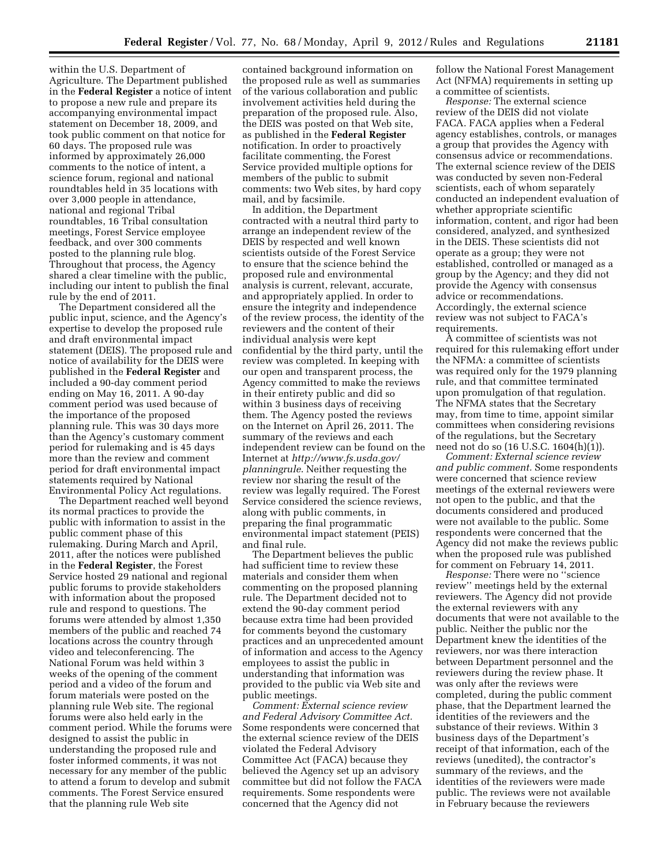within the U.S. Department of Agriculture. The Department published in the **Federal Register** a notice of intent to propose a new rule and prepare its accompanying environmental impact statement on December 18, 2009, and took public comment on that notice for 60 days. The proposed rule was informed by approximately 26,000 comments to the notice of intent, a science forum, regional and national roundtables held in 35 locations with over 3,000 people in attendance, national and regional Tribal roundtables, 16 Tribal consultation meetings, Forest Service employee feedback, and over 300 comments posted to the planning rule blog. Throughout that process, the Agency shared a clear timeline with the public, including our intent to publish the final rule by the end of 2011.

The Department considered all the public input, science, and the Agency's expertise to develop the proposed rule and draft environmental impact statement (DEIS). The proposed rule and notice of availability for the DEIS were published in the **Federal Register** and included a 90-day comment period ending on May 16, 2011. A 90-day comment period was used because of the importance of the proposed planning rule. This was 30 days more than the Agency's customary comment period for rulemaking and is 45 days more than the review and comment period for draft environmental impact statements required by National Environmental Policy Act regulations.

The Department reached well beyond its normal practices to provide the public with information to assist in the public comment phase of this rulemaking. During March and April, 2011, after the notices were published in the **Federal Register**, the Forest Service hosted 29 national and regional public forums to provide stakeholders with information about the proposed rule and respond to questions. The forums were attended by almost 1,350 members of the public and reached 74 locations across the country through video and teleconferencing. The National Forum was held within 3 weeks of the opening of the comment period and a video of the forum and forum materials were posted on the planning rule Web site. The regional forums were also held early in the comment period. While the forums were designed to assist the public in understanding the proposed rule and foster informed comments, it was not necessary for any member of the public to attend a forum to develop and submit comments. The Forest Service ensured that the planning rule Web site

contained background information on the proposed rule as well as summaries of the various collaboration and public involvement activities held during the preparation of the proposed rule. Also, the DEIS was posted on that Web site, as published in the **Federal Register**  notification. In order to proactively facilitate commenting, the Forest Service provided multiple options for members of the public to submit comments: two Web sites, by hard copy mail, and by facsimile.

In addition, the Department contracted with a neutral third party to arrange an independent review of the DEIS by respected and well known scientists outside of the Forest Service to ensure that the science behind the proposed rule and environmental analysis is current, relevant, accurate, and appropriately applied. In order to ensure the integrity and independence of the review process, the identity of the reviewers and the content of their individual analysis were kept confidential by the third party, until the review was completed. In keeping with our open and transparent process, the Agency committed to make the reviews in their entirety public and did so within 3 business days of receiving them. The Agency posted the reviews on the Internet on April 26, 2011. The summary of the reviews and each independent review can be found on the Internet at *[http://www.fs.usda.gov/](http://www.fs.usda.gov/planningrule) [planningrule](http://www.fs.usda.gov/planningrule)*. Neither requesting the review nor sharing the result of the review was legally required. The Forest Service considered the science reviews, along with public comments, in preparing the final programmatic environmental impact statement (PEIS) and final rule.

The Department believes the public had sufficient time to review these materials and consider them when commenting on the proposed planning rule. The Department decided not to extend the 90-day comment period because extra time had been provided for comments beyond the customary practices and an unprecedented amount of information and access to the Agency employees to assist the public in understanding that information was provided to the public via Web site and public meetings.

*Comment: External science review and Federal Advisory Committee Act.*  Some respondents were concerned that the external science review of the DEIS violated the Federal Advisory Committee Act (FACA) because they believed the Agency set up an advisory committee but did not follow the FACA requirements. Some respondents were concerned that the Agency did not

follow the National Forest Management Act (NFMA) requirements in setting up a committee of scientists.

*Response:* The external science review of the DEIS did not violate FACA. FACA applies when a Federal agency establishes, controls, or manages a group that provides the Agency with consensus advice or recommendations. The external science review of the DEIS was conducted by seven non-Federal scientists, each of whom separately conducted an independent evaluation of whether appropriate scientific information, content, and rigor had been considered, analyzed, and synthesized in the DEIS. These scientists did not operate as a group; they were not established, controlled or managed as a group by the Agency; and they did not provide the Agency with consensus advice or recommendations. Accordingly, the external science review was not subject to FACA's requirements.

A committee of scientists was not required for this rulemaking effort under the NFMA: a committee of scientists was required only for the 1979 planning rule, and that committee terminated upon promulgation of that regulation. The NFMA states that the Secretary may, from time to time, appoint similar committees when considering revisions of the regulations, but the Secretary need not do so (16 U.S.C. 1604(h)(1)).

*Comment: External science review and public comment.* Some respondents were concerned that science review meetings of the external reviewers were not open to the public, and that the documents considered and produced were not available to the public. Some respondents were concerned that the Agency did not make the reviews public when the proposed rule was published for comment on February 14, 2011.

*Response:* There were no ''science review'' meetings held by the external reviewers. The Agency did not provide the external reviewers with any documents that were not available to the public. Neither the public nor the Department knew the identities of the reviewers, nor was there interaction between Department personnel and the reviewers during the review phase. It was only after the reviews were completed, during the public comment phase, that the Department learned the identities of the reviewers and the substance of their reviews. Within 3 business days of the Department's receipt of that information, each of the reviews (unedited), the contractor's summary of the reviews, and the identities of the reviewers were made public. The reviews were not available in February because the reviewers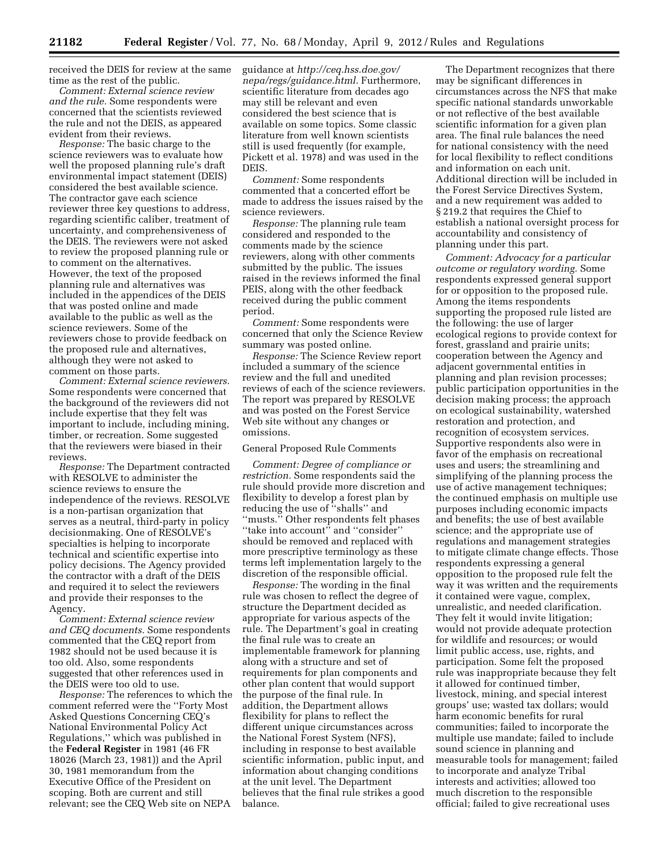received the DEIS for review at the same time as the rest of the public.

*Comment: External science review and the rule.* Some respondents were concerned that the scientists reviewed the rule and not the DEIS, as appeared evident from their reviews.

*Response:* The basic charge to the science reviewers was to evaluate how well the proposed planning rule's draft environmental impact statement (DEIS) considered the best available science. The contractor gave each science reviewer three key questions to address, regarding scientific caliber, treatment of uncertainty, and comprehensiveness of the DEIS. The reviewers were not asked to review the proposed planning rule or to comment on the alternatives. However, the text of the proposed planning rule and alternatives was included in the appendices of the DEIS that was posted online and made available to the public as well as the science reviewers. Some of the reviewers chose to provide feedback on the proposed rule and alternatives, although they were not asked to comment on those parts.

*Comment: External science reviewers.*  Some respondents were concerned that the background of the reviewers did not include expertise that they felt was important to include, including mining, timber, or recreation. Some suggested that the reviewers were biased in their reviews.

*Response:* The Department contracted with RESOLVE to administer the science reviews to ensure the independence of the reviews. RESOLVE is a non-partisan organization that serves as a neutral, third-party in policy decisionmaking. One of RESOLVE's specialties is helping to incorporate technical and scientific expertise into policy decisions. The Agency provided the contractor with a draft of the DEIS and required it to select the reviewers and provide their responses to the Agency.

*Comment: External science review and CEQ documents.* Some respondents commented that the CEQ report from 1982 should not be used because it is too old. Also, some respondents suggested that other references used in the DEIS were too old to use.

*Response:* The references to which the comment referred were the ''Forty Most Asked Questions Concerning CEQ's National Environmental Policy Act Regulations,'' which was published in the **Federal Register** in 1981 (46 FR 18026 (March 23, 1981)) and the April 30, 1981 memorandum from the Executive Office of the President on scoping. Both are current and still relevant; see the CEQ Web site on NEPA

guidance at *[http://ceq.hss.doe.gov/](http://ceq.hss.doe.gov/nepa/regs/guidance.html) [nepa/regs/guidance.html.](http://ceq.hss.doe.gov/nepa/regs/guidance.html)* Furthermore, scientific literature from decades ago may still be relevant and even considered the best science that is available on some topics. Some classic literature from well known scientists still is used frequently (for example, Pickett et al. 1978) and was used in the DEIS.

*Comment:* Some respondents commented that a concerted effort be made to address the issues raised by the science reviewers.

*Response:* The planning rule team considered and responded to the comments made by the science reviewers, along with other comments submitted by the public. The issues raised in the reviews informed the final PEIS, along with the other feedback received during the public comment period.

*Comment:* Some respondents were concerned that only the Science Review summary was posted online.

*Response:* The Science Review report included a summary of the science review and the full and unedited reviews of each of the science reviewers. The report was prepared by RESOLVE and was posted on the Forest Service Web site without any changes or omissions.

#### General Proposed Rule Comments

*Comment: Degree of compliance or restriction.* Some respondents said the rule should provide more discretion and flexibility to develop a forest plan by reducing the use of ''shalls'' and ''musts.'' Other respondents felt phases ''take into account'' and ''consider'' should be removed and replaced with more prescriptive terminology as these terms left implementation largely to the discretion of the responsible official.

*Response:* The wording in the final rule was chosen to reflect the degree of structure the Department decided as appropriate for various aspects of the rule. The Department's goal in creating the final rule was to create an implementable framework for planning along with a structure and set of requirements for plan components and other plan content that would support the purpose of the final rule. In addition, the Department allows flexibility for plans to reflect the different unique circumstances across the National Forest System (NFS), including in response to best available scientific information, public input, and information about changing conditions at the unit level. The Department believes that the final rule strikes a good balance.

The Department recognizes that there may be significant differences in circumstances across the NFS that make specific national standards unworkable or not reflective of the best available scientific information for a given plan area. The final rule balances the need for national consistency with the need for local flexibility to reflect conditions and information on each unit. Additional direction will be included in the Forest Service Directives System, and a new requirement was added to § 219.2 that requires the Chief to establish a national oversight process for accountability and consistency of planning under this part.

*Comment: Advocacy for a particular outcome or regulatory wording.* Some respondents expressed general support for or opposition to the proposed rule. Among the items respondents supporting the proposed rule listed are the following: the use of larger ecological regions to provide context for forest, grassland and prairie units; cooperation between the Agency and adjacent governmental entities in planning and plan revision processes; public participation opportunities in the decision making process; the approach on ecological sustainability, watershed restoration and protection, and recognition of ecosystem services. Supportive respondents also were in favor of the emphasis on recreational uses and users; the streamlining and simplifying of the planning process the use of active management techniques; the continued emphasis on multiple use purposes including economic impacts and benefits; the use of best available science; and the appropriate use of regulations and management strategies to mitigate climate change effects. Those respondents expressing a general opposition to the proposed rule felt the way it was written and the requirements it contained were vague, complex, unrealistic, and needed clarification. They felt it would invite litigation; would not provide adequate protection for wildlife and resources; or would limit public access, use, rights, and participation. Some felt the proposed rule was inappropriate because they felt it allowed for continued timber, livestock, mining, and special interest groups' use; wasted tax dollars; would harm economic benefits for rural communities; failed to incorporate the multiple use mandate; failed to include sound science in planning and measurable tools for management; failed to incorporate and analyze Tribal interests and activities; allowed too much discretion to the responsible official; failed to give recreational uses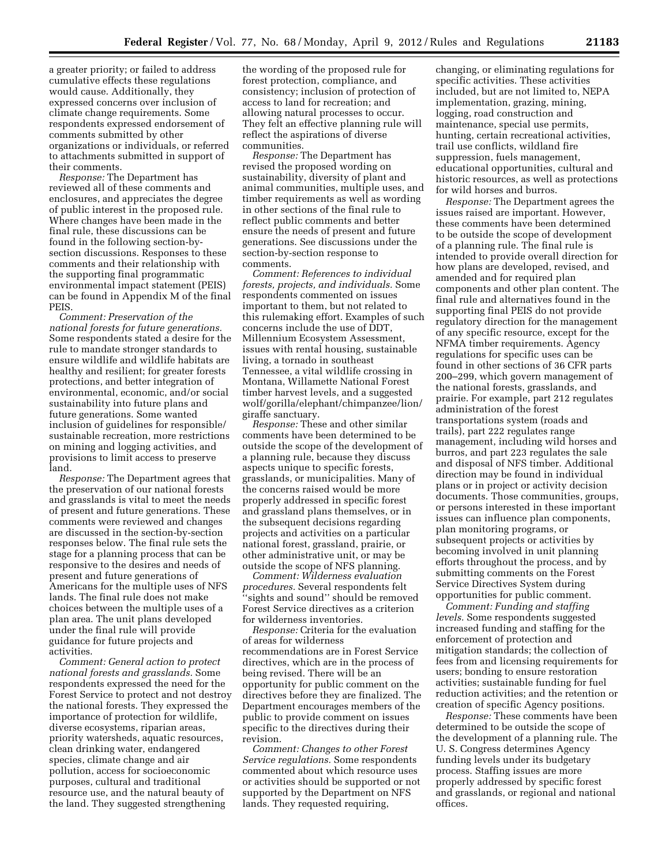a greater priority; or failed to address cumulative effects these regulations would cause. Additionally, they expressed concerns over inclusion of climate change requirements. Some respondents expressed endorsement of comments submitted by other organizations or individuals, or referred to attachments submitted in support of their comments.

*Response:* The Department has reviewed all of these comments and enclosures, and appreciates the degree of public interest in the proposed rule. Where changes have been made in the final rule, these discussions can be found in the following section-bysection discussions. Responses to these comments and their relationship with the supporting final programmatic environmental impact statement (PEIS) can be found in Appendix M of the final PEIS.

*Comment: Preservation of the national forests for future generations.*  Some respondents stated a desire for the rule to mandate stronger standards to ensure wildlife and wildlife habitats are healthy and resilient; for greater forests protections, and better integration of environmental, economic, and/or social sustainability into future plans and future generations. Some wanted inclusion of guidelines for responsible/ sustainable recreation, more restrictions on mining and logging activities, and provisions to limit access to preserve land.

*Response:* The Department agrees that the preservation of our national forests and grasslands is vital to meet the needs of present and future generations. These comments were reviewed and changes are discussed in the section-by-section responses below. The final rule sets the stage for a planning process that can be responsive to the desires and needs of present and future generations of Americans for the multiple uses of NFS lands. The final rule does not make choices between the multiple uses of a plan area. The unit plans developed under the final rule will provide guidance for future projects and activities.

*Comment: General action to protect national forests and grasslands.* Some respondents expressed the need for the Forest Service to protect and not destroy the national forests. They expressed the importance of protection for wildlife, diverse ecosystems, riparian areas, priority watersheds, aquatic resources, clean drinking water, endangered species, climate change and air pollution, access for socioeconomic purposes, cultural and traditional resource use, and the natural beauty of the land. They suggested strengthening

the wording of the proposed rule for forest protection, compliance, and consistency; inclusion of protection of access to land for recreation; and allowing natural processes to occur. They felt an effective planning rule will reflect the aspirations of diverse communities.

*Response:* The Department has revised the proposed wording on sustainability, diversity of plant and animal communities, multiple uses, and timber requirements as well as wording in other sections of the final rule to reflect public comments and better ensure the needs of present and future generations. See discussions under the section-by-section response to comments.

*Comment: References to individual forests, projects, and individuals.* Some respondents commented on issues important to them, but not related to this rulemaking effort. Examples of such concerns include the use of DDT, Millennium Ecosystem Assessment, issues with rental housing, sustainable living, a tornado in southeast Tennessee, a vital wildlife crossing in Montana, Willamette National Forest timber harvest levels, and a suggested wolf/gorilla/elephant/chimpanzee/lion/ giraffe sanctuary.

*Response:* These and other similar comments have been determined to be outside the scope of the development of a planning rule, because they discuss aspects unique to specific forests, grasslands, or municipalities. Many of the concerns raised would be more properly addressed in specific forest and grassland plans themselves, or in the subsequent decisions regarding projects and activities on a particular national forest, grassland, prairie, or other administrative unit, or may be outside the scope of NFS planning.

*Comment: Wilderness evaluation procedures.* Several respondents felt ''sights and sound'' should be removed Forest Service directives as a criterion for wilderness inventories.

*Response:* Criteria for the evaluation of areas for wilderness recommendations are in Forest Service directives, which are in the process of being revised. There will be an opportunity for public comment on the directives before they are finalized. The Department encourages members of the public to provide comment on issues specific to the directives during their revision.

*Comment: Changes to other Forest Service regulations.* Some respondents commented about which resource uses or activities should be supported or not supported by the Department on NFS lands. They requested requiring,

changing, or eliminating regulations for specific activities. These activities included, but are not limited to, NEPA implementation, grazing, mining, logging, road construction and maintenance, special use permits, hunting, certain recreational activities, trail use conflicts, wildland fire suppression, fuels management, educational opportunities, cultural and historic resources, as well as protections for wild horses and burros.

*Response:* The Department agrees the issues raised are important. However, these comments have been determined to be outside the scope of development of a planning rule. The final rule is intended to provide overall direction for how plans are developed, revised, and amended and for required plan components and other plan content. The final rule and alternatives found in the supporting final PEIS do not provide regulatory direction for the management of any specific resource, except for the NFMA timber requirements. Agency regulations for specific uses can be found in other sections of 36 CFR parts 200–299, which govern management of the national forests, grasslands, and prairie. For example, part 212 regulates administration of the forest transportations system (roads and trails), part 222 regulates range management, including wild horses and burros, and part 223 regulates the sale and disposal of NFS timber. Additional direction may be found in individual plans or in project or activity decision documents. Those communities, groups, or persons interested in these important issues can influence plan components, plan monitoring programs, or subsequent projects or activities by becoming involved in unit planning efforts throughout the process, and by submitting comments on the Forest Service Directives System during opportunities for public comment.

*Comment: Funding and staffing levels.* Some respondents suggested increased funding and staffing for the enforcement of protection and mitigation standards; the collection of fees from and licensing requirements for users; bonding to ensure restoration activities; sustainable funding for fuel reduction activities; and the retention or creation of specific Agency positions.

*Response:* These comments have been determined to be outside the scope of the development of a planning rule. The U. S. Congress determines Agency funding levels under its budgetary process. Staffing issues are more properly addressed by specific forest and grasslands, or regional and national offices.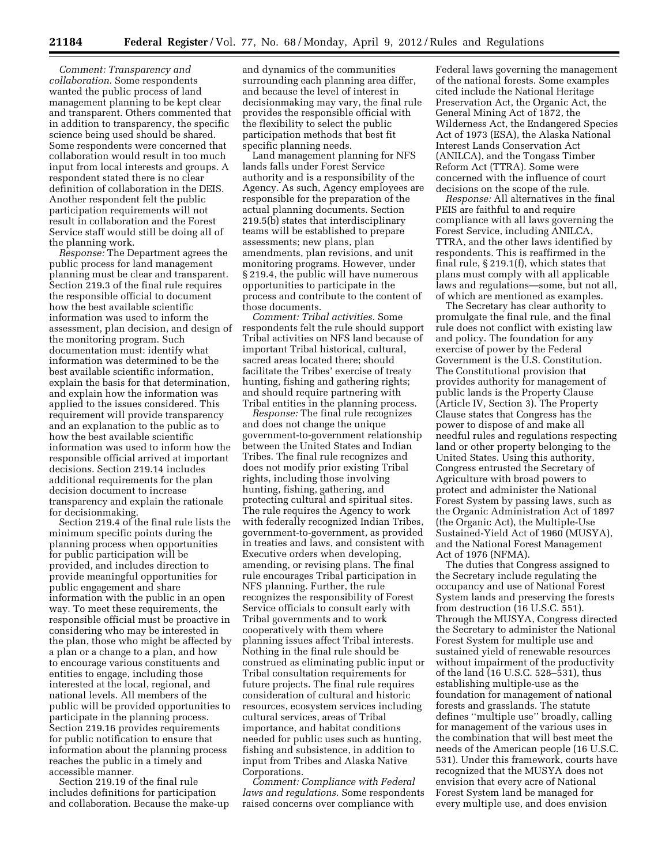*Comment: Transparency and collaboration.* Some respondents wanted the public process of land management planning to be kept clear and transparent. Others commented that in addition to transparency, the specific science being used should be shared. Some respondents were concerned that collaboration would result in too much input from local interests and groups. A respondent stated there is no clear definition of collaboration in the DEIS. Another respondent felt the public participation requirements will not result in collaboration and the Forest Service staff would still be doing all of the planning work.

*Response:* The Department agrees the public process for land management planning must be clear and transparent. Section 219.3 of the final rule requires the responsible official to document how the best available scientific information was used to inform the assessment, plan decision, and design of the monitoring program. Such documentation must: identify what information was determined to be the best available scientific information, explain the basis for that determination, and explain how the information was applied to the issues considered. This requirement will provide transparency and an explanation to the public as to how the best available scientific information was used to inform how the responsible official arrived at important decisions. Section 219.14 includes additional requirements for the plan decision document to increase transparency and explain the rationale for decisionmaking.

Section 219.4 of the final rule lists the minimum specific points during the planning process when opportunities for public participation will be provided, and includes direction to provide meaningful opportunities for public engagement and share information with the public in an open way. To meet these requirements, the responsible official must be proactive in considering who may be interested in the plan, those who might be affected by a plan or a change to a plan, and how to encourage various constituents and entities to engage, including those interested at the local, regional, and national levels. All members of the public will be provided opportunities to participate in the planning process. Section 219.16 provides requirements for public notification to ensure that information about the planning process reaches the public in a timely and accessible manner.

Section 219.19 of the final rule includes definitions for participation and collaboration. Because the make-up

and dynamics of the communities surrounding each planning area differ, and because the level of interest in decisionmaking may vary, the final rule provides the responsible official with the flexibility to select the public participation methods that best fit specific planning needs.

Land management planning for NFS lands falls under Forest Service authority and is a responsibility of the Agency. As such, Agency employees are responsible for the preparation of the actual planning documents. Section 219.5(b) states that interdisciplinary teams will be established to prepare assessments; new plans, plan amendments, plan revisions, and unit monitoring programs. However, under § 219.4, the public will have numerous opportunities to participate in the process and contribute to the content of those documents.

*Comment: Tribal activities.* Some respondents felt the rule should support Tribal activities on NFS land because of important Tribal historical, cultural, sacred areas located there; should facilitate the Tribes' exercise of treaty hunting, fishing and gathering rights; and should require partnering with Tribal entities in the planning process.

*Response:* The final rule recognizes and does not change the unique government-to-government relationship between the United States and Indian Tribes. The final rule recognizes and does not modify prior existing Tribal rights, including those involving hunting, fishing, gathering, and protecting cultural and spiritual sites. The rule requires the Agency to work with federally recognized Indian Tribes, government-to-government, as provided in treaties and laws, and consistent with Executive orders when developing, amending, or revising plans. The final rule encourages Tribal participation in NFS planning. Further, the rule recognizes the responsibility of Forest Service officials to consult early with Tribal governments and to work cooperatively with them where planning issues affect Tribal interests. Nothing in the final rule should be construed as eliminating public input or Tribal consultation requirements for future projects. The final rule requires consideration of cultural and historic resources, ecosystem services including cultural services, areas of Tribal importance, and habitat conditions needed for public uses such as hunting, fishing and subsistence, in addition to input from Tribes and Alaska Native Corporations.

*Comment: Compliance with Federal laws and regulations.* Some respondents raised concerns over compliance with

Federal laws governing the management of the national forests. Some examples cited include the National Heritage Preservation Act, the Organic Act, the General Mining Act of 1872, the Wilderness Act, the Endangered Species Act of 1973 (ESA), the Alaska National Interest Lands Conservation Act (ANILCA), and the Tongass Timber Reform Act (TTRA). Some were concerned with the influence of court decisions on the scope of the rule.

*Response:* All alternatives in the final PEIS are faithful to and require compliance with all laws governing the Forest Service, including ANILCA, TTRA, and the other laws identified by respondents. This is reaffirmed in the final rule, § 219.1(f), which states that plans must comply with all applicable laws and regulations—some, but not all, of which are mentioned as examples.

The Secretary has clear authority to promulgate the final rule, and the final rule does not conflict with existing law and policy. The foundation for any exercise of power by the Federal Government is the U.S. Constitution. The Constitutional provision that provides authority for management of public lands is the Property Clause (Article IV, Section 3). The Property Clause states that Congress has the power to dispose of and make all needful rules and regulations respecting land or other property belonging to the United States. Using this authority, Congress entrusted the Secretary of Agriculture with broad powers to protect and administer the National Forest System by passing laws, such as the Organic Administration Act of 1897 (the Organic Act), the Multiple-Use Sustained-Yield Act of 1960 (MUSYA), and the National Forest Management Act of 1976 (NFMA).

The duties that Congress assigned to the Secretary include regulating the occupancy and use of National Forest System lands and preserving the forests from destruction (16 U.S.C. 551). Through the MUSYA, Congress directed the Secretary to administer the National Forest System for multiple use and sustained yield of renewable resources without impairment of the productivity of the land (16 U.S.C. 528–531), thus establishing multiple-use as the foundation for management of national forests and grasslands. The statute defines ''multiple use'' broadly, calling for management of the various uses in the combination that will best meet the needs of the American people (16 U.S.C. 531). Under this framework, courts have recognized that the MUSYA does not envision that every acre of National Forest System land be managed for every multiple use, and does envision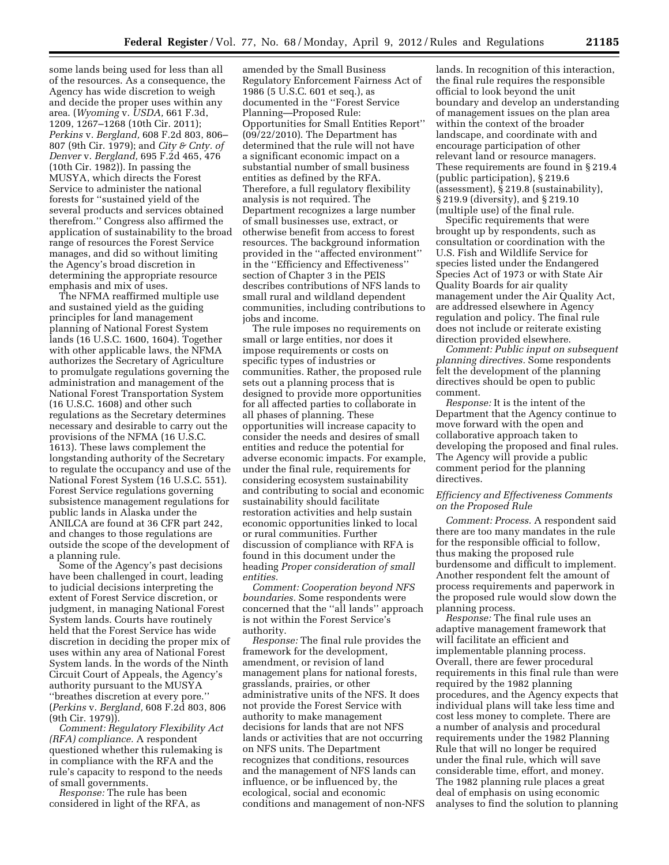some lands being used for less than all of the resources. As a consequence, the Agency has wide discretion to weigh and decide the proper uses within any area. (*Wyoming* v. *USDA,* 661 F.3d, 1209, 1267–1268 (10th Cir. 2011); *Perkins* v. *Bergland,* 608 F.2d 803, 806– 807 (9th Cir. 1979); and *City & Cnty. of Denver* v. *Bergland,* 695 F.2d 465, 476 (10th Cir. 1982)). In passing the MUSYA, which directs the Forest Service to administer the national forests for ''sustained yield of the several products and services obtained therefrom.'' Congress also affirmed the application of sustainability to the broad range of resources the Forest Service manages, and did so without limiting the Agency's broad discretion in determining the appropriate resource emphasis and mix of uses.

The NFMA reaffirmed multiple use and sustained yield as the guiding principles for land management planning of National Forest System lands (16 U.S.C. 1600, 1604). Together with other applicable laws, the NFMA authorizes the Secretary of Agriculture to promulgate regulations governing the administration and management of the National Forest Transportation System (16 U.S.C. 1608) and other such regulations as the Secretary determines necessary and desirable to carry out the provisions of the NFMA (16 U.S.C. 1613). These laws complement the longstanding authority of the Secretary to regulate the occupancy and use of the National Forest System (16 U.S.C. 551). Forest Service regulations governing subsistence management regulations for public lands in Alaska under the ANILCA are found at 36 CFR part 242, and changes to those regulations are outside the scope of the development of a planning rule.

Some of the Agency's past decisions have been challenged in court, leading to judicial decisions interpreting the extent of Forest Service discretion, or judgment, in managing National Forest System lands. Courts have routinely held that the Forest Service has wide discretion in deciding the proper mix of uses within any area of National Forest System lands. In the words of the Ninth Circuit Court of Appeals, the Agency's authority pursuant to the MUSYA ''breathes discretion at every pore.'' (*Perkins* v. *Bergland,* 608 F.2d 803, 806 (9th Cir. 1979)).

*Comment: Regulatory Flexibility Act (RFA) compliance.* A respondent questioned whether this rulemaking is in compliance with the RFA and the rule's capacity to respond to the needs of small governments.

*Response:* The rule has been considered in light of the RFA, as

amended by the Small Business Regulatory Enforcement Fairness Act of 1986 (5 U.S.C. 601 et seq.), as documented in the ''Forest Service Planning—Proposed Rule: Opportunities for Small Entities Report'' (09/22/2010). The Department has determined that the rule will not have a significant economic impact on a substantial number of small business entities as defined by the RFA. Therefore, a full regulatory flexibility analysis is not required. The Department recognizes a large number of small businesses use, extract, or otherwise benefit from access to forest resources. The background information provided in the ''affected environment'' in the ''Efficiency and Effectiveness'' section of Chapter 3 in the PEIS describes contributions of NFS lands to small rural and wildland dependent communities, including contributions to jobs and income.

The rule imposes no requirements on small or large entities, nor does it impose requirements or costs on specific types of industries or communities. Rather, the proposed rule sets out a planning process that is designed to provide more opportunities for all affected parties to collaborate in all phases of planning. These opportunities will increase capacity to consider the needs and desires of small entities and reduce the potential for adverse economic impacts. For example, under the final rule, requirements for considering ecosystem sustainability and contributing to social and economic sustainability should facilitate restoration activities and help sustain economic opportunities linked to local or rural communities. Further discussion of compliance with RFA is found in this document under the heading *Proper consideration of small entities.* 

*Comment: Cooperation beyond NFS boundaries.* Some respondents were concerned that the ''all lands'' approach is not within the Forest Service's authority.

*Response:* The final rule provides the framework for the development, amendment, or revision of land management plans for national forests, grasslands, prairies, or other administrative units of the NFS. It does not provide the Forest Service with authority to make management decisions for lands that are not NFS lands or activities that are not occurring on NFS units. The Department recognizes that conditions, resources and the management of NFS lands can influence, or be influenced by, the ecological, social and economic conditions and management of non-NFS lands. In recognition of this interaction, the final rule requires the responsible official to look beyond the unit boundary and develop an understanding of management issues on the plan area within the context of the broader landscape, and coordinate with and encourage participation of other relevant land or resource managers. These requirements are found in § 219.4 (public participation), § 219.6 (assessment), § 219.8 (sustainability), § 219.9 (diversity), and § 219.10 (multiple use) of the final rule.

Specific requirements that were brought up by respondents, such as consultation or coordination with the U.S. Fish and Wildlife Service for species listed under the Endangered Species Act of 1973 or with State Air Quality Boards for air quality management under the Air Quality Act, are addressed elsewhere in Agency regulation and policy. The final rule does not include or reiterate existing direction provided elsewhere.

*Comment: Public input on subsequent planning directives.* Some respondents felt the development of the planning directives should be open to public comment.

*Response:* It is the intent of the Department that the Agency continue to move forward with the open and collaborative approach taken to developing the proposed and final rules. The Agency will provide a public comment period for the planning directives.

# *Efficiency and Effectiveness Comments on the Proposed Rule*

*Comment: Process.* A respondent said there are too many mandates in the rule for the responsible official to follow, thus making the proposed rule burdensome and difficult to implement. Another respondent felt the amount of process requirements and paperwork in the proposed rule would slow down the planning process.

*Response:* The final rule uses an adaptive management framework that will facilitate an efficient and implementable planning process. Overall, there are fewer procedural requirements in this final rule than were required by the 1982 planning procedures, and the Agency expects that individual plans will take less time and cost less money to complete. There are a number of analysis and procedural requirements under the 1982 Planning Rule that will no longer be required under the final rule, which will save considerable time, effort, and money. The 1982 planning rule places a great deal of emphasis on using economic analyses to find the solution to planning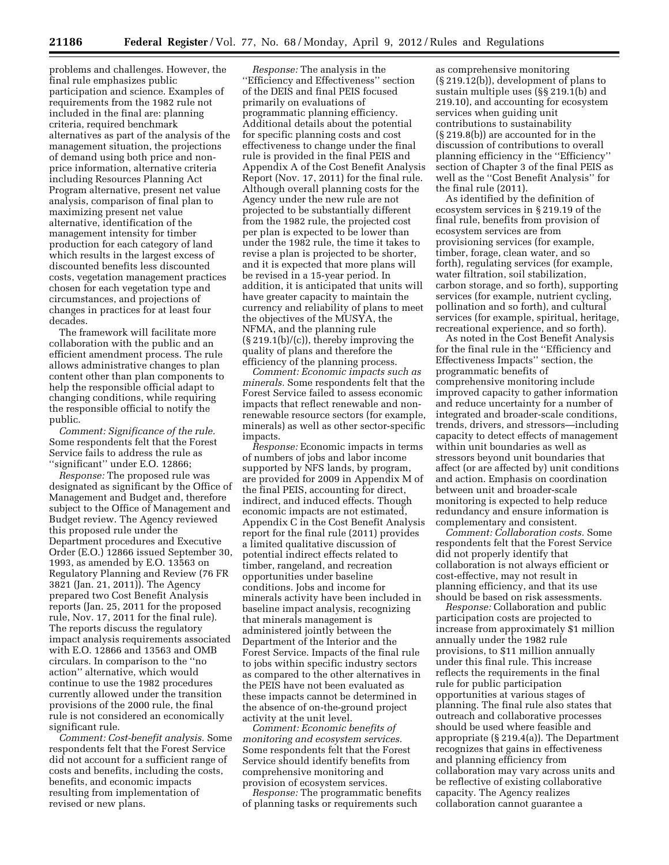problems and challenges. However, the final rule emphasizes public participation and science. Examples of requirements from the 1982 rule not included in the final are: planning criteria, required benchmark alternatives as part of the analysis of the management situation, the projections of demand using both price and nonprice information, alternative criteria including Resources Planning Act Program alternative, present net value analysis, comparison of final plan to maximizing present net value alternative, identification of the management intensity for timber production for each category of land which results in the largest excess of discounted benefits less discounted costs, vegetation management practices chosen for each vegetation type and circumstances, and projections of changes in practices for at least four decades.

The framework will facilitate more collaboration with the public and an efficient amendment process. The rule allows administrative changes to plan content other than plan components to help the responsible official adapt to changing conditions, while requiring the responsible official to notify the public.

*Comment: Significance of the rule.*  Some respondents felt that the Forest Service fails to address the rule as ''significant'' under E.O. 12866;

*Response:* The proposed rule was designated as significant by the Office of Management and Budget and, therefore subject to the Office of Management and Budget review. The Agency reviewed this proposed rule under the Department procedures and Executive Order (E.O.) 12866 issued September 30, 1993, as amended by E.O. 13563 on Regulatory Planning and Review (76 FR 3821 (Jan. 21, 2011)). The Agency prepared two Cost Benefit Analysis reports (Jan. 25, 2011 for the proposed rule, Nov. 17, 2011 for the final rule). The reports discuss the regulatory impact analysis requirements associated with E.O. 12866 and 13563 and OMB circulars. In comparison to the ''no action'' alternative, which would continue to use the 1982 procedures currently allowed under the transition provisions of the 2000 rule, the final rule is not considered an economically significant rule.

*Comment: Cost-benefit analysis.* Some respondents felt that the Forest Service did not account for a sufficient range of costs and benefits, including the costs, benefits, and economic impacts resulting from implementation of revised or new plans.

*Response:* The analysis in the ''Efficiency and Effectiveness'' section of the DEIS and final PEIS focused primarily on evaluations of programmatic planning efficiency. Additional details about the potential for specific planning costs and cost effectiveness to change under the final rule is provided in the final PEIS and Appendix A of the Cost Benefit Analysis Report (Nov. 17, 2011) for the final rule. Although overall planning costs for the Agency under the new rule are not projected to be substantially different from the 1982 rule, the projected cost per plan is expected to be lower than under the 1982 rule, the time it takes to revise a plan is projected to be shorter, and it is expected that more plans will be revised in a 15-year period. In addition, it is anticipated that units will have greater capacity to maintain the currency and reliability of plans to meet the objectives of the MUSYA, the NFMA, and the planning rule (§ 219.1(b)/(c)), thereby improving the quality of plans and therefore the efficiency of the planning process.

*Comment: Economic impacts such as minerals.* Some respondents felt that the Forest Service failed to assess economic impacts that reflect renewable and nonrenewable resource sectors (for example, minerals) as well as other sector-specific impacts.

*Response:* Economic impacts in terms of numbers of jobs and labor income supported by NFS lands, by program, are provided for 2009 in Appendix M of the final PEIS, accounting for direct, indirect, and induced effects. Though economic impacts are not estimated, Appendix C in the Cost Benefit Analysis report for the final rule (2011) provides a limited qualitative discussion of potential indirect effects related to timber, rangeland, and recreation opportunities under baseline conditions. Jobs and income for minerals activity have been included in baseline impact analysis, recognizing that minerals management is administered jointly between the Department of the Interior and the Forest Service. Impacts of the final rule to jobs within specific industry sectors as compared to the other alternatives in the PEIS have not been evaluated as these impacts cannot be determined in the absence of on-the-ground project activity at the unit level.

*Comment: Economic benefits of monitoring and ecosystem services.*  Some respondents felt that the Forest Service should identify benefits from comprehensive monitoring and provision of ecosystem services.

*Response:* The programmatic benefits of planning tasks or requirements such

as comprehensive monitoring (§ 219.12(b)), development of plans to sustain multiple uses (§§ 219.1(b) and 219.10), and accounting for ecosystem services when guiding unit contributions to sustainability (§ 219.8(b)) are accounted for in the discussion of contributions to overall planning efficiency in the ''Efficiency'' section of Chapter 3 of the final PEIS as well as the ''Cost Benefit Analysis'' for the final rule (2011).

As identified by the definition of ecosystem services in § 219.19 of the final rule, benefits from provision of ecosystem services are from provisioning services (for example, timber, forage, clean water, and so forth), regulating services (for example, water filtration, soil stabilization, carbon storage, and so forth), supporting services (for example, nutrient cycling, pollination and so forth), and cultural services (for example, spiritual, heritage, recreational experience, and so forth).

As noted in the Cost Benefit Analysis for the final rule in the ''Efficiency and Effectiveness Impacts'' section, the programmatic benefits of comprehensive monitoring include improved capacity to gather information and reduce uncertainty for a number of integrated and broader-scale conditions, trends, drivers, and stressors—including capacity to detect effects of management within unit boundaries as well as stressors beyond unit boundaries that affect (or are affected by) unit conditions and action. Emphasis on coordination between unit and broader-scale monitoring is expected to help reduce redundancy and ensure information is complementary and consistent.

*Comment: Collaboration costs.* Some respondents felt that the Forest Service did not properly identify that collaboration is not always efficient or cost-effective, may not result in planning efficiency, and that its use should be based on risk assessments.

*Response:* Collaboration and public participation costs are projected to increase from approximately \$1 million annually under the 1982 rule provisions, to \$11 million annually under this final rule. This increase reflects the requirements in the final rule for public participation opportunities at various stages of planning. The final rule also states that outreach and collaborative processes should be used where feasible and appropriate (§ 219.4(a)). The Department recognizes that gains in effectiveness and planning efficiency from collaboration may vary across units and be reflective of existing collaborative capacity. The Agency realizes collaboration cannot guarantee a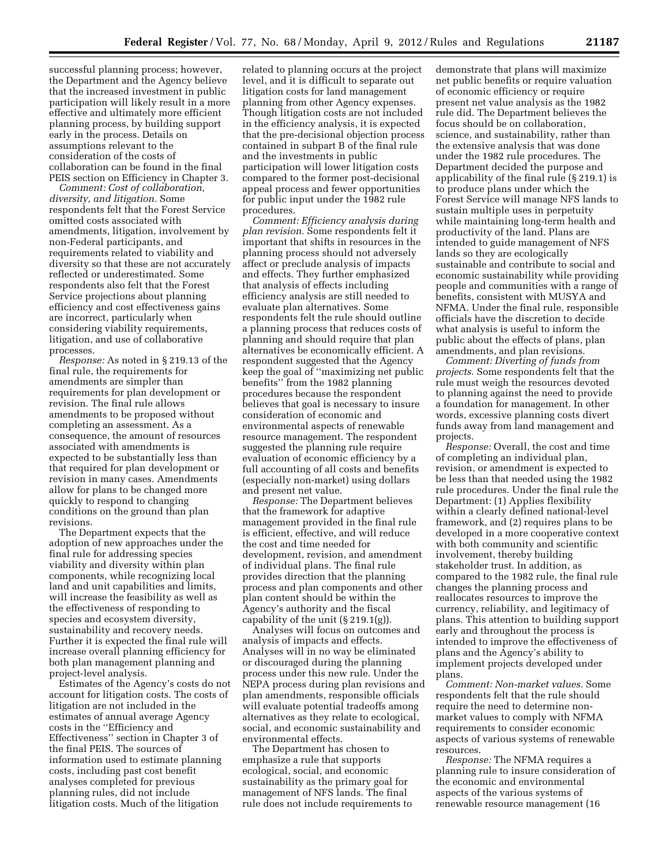successful planning process; however, the Department and the Agency believe that the increased investment in public participation will likely result in a more effective and ultimately more efficient planning process, by building support early in the process. Details on assumptions relevant to the consideration of the costs of collaboration can be found in the final PEIS section on Efficiency in Chapter 3.

*Comment: Cost of collaboration, diversity, and litigation.* Some respondents felt that the Forest Service omitted costs associated with amendments, litigation, involvement by non-Federal participants, and requirements related to viability and diversity so that these are not accurately reflected or underestimated. Some respondents also felt that the Forest Service projections about planning efficiency and cost effectiveness gains are incorrect, particularly when considering viability requirements, litigation, and use of collaborative processes.

*Response:* As noted in § 219.13 of the final rule, the requirements for amendments are simpler than requirements for plan development or revision. The final rule allows amendments to be proposed without completing an assessment. As a consequence, the amount of resources associated with amendments is expected to be substantially less than that required for plan development or revision in many cases. Amendments allow for plans to be changed more quickly to respond to changing conditions on the ground than plan revisions.

The Department expects that the adoption of new approaches under the final rule for addressing species viability and diversity within plan components, while recognizing local land and unit capabilities and limits, will increase the feasibility as well as the effectiveness of responding to species and ecosystem diversity, sustainability and recovery needs. Further it is expected the final rule will increase overall planning efficiency for both plan management planning and project-level analysis.

Estimates of the Agency's costs do not account for litigation costs. The costs of litigation are not included in the estimates of annual average Agency costs in the ''Efficiency and Effectiveness'' section in Chapter 3 of the final PEIS. The sources of information used to estimate planning costs, including past cost benefit analyses completed for previous planning rules, did not include litigation costs. Much of the litigation

related to planning occurs at the project level, and it is difficult to separate out litigation costs for land management planning from other Agency expenses. Though litigation costs are not included in the efficiency analysis, it is expected that the pre-decisional objection process contained in subpart B of the final rule and the investments in public participation will lower litigation costs compared to the former post-decisional appeal process and fewer opportunities for public input under the 1982 rule procedures.

*Comment: Efficiency analysis during plan revision.* Some respondents felt it important that shifts in resources in the planning process should not adversely affect or preclude analysis of impacts and effects. They further emphasized that analysis of effects including efficiency analysis are still needed to evaluate plan alternatives. Some respondents felt the rule should outline a planning process that reduces costs of planning and should require that plan alternatives be economically efficient. A respondent suggested that the Agency keep the goal of ''maximizing net public benefits'' from the 1982 planning procedures because the respondent believes that goal is necessary to insure consideration of economic and environmental aspects of renewable resource management. The respondent suggested the planning rule require evaluation of economic efficiency by a full accounting of all costs and benefits (especially non-market) using dollars and present net value.

*Response:* The Department believes that the framework for adaptive management provided in the final rule is efficient, effective, and will reduce the cost and time needed for development, revision, and amendment of individual plans. The final rule provides direction that the planning process and plan components and other plan content should be within the Agency's authority and the fiscal capability of the unit  $(\S 219.1(g))$ .

Analyses will focus on outcomes and analysis of impacts and effects. Analyses will in no way be eliminated or discouraged during the planning process under this new rule. Under the NEPA process during plan revisions and plan amendments, responsible officials will evaluate potential tradeoffs among alternatives as they relate to ecological, social, and economic sustainability and environmental effects.

The Department has chosen to emphasize a rule that supports ecological, social, and economic sustainability as the primary goal for management of NFS lands. The final rule does not include requirements to

demonstrate that plans will maximize net public benefits or require valuation of economic efficiency or require present net value analysis as the 1982 rule did. The Department believes the focus should be on collaboration, science, and sustainability, rather than the extensive analysis that was done under the 1982 rule procedures. The Department decided the purpose and applicability of the final rule (§ 219.1) is to produce plans under which the Forest Service will manage NFS lands to sustain multiple uses in perpetuity while maintaining long-term health and productivity of the land. Plans are intended to guide management of NFS lands so they are ecologically sustainable and contribute to social and economic sustainability while providing people and communities with a range of benefits, consistent with MUSYA and NFMA. Under the final rule, responsible officials have the discretion to decide what analysis is useful to inform the public about the effects of plans, plan amendments, and plan revisions.

*Comment: Diverting of funds from projects.* Some respondents felt that the rule must weigh the resources devoted to planning against the need to provide a foundation for management. In other words, excessive planning costs divert funds away from land management and projects.

*Response:* Overall, the cost and time of completing an individual plan, revision, or amendment is expected to be less than that needed using the 1982 rule procedures. Under the final rule the Department: (1) Applies flexibility within a clearly defined national-level framework, and (2) requires plans to be developed in a more cooperative context with both community and scientific involvement, thereby building stakeholder trust. In addition, as compared to the 1982 rule, the final rule changes the planning process and reallocates resources to improve the currency, reliability, and legitimacy of plans. This attention to building support early and throughout the process is intended to improve the effectiveness of plans and the Agency's ability to implement projects developed under plans.

*Comment: Non-market values.* Some respondents felt that the rule should require the need to determine nonmarket values to comply with NFMA requirements to consider economic aspects of various systems of renewable resources.

*Response:* The NFMA requires a planning rule to insure consideration of the economic and environmental aspects of the various systems of renewable resource management (16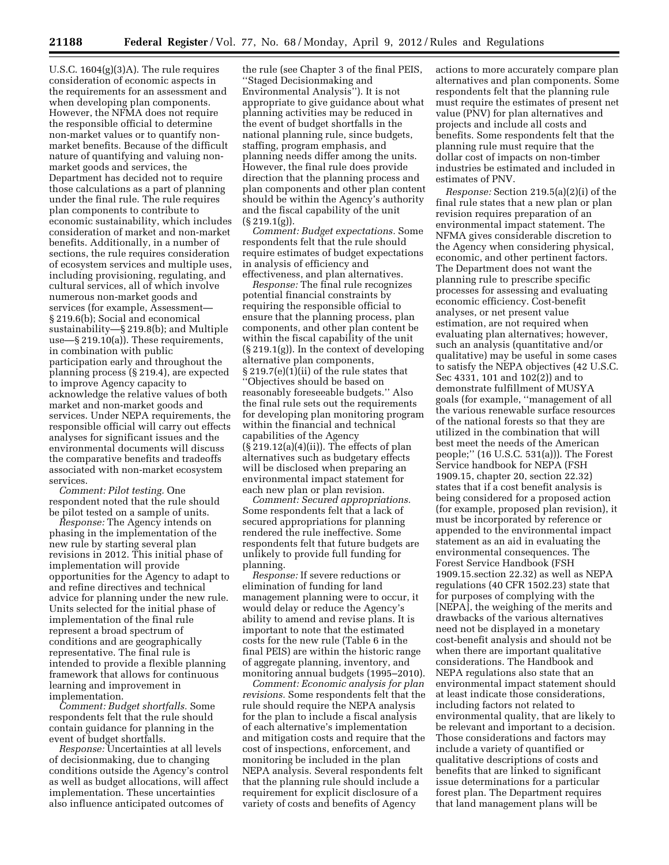U.S.C. 1604(g)(3)A). The rule requires consideration of economic aspects in the requirements for an assessment and when developing plan components. However, the NFMA does not require the responsible official to determine non-market values or to quantify nonmarket benefits. Because of the difficult nature of quantifying and valuing nonmarket goods and services, the Department has decided not to require those calculations as a part of planning under the final rule. The rule requires plan components to contribute to economic sustainability, which includes consideration of market and non-market benefits. Additionally, in a number of sections, the rule requires consideration of ecosystem services and multiple uses, including provisioning, regulating, and cultural services, all of which involve numerous non-market goods and services (for example, Assessment— § 219.6(b); Social and economical sustainability—§ 219.8(b); and Multiple use—§ 219.10(a)). These requirements, in combination with public participation early and throughout the planning process (§ 219.4), are expected to improve Agency capacity to acknowledge the relative values of both market and non-market goods and services. Under NEPA requirements, the responsible official will carry out effects analyses for significant issues and the environmental documents will discuss the comparative benefits and tradeoffs associated with non-market ecosystem services.

*Comment: Pilot testing.* One respondent noted that the rule should be pilot tested on a sample of units.

*Response:* The Agency intends on phasing in the implementation of the new rule by starting several plan revisions in 2012. This initial phase of implementation will provide opportunities for the Agency to adapt to and refine directives and technical advice for planning under the new rule. Units selected for the initial phase of implementation of the final rule represent a broad spectrum of conditions and are geographically representative. The final rule is intended to provide a flexible planning framework that allows for continuous learning and improvement in implementation.

*Comment: Budget shortfalls.* Some respondents felt that the rule should contain guidance for planning in the event of budget shortfalls.

*Response:* Uncertainties at all levels of decisionmaking, due to changing conditions outside the Agency's control as well as budget allocations, will affect implementation. These uncertainties also influence anticipated outcomes of

the rule (see Chapter 3 of the final PEIS, ''Staged Decisionmaking and Environmental Analysis''). It is not appropriate to give guidance about what planning activities may be reduced in the event of budget shortfalls in the national planning rule, since budgets, staffing, program emphasis, and planning needs differ among the units. However, the final rule does provide direction that the planning process and plan components and other plan content should be within the Agency's authority and the fiscal capability of the unit  $(\S 219.1(g)).$ 

*Comment: Budget expectations.* Some respondents felt that the rule should require estimates of budget expectations in analysis of efficiency and effectiveness, and plan alternatives.

*Response:* The final rule recognizes potential financial constraints by requiring the responsible official to ensure that the planning process, plan components, and other plan content be within the fiscal capability of the unit (§ 219.1(g)). In the context of developing alternative plan components, § 219.7(e)(1)(ii) of the rule states that ''Objectives should be based on reasonably foreseeable budgets.'' Also the final rule sets out the requirements for developing plan monitoring program within the financial and technical capabilities of the Agency  $(\S 219.12(a)(4)(ii))$ . The effects of plan alternatives such as budgetary effects will be disclosed when preparing an environmental impact statement for each new plan or plan revision.

*Comment: Secured appropriations.*  Some respondents felt that a lack of secured appropriations for planning rendered the rule ineffective. Some respondents felt that future budgets are unlikely to provide full funding for planning.

*Response:* If severe reductions or elimination of funding for land management planning were to occur, it would delay or reduce the Agency's ability to amend and revise plans. It is important to note that the estimated costs for the new rule (Table 6 in the final PEIS) are within the historic range of aggregate planning, inventory, and monitoring annual budgets (1995–2010).

*Comment: Economic analysis for plan revisions.* Some respondents felt that the rule should require the NEPA analysis for the plan to include a fiscal analysis of each alternative's implementation and mitigation costs and require that the cost of inspections, enforcement, and monitoring be included in the plan NEPA analysis. Several respondents felt that the planning rule should include a requirement for explicit disclosure of a variety of costs and benefits of Agency

actions to more accurately compare plan alternatives and plan components. Some respondents felt that the planning rule must require the estimates of present net value (PNV) for plan alternatives and projects and include all costs and benefits. Some respondents felt that the planning rule must require that the dollar cost of impacts on non-timber industries be estimated and included in estimates of PNV.

*Response:* Section 219.5(a)(2)(i) of the final rule states that a new plan or plan revision requires preparation of an environmental impact statement. The NFMA gives considerable discretion to the Agency when considering physical, economic, and other pertinent factors. The Department does not want the planning rule to prescribe specific processes for assessing and evaluating economic efficiency. Cost-benefit analyses, or net present value estimation, are not required when evaluating plan alternatives; however, such an analysis (quantitative and/or qualitative) may be useful in some cases to satisfy the NEPA objectives (42 U.S.C. Sec 4331, 101 and 102(2)) and to demonstrate fulfillment of MUSYA goals (for example, ''management of all the various renewable surface resources of the national forests so that they are utilized in the combination that will best meet the needs of the American people;'' (16 U.S.C. 531(a))). The Forest Service handbook for NEPA (FSH 1909.15, chapter 20, section 22.32) states that if a cost benefit analysis is being considered for a proposed action (for example, proposed plan revision), it must be incorporated by reference or appended to the environmental impact statement as an aid in evaluating the environmental consequences. The Forest Service Handbook (FSH 1909.15.section 22.32) as well as NEPA regulations (40 CFR 1502.23) state that for purposes of complying with the [NEPA], the weighing of the merits and drawbacks of the various alternatives need not be displayed in a monetary cost-benefit analysis and should not be when there are important qualitative considerations. The Handbook and NEPA regulations also state that an environmental impact statement should at least indicate those considerations, including factors not related to environmental quality, that are likely to be relevant and important to a decision. Those considerations and factors may include a variety of quantified or qualitative descriptions of costs and benefits that are linked to significant issue determinations for a particular forest plan. The Department requires that land management plans will be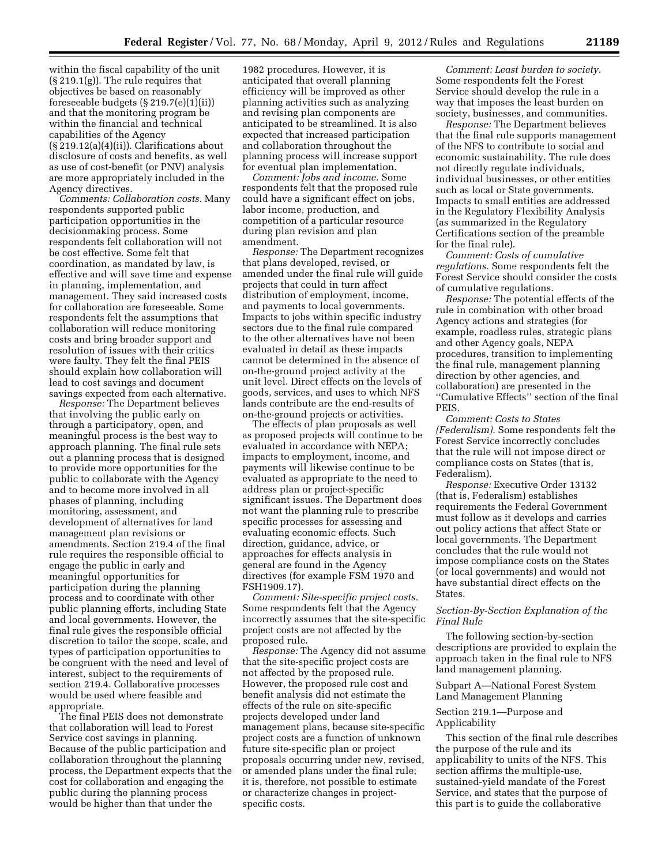within the fiscal capability of the unit (§ 219.1(g)). The rule requires that objectives be based on reasonably foreseeable budgets (§ 219.7(e)(1)(ii)) and that the monitoring program be within the financial and technical capabilities of the Agency (§ 219.12(a)(4)(ii)). Clarifications about disclosure of costs and benefits, as well as use of cost-benefit (or PNV) analysis are more appropriately included in the Agency directives.

*Comments: Collaboration costs.* Many respondents supported public participation opportunities in the decisionmaking process. Some respondents felt collaboration will not be cost effective. Some felt that coordination, as mandated by law, is effective and will save time and expense in planning, implementation, and management. They said increased costs for collaboration are foreseeable. Some respondents felt the assumptions that collaboration will reduce monitoring costs and bring broader support and resolution of issues with their critics were faulty. They felt the final PEIS should explain how collaboration will lead to cost savings and document savings expected from each alternative.

*Response:* The Department believes that involving the public early on through a participatory, open, and meaningful process is the best way to approach planning. The final rule sets out a planning process that is designed to provide more opportunities for the public to collaborate with the Agency and to become more involved in all phases of planning, including monitoring, assessment, and development of alternatives for land management plan revisions or amendments. Section 219.4 of the final rule requires the responsible official to engage the public in early and meaningful opportunities for participation during the planning process and to coordinate with other public planning efforts, including State and local governments. However, the final rule gives the responsible official discretion to tailor the scope, scale, and types of participation opportunities to be congruent with the need and level of interest, subject to the requirements of section 219.4. Collaborative processes would be used where feasible and appropriate.

The final PEIS does not demonstrate that collaboration will lead to Forest Service cost savings in planning. Because of the public participation and collaboration throughout the planning process, the Department expects that the cost for collaboration and engaging the public during the planning process would be higher than that under the

1982 procedures. However, it is anticipated that overall planning efficiency will be improved as other planning activities such as analyzing and revising plan components are anticipated to be streamlined. It is also expected that increased participation and collaboration throughout the planning process will increase support for eventual plan implementation.

*Comment: Jobs and income.* Some respondents felt that the proposed rule could have a significant effect on jobs, labor income, production, and competition of a particular resource during plan revision and plan amendment.

*Response:* The Department recognizes that plans developed, revised, or amended under the final rule will guide projects that could in turn affect distribution of employment, income, and payments to local governments. Impacts to jobs within specific industry sectors due to the final rule compared to the other alternatives have not been evaluated in detail as these impacts cannot be determined in the absence of on-the-ground project activity at the unit level. Direct effects on the levels of goods, services, and uses to which NFS lands contribute are the end-results of on-the-ground projects or activities.

The effects of plan proposals as well as proposed projects will continue to be evaluated in accordance with NEPA; impacts to employment, income, and payments will likewise continue to be evaluated as appropriate to the need to address plan or project-specific significant issues. The Department does not want the planning rule to prescribe specific processes for assessing and evaluating economic effects. Such direction, guidance, advice, or approaches for effects analysis in general are found in the Agency directives (for example FSM 1970 and FSH1909.17).

*Comment: Site-specific project costs.*  Some respondents felt that the Agency incorrectly assumes that the site-specific project costs are not affected by the proposed rule.

*Response:* The Agency did not assume that the site-specific project costs are not affected by the proposed rule. However, the proposed rule cost and benefit analysis did not estimate the effects of the rule on site-specific projects developed under land management plans, because site-specific project costs are a function of unknown future site-specific plan or project proposals occurring under new, revised, or amended plans under the final rule; it is, therefore, not possible to estimate or characterize changes in projectspecific costs.

*Comment: Least burden to society.*  Some respondents felt the Forest Service should develop the rule in a way that imposes the least burden on society, businesses, and communities.

*Response:* The Department believes that the final rule supports management of the NFS to contribute to social and economic sustainability. The rule does not directly regulate individuals, individual businesses, or other entities such as local or State governments. Impacts to small entities are addressed in the Regulatory Flexibility Analysis (as summarized in the Regulatory Certifications section of the preamble for the final rule).

*Comment: Costs of cumulative regulations.* Some respondents felt the Forest Service should consider the costs of cumulative regulations.

*Response:* The potential effects of the rule in combination with other broad Agency actions and strategies (for example, roadless rules, strategic plans and other Agency goals, NEPA procedures, transition to implementing the final rule, management planning direction by other agencies, and collaboration) are presented in the ''Cumulative Effects'' section of the final PEIS.

*Comment: Costs to States (Federalism).* Some respondents felt the Forest Service incorrectly concludes that the rule will not impose direct or compliance costs on States (that is, Federalism).

*Response:* Executive Order 13132 (that is, Federalism) establishes requirements the Federal Government must follow as it develops and carries out policy actions that affect State or local governments. The Department concludes that the rule would not impose compliance costs on the States (or local governments) and would not have substantial direct effects on the States.

# *Section-By-Section Explanation of the Final Rule*

The following section-by-section descriptions are provided to explain the approach taken in the final rule to NFS land management planning.

Subpart A—National Forest System Land Management Planning

# Section 219.1—Purpose and Applicability

This section of the final rule describes the purpose of the rule and its applicability to units of the NFS. This section affirms the multiple-use, sustained-yield mandate of the Forest Service, and states that the purpose of this part is to guide the collaborative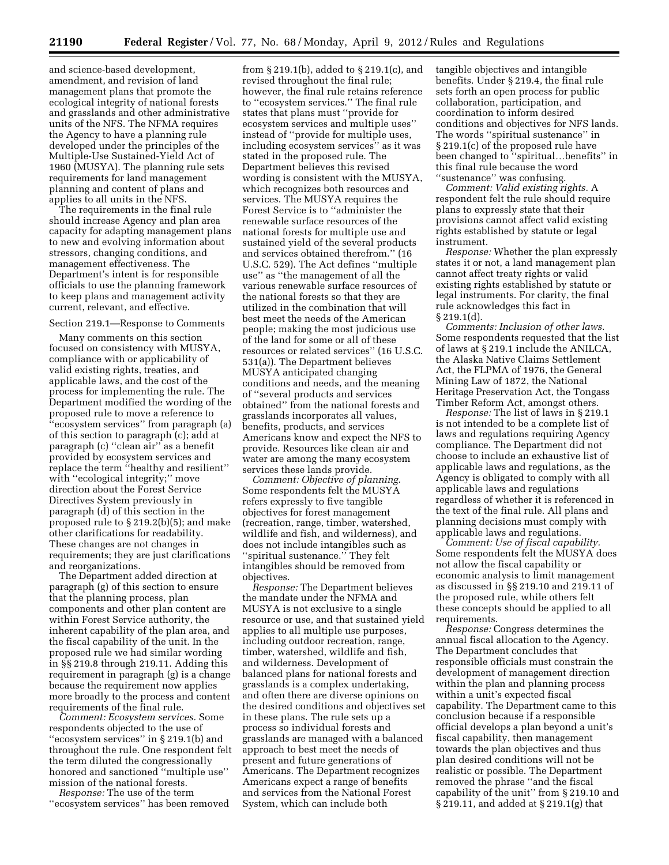and science-based development, amendment, and revision of land management plans that promote the ecological integrity of national forests and grasslands and other administrative units of the NFS. The NFMA requires the Agency to have a planning rule developed under the principles of the Multiple-Use Sustained-Yield Act of 1960 (MUSYA). The planning rule sets requirements for land management planning and content of plans and applies to all units in the NFS.

The requirements in the final rule should increase Agency and plan area capacity for adapting management plans to new and evolving information about stressors, changing conditions, and management effectiveness. The Department's intent is for responsible officials to use the planning framework to keep plans and management activity current, relevant, and effective.

#### Section 219.1—Response to Comments

Many comments on this section focused on consistency with MUSYA, compliance with or applicability of valid existing rights, treaties, and applicable laws, and the cost of the process for implementing the rule. The Department modified the wording of the proposed rule to move a reference to 'ecosystem services'' from paragraph (a) of this section to paragraph (c); add at paragraph (c) ''clean air'' as a benefit provided by ecosystem services and replace the term ''healthy and resilient'' with ''ecological integrity;'' move direction about the Forest Service Directives System previously in paragraph (d) of this section in the proposed rule to § 219.2(b)(5); and make other clarifications for readability. These changes are not changes in requirements; they are just clarifications and reorganizations.

The Department added direction at paragraph (g) of this section to ensure that the planning process, plan components and other plan content are within Forest Service authority, the inherent capability of the plan area, and the fiscal capability of the unit. In the proposed rule we had similar wording in §§ 219.8 through 219.11. Adding this requirement in paragraph (g) is a change because the requirement now applies more broadly to the process and content requirements of the final rule.

*Comment: Ecosystem services.* Some respondents objected to the use of ''ecosystem services'' in § 219.1(b) and throughout the rule. One respondent felt the term diluted the congressionally honored and sanctioned ''multiple use'' mission of the national forests.

*Response:* The use of the term ''ecosystem services'' has been removed

from § 219.1(b), added to § 219.1(c), and revised throughout the final rule; however, the final rule retains reference to ''ecosystem services.'' The final rule states that plans must ''provide for ecosystem services and multiple uses'' instead of ''provide for multiple uses, including ecosystem services'' as it was stated in the proposed rule. The Department believes this revised wording is consistent with the MUSYA, which recognizes both resources and services. The MUSYA requires the Forest Service is to ''administer the renewable surface resources of the national forests for multiple use and sustained yield of the several products and services obtained therefrom.'' (16 U.S.C. 529). The Act defines ''multiple use'' as ''the management of all the various renewable surface resources of the national forests so that they are utilized in the combination that will best meet the needs of the American people; making the most judicious use of the land for some or all of these resources or related services'' (16 U.S.C. 531(a)). The Department believes MUSYA anticipated changing conditions and needs, and the meaning of ''several products and services obtained'' from the national forests and grasslands incorporates all values, benefits, products, and services Americans know and expect the NFS to provide. Resources like clean air and water are among the many ecosystem services these lands provide.

*Comment: Objective of planning.*  Some respondents felt the MUSYA refers expressly to five tangible objectives for forest management (recreation, range, timber, watershed, wildlife and fish, and wilderness), and does not include intangibles such as ''spiritual sustenance.'' They felt intangibles should be removed from objectives.

*Response:* The Department believes the mandate under the NFMA and MUSYA is not exclusive to a single resource or use, and that sustained yield applies to all multiple use purposes, including outdoor recreation, range, timber, watershed, wildlife and fish, and wilderness. Development of balanced plans for national forests and grasslands is a complex undertaking, and often there are diverse opinions on the desired conditions and objectives set in these plans. The rule sets up a process so individual forests and grasslands are managed with a balanced approach to best meet the needs of present and future generations of Americans. The Department recognizes Americans expect a range of benefits and services from the National Forest System, which can include both

tangible objectives and intangible benefits. Under § 219.4, the final rule sets forth an open process for public collaboration, participation, and coordination to inform desired conditions and objectives for NFS lands. The words ''spiritual sustenance'' in § 219.1(c) of the proposed rule have been changed to ''spiritual…benefits'' in this final rule because the word ''sustenance'' was confusing.

*Comment: Valid existing rights.* A respondent felt the rule should require plans to expressly state that their provisions cannot affect valid existing rights established by statute or legal instrument.

*Response:* Whether the plan expressly states it or not, a land management plan cannot affect treaty rights or valid existing rights established by statute or legal instruments. For clarity, the final rule acknowledges this fact in  $§ 219.1(d).$ 

*Comments: Inclusion of other laws.*  Some respondents requested that the list of laws at § 219.1 include the ANILCA, the Alaska Native Claims Settlement Act, the FLPMA of 1976, the General Mining Law of 1872, the National Heritage Preservation Act, the Tongass Timber Reform Act, amongst others.

*Response:* The list of laws in § 219.1 is not intended to be a complete list of laws and regulations requiring Agency compliance. The Department did not choose to include an exhaustive list of applicable laws and regulations, as the Agency is obligated to comply with all applicable laws and regulations regardless of whether it is referenced in the text of the final rule. All plans and planning decisions must comply with applicable laws and regulations.

*Comment: Use of fiscal capability.*  Some respondents felt the MUSYA does not allow the fiscal capability or economic analysis to limit management as discussed in §§ 219.10 and 219.11 of the proposed rule, while others felt these concepts should be applied to all requirements.

*Response:* Congress determines the annual fiscal allocation to the Agency. The Department concludes that responsible officials must constrain the development of management direction within the plan and planning process within a unit's expected fiscal capability. The Department came to this conclusion because if a responsible official develops a plan beyond a unit's fiscal capability, then management towards the plan objectives and thus plan desired conditions will not be realistic or possible. The Department removed the phrase ''and the fiscal capability of the unit'' from § 219.10 and § 219.11, and added at § 219.1(g) that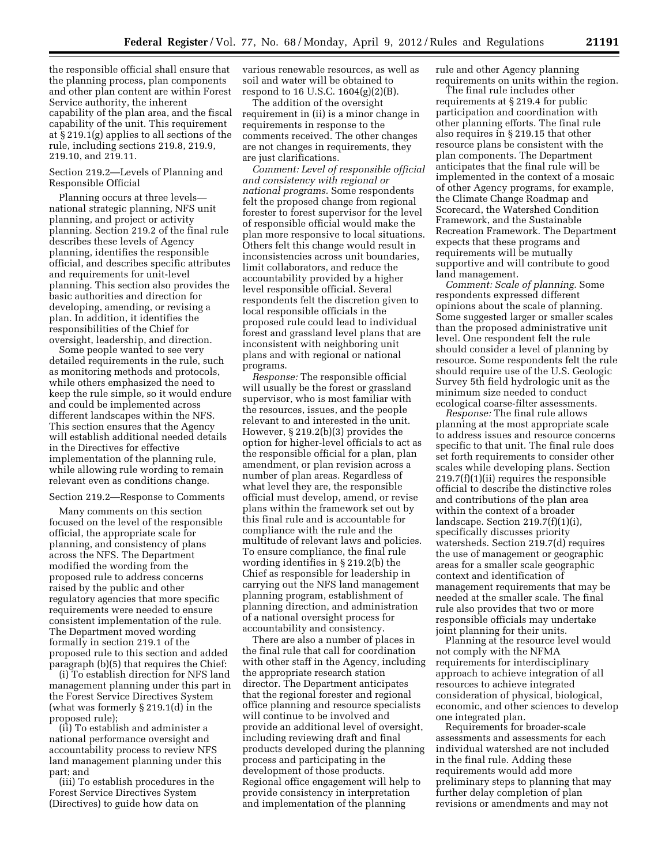the responsible official shall ensure that the planning process, plan components and other plan content are within Forest Service authority, the inherent capability of the plan area, and the fiscal capability of the unit. This requirement at § 219.1(g) applies to all sections of the rule, including sections 219.8, 219.9, 219.10, and 219.11.

# Section 219.2—Levels of Planning and Responsible Official

Planning occurs at three levels national strategic planning, NFS unit planning, and project or activity planning. Section 219.2 of the final rule describes these levels of Agency planning, identifies the responsible official, and describes specific attributes and requirements for unit-level planning. This section also provides the basic authorities and direction for developing, amending, or revising a plan. In addition, it identifies the responsibilities of the Chief for oversight, leadership, and direction.

Some people wanted to see very detailed requirements in the rule, such as monitoring methods and protocols, while others emphasized the need to keep the rule simple, so it would endure and could be implemented across different landscapes within the NFS. This section ensures that the Agency will establish additional needed details in the Directives for effective implementation of the planning rule, while allowing rule wording to remain relevant even as conditions change.

#### Section 219.2—Response to Comments

Many comments on this section focused on the level of the responsible official, the appropriate scale for planning, and consistency of plans across the NFS. The Department modified the wording from the proposed rule to address concerns raised by the public and other regulatory agencies that more specific requirements were needed to ensure consistent implementation of the rule. The Department moved wording formally in section 219.1 of the proposed rule to this section and added paragraph (b)(5) that requires the Chief:

(i) To establish direction for NFS land management planning under this part in the Forest Service Directives System (what was formerly § 219.1(d) in the proposed rule);

(ii) To establish and administer a national performance oversight and accountability process to review NFS land management planning under this part; and

(iii) To establish procedures in the Forest Service Directives System (Directives) to guide how data on

various renewable resources, as well as soil and water will be obtained to respond to 16 U.S.C. 1604(g)(2)(B).

The addition of the oversight requirement in (ii) is a minor change in requirements in response to the comments received. The other changes are not changes in requirements, they are just clarifications.

*Comment: Level of responsible official and consistency with regional or national programs.* Some respondents felt the proposed change from regional forester to forest supervisor for the level of responsible official would make the plan more responsive to local situations. Others felt this change would result in inconsistencies across unit boundaries, limit collaborators, and reduce the accountability provided by a higher level responsible official. Several respondents felt the discretion given to local responsible officials in the proposed rule could lead to individual forest and grassland level plans that are inconsistent with neighboring unit plans and with regional or national programs.

*Response:* The responsible official will usually be the forest or grassland supervisor, who is most familiar with the resources, issues, and the people relevant to and interested in the unit. However, § 219.2(b)(3) provides the option for higher-level officials to act as the responsible official for a plan, plan amendment, or plan revision across a number of plan areas. Regardless of what level they are, the responsible official must develop, amend, or revise plans within the framework set out by this final rule and is accountable for compliance with the rule and the multitude of relevant laws and policies. To ensure compliance, the final rule wording identifies in § 219.2(b) the Chief as responsible for leadership in carrying out the NFS land management planning program, establishment of planning direction, and administration of a national oversight process for accountability and consistency.

There are also a number of places in the final rule that call for coordination with other staff in the Agency, including the appropriate research station director. The Department anticipates that the regional forester and regional office planning and resource specialists will continue to be involved and provide an additional level of oversight, including reviewing draft and final products developed during the planning process and participating in the development of those products. Regional office engagement will help to provide consistency in interpretation and implementation of the planning

rule and other Agency planning requirements on units within the region.

The final rule includes other requirements at § 219.4 for public participation and coordination with other planning efforts. The final rule also requires in § 219.15 that other resource plans be consistent with the plan components. The Department anticipates that the final rule will be implemented in the context of a mosaic of other Agency programs, for example, the Climate Change Roadmap and Scorecard, the Watershed Condition Framework, and the Sustainable Recreation Framework. The Department expects that these programs and requirements will be mutually supportive and will contribute to good land management.

*Comment: Scale of planning.* Some respondents expressed different opinions about the scale of planning. Some suggested larger or smaller scales than the proposed administrative unit level. One respondent felt the rule should consider a level of planning by resource. Some respondents felt the rule should require use of the U.S. Geologic Survey 5th field hydrologic unit as the minimum size needed to conduct ecological coarse-filter assessments.

*Response:* The final rule allows planning at the most appropriate scale to address issues and resource concerns specific to that unit. The final rule does set forth requirements to consider other scales while developing plans. Section 219.7(f)(1)(ii) requires the responsible official to describe the distinctive roles and contributions of the plan area within the context of a broader landscape. Section 219.7(f)(1)(i), specifically discusses priority watersheds. Section 219.7(d) requires the use of management or geographic areas for a smaller scale geographic context and identification of management requirements that may be needed at the smaller scale. The final rule also provides that two or more responsible officials may undertake joint planning for their units.

Planning at the resource level would not comply with the NFMA requirements for interdisciplinary approach to achieve integration of all resources to achieve integrated consideration of physical, biological, economic, and other sciences to develop one integrated plan.

Requirements for broader-scale assessments and assessments for each individual watershed are not included in the final rule. Adding these requirements would add more preliminary steps to planning that may further delay completion of plan revisions or amendments and may not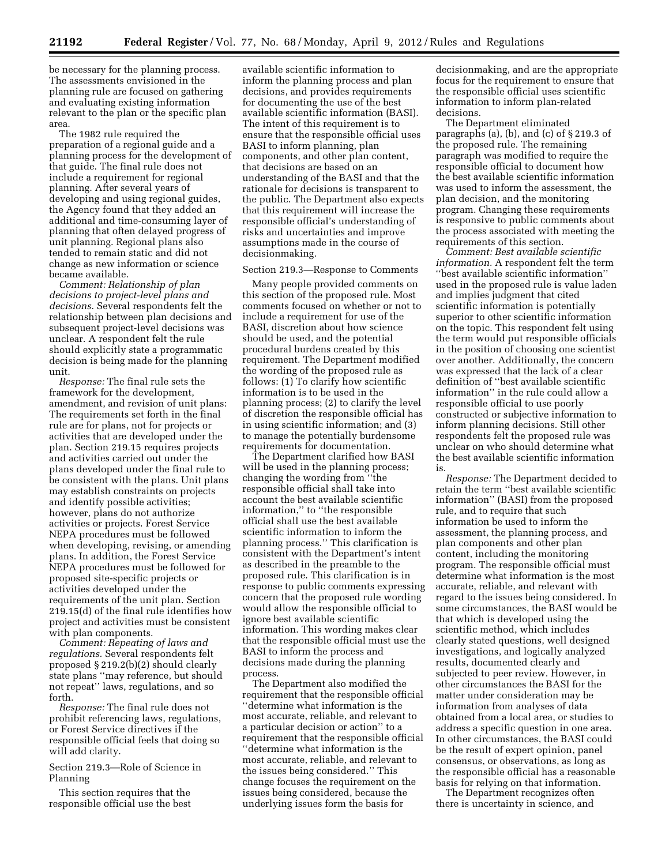be necessary for the planning process. The assessments envisioned in the planning rule are focused on gathering and evaluating existing information relevant to the plan or the specific plan area.

The 1982 rule required the preparation of a regional guide and a planning process for the development of that guide. The final rule does not include a requirement for regional planning. After several years of developing and using regional guides, the Agency found that they added an additional and time-consuming layer of planning that often delayed progress of unit planning. Regional plans also tended to remain static and did not change as new information or science became available.

*Comment: Relationship of plan decisions to project-level plans and decisions.* Several respondents felt the relationship between plan decisions and subsequent project-level decisions was unclear. A respondent felt the rule should explicitly state a programmatic decision is being made for the planning unit.

*Response:* The final rule sets the framework for the development, amendment, and revision of unit plans: The requirements set forth in the final rule are for plans, not for projects or activities that are developed under the plan. Section 219.15 requires projects and activities carried out under the plans developed under the final rule to be consistent with the plans. Unit plans may establish constraints on projects and identify possible activities; however, plans do not authorize activities or projects. Forest Service NEPA procedures must be followed when developing, revising, or amending plans. In addition, the Forest Service NEPA procedures must be followed for proposed site-specific projects or activities developed under the requirements of the unit plan. Section 219.15(d) of the final rule identifies how project and activities must be consistent with plan components.

*Comment: Repeating of laws and regulations.* Several respondents felt proposed § 219.2(b)(2) should clearly state plans ''may reference, but should not repeat'' laws, regulations, and so forth.

*Response:* The final rule does not prohibit referencing laws, regulations, or Forest Service directives if the responsible official feels that doing so will add clarity.

Section 219.3—Role of Science in Planning

This section requires that the responsible official use the best

available scientific information to inform the planning process and plan decisions, and provides requirements for documenting the use of the best available scientific information (BASI). The intent of this requirement is to ensure that the responsible official uses BASI to inform planning, plan components, and other plan content, that decisions are based on an understanding of the BASI and that the rationale for decisions is transparent to the public. The Department also expects that this requirement will increase the responsible official's understanding of risks and uncertainties and improve assumptions made in the course of decisionmaking.

Section 219.3—Response to Comments

Many people provided comments on this section of the proposed rule. Most comments focused on whether or not to include a requirement for use of the BASI, discretion about how science should be used, and the potential procedural burdens created by this requirement. The Department modified the wording of the proposed rule as follows: (1) To clarify how scientific information is to be used in the planning process; (2) to clarify the level of discretion the responsible official has in using scientific information; and (3) to manage the potentially burdensome requirements for documentation.

The Department clarified how BASI will be used in the planning process; changing the wording from ''the responsible official shall take into account the best available scientific information,'' to ''the responsible official shall use the best available scientific information to inform the planning process.'' This clarification is consistent with the Department's intent as described in the preamble to the proposed rule. This clarification is in response to public comments expressing concern that the proposed rule wording would allow the responsible official to ignore best available scientific information. This wording makes clear that the responsible official must use the BASI to inform the process and decisions made during the planning process.

The Department also modified the requirement that the responsible official ''determine what information is the most accurate, reliable, and relevant to a particular decision or action'' to a requirement that the responsible official ''determine what information is the most accurate, reliable, and relevant to the issues being considered.'' This change focuses the requirement on the issues being considered, because the underlying issues form the basis for

decisionmaking, and are the appropriate focus for the requirement to ensure that the responsible official uses scientific information to inform plan-related decisions.

The Department eliminated paragraphs (a), (b), and (c) of § 219.3 of the proposed rule. The remaining paragraph was modified to require the responsible official to document how the best available scientific information was used to inform the assessment, the plan decision, and the monitoring program. Changing these requirements is responsive to public comments about the process associated with meeting the requirements of this section.

*Comment: Best available scientific information.* A respondent felt the term ''best available scientific information'' used in the proposed rule is value laden and implies judgment that cited scientific information is potentially superior to other scientific information on the topic. This respondent felt using the term would put responsible officials in the position of choosing one scientist over another. Additionally, the concern was expressed that the lack of a clear definition of ''best available scientific information'' in the rule could allow a responsible official to use poorly constructed or subjective information to inform planning decisions. Still other respondents felt the proposed rule was unclear on who should determine what the best available scientific information is.

*Response:* The Department decided to retain the term ''best available scientific information'' (BASI) from the proposed rule, and to require that such information be used to inform the assessment, the planning process, and plan components and other plan content, including the monitoring program. The responsible official must determine what information is the most accurate, reliable, and relevant with regard to the issues being considered. In some circumstances, the BASI would be that which is developed using the scientific method, which includes clearly stated questions, well designed investigations, and logically analyzed results, documented clearly and subjected to peer review. However, in other circumstances the BASI for the matter under consideration may be information from analyses of data obtained from a local area, or studies to address a specific question in one area. In other circumstances, the BASI could be the result of expert opinion, panel consensus, or observations, as long as the responsible official has a reasonable basis for relying on that information.

The Department recognizes often there is uncertainty in science, and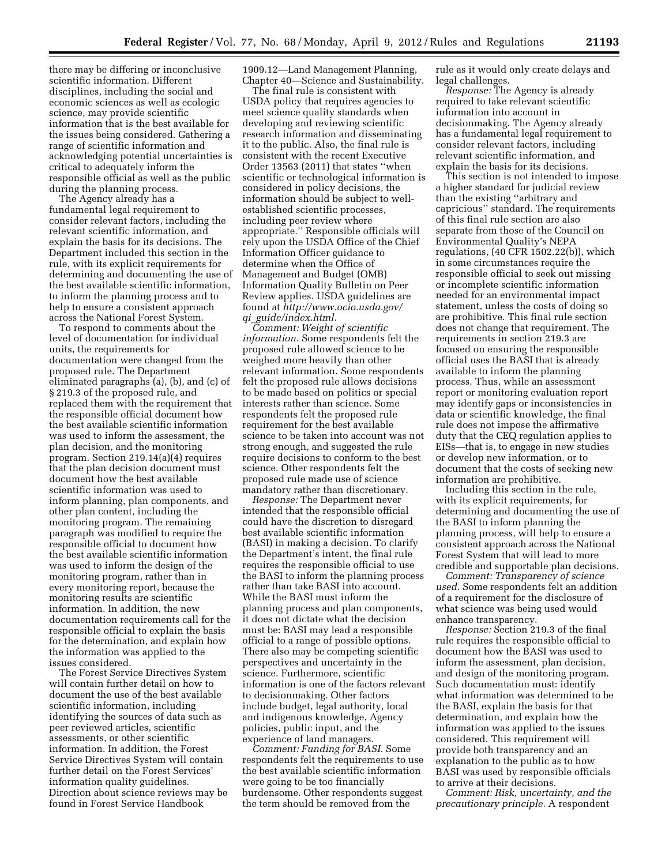there may be differing or inconclusive scientific information. Different disciplines, including the social and economic sciences as well as ecologic science, may provide scientific information that is the best available for the issues being considered. Gathering a range of scientific information and acknowledging potential uncertainties is critical to adequately inform the responsible official as well as the public during the planning process.

The Agency already has a fundamental legal requirement to consider relevant factors, including the relevant scientific information, and explain the basis for its decisions. The Department included this section in the rule, with its explicit requirements for determining and documenting the use of the best available scientific information, to inform the planning process and to help to ensure a consistent approach across the National Forest System.

To respond to comments about the level of documentation for individual units, the requirements for documentation were changed from the proposed rule. The Department eliminated paragraphs (a), (b), and (c) of § 219.3 of the proposed rule, and replaced them with the requirement that the responsible official document how the best available scientific information was used to inform the assessment, the plan decision, and the monitoring program. Section 219.14(a)(4) requires that the plan decision document must document how the best available scientific information was used to inform planning, plan components, and other plan content, including the monitoring program. The remaining paragraph was modified to require the responsible official to document how the best available scientific information was used to inform the design of the monitoring program, rather than in every monitoring report, because the monitoring results are scientific information. In addition, the new documentation requirements call for the responsible official to explain the basis for the determination, and explain how the information was applied to the issues considered.

The Forest Service Directives System will contain further detail on how to document the use of the best available scientific information, including identifying the sources of data such as peer reviewed articles, scientific assessments, or other scientific information. In addition, the Forest Service Directives System will contain further detail on the Forest Services' information quality guidelines. Direction about science reviews may be found in Forest Service Handbook

1909.12—Land Management Planning, Chapter 40—Science and Sustainability.

The final rule is consistent with USDA policy that requires agencies to meet science quality standards when developing and reviewing scientific research information and disseminating it to the public. Also, the final rule is consistent with the recent Executive Order 13563 (2011) that states ''when scientific or technological information is considered in policy decisions, the information should be subject to wellestablished scientific processes, including peer review where appropriate.'' Responsible officials will rely upon the USDA Office of the Chief Information Officer guidance to determine when the Office of Management and Budget (OMB) Information Quality Bulletin on Peer Review applies. USDA guidelines are found at *[http://www.ocio.usda.gov/](http://www.ocio.usda.gov/qi_guide/index.htm)  qi*\_*[guide/index.html.](http://www.ocio.usda.gov/qi_guide/index.htm)* 

*Comment: Weight of scientific information.* Some respondents felt the proposed rule allowed science to be weighed more heavily than other relevant information. Some respondents felt the proposed rule allows decisions to be made based on politics or special interests rather than science. Some respondents felt the proposed rule requirement for the best available science to be taken into account was not strong enough, and suggested the rule require decisions to conform to the best science. Other respondents felt the proposed rule made use of science mandatory rather than discretionary.

*Response:* The Department never intended that the responsible official could have the discretion to disregard best available scientific information (BASI) in making a decision. To clarify the Department's intent, the final rule requires the responsible official to use the BASI to inform the planning process rather than take BASI into account. While the BASI must inform the planning process and plan components, it does not dictate what the decision must be: BASI may lead a responsible official to a range of possible options. There also may be competing scientific perspectives and uncertainty in the science. Furthermore, scientific information is one of the factors relevant to decisionmaking. Other factors include budget, legal authority, local and indigenous knowledge, Agency policies, public input, and the experience of land managers.

*Comment: Funding for BASI.* Some respondents felt the requirements to use the best available scientific information were going to be too financially burdensome. Other respondents suggest the term should be removed from the

rule as it would only create delays and legal challenges.

*Response:* The Agency is already required to take relevant scientific information into account in decisionmaking. The Agency already has a fundamental legal requirement to consider relevant factors, including relevant scientific information, and explain the basis for its decisions.

This section is not intended to impose a higher standard for judicial review than the existing ''arbitrary and capricious'' standard. The requirements of this final rule section are also separate from those of the Council on Environmental Quality's NEPA regulations, (40 CFR 1502.22(b)), which in some circumstances require the responsible official to seek out missing or incomplete scientific information needed for an environmental impact statement, unless the costs of doing so are prohibitive. This final rule section does not change that requirement. The requirements in section 219.3 are focused on ensuring the responsible official uses the BASI that is already available to inform the planning process. Thus, while an assessment report or monitoring evaluation report may identify gaps or inconsistencies in data or scientific knowledge, the final rule does not impose the affirmative duty that the CEQ regulation applies to EISs—that is, to engage in new studies or develop new information, or to document that the costs of seeking new information are prohibitive.

Including this section in the rule, with its explicit requirements, for determining and documenting the use of the BASI to inform planning the planning process, will help to ensure a consistent approach across the National Forest System that will lead to more credible and supportable plan decisions.

*Comment: Transparency of science used.* Some respondents felt an addition of a requirement for the disclosure of what science was being used would enhance transparency.

*Response:* Section 219.3 of the final rule requires the responsible official to document how the BASI was used to inform the assessment, plan decision, and design of the monitoring program. Such documentation must: identify what information was determined to be the BASI, explain the basis for that determination, and explain how the information was applied to the issues considered. This requirement will provide both transparency and an explanation to the public as to how BASI was used by responsible officials to arrive at their decisions.

*Comment: Risk, uncertainty, and the precautionary principle.* A respondent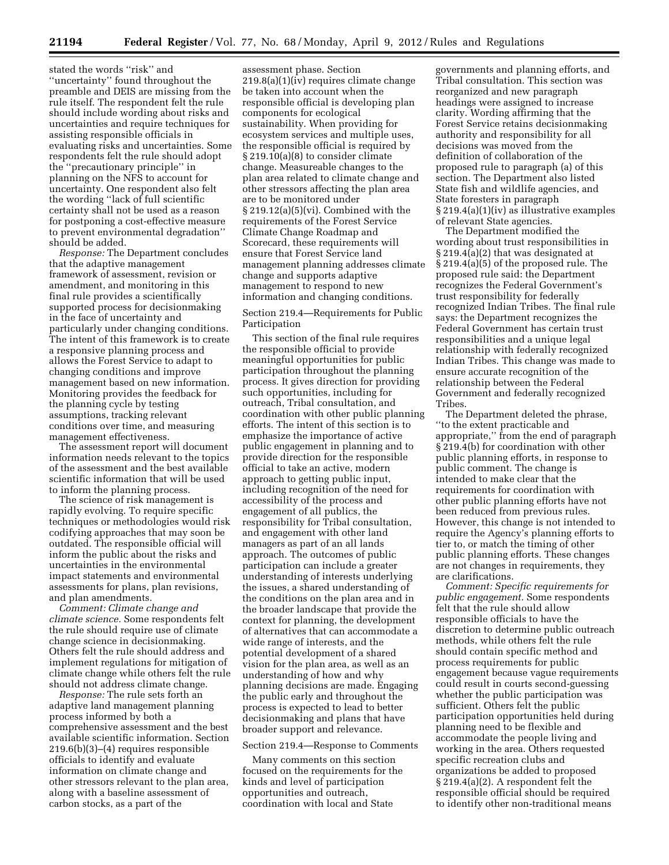stated the words ''risk'' and ''uncertainty'' found throughout the preamble and DEIS are missing from the rule itself. The respondent felt the rule should include wording about risks and uncertainties and require techniques for assisting responsible officials in evaluating risks and uncertainties. Some respondents felt the rule should adopt the ''precautionary principle'' in planning on the NFS to account for uncertainty. One respondent also felt the wording ''lack of full scientific certainty shall not be used as a reason for postponing a cost-effective measure to prevent environmental degradation'' should be added.

*Response:* The Department concludes that the adaptive management framework of assessment, revision or amendment, and monitoring in this final rule provides a scientifically supported process for decisionmaking in the face of uncertainty and particularly under changing conditions. The intent of this framework is to create a responsive planning process and allows the Forest Service to adapt to changing conditions and improve management based on new information. Monitoring provides the feedback for the planning cycle by testing assumptions, tracking relevant conditions over time, and measuring management effectiveness.

The assessment report will document information needs relevant to the topics of the assessment and the best available scientific information that will be used to inform the planning process.

The science of risk management is rapidly evolving. To require specific techniques or methodologies would risk codifying approaches that may soon be outdated. The responsible official will inform the public about the risks and uncertainties in the environmental impact statements and environmental assessments for plans, plan revisions, and plan amendments.

*Comment: Climate change and climate science.* Some respondents felt the rule should require use of climate change science in decisionmaking. Others felt the rule should address and implement regulations for mitigation of climate change while others felt the rule should not address climate change.

*Response:* The rule sets forth an adaptive land management planning process informed by both a comprehensive assessment and the best available scientific information. Section 219.6(b)(3)–(4) requires responsible officials to identify and evaluate information on climate change and other stressors relevant to the plan area, along with a baseline assessment of carbon stocks, as a part of the

assessment phase. Section  $219.8(a)(1)(iv)$  requires climate change be taken into account when the responsible official is developing plan components for ecological sustainability. When providing for ecosystem services and multiple uses, the responsible official is required by § 219.10(a)(8) to consider climate change. Measureable changes to the plan area related to climate change and other stressors affecting the plan area are to be monitored under § 219.12(a)(5)(vi). Combined with the requirements of the Forest Service Climate Change Roadmap and Scorecard, these requirements will ensure that Forest Service land management planning addresses climate change and supports adaptive management to respond to new information and changing conditions.

Section 219.4—Requirements for Public Participation

This section of the final rule requires the responsible official to provide meaningful opportunities for public participation throughout the planning process. It gives direction for providing such opportunities, including for outreach, Tribal consultation, and coordination with other public planning efforts. The intent of this section is to emphasize the importance of active public engagement in planning and to provide direction for the responsible official to take an active, modern approach to getting public input, including recognition of the need for accessibility of the process and engagement of all publics, the responsibility for Tribal consultation, and engagement with other land managers as part of an all lands approach. The outcomes of public participation can include a greater understanding of interests underlying the issues, a shared understanding of the conditions on the plan area and in the broader landscape that provide the context for planning, the development of alternatives that can accommodate a wide range of interests, and the potential development of a shared vision for the plan area, as well as an understanding of how and why planning decisions are made. Engaging the public early and throughout the process is expected to lead to better decisionmaking and plans that have broader support and relevance.

#### Section 219.4—Response to Comments

Many comments on this section focused on the requirements for the kinds and level of participation opportunities and outreach, coordination with local and State

governments and planning efforts, and Tribal consultation. This section was reorganized and new paragraph headings were assigned to increase clarity. Wording affirming that the Forest Service retains decisionmaking authority and responsibility for all decisions was moved from the definition of collaboration of the proposed rule to paragraph (a) of this section. The Department also listed State fish and wildlife agencies, and State foresters in paragraph § 219.4(a)(1)(iv) as illustrative examples of relevant State agencies.

The Department modified the wording about trust responsibilities in § 219.4(a)(2) that was designated at § 219.4(a)(5) of the proposed rule. The proposed rule said: the Department recognizes the Federal Government's trust responsibility for federally recognized Indian Tribes. The final rule says: the Department recognizes the Federal Government has certain trust responsibilities and a unique legal relationship with federally recognized Indian Tribes. This change was made to ensure accurate recognition of the relationship between the Federal Government and federally recognized Tribes.

The Department deleted the phrase, ''to the extent practicable and appropriate,'' from the end of paragraph § 219.4(b) for coordination with other public planning efforts, in response to public comment. The change is intended to make clear that the requirements for coordination with other public planning efforts have not been reduced from previous rules. However, this change is not intended to require the Agency's planning efforts to tier to, or match the timing of other public planning efforts. These changes are not changes in requirements, they are clarifications.

*Comment: Specific requirements for public engagement.* Some respondents felt that the rule should allow responsible officials to have the discretion to determine public outreach methods, while others felt the rule should contain specific method and process requirements for public engagement because vague requirements could result in courts second-guessing whether the public participation was sufficient. Others felt the public participation opportunities held during planning need to be flexible and accommodate the people living and working in the area. Others requested specific recreation clubs and organizations be added to proposed § 219.4(a)(2). A respondent felt the responsible official should be required to identify other non-traditional means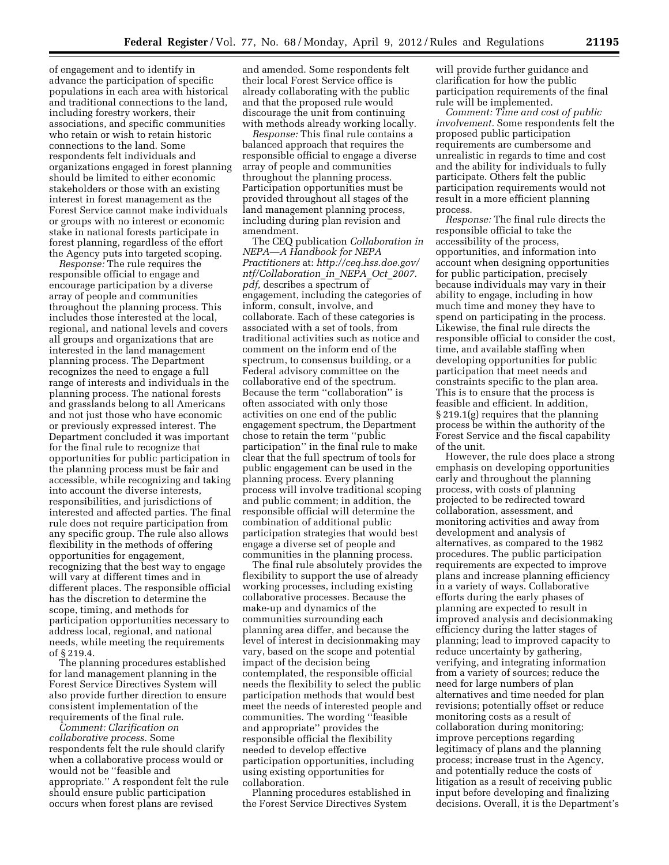of engagement and to identify in advance the participation of specific populations in each area with historical and traditional connections to the land, including forestry workers, their associations, and specific communities who retain or wish to retain historic connections to the land. Some respondents felt individuals and organizations engaged in forest planning should be limited to either economic stakeholders or those with an existing interest in forest management as the Forest Service cannot make individuals or groups with no interest or economic stake in national forests participate in forest planning, regardless of the effort the Agency puts into targeted scoping.

*Response:* The rule requires the responsible official to engage and encourage participation by a diverse array of people and communities throughout the planning process. This includes those interested at the local, regional, and national levels and covers all groups and organizations that are interested in the land management planning process. The Department recognizes the need to engage a full range of interests and individuals in the planning process. The national forests and grasslands belong to all Americans and not just those who have economic or previously expressed interest. The Department concluded it was important for the final rule to recognize that opportunities for public participation in the planning process must be fair and accessible, while recognizing and taking into account the diverse interests, responsibilities, and jurisdictions of interested and affected parties. The final rule does not require participation from any specific group. The rule also allows flexibility in the methods of offering opportunities for engagement, recognizing that the best way to engage will vary at different times and in different places. The responsible official has the discretion to determine the scope, timing, and methods for participation opportunities necessary to address local, regional, and national needs, while meeting the requirements of § 219.4.

The planning procedures established for land management planning in the Forest Service Directives System will also provide further direction to ensure consistent implementation of the requirements of the final rule.

*Comment: Clarification on collaborative process.* Some respondents felt the rule should clarify when a collaborative process would or would not be ''feasible and appropriate.'' A respondent felt the rule should ensure public participation occurs when forest plans are revised

and amended. Some respondents felt their local Forest Service office is already collaborating with the public and that the proposed rule would discourage the unit from continuing with methods already working locally.

*Response:* This final rule contains a balanced approach that requires the responsible official to engage a diverse array of people and communities throughout the planning process. Participation opportunities must be provided throughout all stages of the land management planning process, including during plan revision and amendment.

The CEQ publication *Collaboration in NEPA—A Handbook for NEPA Practitioners* at: *[http://ceq.hss.doe.gov/](http://ceq.hss.doe.gov/ntf/Collaboration_in_NEPA_Oct_2007.pdf) [ntf/Collaboration](http://ceq.hss.doe.gov/ntf/Collaboration_in_NEPA_Oct_2007.pdf)*\_*in*\_*NEPA*\_*Oct*\_*2007.* [pdf,](http://ceq.hss.doe.gov/ntf/Collaboration_in_NEPA_Oct_2007.pdf) describes a spectrum of engagement, including the categories of inform, consult, involve, and collaborate. Each of these categories is associated with a set of tools, from traditional activities such as notice and comment on the inform end of the spectrum, to consensus building, or a Federal advisory committee on the collaborative end of the spectrum. Because the term ''collaboration'' is often associated with only those activities on one end of the public engagement spectrum, the Department chose to retain the term ''public participation'' in the final rule to make clear that the full spectrum of tools for public engagement can be used in the planning process. Every planning process will involve traditional scoping and public comment; in addition, the responsible official will determine the combination of additional public participation strategies that would best engage a diverse set of people and communities in the planning process.

The final rule absolutely provides the flexibility to support the use of already working processes, including existing collaborative processes. Because the make-up and dynamics of the communities surrounding each planning area differ, and because the level of interest in decisionmaking may vary, based on the scope and potential impact of the decision being contemplated, the responsible official needs the flexibility to select the public participation methods that would best meet the needs of interested people and communities. The wording ''feasible and appropriate'' provides the responsible official the flexibility needed to develop effective participation opportunities, including using existing opportunities for collaboration.

Planning procedures established in the Forest Service Directives System

will provide further guidance and clarification for how the public participation requirements of the final rule will be implemented.

*Comment: Time and cost of public involvement.* Some respondents felt the proposed public participation requirements are cumbersome and unrealistic in regards to time and cost and the ability for individuals to fully participate. Others felt the public participation requirements would not result in a more efficient planning process.

*Response:* The final rule directs the responsible official to take the accessibility of the process, opportunities, and information into account when designing opportunities for public participation, precisely because individuals may vary in their ability to engage, including in how much time and money they have to spend on participating in the process. Likewise, the final rule directs the responsible official to consider the cost, time, and available staffing when developing opportunities for public participation that meet needs and constraints specific to the plan area. This is to ensure that the process is feasible and efficient. In addition, § 219.1(g) requires that the planning process be within the authority of the Forest Service and the fiscal capability of the unit.

However, the rule does place a strong emphasis on developing opportunities early and throughout the planning process, with costs of planning projected to be redirected toward collaboration, assessment, and monitoring activities and away from development and analysis of alternatives, as compared to the 1982 procedures. The public participation requirements are expected to improve plans and increase planning efficiency in a variety of ways. Collaborative efforts during the early phases of planning are expected to result in improved analysis and decisionmaking efficiency during the latter stages of planning; lead to improved capacity to reduce uncertainty by gathering, verifying, and integrating information from a variety of sources; reduce the need for large numbers of plan alternatives and time needed for plan revisions; potentially offset or reduce monitoring costs as a result of collaboration during monitoring; improve perceptions regarding legitimacy of plans and the planning process; increase trust in the Agency, and potentially reduce the costs of litigation as a result of receiving public input before developing and finalizing decisions. Overall, it is the Department's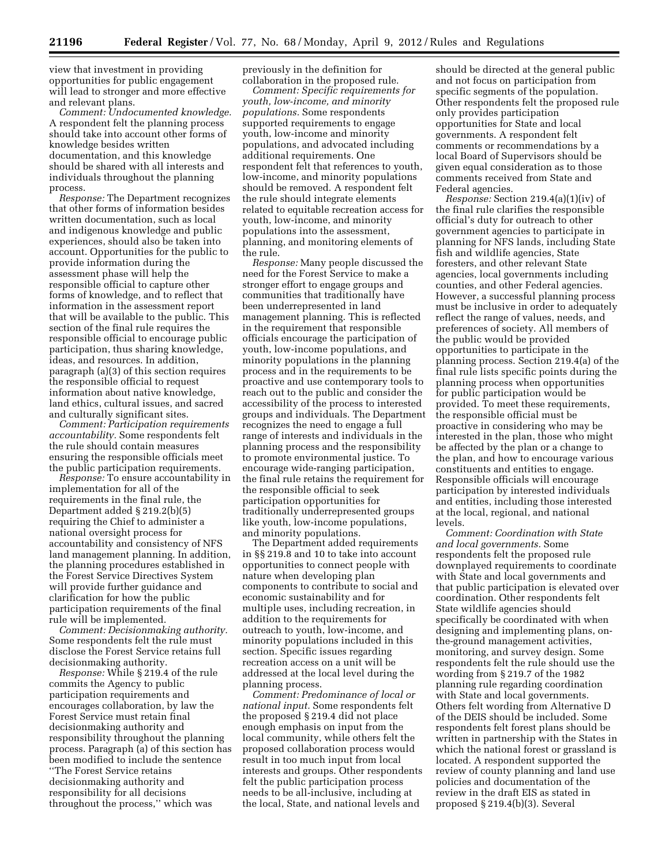view that investment in providing opportunities for public engagement will lead to stronger and more effective and relevant plans.

*Comment: Undocumented knowledge.*  A respondent felt the planning process should take into account other forms of knowledge besides written documentation, and this knowledge should be shared with all interests and individuals throughout the planning process.

*Response:* The Department recognizes that other forms of information besides written documentation, such as local and indigenous knowledge and public experiences, should also be taken into account. Opportunities for the public to provide information during the assessment phase will help the responsible official to capture other forms of knowledge, and to reflect that information in the assessment report that will be available to the public. This section of the final rule requires the responsible official to encourage public participation, thus sharing knowledge, ideas, and resources. In addition, paragraph (a)(3) of this section requires the responsible official to request information about native knowledge, land ethics, cultural issues, and sacred and culturally significant sites.

*Comment: Participation requirements accountability.* Some respondents felt the rule should contain measures ensuring the responsible officials meet the public participation requirements.

*Response:* To ensure accountability in implementation for all of the requirements in the final rule, the Department added § 219.2(b)(5) requiring the Chief to administer a national oversight process for accountability and consistency of NFS land management planning. In addition, the planning procedures established in the Forest Service Directives System will provide further guidance and clarification for how the public participation requirements of the final rule will be implemented.

*Comment: Decisionmaking authority.*  Some respondents felt the rule must disclose the Forest Service retains full decisionmaking authority.

*Response:* While § 219.4 of the rule commits the Agency to public participation requirements and encourages collaboration, by law the Forest Service must retain final decisionmaking authority and responsibility throughout the planning process. Paragraph (a) of this section has been modified to include the sentence ''The Forest Service retains decisionmaking authority and responsibility for all decisions throughout the process,'' which was

previously in the definition for collaboration in the proposed rule.

*Comment: Specific requirements for youth, low-income, and minority populations.* Some respondents supported requirements to engage youth, low-income and minority populations, and advocated including additional requirements. One respondent felt that references to youth, low-income, and minority populations should be removed. A respondent felt the rule should integrate elements related to equitable recreation access for youth, low-income, and minority populations into the assessment, planning, and monitoring elements of the rule.

*Response:* Many people discussed the need for the Forest Service to make a stronger effort to engage groups and communities that traditionally have been underrepresented in land management planning. This is reflected in the requirement that responsible officials encourage the participation of youth, low-income populations, and minority populations in the planning process and in the requirements to be proactive and use contemporary tools to reach out to the public and consider the accessibility of the process to interested groups and individuals. The Department recognizes the need to engage a full range of interests and individuals in the planning process and the responsibility to promote environmental justice. To encourage wide-ranging participation, the final rule retains the requirement for the responsible official to seek participation opportunities for traditionally underrepresented groups like youth, low-income populations, and minority populations.

The Department added requirements in §§ 219.8 and 10 to take into account opportunities to connect people with nature when developing plan components to contribute to social and economic sustainability and for multiple uses, including recreation, in addition to the requirements for outreach to youth, low-income, and minority populations included in this section. Specific issues regarding recreation access on a unit will be addressed at the local level during the planning process.

*Comment: Predominance of local or national input.* Some respondents felt the proposed § 219.4 did not place enough emphasis on input from the local community, while others felt the proposed collaboration process would result in too much input from local interests and groups. Other respondents felt the public participation process needs to be all-inclusive, including at the local, State, and national levels and

should be directed at the general public and not focus on participation from specific segments of the population. Other respondents felt the proposed rule only provides participation opportunities for State and local governments. A respondent felt comments or recommendations by a local Board of Supervisors should be given equal consideration as to those comments received from State and Federal agencies.

*Response:* Section 219.4(a)(1)(iv) of the final rule clarifies the responsible official's duty for outreach to other government agencies to participate in planning for NFS lands, including State fish and wildlife agencies, State foresters, and other relevant State agencies, local governments including counties, and other Federal agencies. However, a successful planning process must be inclusive in order to adequately reflect the range of values, needs, and preferences of society. All members of the public would be provided opportunities to participate in the planning process. Section 219.4(a) of the final rule lists specific points during the planning process when opportunities for public participation would be provided. To meet these requirements, the responsible official must be proactive in considering who may be interested in the plan, those who might be affected by the plan or a change to the plan, and how to encourage various constituents and entities to engage. Responsible officials will encourage participation by interested individuals and entities, including those interested at the local, regional, and national levels.

*Comment: Coordination with State and local governments.* Some respondents felt the proposed rule downplayed requirements to coordinate with State and local governments and that public participation is elevated over coordination. Other respondents felt State wildlife agencies should specifically be coordinated with when designing and implementing plans, onthe-ground management activities, monitoring, and survey design. Some respondents felt the rule should use the wording from § 219.7 of the 1982 planning rule regarding coordination with State and local governments. Others felt wording from Alternative D of the DEIS should be included. Some respondents felt forest plans should be written in partnership with the States in which the national forest or grassland is located. A respondent supported the review of county planning and land use policies and documentation of the review in the draft EIS as stated in proposed § 219.4(b)(3). Several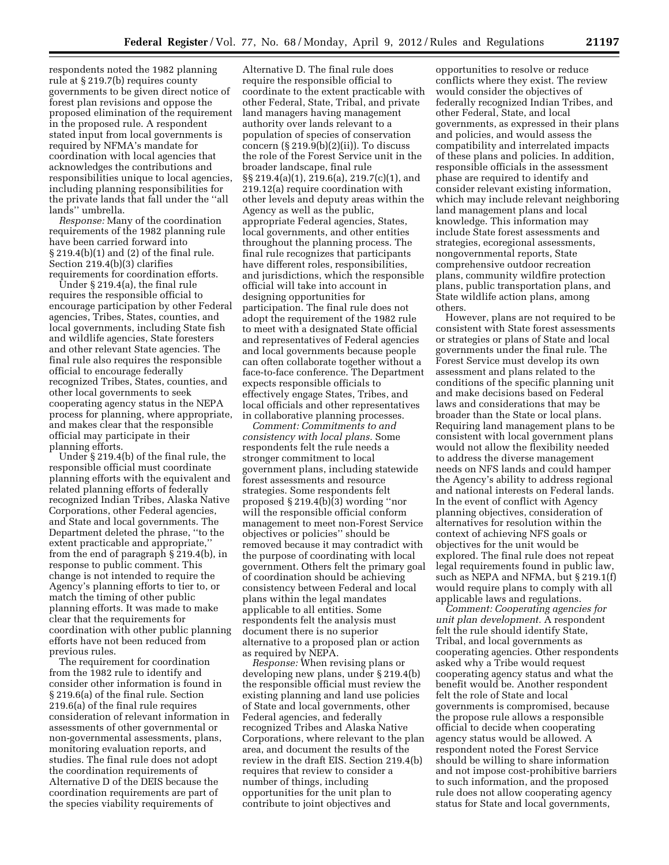respondents noted the 1982 planning rule at § 219.7(b) requires county governments to be given direct notice of forest plan revisions and oppose the proposed elimination of the requirement in the proposed rule. A respondent stated input from local governments is required by NFMA's mandate for coordination with local agencies that acknowledges the contributions and responsibilities unique to local agencies, including planning responsibilities for the private lands that fall under the ''all lands'' umbrella.

*Response:* Many of the coordination requirements of the 1982 planning rule have been carried forward into § 219.4(b)(1) and (2) of the final rule. Section 219.4(b)(3) clarifies requirements for coordination efforts.

Under § 219.4(a), the final rule requires the responsible official to encourage participation by other Federal agencies, Tribes, States, counties, and local governments, including State fish and wildlife agencies, State foresters and other relevant State agencies. The final rule also requires the responsible official to encourage federally recognized Tribes, States, counties, and other local governments to seek cooperating agency status in the NEPA process for planning, where appropriate, and makes clear that the responsible official may participate in their planning efforts.

Under § 219.4(b) of the final rule, the responsible official must coordinate planning efforts with the equivalent and related planning efforts of federally recognized Indian Tribes, Alaska Native Corporations, other Federal agencies, and State and local governments. The Department deleted the phrase, ''to the extent practicable and appropriate,'' from the end of paragraph § 219.4(b), in response to public comment. This change is not intended to require the Agency's planning efforts to tier to, or match the timing of other public planning efforts. It was made to make clear that the requirements for coordination with other public planning efforts have not been reduced from previous rules.

The requirement for coordination from the 1982 rule to identify and consider other information is found in § 219.6(a) of the final rule. Section 219.6(a) of the final rule requires consideration of relevant information in assessments of other governmental or non-governmental assessments, plans, monitoring evaluation reports, and studies. The final rule does not adopt the coordination requirements of Alternative D of the DEIS because the coordination requirements are part of the species viability requirements of

Alternative D. The final rule does require the responsible official to coordinate to the extent practicable with other Federal, State, Tribal, and private land managers having management authority over lands relevant to a population of species of conservation concern (§ 219.9(b)(2)(ii)). To discuss the role of the Forest Service unit in the broader landscape, final rule §§ 219.4(a)(1), 219.6(a), 219.7(c)(1), and 219.12(a) require coordination with other levels and deputy areas within the Agency as well as the public, appropriate Federal agencies, States, local governments, and other entities throughout the planning process. The final rule recognizes that participants have different roles, responsibilities, and jurisdictions, which the responsible official will take into account in designing opportunities for participation. The final rule does not adopt the requirement of the 1982 rule to meet with a designated State official and representatives of Federal agencies and local governments because people can often collaborate together without a face-to-face conference. The Department expects responsible officials to effectively engage States, Tribes, and local officials and other representatives in collaborative planning processes.

*Comment: Commitments to and consistency with local plans.* Some respondents felt the rule needs a stronger commitment to local government plans, including statewide forest assessments and resource strategies. Some respondents felt proposed § 219.4(b)(3) wording ''nor will the responsible official conform management to meet non-Forest Service objectives or policies'' should be removed because it may contradict with the purpose of coordinating with local government. Others felt the primary goal of coordination should be achieving consistency between Federal and local plans within the legal mandates applicable to all entities. Some respondents felt the analysis must document there is no superior alternative to a proposed plan or action as required by NEPA.

*Response:* When revising plans or developing new plans, under § 219.4(b) the responsible official must review the existing planning and land use policies of State and local governments, other Federal agencies, and federally recognized Tribes and Alaska Native Corporations, where relevant to the plan area, and document the results of the review in the draft EIS. Section 219.4(b) requires that review to consider a number of things, including opportunities for the unit plan to contribute to joint objectives and

opportunities to resolve or reduce conflicts where they exist. The review would consider the objectives of federally recognized Indian Tribes, and other Federal, State, and local governments, as expressed in their plans and policies, and would assess the compatibility and interrelated impacts of these plans and policies. In addition, responsible officials in the assessment phase are required to identify and consider relevant existing information, which may include relevant neighboring land management plans and local knowledge. This information may include State forest assessments and strategies, ecoregional assessments, nongovernmental reports, State comprehensive outdoor recreation plans, community wildfire protection plans, public transportation plans, and State wildlife action plans, among others.

However, plans are not required to be consistent with State forest assessments or strategies or plans of State and local governments under the final rule. The Forest Service must develop its own assessment and plans related to the conditions of the specific planning unit and make decisions based on Federal laws and considerations that may be broader than the State or local plans. Requiring land management plans to be consistent with local government plans would not allow the flexibility needed to address the diverse management needs on NFS lands and could hamper the Agency's ability to address regional and national interests on Federal lands. In the event of conflict with Agency planning objectives, consideration of alternatives for resolution within the context of achieving NFS goals or objectives for the unit would be explored. The final rule does not repeat legal requirements found in public law, such as NEPA and NFMA, but § 219.1(f) would require plans to comply with all applicable laws and regulations.

*Comment: Cooperating agencies for unit plan development.* A respondent felt the rule should identify State, Tribal, and local governments as cooperating agencies. Other respondents asked why a Tribe would request cooperating agency status and what the benefit would be. Another respondent felt the role of State and local governments is compromised, because the propose rule allows a responsible official to decide when cooperating agency status would be allowed. A respondent noted the Forest Service should be willing to share information and not impose cost-prohibitive barriers to such information, and the proposed rule does not allow cooperating agency status for State and local governments,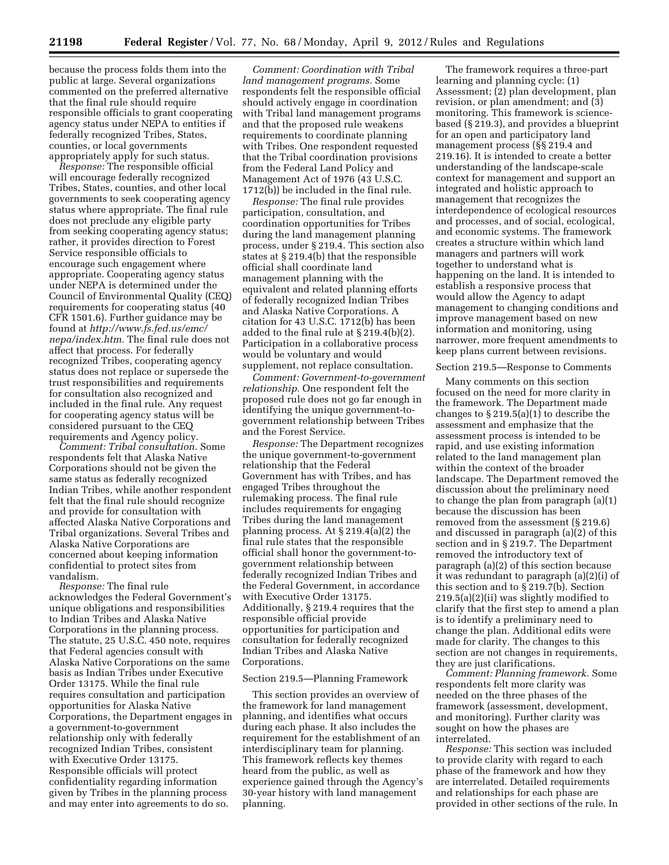because the process folds them into the public at large. Several organizations commented on the preferred alternative that the final rule should require responsible officials to grant cooperating agency status under NEPA to entities if federally recognized Tribes, States, counties, or local governments appropriately apply for such status.

*Response:* The responsible official will encourage federally recognized Tribes, States, counties, and other local governments to seek cooperating agency status where appropriate. The final rule does not preclude any eligible party from seeking cooperating agency status; rather, it provides direction to Forest Service responsible officials to encourage such engagement where appropriate. Cooperating agency status under NEPA is determined under the Council of Environmental Quality (CEQ) requirements for cooperating status (40 CFR 1501.6). Further guidance may be found at *[http://www.fs.fed.us/emc/](http://www.fs.fed.us/emc/nepa/index.htm) [nepa/index.htm.](http://www.fs.fed.us/emc/nepa/index.htm)* The final rule does not affect that process. For federally recognized Tribes, cooperating agency status does not replace or supersede the trust responsibilities and requirements for consultation also recognized and included in the final rule. Any request for cooperating agency status will be considered pursuant to the CEQ requirements and Agency policy.

*Comment: Tribal consultation.* Some respondents felt that Alaska Native Corporations should not be given the same status as federally recognized Indian Tribes, while another respondent felt that the final rule should recognize and provide for consultation with affected Alaska Native Corporations and Tribal organizations. Several Tribes and Alaska Native Corporations are concerned about keeping information confidential to protect sites from vandalism.

*Response:* The final rule acknowledges the Federal Government's unique obligations and responsibilities to Indian Tribes and Alaska Native Corporations in the planning process. The statute, 25 U.S.C. 450 note, requires that Federal agencies consult with Alaska Native Corporations on the same basis as Indian Tribes under Executive Order 13175. While the final rule requires consultation and participation opportunities for Alaska Native Corporations, the Department engages in a government-to-government relationship only with federally recognized Indian Tribes, consistent with Executive Order 13175. Responsible officials will protect confidentiality regarding information given by Tribes in the planning process and may enter into agreements to do so.

*Comment: Coordination with Tribal land management programs.* Some respondents felt the responsible official should actively engage in coordination with Tribal land management programs and that the proposed rule weakens requirements to coordinate planning with Tribes. One respondent requested that the Tribal coordination provisions from the Federal Land Policy and Management Act of 1976 (43 U.S.C. 1712(b)) be included in the final rule.

*Response:* The final rule provides participation, consultation, and coordination opportunities for Tribes during the land management planning process, under § 219.4. This section also states at § 219.4(b) that the responsible official shall coordinate land management planning with the equivalent and related planning efforts of federally recognized Indian Tribes and Alaska Native Corporations. A citation for 43 U.S.C. 1712(b) has been added to the final rule at § 219.4(b)(2). Participation in a collaborative process would be voluntary and would supplement, not replace consultation.

*Comment: Government-to-government relationship.* One respondent felt the proposed rule does not go far enough in identifying the unique government-togovernment relationship between Tribes and the Forest Service.

*Response:* The Department recognizes the unique government-to-government relationship that the Federal Government has with Tribes, and has engaged Tribes throughout the rulemaking process. The final rule includes requirements for engaging Tribes during the land management planning process. At § 219.4(a)(2) the final rule states that the responsible official shall honor the government-togovernment relationship between federally recognized Indian Tribes and the Federal Government, in accordance with Executive Order 13175. Additionally, § 219.4 requires that the responsible official provide opportunities for participation and consultation for federally recognized Indian Tribes and Alaska Native Corporations.

### Section 219.5—Planning Framework

This section provides an overview of the framework for land management planning, and identifies what occurs during each phase. It also includes the requirement for the establishment of an interdisciplinary team for planning. This framework reflects key themes heard from the public, as well as experience gained through the Agency's 30-year history with land management planning.

The framework requires a three-part learning and planning cycle: (1) Assessment; (2) plan development, plan revision, or plan amendment; and (3) monitoring. This framework is sciencebased (§ 219.3), and provides a blueprint for an open and participatory land management process (§§ 219.4 and 219.16). It is intended to create a better understanding of the landscape-scale context for management and support an integrated and holistic approach to management that recognizes the interdependence of ecological resources and processes, and of social, ecological, and economic systems. The framework creates a structure within which land managers and partners will work together to understand what is happening on the land. It is intended to establish a responsive process that would allow the Agency to adapt management to changing conditions and improve management based on new information and monitoring, using narrower, more frequent amendments to keep plans current between revisions.

#### Section 219.5—Response to Comments

Many comments on this section focused on the need for more clarity in the framework. The Department made changes to § 219.5(a)(1) to describe the assessment and emphasize that the assessment process is intended to be rapid, and use existing information related to the land management plan within the context of the broader landscape. The Department removed the discussion about the preliminary need to change the plan from paragraph (a)(1) because the discussion has been removed from the assessment (§ 219.6) and discussed in paragraph (a)(2) of this section and in § 219.7. The Department removed the introductory text of paragraph (a)(2) of this section because it was redundant to paragraph (a)(2)(i) of this section and to § 219.7(b). Section 219.5(a)(2)(ii) was slightly modified to clarify that the first step to amend a plan is to identify a preliminary need to change the plan. Additional edits were made for clarity. The changes to this section are not changes in requirements, they are just clarifications.

*Comment: Planning framework.* Some respondents felt more clarity was needed on the three phases of the framework (assessment, development, and monitoring). Further clarity was sought on how the phases are interrelated.

*Response:* This section was included to provide clarity with regard to each phase of the framework and how they are interrelated. Detailed requirements and relationships for each phase are provided in other sections of the rule. In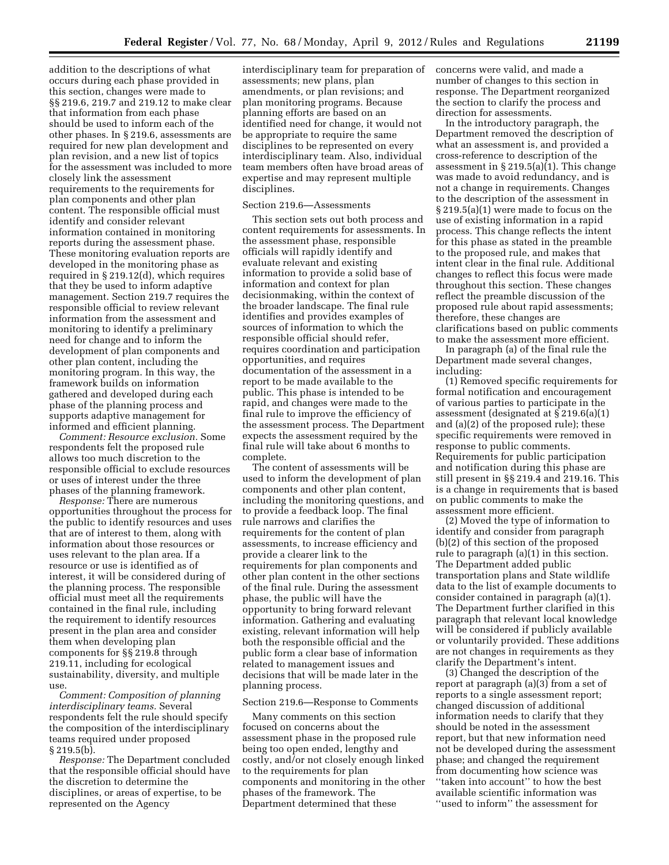addition to the descriptions of what occurs during each phase provided in this section, changes were made to §§ 219.6, 219.7 and 219.12 to make clear that information from each phase should be used to inform each of the other phases. In § 219.6, assessments are required for new plan development and plan revision, and a new list of topics for the assessment was included to more closely link the assessment requirements to the requirements for plan components and other plan content. The responsible official must identify and consider relevant information contained in monitoring reports during the assessment phase. These monitoring evaluation reports are developed in the monitoring phase as required in § 219.12(d), which requires that they be used to inform adaptive management. Section 219.7 requires the responsible official to review relevant information from the assessment and monitoring to identify a preliminary need for change and to inform the development of plan components and other plan content, including the monitoring program. In this way, the framework builds on information gathered and developed during each phase of the planning process and supports adaptive management for informed and efficient planning.

*Comment: Resource exclusion.* Some respondents felt the proposed rule allows too much discretion to the responsible official to exclude resources or uses of interest under the three phases of the planning framework.

*Response:* There are numerous opportunities throughout the process for the public to identify resources and uses that are of interest to them, along with information about those resources or uses relevant to the plan area. If a resource or use is identified as of interest, it will be considered during of the planning process. The responsible official must meet all the requirements contained in the final rule, including the requirement to identify resources present in the plan area and consider them when developing plan components for §§ 219.8 through 219.11, including for ecological sustainability, diversity, and multiple use.

*Comment: Composition of planning interdisciplinary teams.* Several respondents felt the rule should specify the composition of the interdisciplinary teams required under proposed § 219.5(b).

*Response:* The Department concluded that the responsible official should have the discretion to determine the disciplines, or areas of expertise, to be represented on the Agency

interdisciplinary team for preparation of assessments; new plans, plan amendments, or plan revisions; and plan monitoring programs. Because planning efforts are based on an identified need for change, it would not be appropriate to require the same disciplines to be represented on every interdisciplinary team. Also, individual team members often have broad areas of expertise and may represent multiple disciplines.

# Section 219.6—Assessments

This section sets out both process and content requirements for assessments. In the assessment phase, responsible officials will rapidly identify and evaluate relevant and existing information to provide a solid base of information and context for plan decisionmaking, within the context of the broader landscape. The final rule identifies and provides examples of sources of information to which the responsible official should refer, requires coordination and participation opportunities, and requires documentation of the assessment in a report to be made available to the public. This phase is intended to be rapid, and changes were made to the final rule to improve the efficiency of the assessment process. The Department expects the assessment required by the final rule will take about 6 months to complete.

The content of assessments will be used to inform the development of plan components and other plan content, including the monitoring questions, and to provide a feedback loop. The final rule narrows and clarifies the requirements for the content of plan assessments, to increase efficiency and provide a clearer link to the requirements for plan components and other plan content in the other sections of the final rule. During the assessment phase, the public will have the opportunity to bring forward relevant information. Gathering and evaluating existing, relevant information will help both the responsible official and the public form a clear base of information related to management issues and decisions that will be made later in the planning process.

#### Section 219.6—Response to Comments

Many comments on this section focused on concerns about the assessment phase in the proposed rule being too open ended, lengthy and costly, and/or not closely enough linked to the requirements for plan components and monitoring in the other phases of the framework. The Department determined that these

concerns were valid, and made a number of changes to this section in response. The Department reorganized the section to clarify the process and direction for assessments.

In the introductory paragraph, the Department removed the description of what an assessment is, and provided a cross-reference to description of the assessment in  $\S 219.5(a)(1)$ . This change was made to avoid redundancy, and is not a change in requirements. Changes to the description of the assessment in § 219.5(a)(1) were made to focus on the use of existing information in a rapid process. This change reflects the intent for this phase as stated in the preamble to the proposed rule, and makes that intent clear in the final rule. Additional changes to reflect this focus were made throughout this section. These changes reflect the preamble discussion of the proposed rule about rapid assessments; therefore, these changes are clarifications based on public comments to make the assessment more efficient.

In paragraph (a) of the final rule the Department made several changes, including:

(1) Removed specific requirements for formal notification and encouragement of various parties to participate in the assessment (designated at § 219.6(a)(1) and (a)(2) of the proposed rule); these specific requirements were removed in response to public comments. Requirements for public participation and notification during this phase are still present in §§ 219.4 and 219.16. This is a change in requirements that is based on public comments to make the assessment more efficient.

(2) Moved the type of information to identify and consider from paragraph (b)(2) of this section of the proposed rule to paragraph (a)(1) in this section. The Department added public transportation plans and State wildlife data to the list of example documents to consider contained in paragraph (a)(1). The Department further clarified in this paragraph that relevant local knowledge will be considered if publicly available or voluntarily provided. These additions are not changes in requirements as they clarify the Department's intent.

(3) Changed the description of the report at paragraph (a)(3) from a set of reports to a single assessment report; changed discussion of additional information needs to clarify that they should be noted in the assessment report, but that new information need not be developed during the assessment phase; and changed the requirement from documenting how science was ''taken into account'' to how the best available scientific information was ''used to inform'' the assessment for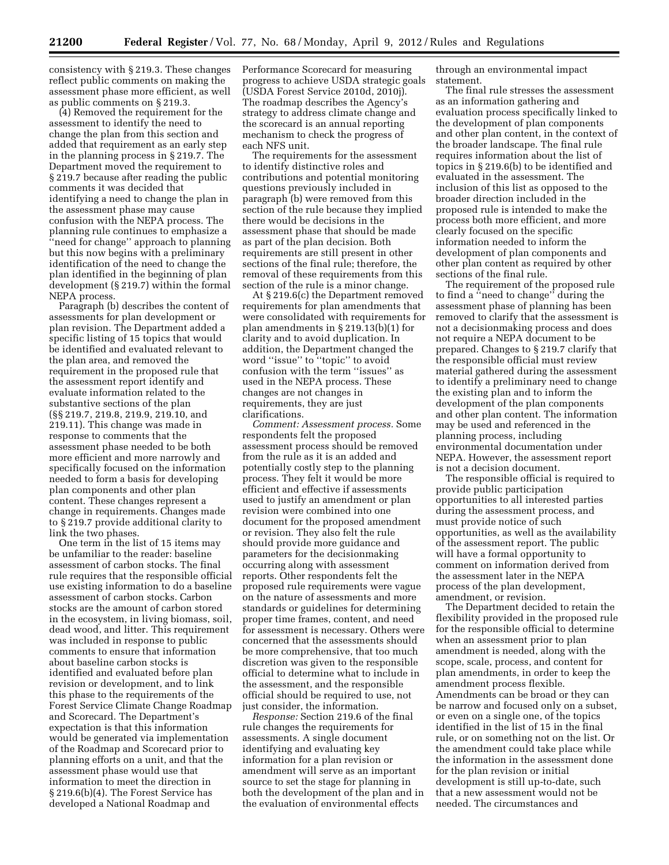consistency with § 219.3. These changes reflect public comments on making the assessment phase more efficient, as well as public comments on § 219.3.

(4) Removed the requirement for the assessment to identify the need to change the plan from this section and added that requirement as an early step in the planning process in § 219.7. The Department moved the requirement to § 219.7 because after reading the public comments it was decided that identifying a need to change the plan in the assessment phase may cause confusion with the NEPA process. The planning rule continues to emphasize a ''need for change'' approach to planning but this now begins with a preliminary identification of the need to change the plan identified in the beginning of plan development (§ 219.7) within the formal NEPA process.

Paragraph (b) describes the content of assessments for plan development or plan revision. The Department added a specific listing of 15 topics that would be identified and evaluated relevant to the plan area, and removed the requirement in the proposed rule that the assessment report identify and evaluate information related to the substantive sections of the plan (§§ 219.7, 219.8, 219.9, 219.10, and 219.11). This change was made in response to comments that the assessment phase needed to be both more efficient and more narrowly and specifically focused on the information needed to form a basis for developing plan components and other plan content. These changes represent a change in requirements. Changes made to § 219.7 provide additional clarity to link the two phases.

One term in the list of 15 items may be unfamiliar to the reader: baseline assessment of carbon stocks. The final rule requires that the responsible official use existing information to do a baseline assessment of carbon stocks. Carbon stocks are the amount of carbon stored in the ecosystem, in living biomass, soil, dead wood, and litter. This requirement was included in response to public comments to ensure that information about baseline carbon stocks is identified and evaluated before plan revision or development, and to link this phase to the requirements of the Forest Service Climate Change Roadmap and Scorecard. The Department's expectation is that this information would be generated via implementation of the Roadmap and Scorecard prior to planning efforts on a unit, and that the assessment phase would use that information to meet the direction in § 219.6(b)(4). The Forest Service has developed a National Roadmap and

Performance Scorecard for measuring progress to achieve USDA strategic goals (USDA Forest Service 2010d, 2010j). The roadmap describes the Agency's strategy to address climate change and the scorecard is an annual reporting mechanism to check the progress of each NFS unit.

The requirements for the assessment to identify distinctive roles and contributions and potential monitoring questions previously included in paragraph (b) were removed from this section of the rule because they implied there would be decisions in the assessment phase that should be made as part of the plan decision. Both requirements are still present in other sections of the final rule; therefore, the removal of these requirements from this section of the rule is a minor change.

At § 219.6(c) the Department removed requirements for plan amendments that were consolidated with requirements for plan amendments in § 219.13(b)(1) for clarity and to avoid duplication. In addition, the Department changed the word ''issue'' to ''topic'' to avoid confusion with the term ''issues'' as used in the NEPA process. These changes are not changes in requirements, they are just clarifications.

*Comment: Assessment process.* Some respondents felt the proposed assessment process should be removed from the rule as it is an added and potentially costly step to the planning process. They felt it would be more efficient and effective if assessments used to justify an amendment or plan revision were combined into one document for the proposed amendment or revision. They also felt the rule should provide more guidance and parameters for the decisionmaking occurring along with assessment reports. Other respondents felt the proposed rule requirements were vague on the nature of assessments and more standards or guidelines for determining proper time frames, content, and need for assessment is necessary. Others were concerned that the assessments should be more comprehensive, that too much discretion was given to the responsible official to determine what to include in the assessment, and the responsible official should be required to use, not just consider, the information.

*Response:* Section 219.6 of the final rule changes the requirements for assessments. A single document identifying and evaluating key information for a plan revision or amendment will serve as an important source to set the stage for planning in both the development of the plan and in the evaluation of environmental effects

through an environmental impact statement.

The final rule stresses the assessment as an information gathering and evaluation process specifically linked to the development of plan components and other plan content, in the context of the broader landscape. The final rule requires information about the list of topics in § 219.6(b) to be identified and evaluated in the assessment. The inclusion of this list as opposed to the broader direction included in the proposed rule is intended to make the process both more efficient, and more clearly focused on the specific information needed to inform the development of plan components and other plan content as required by other sections of the final rule.

The requirement of the proposed rule to find a ''need to change'' during the assessment phase of planning has been removed to clarify that the assessment is not a decisionmaking process and does not require a NEPA document to be prepared. Changes to § 219.7 clarify that the responsible official must review material gathered during the assessment to identify a preliminary need to change the existing plan and to inform the development of the plan components and other plan content. The information may be used and referenced in the planning process, including environmental documentation under NEPA. However, the assessment report is not a decision document.

The responsible official is required to provide public participation opportunities to all interested parties during the assessment process, and must provide notice of such opportunities, as well as the availability of the assessment report. The public will have a formal opportunity to comment on information derived from the assessment later in the NEPA process of the plan development, amendment, or revision.

The Department decided to retain the flexibility provided in the proposed rule for the responsible official to determine when an assessment prior to plan amendment is needed, along with the scope, scale, process, and content for plan amendments, in order to keep the amendment process flexible. Amendments can be broad or they can be narrow and focused only on a subset, or even on a single one, of the topics identified in the list of 15 in the final rule, or on something not on the list. Or the amendment could take place while the information in the assessment done for the plan revision or initial development is still up-to-date, such that a new assessment would not be needed. The circumstances and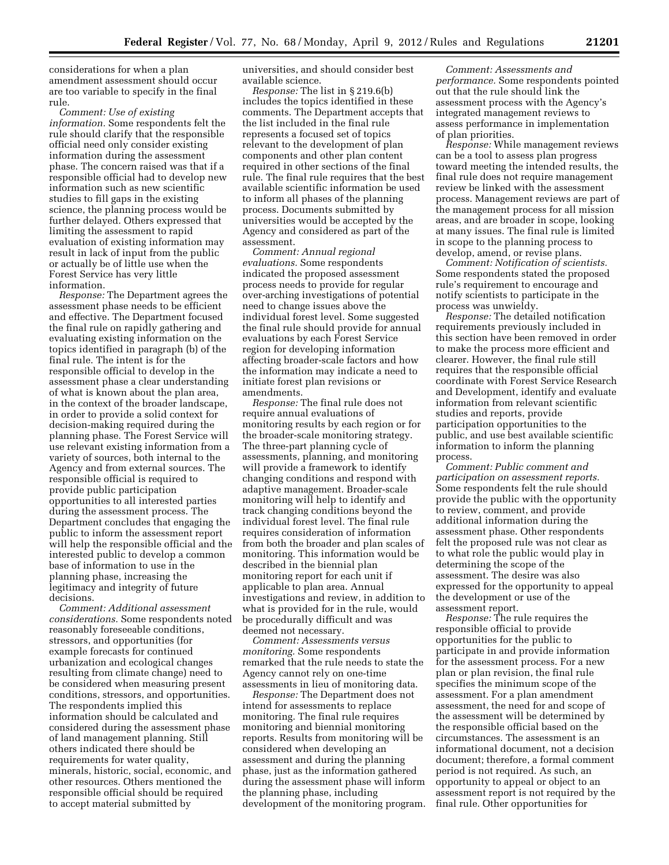considerations for when a plan amendment assessment should occur are too variable to specify in the final rule.

*Comment: Use of existing information.* Some respondents felt the rule should clarify that the responsible official need only consider existing information during the assessment phase. The concern raised was that if a responsible official had to develop new information such as new scientific studies to fill gaps in the existing science, the planning process would be further delayed. Others expressed that limiting the assessment to rapid evaluation of existing information may result in lack of input from the public or actually be of little use when the Forest Service has very little information.

*Response:* The Department agrees the assessment phase needs to be efficient and effective. The Department focused the final rule on rapidly gathering and evaluating existing information on the topics identified in paragraph (b) of the final rule. The intent is for the responsible official to develop in the assessment phase a clear understanding of what is known about the plan area, in the context of the broader landscape, in order to provide a solid context for decision-making required during the planning phase. The Forest Service will use relevant existing information from a variety of sources, both internal to the Agency and from external sources. The responsible official is required to provide public participation opportunities to all interested parties during the assessment process. The Department concludes that engaging the public to inform the assessment report will help the responsible official and the interested public to develop a common base of information to use in the planning phase, increasing the legitimacy and integrity of future decisions.

*Comment: Additional assessment considerations.* Some respondents noted reasonably foreseeable conditions, stressors, and opportunities (for example forecasts for continued urbanization and ecological changes resulting from climate change) need to be considered when measuring present conditions, stressors, and opportunities. The respondents implied this information should be calculated and considered during the assessment phase of land management planning. Still others indicated there should be requirements for water quality, minerals, historic, social, economic, and other resources. Others mentioned the responsible official should be required to accept material submitted by

universities, and should consider best available science.

*Response:* The list in § 219.6(b) includes the topics identified in these comments. The Department accepts that the list included in the final rule represents a focused set of topics relevant to the development of plan components and other plan content required in other sections of the final rule. The final rule requires that the best available scientific information be used to inform all phases of the planning process. Documents submitted by universities would be accepted by the Agency and considered as part of the assessment.

*Comment: Annual regional evaluations.* Some respondents indicated the proposed assessment process needs to provide for regular over-arching investigations of potential need to change issues above the individual forest level. Some suggested the final rule should provide for annual evaluations by each Forest Service region for developing information affecting broader-scale factors and how the information may indicate a need to initiate forest plan revisions or amendments.

*Response:* The final rule does not require annual evaluations of monitoring results by each region or for the broader-scale monitoring strategy. The three-part planning cycle of assessments, planning, and monitoring will provide a framework to identify changing conditions and respond with adaptive management. Broader-scale monitoring will help to identify and track changing conditions beyond the individual forest level. The final rule requires consideration of information from both the broader and plan scales of monitoring. This information would be described in the biennial plan monitoring report for each unit if applicable to plan area. Annual investigations and review, in addition to what is provided for in the rule, would be procedurally difficult and was deemed not necessary.

*Comment: Assessments versus monitoring.* Some respondents remarked that the rule needs to state the Agency cannot rely on one-time assessments in lieu of monitoring data.

*Response:* The Department does not intend for assessments to replace monitoring. The final rule requires monitoring and biennial monitoring reports. Results from monitoring will be considered when developing an assessment and during the planning phase, just as the information gathered during the assessment phase will inform the planning phase, including development of the monitoring program.

*Comment: Assessments and performance.* Some respondents pointed out that the rule should link the assessment process with the Agency's integrated management reviews to assess performance in implementation of plan priorities.

*Response:* While management reviews can be a tool to assess plan progress toward meeting the intended results, the final rule does not require management review be linked with the assessment process. Management reviews are part of the management process for all mission areas, and are broader in scope, looking at many issues. The final rule is limited in scope to the planning process to develop, amend, or revise plans.

*Comment: Notification of scientists.*  Some respondents stated the proposed rule's requirement to encourage and notify scientists to participate in the process was unwieldy.

*Response:* The detailed notification requirements previously included in this section have been removed in order to make the process more efficient and clearer. However, the final rule still requires that the responsible official coordinate with Forest Service Research and Development, identify and evaluate information from relevant scientific studies and reports, provide participation opportunities to the public, and use best available scientific information to inform the planning process.

*Comment: Public comment and participation on assessment reports.*  Some respondents felt the rule should provide the public with the opportunity to review, comment, and provide additional information during the assessment phase. Other respondents felt the proposed rule was not clear as to what role the public would play in determining the scope of the assessment. The desire was also expressed for the opportunity to appeal the development or use of the assessment report.

*Response:* The rule requires the responsible official to provide opportunities for the public to participate in and provide information for the assessment process. For a new plan or plan revision, the final rule specifies the minimum scope of the assessment. For a plan amendment assessment, the need for and scope of the assessment will be determined by the responsible official based on the circumstances. The assessment is an informational document, not a decision document; therefore, a formal comment period is not required. As such, an opportunity to appeal or object to an assessment report is not required by the final rule. Other opportunities for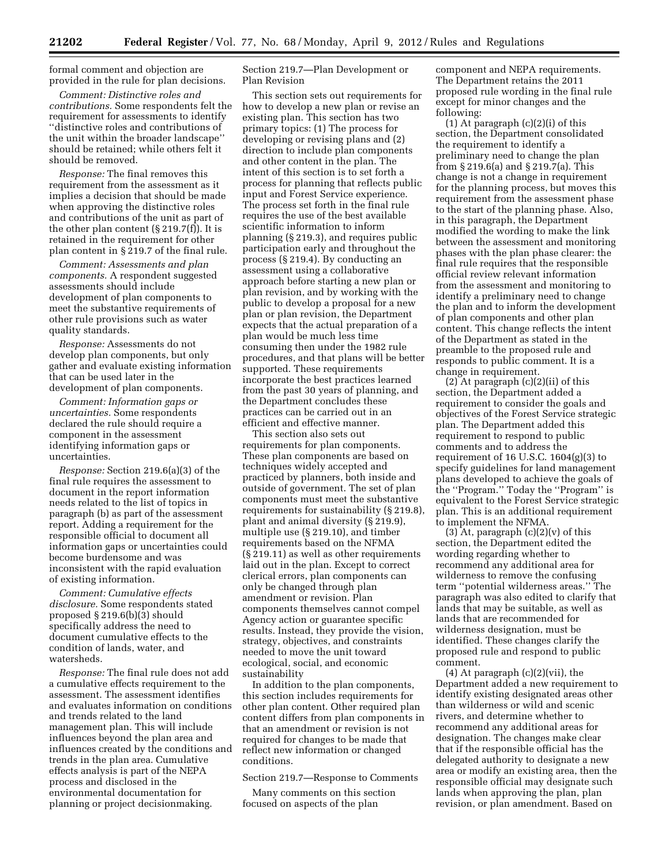formal comment and objection are provided in the rule for plan decisions.

*Comment: Distinctive roles and contributions.* Some respondents felt the requirement for assessments to identify ''distinctive roles and contributions of the unit within the broader landscape'' should be retained; while others felt it should be removed.

*Response:* The final removes this requirement from the assessment as it implies a decision that should be made when approving the distinctive roles and contributions of the unit as part of the other plan content (§ 219.7(f)). It is retained in the requirement for other plan content in § 219.7 of the final rule.

*Comment: Assessments and plan components.* A respondent suggested assessments should include development of plan components to meet the substantive requirements of other rule provisions such as water quality standards.

*Response:* Assessments do not develop plan components, but only gather and evaluate existing information that can be used later in the development of plan components.

*Comment: Information gaps or uncertainties.* Some respondents declared the rule should require a component in the assessment identifying information gaps or uncertainties.

*Response:* Section 219.6(a)(3) of the final rule requires the assessment to document in the report information needs related to the list of topics in paragraph (b) as part of the assessment report. Adding a requirement for the responsible official to document all information gaps or uncertainties could become burdensome and was inconsistent with the rapid evaluation of existing information.

*Comment: Cumulative effects disclosure.* Some respondents stated proposed § 219.6(b)(3) should specifically address the need to document cumulative effects to the condition of lands, water, and watersheds.

*Response:* The final rule does not add a cumulative effects requirement to the assessment. The assessment identifies and evaluates information on conditions and trends related to the land management plan. This will include influences beyond the plan area and influences created by the conditions and trends in the plan area. Cumulative effects analysis is part of the NEPA process and disclosed in the environmental documentation for planning or project decisionmaking.

Section 219.7—Plan Development or Plan Revision

This section sets out requirements for how to develop a new plan or revise an existing plan. This section has two primary topics: (1) The process for developing or revising plans and (2) direction to include plan components and other content in the plan. The intent of this section is to set forth a process for planning that reflects public input and Forest Service experience. The process set forth in the final rule requires the use of the best available scientific information to inform planning (§ 219.3), and requires public participation early and throughout the process (§ 219.4). By conducting an assessment using a collaborative approach before starting a new plan or plan revision, and by working with the public to develop a proposal for a new plan or plan revision, the Department expects that the actual preparation of a plan would be much less time consuming then under the 1982 rule procedures, and that plans will be better supported. These requirements incorporate the best practices learned from the past 30 years of planning, and the Department concludes these practices can be carried out in an efficient and effective manner.

This section also sets out requirements for plan components. These plan components are based on techniques widely accepted and practiced by planners, both inside and outside of government. The set of plan components must meet the substantive requirements for sustainability (§ 219.8), plant and animal diversity (§ 219.9), multiple use (§ 219.10), and timber requirements based on the NFMA (§ 219.11) as well as other requirements laid out in the plan. Except to correct clerical errors, plan components can only be changed through plan amendment or revision. Plan components themselves cannot compel Agency action or guarantee specific results. Instead, they provide the vision, strategy, objectives, and constraints needed to move the unit toward ecological, social, and economic sustainability

In addition to the plan components, this section includes requirements for other plan content. Other required plan content differs from plan components in that an amendment or revision is not required for changes to be made that reflect new information or changed conditions.

Section 219.7—Response to Comments

Many comments on this section focused on aspects of the plan

component and NEPA requirements. The Department retains the 2011 proposed rule wording in the final rule except for minor changes and the following:

(1) At paragraph (c)(2)(i) of this section, the Department consolidated the requirement to identify a preliminary need to change the plan from § 219.6(a) and § 219.7(a). This change is not a change in requirement for the planning process, but moves this requirement from the assessment phase to the start of the planning phase. Also, in this paragraph, the Department modified the wording to make the link between the assessment and monitoring phases with the plan phase clearer: the final rule requires that the responsible official review relevant information from the assessment and monitoring to identify a preliminary need to change the plan and to inform the development of plan components and other plan content. This change reflects the intent of the Department as stated in the preamble to the proposed rule and responds to public comment. It is a change in requirement.

 $(2)$  At paragraph  $(c)(2)(ii)$  of this section, the Department added a requirement to consider the goals and objectives of the Forest Service strategic plan. The Department added this requirement to respond to public comments and to address the requirement of 16 U.S.C.  $1604(g)(3)$  to specify guidelines for land management plans developed to achieve the goals of the ''Program.'' Today the ''Program'' is equivalent to the Forest Service strategic plan. This is an additional requirement to implement the NFMA.

(3) At, paragraph  $(c)(2)(v)$  of this section, the Department edited the wording regarding whether to recommend any additional area for wilderness to remove the confusing term ''potential wilderness areas.'' The paragraph was also edited to clarify that lands that may be suitable, as well as lands that are recommended for wilderness designation, must be identified. These changes clarify the proposed rule and respond to public comment.

(4) At paragraph (c)(2)(vii), the Department added a new requirement to identify existing designated areas other than wilderness or wild and scenic rivers, and determine whether to recommend any additional areas for designation. The changes make clear that if the responsible official has the delegated authority to designate a new area or modify an existing area, then the responsible official may designate such lands when approving the plan, plan revision, or plan amendment. Based on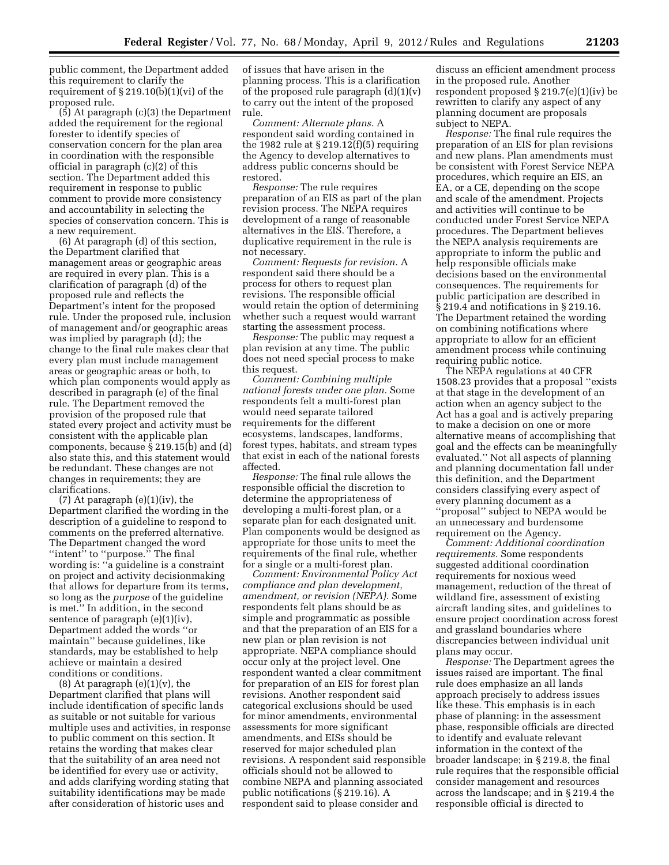public comment, the Department added this requirement to clarify the requirement of § 219.10(b)(1)(vi) of the proposed rule.

(5) At paragraph (c)(3) the Department added the requirement for the regional forester to identify species of conservation concern for the plan area in coordination with the responsible official in paragraph (c)(2) of this section. The Department added this requirement in response to public comment to provide more consistency and accountability in selecting the species of conservation concern. This is a new requirement.

(6) At paragraph (d) of this section, the Department clarified that management areas or geographic areas are required in every plan. This is a clarification of paragraph (d) of the proposed rule and reflects the Department's intent for the proposed rule. Under the proposed rule, inclusion of management and/or geographic areas was implied by paragraph (d); the change to the final rule makes clear that every plan must include management areas or geographic areas or both, to which plan components would apply as described in paragraph (e) of the final rule. The Department removed the provision of the proposed rule that stated every project and activity must be consistent with the applicable plan components, because  $\S 219.15(b)$  and (d) also state this, and this statement would be redundant. These changes are not changes in requirements; they are clarifications.

(7) At paragraph (e)(1)(iv), the Department clarified the wording in the description of a guideline to respond to comments on the preferred alternative. The Department changed the word ''intent'' to ''purpose.'' The final wording is: ''a guideline is a constraint on project and activity decisionmaking that allows for departure from its terms, so long as the *purpose* of the guideline is met.'' In addition, in the second sentence of paragraph (e)(1)(iv), Department added the words ''or maintain'' because guidelines, like standards, may be established to help achieve or maintain a desired conditions or conditions.

 $(8)$  At paragraph  $(e)(1)(v)$ , the Department clarified that plans will include identification of specific lands as suitable or not suitable for various multiple uses and activities, in response to public comment on this section. It retains the wording that makes clear that the suitability of an area need not be identified for every use or activity, and adds clarifying wording stating that suitability identifications may be made after consideration of historic uses and

of issues that have arisen in the planning process. This is a clarification of the proposed rule paragraph  $(d)(1)(v)$ to carry out the intent of the proposed rule.

*Comment: Alternate plans.* A respondent said wording contained in the 1982 rule at § 219.12(f)(5) requiring the Agency to develop alternatives to address public concerns should be restored.

*Response:* The rule requires preparation of an EIS as part of the plan revision process. The NEPA requires development of a range of reasonable alternatives in the EIS. Therefore, a duplicative requirement in the rule is not necessary.

*Comment: Requests for revision.* A respondent said there should be a process for others to request plan revisions. The responsible official would retain the option of determining whether such a request would warrant starting the assessment process.

*Response:* The public may request a plan revision at any time. The public does not need special process to make this request.

*Comment: Combining multiple national forests under one plan.* Some respondents felt a multi-forest plan would need separate tailored requirements for the different ecosystems, landscapes, landforms, forest types, habitats, and stream types that exist in each of the national forests affected.

*Response:* The final rule allows the responsible official the discretion to determine the appropriateness of developing a multi-forest plan, or a separate plan for each designated unit. Plan components would be designed as appropriate for those units to meet the requirements of the final rule, whether for a single or a multi-forest plan.

*Comment: Environmental Policy Act compliance and plan development, amendment, or revision (NEPA).* Some respondents felt plans should be as simple and programmatic as possible and that the preparation of an EIS for a new plan or plan revision is not appropriate. NEPA compliance should occur only at the project level. One respondent wanted a clear commitment for preparation of an EIS for forest plan revisions. Another respondent said categorical exclusions should be used for minor amendments, environmental assessments for more significant amendments, and EISs should be reserved for major scheduled plan revisions. A respondent said responsible officials should not be allowed to combine NEPA and planning associated public notifications (§ 219.16). A respondent said to please consider and

discuss an efficient amendment process in the proposed rule. Another respondent proposed § 219.7(e)(1)(iv) be rewritten to clarify any aspect of any planning document are proposals subject to NEPA.

*Response:* The final rule requires the preparation of an EIS for plan revisions and new plans. Plan amendments must be consistent with Forest Service NEPA procedures, which require an EIS, an EA, or a CE, depending on the scope and scale of the amendment. Projects and activities will continue to be conducted under Forest Service NEPA procedures. The Department believes the NEPA analysis requirements are appropriate to inform the public and help responsible officials make decisions based on the environmental consequences. The requirements for public participation are described in § 219.4 and notifications in § 219.16. The Department retained the wording on combining notifications where appropriate to allow for an efficient amendment process while continuing requiring public notice.

The NEPA regulations at 40 CFR 1508.23 provides that a proposal ''exists at that stage in the development of an action when an agency subject to the Act has a goal and is actively preparing to make a decision on one or more alternative means of accomplishing that goal and the effects can be meaningfully evaluated.'' Not all aspects of planning and planning documentation fall under this definition, and the Department considers classifying every aspect of every planning document as a ''proposal'' subject to NEPA would be an unnecessary and burdensome requirement on the Agency.

*Comment: Additional coordination requirements.* Some respondents suggested additional coordination requirements for noxious weed management, reduction of the threat of wildland fire, assessment of existing aircraft landing sites, and guidelines to ensure project coordination across forest and grassland boundaries where discrepancies between individual unit plans may occur.

*Response:* The Department agrees the issues raised are important. The final rule does emphasize an all lands approach precisely to address issues like these. This emphasis is in each phase of planning: in the assessment phase, responsible officials are directed to identify and evaluate relevant information in the context of the broader landscape; in § 219.8, the final rule requires that the responsible official consider management and resources across the landscape; and in § 219.4 the responsible official is directed to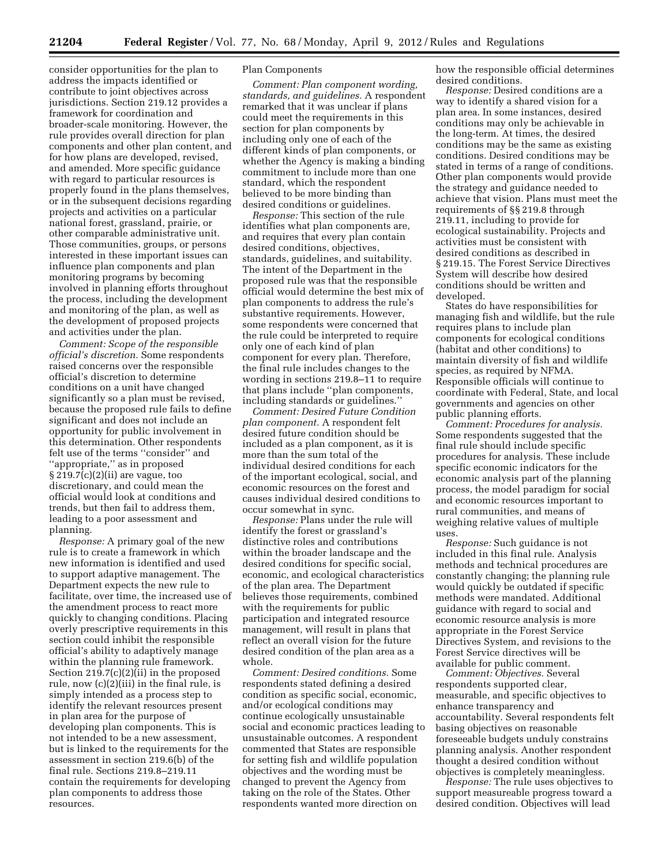consider opportunities for the plan to address the impacts identified or contribute to joint objectives across jurisdictions. Section 219.12 provides a framework for coordination and broader-scale monitoring. However, the rule provides overall direction for plan components and other plan content, and for how plans are developed, revised, and amended. More specific guidance with regard to particular resources is properly found in the plans themselves, or in the subsequent decisions regarding projects and activities on a particular national forest, grassland, prairie, or other comparable administrative unit. Those communities, groups, or persons interested in these important issues can influence plan components and plan monitoring programs by becoming involved in planning efforts throughout the process, including the development and monitoring of the plan, as well as the development of proposed projects and activities under the plan.

*Comment: Scope of the responsible official's discretion.* Some respondents raised concerns over the responsible official's discretion to determine conditions on a unit have changed significantly so a plan must be revised, because the proposed rule fails to define significant and does not include an opportunity for public involvement in this determination. Other respondents felt use of the terms ''consider'' and ''appropriate,'' as in proposed § 219.7(c)(2)(ii) are vague, too discretionary, and could mean the official would look at conditions and trends, but then fail to address them, leading to a poor assessment and planning.

*Response:* A primary goal of the new rule is to create a framework in which new information is identified and used to support adaptive management. The Department expects the new rule to facilitate, over time, the increased use of the amendment process to react more quickly to changing conditions. Placing overly prescriptive requirements in this section could inhibit the responsible official's ability to adaptively manage within the planning rule framework. Section 219.7(c)(2)(ii) in the proposed rule, now (c)(2)(iii) in the final rule, is simply intended as a process step to identify the relevant resources present in plan area for the purpose of developing plan components. This is not intended to be a new assessment, but is linked to the requirements for the assessment in section 219.6(b) of the final rule. Sections 219.8–219.11 contain the requirements for developing plan components to address those resources.

# Plan Components

*Comment: Plan component wording, standards, and guidelines.* A respondent remarked that it was unclear if plans could meet the requirements in this section for plan components by including only one of each of the different kinds of plan components, or whether the Agency is making a binding commitment to include more than one standard, which the respondent believed to be more binding than desired conditions or guidelines.

*Response:* This section of the rule identifies what plan components are, and requires that every plan contain desired conditions, objectives, standards, guidelines, and suitability. The intent of the Department in the proposed rule was that the responsible official would determine the best mix of plan components to address the rule's substantive requirements. However, some respondents were concerned that the rule could be interpreted to require only one of each kind of plan component for every plan. Therefore, the final rule includes changes to the wording in sections 219.8–11 to require that plans include ''plan components, including standards or guidelines.''

*Comment: Desired Future Condition plan component.* A respondent felt desired future condition should be included as a plan component, as it is more than the sum total of the individual desired conditions for each of the important ecological, social, and economic resources on the forest and causes individual desired conditions to occur somewhat in sync.

*Response:* Plans under the rule will identify the forest or grassland's distinctive roles and contributions within the broader landscape and the desired conditions for specific social, economic, and ecological characteristics of the plan area. The Department believes those requirements, combined with the requirements for public participation and integrated resource management, will result in plans that reflect an overall vision for the future desired condition of the plan area as a whole.

*Comment: Desired conditions.* Some respondents stated defining a desired condition as specific social, economic, and/or ecological conditions may continue ecologically unsustainable social and economic practices leading to unsustainable outcomes. A respondent commented that States are responsible for setting fish and wildlife population objectives and the wording must be changed to prevent the Agency from taking on the role of the States. Other respondents wanted more direction on

how the responsible official determines desired conditions.

*Response:* Desired conditions are a way to identify a shared vision for a plan area. In some instances, desired conditions may only be achievable in the long-term. At times, the desired conditions may be the same as existing conditions. Desired conditions may be stated in terms of a range of conditions. Other plan components would provide the strategy and guidance needed to achieve that vision. Plans must meet the requirements of §§ 219.8 through 219.11, including to provide for ecological sustainability. Projects and activities must be consistent with desired conditions as described in § 219.15. The Forest Service Directives System will describe how desired conditions should be written and developed.

States do have responsibilities for managing fish and wildlife, but the rule requires plans to include plan components for ecological conditions (habitat and other conditions) to maintain diversity of fish and wildlife species, as required by NFMA. Responsible officials will continue to coordinate with Federal, State, and local governments and agencies on other public planning efforts.

*Comment: Procedures for analysis.*  Some respondents suggested that the final rule should include specific procedures for analysis. These include specific economic indicators for the economic analysis part of the planning process, the model paradigm for social and economic resources important to rural communities, and means of weighing relative values of multiple uses.

*Response:* Such guidance is not included in this final rule. Analysis methods and technical procedures are constantly changing; the planning rule would quickly be outdated if specific methods were mandated. Additional guidance with regard to social and economic resource analysis is more appropriate in the Forest Service Directives System, and revisions to the Forest Service directives will be available for public comment.

*Comment: Objectives.* Several respondents supported clear, measurable, and specific objectives to enhance transparency and accountability. Several respondents felt basing objectives on reasonable foreseeable budgets unduly constrains planning analysis. Another respondent thought a desired condition without objectives is completely meaningless.

*Response:* The rule uses objectives to support measureable progress toward a desired condition. Objectives will lead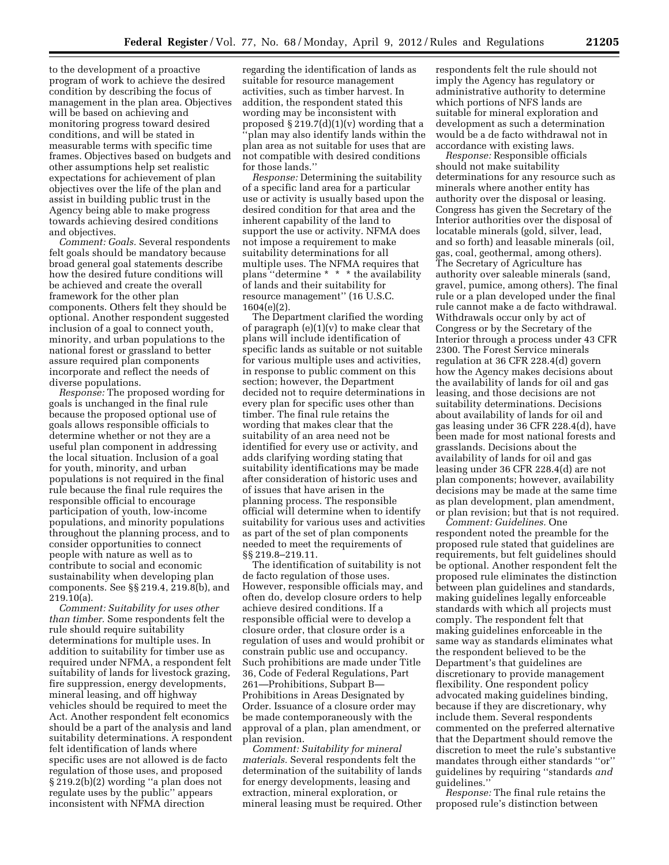to the development of a proactive program of work to achieve the desired condition by describing the focus of management in the plan area. Objectives will be based on achieving and monitoring progress toward desired conditions, and will be stated in measurable terms with specific time frames. Objectives based on budgets and other assumptions help set realistic expectations for achievement of plan objectives over the life of the plan and assist in building public trust in the Agency being able to make progress towards achieving desired conditions and objectives.

*Comment: Goals.* Several respondents felt goals should be mandatory because broad general goal statements describe how the desired future conditions will be achieved and create the overall framework for the other plan components. Others felt they should be optional. Another respondent suggested inclusion of a goal to connect youth, minority, and urban populations to the national forest or grassland to better assure required plan components incorporate and reflect the needs of diverse populations.

*Response:* The proposed wording for goals is unchanged in the final rule because the proposed optional use of goals allows responsible officials to determine whether or not they are a useful plan component in addressing the local situation. Inclusion of a goal for youth, minority, and urban populations is not required in the final rule because the final rule requires the responsible official to encourage participation of youth, low-income populations, and minority populations throughout the planning process, and to consider opportunities to connect people with nature as well as to contribute to social and economic sustainability when developing plan components. See §§ 219.4, 219.8(b), and 219.10(a).

*Comment: Suitability for uses other than timber.* Some respondents felt the rule should require suitability determinations for multiple uses. In addition to suitability for timber use as required under NFMA, a respondent felt suitability of lands for livestock grazing, fire suppression, energy developments, mineral leasing, and off highway vehicles should be required to meet the Act. Another respondent felt economics should be a part of the analysis and land suitability determinations. A respondent felt identification of lands where specific uses are not allowed is de facto regulation of those uses, and proposed § 219.2(b)(2) wording ''a plan does not regulate uses by the public'' appears inconsistent with NFMA direction

regarding the identification of lands as suitable for resource management activities, such as timber harvest. In addition, the respondent stated this wording may be inconsistent with proposed  $\S 219.7(d)(1)(v)$  wording that a ''plan may also identify lands within the plan area as not suitable for uses that are not compatible with desired conditions for those lands.''

*Response:* Determining the suitability of a specific land area for a particular use or activity is usually based upon the desired condition for that area and the inherent capability of the land to support the use or activity. NFMA does not impose a requirement to make suitability determinations for all multiple uses. The NFMA requires that plans ''determine \* \* \* the availability of lands and their suitability for resource management'' (16 U.S.C. 1604(e)(2).

The Department clarified the wording of paragraph (e)(1)(v) to make clear that plans will include identification of specific lands as suitable or not suitable for various multiple uses and activities, in response to public comment on this section; however, the Department decided not to require determinations in every plan for specific uses other than timber. The final rule retains the wording that makes clear that the suitability of an area need not be identified for every use or activity, and adds clarifying wording stating that suitability identifications may be made after consideration of historic uses and of issues that have arisen in the planning process. The responsible official will determine when to identify suitability for various uses and activities as part of the set of plan components needed to meet the requirements of §§ 219.8–219.11.

The identification of suitability is not de facto regulation of those uses. However, responsible officials may, and often do, develop closure orders to help achieve desired conditions. If a responsible official were to develop a closure order, that closure order is a regulation of uses and would prohibit or constrain public use and occupancy. Such prohibitions are made under Title 36, Code of Federal Regulations, Part 261—Prohibitions, Subpart B— Prohibitions in Areas Designated by Order. Issuance of a closure order may be made contemporaneously with the approval of a plan, plan amendment, or plan revision.

*Comment: Suitability for mineral materials.* Several respondents felt the determination of the suitability of lands for energy developments, leasing and extraction, mineral exploration, or mineral leasing must be required. Other respondents felt the rule should not imply the Agency has regulatory or administrative authority to determine which portions of NFS lands are suitable for mineral exploration and development as such a determination would be a de facto withdrawal not in accordance with existing laws.

*Response:* Responsible officials should not make suitability determinations for any resource such as minerals where another entity has authority over the disposal or leasing. Congress has given the Secretary of the Interior authorities over the disposal of locatable minerals (gold, silver, lead, and so forth) and leasable minerals (oil, gas, coal, geothermal, among others). The Secretary of Agriculture has authority over saleable minerals (sand, gravel, pumice, among others). The final rule or a plan developed under the final rule cannot make a de facto withdrawal. Withdrawals occur only by act of Congress or by the Secretary of the Interior through a process under 43 CFR 2300. The Forest Service minerals regulation at 36 CFR 228.4(d) govern how the Agency makes decisions about the availability of lands for oil and gas leasing, and those decisions are not suitability determinations. Decisions about availability of lands for oil and gas leasing under 36 CFR 228.4(d), have been made for most national forests and grasslands. Decisions about the availability of lands for oil and gas leasing under 36 CFR 228.4(d) are not plan components; however, availability decisions may be made at the same time as plan development, plan amendment, or plan revision; but that is not required.

*Comment: Guidelines.* One respondent noted the preamble for the proposed rule stated that guidelines are requirements, but felt guidelines should be optional. Another respondent felt the proposed rule eliminates the distinction between plan guidelines and standards, making guidelines legally enforceable standards with which all projects must comply. The respondent felt that making guidelines enforceable in the same way as standards eliminates what the respondent believed to be the Department's that guidelines are discretionary to provide management flexibility. One respondent policy advocated making guidelines binding, because if they are discretionary, why include them. Several respondents commented on the preferred alternative that the Department should remove the discretion to meet the rule's substantive mandates through either standards ''or'' guidelines by requiring ''standards *and*  guidelines.''

*Response:* The final rule retains the proposed rule's distinction between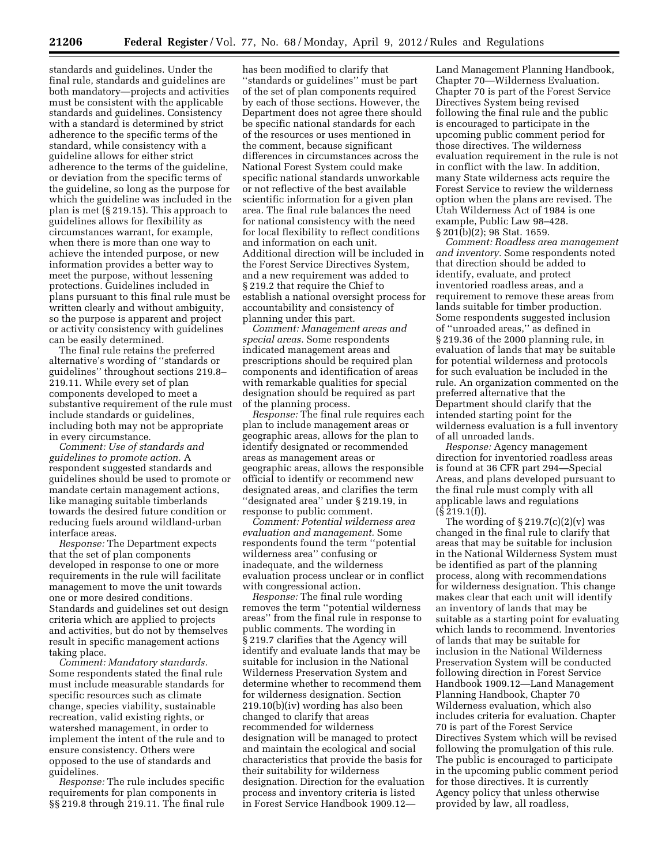standards and guidelines. Under the final rule, standards and guidelines are both mandatory—projects and activities must be consistent with the applicable standards and guidelines. Consistency with a standard is determined by strict adherence to the specific terms of the standard, while consistency with a guideline allows for either strict adherence to the terms of the guideline, or deviation from the specific terms of the guideline, so long as the purpose for which the guideline was included in the plan is met (§ 219.15). This approach to guidelines allows for flexibility as circumstances warrant, for example, when there is more than one way to achieve the intended purpose, or new information provides a better way to meet the purpose, without lessening protections. Guidelines included in plans pursuant to this final rule must be written clearly and without ambiguity, so the purpose is apparent and project or activity consistency with guidelines can be easily determined.

The final rule retains the preferred alternative's wording of ''standards or guidelines'' throughout sections 219.8– 219.11. While every set of plan components developed to meet a substantive requirement of the rule must include standards or guidelines, including both may not be appropriate in every circumstance.

*Comment: Use of standards and guidelines to promote action.* A respondent suggested standards and guidelines should be used to promote or mandate certain management actions, like managing suitable timberlands towards the desired future condition or reducing fuels around wildland-urban interface areas.

*Response:* The Department expects that the set of plan components developed in response to one or more requirements in the rule will facilitate management to move the unit towards one or more desired conditions. Standards and guidelines set out design criteria which are applied to projects and activities, but do not by themselves result in specific management actions taking place.

*Comment: Mandatory standards.*  Some respondents stated the final rule must include measurable standards for specific resources such as climate change, species viability, sustainable recreation, valid existing rights, or watershed management, in order to implement the intent of the rule and to ensure consistency. Others were opposed to the use of standards and guidelines.

*Response:* The rule includes specific requirements for plan components in §§ 219.8 through 219.11. The final rule

has been modified to clarify that ''standards or guidelines'' must be part of the set of plan components required by each of those sections. However, the Department does not agree there should be specific national standards for each of the resources or uses mentioned in the comment, because significant differences in circumstances across the National Forest System could make specific national standards unworkable or not reflective of the best available scientific information for a given plan area. The final rule balances the need for national consistency with the need for local flexibility to reflect conditions and information on each unit. Additional direction will be included in the Forest Service Directives System, and a new requirement was added to § 219.2 that require the Chief to establish a national oversight process for accountability and consistency of planning under this part.

*Comment: Management areas and special areas.* Some respondents indicated management areas and prescriptions should be required plan components and identification of areas with remarkable qualities for special designation should be required as part of the planning process.

*Response:* The final rule requires each plan to include management areas or geographic areas, allows for the plan to identify designated or recommended areas as management areas or geographic areas, allows the responsible official to identify or recommend new designated areas, and clarifies the term ''designated area'' under § 219.19, in response to public comment.

*Comment: Potential wilderness area evaluation and management.* Some respondents found the term ''potential wilderness area'' confusing or inadequate, and the wilderness evaluation process unclear or in conflict with congressional action.

*Response:* The final rule wording removes the term ''potential wilderness areas'' from the final rule in response to public comments. The wording in § 219.7 clarifies that the Agency will identify and evaluate lands that may be suitable for inclusion in the National Wilderness Preservation System and determine whether to recommend them for wilderness designation. Section 219.10(b)(iv) wording has also been changed to clarify that areas recommended for wilderness designation will be managed to protect and maintain the ecological and social characteristics that provide the basis for their suitability for wilderness designation. Direction for the evaluation process and inventory criteria is listed in Forest Service Handbook 1909.12Land Management Planning Handbook, Chapter 70—Wilderness Evaluation. Chapter 70 is part of the Forest Service Directives System being revised following the final rule and the public is encouraged to participate in the upcoming public comment period for those directives. The wilderness evaluation requirement in the rule is not in conflict with the law. In addition, many State wilderness acts require the Forest Service to review the wilderness option when the plans are revised. The Utah Wilderness Act of 1984 is one example, Public Law 98–428. § 201(b)(2); 98 Stat. 1659.

*Comment: Roadless area management and inventory.* Some respondents noted that direction should be added to identify, evaluate, and protect inventoried roadless areas, and a requirement to remove these areas from lands suitable for timber production. Some respondents suggested inclusion of ''unroaded areas,'' as defined in § 219.36 of the 2000 planning rule, in evaluation of lands that may be suitable for potential wilderness and protocols for such evaluation be included in the rule. An organization commented on the preferred alternative that the Department should clarify that the intended starting point for the wilderness evaluation is a full inventory of all unroaded lands.

*Response:* Agency management direction for inventoried roadless areas is found at 36 CFR part 294—Special Areas, and plans developed pursuant to the final rule must comply with all applicable laws and regulations  $(S 219.1(f))$ 

The wording of  $\S 219.7(c)(2)(v)$  was changed in the final rule to clarify that areas that may be suitable for inclusion in the National Wilderness System must be identified as part of the planning process, along with recommendations for wilderness designation. This change makes clear that each unit will identify an inventory of lands that may be suitable as a starting point for evaluating which lands to recommend. Inventories of lands that may be suitable for inclusion in the National Wilderness Preservation System will be conducted following direction in Forest Service Handbook 1909.12—Land Management Planning Handbook, Chapter 70 Wilderness evaluation, which also includes criteria for evaluation. Chapter 70 is part of the Forest Service Directives System which will be revised following the promulgation of this rule. The public is encouraged to participate in the upcoming public comment period for those directives. It is currently Agency policy that unless otherwise provided by law, all roadless,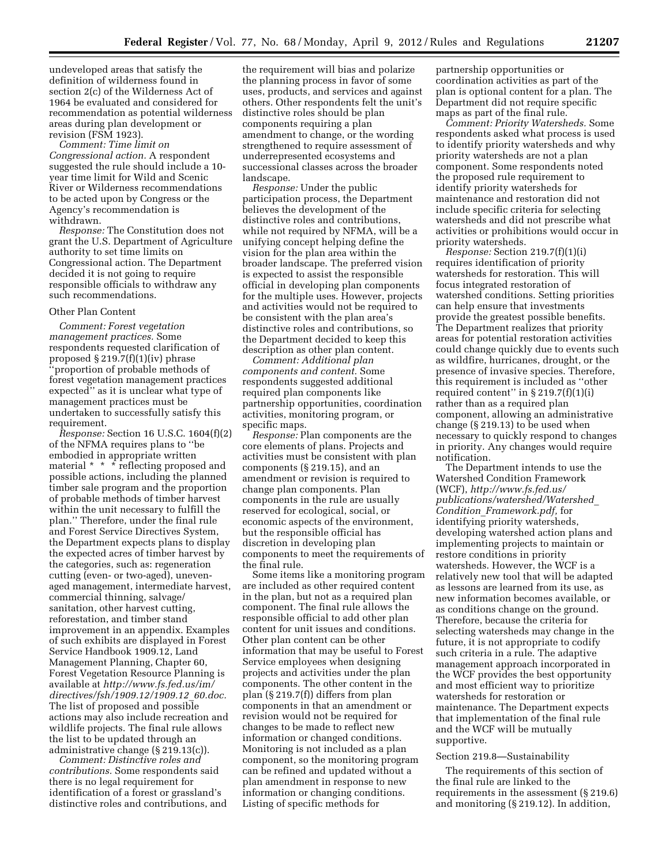undeveloped areas that satisfy the definition of wilderness found in section 2(c) of the Wilderness Act of 1964 be evaluated and considered for recommendation as potential wilderness areas during plan development or revision (FSM 1923).

*Comment: Time limit on Congressional action.* A respondent suggested the rule should include a 10 year time limit for Wild and Scenic River or Wilderness recommendations to be acted upon by Congress or the Agency's recommendation is withdrawn.

*Response:* The Constitution does not grant the U.S. Department of Agriculture authority to set time limits on Congressional action. The Department decided it is not going to require responsible officials to withdraw any such recommendations.

### Other Plan Content

*Comment: Forest vegetation management practices.* Some respondents requested clarification of proposed § 219.7(f)(1)(iv) phrase 'proportion of probable methods of forest vegetation management practices expected'' as it is unclear what type of management practices must be undertaken to successfully satisfy this requirement.

*Response:* Section 16 U.S.C. 1604(f)(2) of the NFMA requires plans to ''be embodied in appropriate written material \* \* \* reflecting proposed and possible actions, including the planned timber sale program and the proportion of probable methods of timber harvest within the unit necessary to fulfill the plan.'' Therefore, under the final rule and Forest Service Directives System, the Department expects plans to display the expected acres of timber harvest by the categories, such as: regeneration cutting (even- or two-aged), unevenaged management, intermediate harvest, commercial thinning, salvage/ sanitation, other harvest cutting, reforestation, and timber stand improvement in an appendix. Examples of such exhibits are displayed in Forest Service Handbook 1909.12, Land Management Planning, Chapter 60, Forest Vegetation Resource Planning is available at *[http://www.fs.fed.us/im/](http://www.fs.fed.us/im/directives/fsh/1909.12/1909.12_60.doc) [directives/fsh/1909.12/1909.12](http://www.fs.fed.us/im/directives/fsh/1909.12/1909.12_60.doc)*\_*60.doc.*  The list of proposed and possible actions may also include recreation and wildlife projects. The final rule allows the list to be updated through an administrative change (§ 219.13(c)).

*Comment: Distinctive roles and contributions.* Some respondents said there is no legal requirement for identification of a forest or grassland's distinctive roles and contributions, and

the requirement will bias and polarize the planning process in favor of some uses, products, and services and against others. Other respondents felt the unit's distinctive roles should be plan components requiring a plan amendment to change, or the wording strengthened to require assessment of underrepresented ecosystems and successional classes across the broader landscape.

*Response:* Under the public participation process, the Department believes the development of the distinctive roles and contributions, while not required by NFMA, will be a unifying concept helping define the vision for the plan area within the broader landscape. The preferred vision is expected to assist the responsible official in developing plan components for the multiple uses. However, projects and activities would not be required to be consistent with the plan area's distinctive roles and contributions, so the Department decided to keep this description as other plan content.

*Comment: Additional plan components and content.* Some respondents suggested additional required plan components like partnership opportunities, coordination activities, monitoring program, or specific maps.

*Response:* Plan components are the core elements of plans. Projects and activities must be consistent with plan components (§ 219.15), and an amendment or revision is required to change plan components. Plan components in the rule are usually reserved for ecological, social, or economic aspects of the environment, but the responsible official has discretion in developing plan components to meet the requirements of the final rule.

Some items like a monitoring program are included as other required content in the plan, but not as a required plan component. The final rule allows the responsible official to add other plan content for unit issues and conditions. Other plan content can be other information that may be useful to Forest Service employees when designing projects and activities under the plan components. The other content in the plan (§ 219.7(f)) differs from plan components in that an amendment or revision would not be required for changes to be made to reflect new information or changed conditions. Monitoring is not included as a plan component, so the monitoring program can be refined and updated without a plan amendment in response to new information or changing conditions. Listing of specific methods for

partnership opportunities or coordination activities as part of the plan is optional content for a plan. The Department did not require specific maps as part of the final rule.

*Comment: Priority Watersheds.* Some respondents asked what process is used to identify priority watersheds and why priority watersheds are not a plan component. Some respondents noted the proposed rule requirement to identify priority watersheds for maintenance and restoration did not include specific criteria for selecting watersheds and did not prescribe what activities or prohibitions would occur in priority watersheds.

*Response:* Section 219.7(f)(1)(i) requires identification of priority watersheds for restoration. This will focus integrated restoration of watershed conditions. Setting priorities can help ensure that investments provide the greatest possible benefits. The Department realizes that priority areas for potential restoration activities could change quickly due to events such as wildfire, hurricanes, drought, or the presence of invasive species. Therefore, this requirement is included as ''other required content" in  $\S 219.7(f)(1)(i)$ rather than as a required plan component, allowing an administrative change (§ 219.13) to be used when necessary to quickly respond to changes in priority. Any changes would require notification.

The Department intends to use the Watershed Condition Framework (WCF), *[http://www.fs.fed.us/](http://www.fs.fed.us/publications/watershed/Watershed_Condition_Framework.pdf) [publications/watershed/Watershed](http://www.fs.fed.us/publications/watershed/Watershed_Condition_Framework.pdf)*\_ *Condition*\_*[Framework.pdf,](http://www.fs.fed.us/publications/watershed/Watershed_Condition_Framework.pdf)* for identifying priority watersheds, developing watershed action plans and implementing projects to maintain or restore conditions in priority watersheds. However, the WCF is a relatively new tool that will be adapted as lessons are learned from its use, as new information becomes available, or as conditions change on the ground. Therefore, because the criteria for selecting watersheds may change in the future, it is not appropriate to codify such criteria in a rule. The adaptive management approach incorporated in the WCF provides the best opportunity and most efficient way to prioritize watersheds for restoration or maintenance. The Department expects that implementation of the final rule and the WCF will be mutually supportive.

### Section 219.8—Sustainability

The requirements of this section of the final rule are linked to the requirements in the assessment (§ 219.6) and monitoring (§ 219.12). In addition,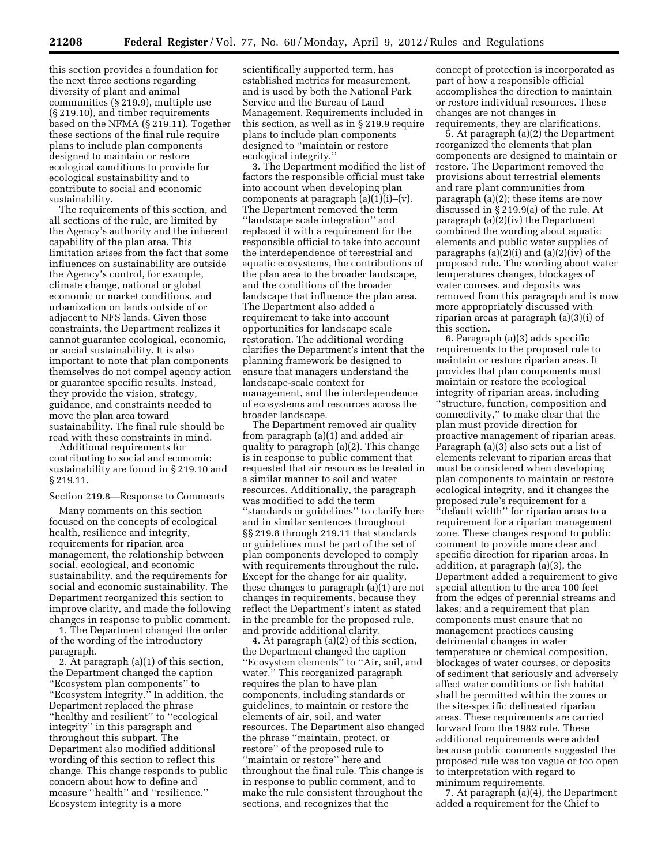this section provides a foundation for the next three sections regarding diversity of plant and animal communities (§ 219.9), multiple use (§ 219.10), and timber requirements based on the NFMA (§ 219.11). Together these sections of the final rule require plans to include plan components designed to maintain or restore ecological conditions to provide for ecological sustainability and to contribute to social and economic sustainability.

The requirements of this section, and all sections of the rule, are limited by the Agency's authority and the inherent capability of the plan area. This limitation arises from the fact that some influences on sustainability are outside the Agency's control, for example, climate change, national or global economic or market conditions, and urbanization on lands outside of or adjacent to NFS lands. Given those constraints, the Department realizes it cannot guarantee ecological, economic, or social sustainability. It is also important to note that plan components themselves do not compel agency action or guarantee specific results. Instead, they provide the vision, strategy, guidance, and constraints needed to move the plan area toward sustainability. The final rule should be read with these constraints in mind.

Additional requirements for contributing to social and economic sustainability are found in § 219.10 and § 219.11.

# Section 219.8—Response to Comments

Many comments on this section focused on the concepts of ecological health, resilience and integrity, requirements for riparian area management, the relationship between social, ecological, and economic sustainability, and the requirements for social and economic sustainability. The Department reorganized this section to improve clarity, and made the following changes in response to public comment.

1. The Department changed the order of the wording of the introductory paragraph.

2. At paragraph (a)(1) of this section, the Department changed the caption ''Ecosystem plan components'' to ''Ecosystem Integrity.'' In addition, the Department replaced the phrase ''healthy and resilient'' to ''ecological integrity'' in this paragraph and throughout this subpart. The Department also modified additional wording of this section to reflect this change. This change responds to public concern about how to define and measure ''health'' and ''resilience.'' Ecosystem integrity is a more

scientifically supported term, has established metrics for measurement, and is used by both the National Park Service and the Bureau of Land Management. Requirements included in this section, as well as in § 219.9 require plans to include plan components designed to ''maintain or restore ecological integrity.'

3. The Department modified the list of factors the responsible official must take into account when developing plan components at paragraph  $(a)(1)(i)$ – $(v)$ . The Department removed the term ''landscape scale integration'' and replaced it with a requirement for the responsible official to take into account the interdependence of terrestrial and aquatic ecosystems, the contributions of the plan area to the broader landscape, and the conditions of the broader landscape that influence the plan area. The Department also added a requirement to take into account opportunities for landscape scale restoration. The additional wording clarifies the Department's intent that the planning framework be designed to ensure that managers understand the landscape-scale context for management, and the interdependence of ecosystems and resources across the broader landscape.

The Department removed air quality from paragraph (a)(1) and added air quality to paragraph (a)(2). This change is in response to public comment that requested that air resources be treated in a similar manner to soil and water resources. Additionally, the paragraph was modified to add the term ''standards or guidelines'' to clarify here and in similar sentences throughout §§ 219.8 through 219.11 that standards or guidelines must be part of the set of plan components developed to comply with requirements throughout the rule. Except for the change for air quality, these changes to paragraph (a)(1) are not changes in requirements, because they reflect the Department's intent as stated in the preamble for the proposed rule, and provide additional clarity.

4. At paragraph (a)(2) of this section, the Department changed the caption ''Ecosystem elements'' to ''Air, soil, and water.'' This reorganized paragraph requires the plan to have plan components, including standards or guidelines, to maintain or restore the elements of air, soil, and water resources. The Department also changed the phrase ''maintain, protect, or restore'' of the proposed rule to ''maintain or restore'' here and throughout the final rule. This change is in response to public comment, and to make the rule consistent throughout the sections, and recognizes that the

concept of protection is incorporated as part of how a responsible official accomplishes the direction to maintain or restore individual resources. These changes are not changes in requirements, they are clarifications.

5. At paragraph (a)(2) the Department reorganized the elements that plan components are designed to maintain or restore. The Department removed the provisions about terrestrial elements and rare plant communities from paragraph (a)(2); these items are now discussed in § 219.9(a) of the rule. At paragraph (a)(2)(iv) the Department combined the wording about aquatic elements and public water supplies of paragraphs (a)(2)(i) and (a)(2)(iv) of the proposed rule. The wording about water temperatures changes, blockages of water courses, and deposits was removed from this paragraph and is now more appropriately discussed with riparian areas at paragraph (a)(3)(i) of this section.

6. Paragraph (a)(3) adds specific requirements to the proposed rule to maintain or restore riparian areas. It provides that plan components must maintain or restore the ecological integrity of riparian areas, including ''structure, function, composition and connectivity,'' to make clear that the plan must provide direction for proactive management of riparian areas. Paragraph (a)(3) also sets out a list of elements relevant to riparian areas that must be considered when developing plan components to maintain or restore ecological integrity, and it changes the proposed rule's requirement for a ''default width'' for riparian areas to a requirement for a riparian management zone. These changes respond to public comment to provide more clear and specific direction for riparian areas. In addition, at paragraph (a)(3), the Department added a requirement to give special attention to the area 100 feet from the edges of perennial streams and lakes; and a requirement that plan components must ensure that no management practices causing detrimental changes in water temperature or chemical composition, blockages of water courses, or deposits of sediment that seriously and adversely affect water conditions or fish habitat shall be permitted within the zones or the site-specific delineated riparian areas. These requirements are carried forward from the 1982 rule. These additional requirements were added because public comments suggested the proposed rule was too vague or too open to interpretation with regard to minimum requirements.

7. At paragraph (a)(4), the Department added a requirement for the Chief to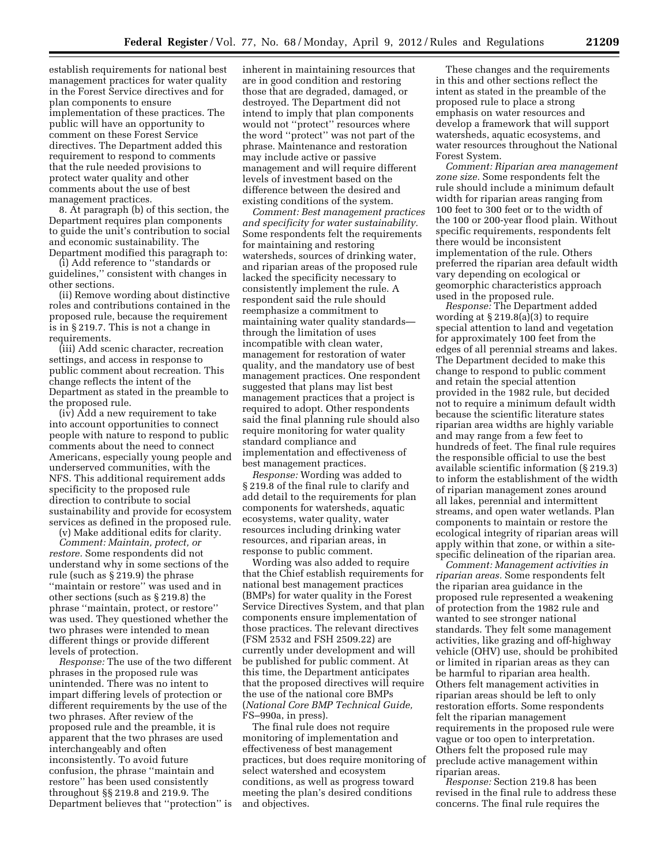establish requirements for national best management practices for water quality in the Forest Service directives and for plan components to ensure implementation of these practices. The public will have an opportunity to comment on these Forest Service directives. The Department added this requirement to respond to comments that the rule needed provisions to protect water quality and other comments about the use of best management practices.

8. At paragraph (b) of this section, the Department requires plan components to guide the unit's contribution to social and economic sustainability. The Department modified this paragraph to:

(i) Add reference to ''standards or guidelines,'' consistent with changes in other sections.

(ii) Remove wording about distinctive roles and contributions contained in the proposed rule, because the requirement is in § 219.7. This is not a change in requirements.

(iii) Add scenic character, recreation settings, and access in response to public comment about recreation. This change reflects the intent of the Department as stated in the preamble to the proposed rule.

(iv) Add a new requirement to take into account opportunities to connect people with nature to respond to public comments about the need to connect Americans, especially young people and underserved communities, with the NFS. This additional requirement adds specificity to the proposed rule direction to contribute to social sustainability and provide for ecosystem services as defined in the proposed rule.

(v) Make additional edits for clarity. *Comment: Maintain, protect, or restore.* Some respondents did not understand why in some sections of the rule (such as § 219.9) the phrase ''maintain or restore'' was used and in other sections (such as § 219.8) the phrase ''maintain, protect, or restore'' was used. They questioned whether the two phrases were intended to mean different things or provide different levels of protection.

*Response:* The use of the two different phrases in the proposed rule was unintended. There was no intent to impart differing levels of protection or different requirements by the use of the two phrases. After review of the proposed rule and the preamble, it is apparent that the two phrases are used interchangeably and often inconsistently. To avoid future confusion, the phrase ''maintain and restore'' has been used consistently throughout §§ 219.8 and 219.9. The Department believes that ''protection'' is

inherent in maintaining resources that are in good condition and restoring those that are degraded, damaged, or destroyed. The Department did not intend to imply that plan components would not ''protect'' resources where the word ''protect'' was not part of the phrase. Maintenance and restoration may include active or passive management and will require different levels of investment based on the difference between the desired and existing conditions of the system.

*Comment: Best management practices and specificity for water sustainability.*  Some respondents felt the requirements for maintaining and restoring watersheds, sources of drinking water, and riparian areas of the proposed rule lacked the specificity necessary to consistently implement the rule. A respondent said the rule should reemphasize a commitment to maintaining water quality standards through the limitation of uses incompatible with clean water, management for restoration of water quality, and the mandatory use of best management practices. One respondent suggested that plans may list best management practices that a project is required to adopt. Other respondents said the final planning rule should also require monitoring for water quality standard compliance and implementation and effectiveness of best management practices.

*Response:* Wording was added to § 219.8 of the final rule to clarify and add detail to the requirements for plan components for watersheds, aquatic ecosystems, water quality, water resources including drinking water resources, and riparian areas, in response to public comment.

Wording was also added to require that the Chief establish requirements for national best management practices (BMPs) for water quality in the Forest Service Directives System, and that plan components ensure implementation of those practices. The relevant directives (FSM 2532 and FSH 2509.22) are currently under development and will be published for public comment. At this time, the Department anticipates that the proposed directives will require the use of the national core BMPs (*National Core BMP Technical Guide,*  FS–990a, in press).

The final rule does not require monitoring of implementation and effectiveness of best management practices, but does require monitoring of select watershed and ecosystem conditions, as well as progress toward meeting the plan's desired conditions and objectives.

These changes and the requirements in this and other sections reflect the intent as stated in the preamble of the proposed rule to place a strong emphasis on water resources and develop a framework that will support watersheds, aquatic ecosystems, and water resources throughout the National Forest System.

*Comment: Riparian area management zone size.* Some respondents felt the rule should include a minimum default width for riparian areas ranging from 100 feet to 300 feet or to the width of the 100 or 200-year flood plain. Without specific requirements, respondents felt there would be inconsistent implementation of the rule. Others preferred the riparian area default width vary depending on ecological or geomorphic characteristics approach used in the proposed rule.

*Response:* The Department added wording at § 219.8(a)(3) to require special attention to land and vegetation for approximately 100 feet from the edges of all perennial streams and lakes. The Department decided to make this change to respond to public comment and retain the special attention provided in the 1982 rule, but decided not to require a minimum default width because the scientific literature states riparian area widths are highly variable and may range from a few feet to hundreds of feet. The final rule requires the responsible official to use the best available scientific information (§ 219.3) to inform the establishment of the width of riparian management zones around all lakes, perennial and intermittent streams, and open water wetlands. Plan components to maintain or restore the ecological integrity of riparian areas will apply within that zone, or within a sitespecific delineation of the riparian area.

*Comment: Management activities in riparian areas.* Some respondents felt the riparian area guidance in the proposed rule represented a weakening of protection from the 1982 rule and wanted to see stronger national standards. They felt some management activities, like grazing and off-highway vehicle (OHV) use, should be prohibited or limited in riparian areas as they can be harmful to riparian area health. Others felt management activities in riparian areas should be left to only restoration efforts. Some respondents felt the riparian management requirements in the proposed rule were vague or too open to interpretation. Others felt the proposed rule may preclude active management within riparian areas.

*Response:* Section 219.8 has been revised in the final rule to address these concerns. The final rule requires the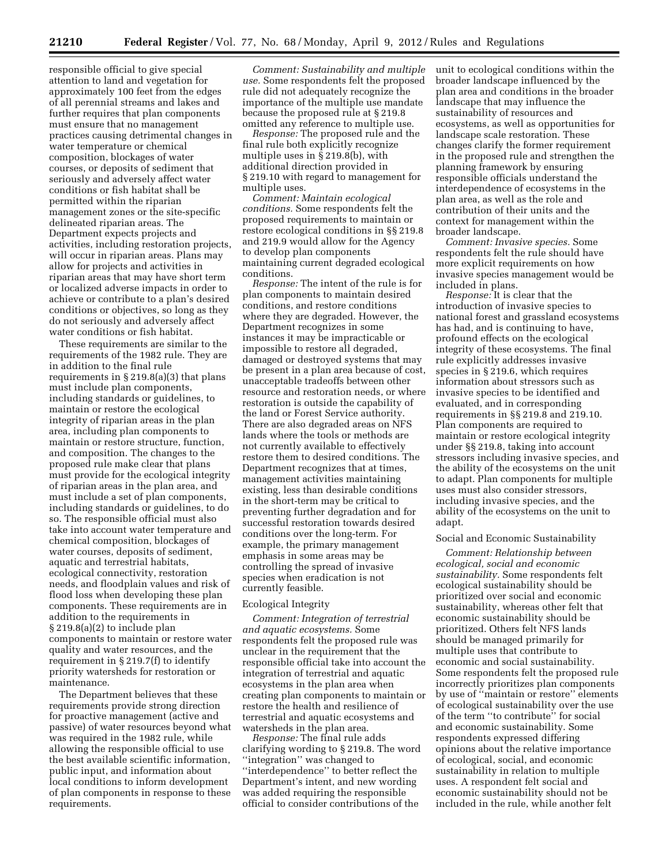responsible official to give special attention to land and vegetation for approximately 100 feet from the edges of all perennial streams and lakes and further requires that plan components must ensure that no management practices causing detrimental changes in water temperature or chemical composition, blockages of water courses, or deposits of sediment that seriously and adversely affect water conditions or fish habitat shall be permitted within the riparian management zones or the site-specific delineated riparian areas. The Department expects projects and activities, including restoration projects, will occur in riparian areas. Plans may allow for projects and activities in riparian areas that may have short term or localized adverse impacts in order to achieve or contribute to a plan's desired conditions or objectives, so long as they do not seriously and adversely affect water conditions or fish habitat.

These requirements are similar to the requirements of the 1982 rule. They are in addition to the final rule requirements in  $\S 219.8(a)(3)$  that plans must include plan components, including standards or guidelines, to maintain or restore the ecological integrity of riparian areas in the plan area, including plan components to maintain or restore structure, function, and composition. The changes to the proposed rule make clear that plans must provide for the ecological integrity of riparian areas in the plan area, and must include a set of plan components, including standards or guidelines, to do so. The responsible official must also take into account water temperature and chemical composition, blockages of water courses, deposits of sediment, aquatic and terrestrial habitats, ecological connectivity, restoration needs, and floodplain values and risk of flood loss when developing these plan components. These requirements are in addition to the requirements in § 219.8(a)(2) to include plan components to maintain or restore water quality and water resources, and the requirement in § 219.7(f) to identify priority watersheds for restoration or maintenance.

The Department believes that these requirements provide strong direction for proactive management (active and passive) of water resources beyond what was required in the 1982 rule, while allowing the responsible official to use the best available scientific information, public input, and information about local conditions to inform development of plan components in response to these requirements.

*Comment: Sustainability and multiple use.* Some respondents felt the proposed rule did not adequately recognize the importance of the multiple use mandate because the proposed rule at § 219.8 omitted any reference to multiple use.

*Response:* The proposed rule and the final rule both explicitly recognize multiple uses in § 219.8(b), with additional direction provided in § 219.10 with regard to management for multiple uses.

*Comment: Maintain ecological conditions.* Some respondents felt the proposed requirements to maintain or restore ecological conditions in §§ 219.8 and 219.9 would allow for the Agency to develop plan components maintaining current degraded ecological conditions.

*Response:* The intent of the rule is for plan components to maintain desired conditions, and restore conditions where they are degraded. However, the Department recognizes in some instances it may be impracticable or impossible to restore all degraded, damaged or destroyed systems that may be present in a plan area because of cost, unacceptable tradeoffs between other resource and restoration needs, or where restoration is outside the capability of the land or Forest Service authority. There are also degraded areas on NFS lands where the tools or methods are not currently available to effectively restore them to desired conditions. The Department recognizes that at times, management activities maintaining existing, less than desirable conditions in the short-term may be critical to preventing further degradation and for successful restoration towards desired conditions over the long-term. For example, the primary management emphasis in some areas may be controlling the spread of invasive species when eradication is not currently feasible.

# Ecological Integrity

*Comment: Integration of terrestrial and aquatic ecosystems.* Some respondents felt the proposed rule was unclear in the requirement that the responsible official take into account the integration of terrestrial and aquatic ecosystems in the plan area when creating plan components to maintain or restore the health and resilience of terrestrial and aquatic ecosystems and watersheds in the plan area.

*Response:* The final rule adds clarifying wording to § 219.8. The word ''integration'' was changed to ''interdependence'' to better reflect the Department's intent, and new wording was added requiring the responsible official to consider contributions of the

unit to ecological conditions within the broader landscape influenced by the plan area and conditions in the broader landscape that may influence the sustainability of resources and ecosystems, as well as opportunities for landscape scale restoration. These changes clarify the former requirement in the proposed rule and strengthen the planning framework by ensuring responsible officials understand the interdependence of ecosystems in the plan area, as well as the role and contribution of their units and the context for management within the broader landscape.

*Comment: Invasive species.* Some respondents felt the rule should have more explicit requirements on how invasive species management would be included in plans.

*Response:* It is clear that the introduction of invasive species to national forest and grassland ecosystems has had, and is continuing to have, profound effects on the ecological integrity of these ecosystems. The final rule explicitly addresses invasive species in § 219.6, which requires information about stressors such as invasive species to be identified and evaluated, and in corresponding requirements in §§ 219.8 and 219.10. Plan components are required to maintain or restore ecological integrity under §§ 219.8, taking into account stressors including invasive species, and the ability of the ecosystems on the unit to adapt. Plan components for multiple uses must also consider stressors, including invasive species, and the ability of the ecosystems on the unit to adapt.

### Social and Economic Sustainability

*Comment: Relationship between ecological, social and economic sustainability.* Some respondents felt ecological sustainability should be prioritized over social and economic sustainability, whereas other felt that economic sustainability should be prioritized. Others felt NFS lands should be managed primarily for multiple uses that contribute to economic and social sustainability. Some respondents felt the proposed rule incorrectly prioritizes plan components by use of ''maintain or restore'' elements of ecological sustainability over the use of the term ''to contribute'' for social and economic sustainability. Some respondents expressed differing opinions about the relative importance of ecological, social, and economic sustainability in relation to multiple uses. A respondent felt social and economic sustainability should not be included in the rule, while another felt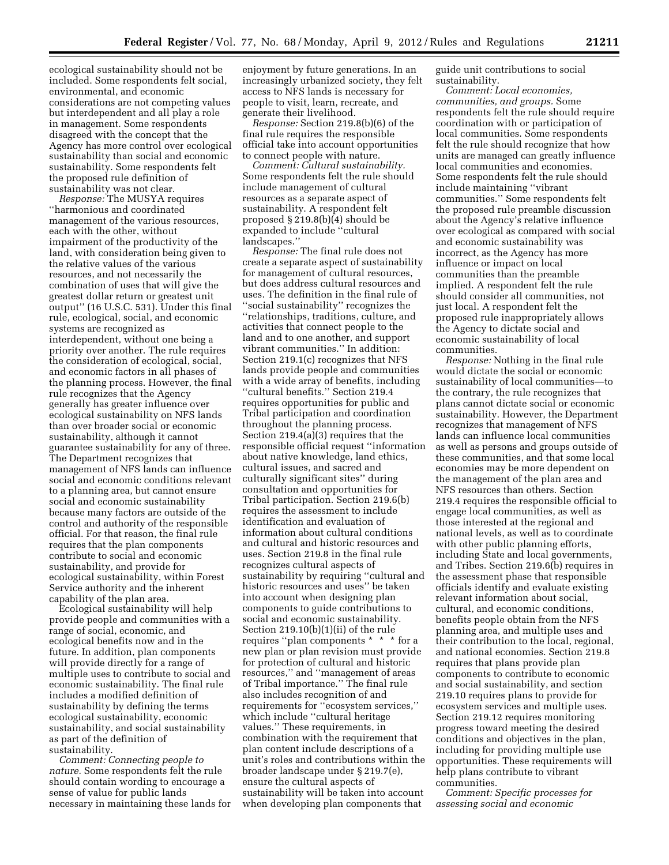ecological sustainability should not be included. Some respondents felt social, environmental, and economic considerations are not competing values but interdependent and all play a role in management. Some respondents disagreed with the concept that the Agency has more control over ecological sustainability than social and economic sustainability. Some respondents felt the proposed rule definition of sustainability was not clear.

*Response:* The MUSYA requires ''harmonious and coordinated management of the various resources, each with the other, without impairment of the productivity of the land, with consideration being given to the relative values of the various resources, and not necessarily the combination of uses that will give the greatest dollar return or greatest unit output'' (16 U.S.C. 531). Under this final rule, ecological, social, and economic systems are recognized as interdependent, without one being a priority over another. The rule requires the consideration of ecological, social, and economic factors in all phases of the planning process. However, the final rule recognizes that the Agency generally has greater influence over ecological sustainability on NFS lands than over broader social or economic sustainability, although it cannot guarantee sustainability for any of three. The Department recognizes that management of NFS lands can influence social and economic conditions relevant to a planning area, but cannot ensure social and economic sustainability because many factors are outside of the control and authority of the responsible official. For that reason, the final rule requires that the plan components contribute to social and economic sustainability, and provide for ecological sustainability, within Forest Service authority and the inherent capability of the plan area.

Ecological sustainability will help provide people and communities with a range of social, economic, and ecological benefits now and in the future. In addition, plan components will provide directly for a range of multiple uses to contribute to social and economic sustainability. The final rule includes a modified definition of sustainability by defining the terms ecological sustainability, economic sustainability, and social sustainability as part of the definition of sustainability.

*Comment: Connecting people to nature.* Some respondents felt the rule should contain wording to encourage a sense of value for public lands necessary in maintaining these lands for

enjoyment by future generations. In an increasingly urbanized society, they felt access to NFS lands is necessary for people to visit, learn, recreate, and generate their livelihood.

*Response:* Section 219.8(b)(6) of the final rule requires the responsible official take into account opportunities to connect people with nature.

*Comment: Cultural sustainability.*  Some respondents felt the rule should include management of cultural resources as a separate aspect of sustainability. A respondent felt proposed § 219.8(b)(4) should be expanded to include ''cultural landscapes.''

*Response:* The final rule does not create a separate aspect of sustainability for management of cultural resources, but does address cultural resources and uses. The definition in the final rule of ''social sustainability'' recognizes the ''relationships, traditions, culture, and activities that connect people to the land and to one another, and support vibrant communities.'' In addition: Section 219.1(c) recognizes that NFS lands provide people and communities with a wide array of benefits, including ''cultural benefits.'' Section 219.4 requires opportunities for public and Tribal participation and coordination throughout the planning process. Section 219.4(a)(3) requires that the responsible official request ''information about native knowledge, land ethics, cultural issues, and sacred and culturally significant sites'' during consultation and opportunities for Tribal participation. Section 219.6(b) requires the assessment to include identification and evaluation of information about cultural conditions and cultural and historic resources and uses. Section 219.8 in the final rule recognizes cultural aspects of sustainability by requiring ''cultural and historic resources and uses'' be taken into account when designing plan components to guide contributions to social and economic sustainability. Section 219.10(b)(1)(ii) of the rule requires ''plan components \* \* \* for a new plan or plan revision must provide for protection of cultural and historic resources,'' and ''management of areas of Tribal importance.'' The final rule also includes recognition of and requirements for ''ecosystem services,'' which include ''cultural heritage values.'' These requirements, in combination with the requirement that plan content include descriptions of a unit's roles and contributions within the broader landscape under § 219.7(e), ensure the cultural aspects of sustainability will be taken into account when developing plan components that

guide unit contributions to social sustainability.

*Comment: Local economies, communities, and groups.* Some respondents felt the rule should require coordination with or participation of local communities. Some respondents felt the rule should recognize that how units are managed can greatly influence local communities and economies. Some respondents felt the rule should include maintaining ''vibrant communities.'' Some respondents felt the proposed rule preamble discussion about the Agency's relative influence over ecological as compared with social and economic sustainability was incorrect, as the Agency has more influence or impact on local communities than the preamble implied. A respondent felt the rule should consider all communities, not just local. A respondent felt the proposed rule inappropriately allows the Agency to dictate social and economic sustainability of local communities.

*Response:* Nothing in the final rule would dictate the social or economic sustainability of local communities—to the contrary, the rule recognizes that plans cannot dictate social or economic sustainability. However, the Department recognizes that management of NFS lands can influence local communities as well as persons and groups outside of these communities, and that some local economies may be more dependent on the management of the plan area and NFS resources than others. Section 219.4 requires the responsible official to engage local communities, as well as those interested at the regional and national levels, as well as to coordinate with other public planning efforts, including State and local governments, and Tribes. Section 219.6(b) requires in the assessment phase that responsible officials identify and evaluate existing relevant information about social, cultural, and economic conditions, benefits people obtain from the NFS planning area, and multiple uses and their contribution to the local, regional, and national economies. Section 219.8 requires that plans provide plan components to contribute to economic and social sustainability, and section 219.10 requires plans to provide for ecosystem services and multiple uses. Section 219.12 requires monitoring progress toward meeting the desired conditions and objectives in the plan, including for providing multiple use opportunities. These requirements will help plans contribute to vibrant communities.

*Comment: Specific processes for assessing social and economic*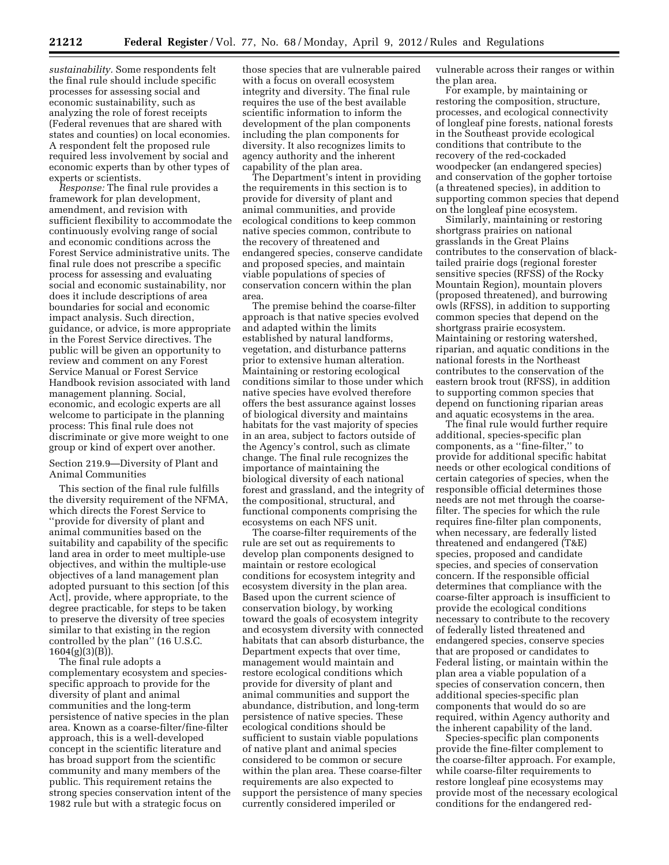*sustainability.* Some respondents felt the final rule should include specific processes for assessing social and economic sustainability, such as analyzing the role of forest receipts (Federal revenues that are shared with states and counties) on local economies. A respondent felt the proposed rule required less involvement by social and economic experts than by other types of experts or scientists.

*Response:* The final rule provides a framework for plan development, amendment, and revision with sufficient flexibility to accommodate the continuously evolving range of social and economic conditions across the Forest Service administrative units. The final rule does not prescribe a specific process for assessing and evaluating social and economic sustainability, nor does it include descriptions of area boundaries for social and economic impact analysis. Such direction, guidance, or advice, is more appropriate in the Forest Service directives. The public will be given an opportunity to review and comment on any Forest Service Manual or Forest Service Handbook revision associated with land management planning. Social, economic, and ecologic experts are all welcome to participate in the planning process: This final rule does not discriminate or give more weight to one group or kind of expert over another.

# Section 219.9—Diversity of Plant and Animal Communities

This section of the final rule fulfills the diversity requirement of the NFMA, which directs the Forest Service to ''provide for diversity of plant and animal communities based on the suitability and capability of the specific land area in order to meet multiple-use objectives, and within the multiple-use objectives of a land management plan adopted pursuant to this section [of this Act], provide, where appropriate, to the degree practicable, for steps to be taken to preserve the diversity of tree species similar to that existing in the region controlled by the plan'' (16 U.S.C. 1604(g)(3)(B)).

The final rule adopts a complementary ecosystem and speciesspecific approach to provide for the diversity of plant and animal communities and the long-term persistence of native species in the plan area. Known as a coarse-filter/fine-filter approach, this is a well-developed concept in the scientific literature and has broad support from the scientific community and many members of the public. This requirement retains the strong species conservation intent of the 1982 rule but with a strategic focus on

those species that are vulnerable paired with a focus on overall ecosystem integrity and diversity. The final rule requires the use of the best available scientific information to inform the development of the plan components including the plan components for diversity. It also recognizes limits to agency authority and the inherent capability of the plan area.

The Department's intent in providing the requirements in this section is to provide for diversity of plant and animal communities, and provide ecological conditions to keep common native species common, contribute to the recovery of threatened and endangered species, conserve candidate and proposed species, and maintain viable populations of species of conservation concern within the plan area.

The premise behind the coarse-filter approach is that native species evolved and adapted within the limits established by natural landforms, vegetation, and disturbance patterns prior to extensive human alteration. Maintaining or restoring ecological conditions similar to those under which native species have evolved therefore offers the best assurance against losses of biological diversity and maintains habitats for the vast majority of species in an area, subject to factors outside of the Agency's control, such as climate change. The final rule recognizes the importance of maintaining the biological diversity of each national forest and grassland, and the integrity of the compositional, structural, and functional components comprising the ecosystems on each NFS unit.

The coarse-filter requirements of the rule are set out as requirements to develop plan components designed to maintain or restore ecological conditions for ecosystem integrity and ecosystem diversity in the plan area. Based upon the current science of conservation biology, by working toward the goals of ecosystem integrity and ecosystem diversity with connected habitats that can absorb disturbance, the Department expects that over time, management would maintain and restore ecological conditions which provide for diversity of plant and animal communities and support the abundance, distribution, and long-term persistence of native species. These ecological conditions should be sufficient to sustain viable populations of native plant and animal species considered to be common or secure within the plan area. These coarse-filter requirements are also expected to support the persistence of many species currently considered imperiled or

vulnerable across their ranges or within the plan area.

For example, by maintaining or restoring the composition, structure, processes, and ecological connectivity of longleaf pine forests, national forests in the Southeast provide ecological conditions that contribute to the recovery of the red-cockaded woodpecker (an endangered species) and conservation of the gopher tortoise (a threatened species), in addition to supporting common species that depend on the longleaf pine ecosystem.

Similarly, maintaining or restoring shortgrass prairies on national grasslands in the Great Plains contributes to the conservation of blacktailed prairie dogs (regional forester sensitive species (RFSS) of the Rocky Mountain Region), mountain plovers (proposed threatened), and burrowing owls (RFSS), in addition to supporting common species that depend on the shortgrass prairie ecosystem. Maintaining or restoring watershed, riparian, and aquatic conditions in the national forests in the Northeast contributes to the conservation of the eastern brook trout (RFSS), in addition to supporting common species that depend on functioning riparian areas and aquatic ecosystems in the area.

The final rule would further require additional, species-specific plan components, as a ''fine-filter,'' to provide for additional specific habitat needs or other ecological conditions of certain categories of species, when the responsible official determines those needs are not met through the coarsefilter. The species for which the rule requires fine-filter plan components, when necessary, are federally listed threatened and endangered (T&E) species, proposed and candidate species, and species of conservation concern. If the responsible official determines that compliance with the coarse-filter approach is insufficient to provide the ecological conditions necessary to contribute to the recovery of federally listed threatened and endangered species, conserve species that are proposed or candidates to Federal listing, or maintain within the plan area a viable population of a species of conservation concern, then additional species-specific plan components that would do so are required, within Agency authority and the inherent capability of the land.

Species-specific plan components provide the fine-filter complement to the coarse-filter approach. For example, while coarse-filter requirements to restore longleaf pine ecosystems may provide most of the necessary ecological conditions for the endangered red-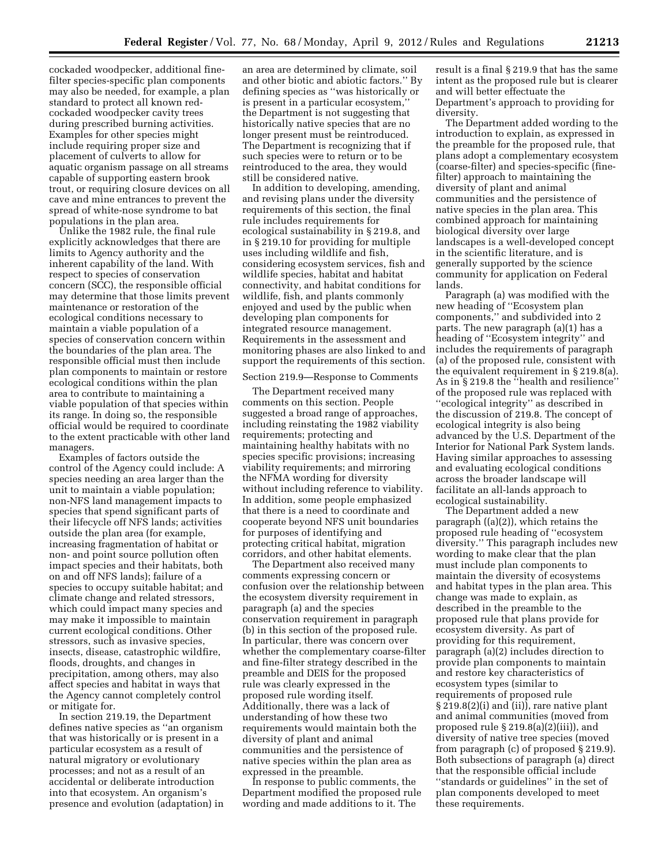cockaded woodpecker, additional finefilter species-specific plan components may also be needed, for example, a plan standard to protect all known redcockaded woodpecker cavity trees during prescribed burning activities. Examples for other species might include requiring proper size and placement of culverts to allow for aquatic organism passage on all streams capable of supporting eastern brook trout, or requiring closure devices on all cave and mine entrances to prevent the spread of white-nose syndrome to bat populations in the plan area.

Unlike the 1982 rule, the final rule explicitly acknowledges that there are limits to Agency authority and the inherent capability of the land. With respect to species of conservation concern (SCC), the responsible official may determine that those limits prevent maintenance or restoration of the ecological conditions necessary to maintain a viable population of a species of conservation concern within the boundaries of the plan area. The responsible official must then include plan components to maintain or restore ecological conditions within the plan area to contribute to maintaining a viable population of that species within its range. In doing so, the responsible official would be required to coordinate to the extent practicable with other land managers.

Examples of factors outside the control of the Agency could include: A species needing an area larger than the unit to maintain a viable population; non-NFS land management impacts to species that spend significant parts of their lifecycle off NFS lands; activities outside the plan area (for example, increasing fragmentation of habitat or non- and point source pollution often impact species and their habitats, both on and off NFS lands); failure of a species to occupy suitable habitat; and climate change and related stressors, which could impact many species and may make it impossible to maintain current ecological conditions. Other stressors, such as invasive species, insects, disease, catastrophic wildfire, floods, droughts, and changes in precipitation, among others, may also affect species and habitat in ways that the Agency cannot completely control or mitigate for.

In section 219.19, the Department defines native species as ''an organism that was historically or is present in a particular ecosystem as a result of natural migratory or evolutionary processes; and not as a result of an accidental or deliberate introduction into that ecosystem. An organism's presence and evolution (adaptation) in an area are determined by climate, soil and other biotic and abiotic factors.'' By defining species as ''was historically or is present in a particular ecosystem,'' the Department is not suggesting that historically native species that are no longer present must be reintroduced. The Department is recognizing that if such species were to return or to be reintroduced to the area, they would still be considered native.

In addition to developing, amending, and revising plans under the diversity requirements of this section, the final rule includes requirements for ecological sustainability in § 219.8, and in § 219.10 for providing for multiple uses including wildlife and fish, considering ecosystem services, fish and wildlife species, habitat and habitat connectivity, and habitat conditions for wildlife, fish, and plants commonly enjoyed and used by the public when developing plan components for integrated resource management. Requirements in the assessment and monitoring phases are also linked to and support the requirements of this section.

# Section 219.9—Response to Comments

The Department received many comments on this section. People suggested a broad range of approaches, including reinstating the 1982 viability requirements; protecting and maintaining healthy habitats with no species specific provisions; increasing viability requirements; and mirroring the NFMA wording for diversity without including reference to viability. In addition, some people emphasized that there is a need to coordinate and cooperate beyond NFS unit boundaries for purposes of identifying and protecting critical habitat, migration corridors, and other habitat elements.

The Department also received many comments expressing concern or confusion over the relationship between the ecosystem diversity requirement in paragraph (a) and the species conservation requirement in paragraph (b) in this section of the proposed rule. In particular, there was concern over whether the complementary coarse-filter and fine-filter strategy described in the preamble and DEIS for the proposed rule was clearly expressed in the proposed rule wording itself. Additionally, there was a lack of understanding of how these two requirements would maintain both the diversity of plant and animal communities and the persistence of native species within the plan area as expressed in the preamble.

In response to public comments, the Department modified the proposed rule wording and made additions to it. The

result is a final § 219.9 that has the same intent as the proposed rule but is clearer and will better effectuate the Department's approach to providing for diversity.

The Department added wording to the introduction to explain, as expressed in the preamble for the proposed rule, that plans adopt a complementary ecosystem (coarse-filter) and species-specific (finefilter) approach to maintaining the diversity of plant and animal communities and the persistence of native species in the plan area. This combined approach for maintaining biological diversity over large landscapes is a well-developed concept in the scientific literature, and is generally supported by the science community for application on Federal lands.

Paragraph (a) was modified with the new heading of ''Ecosystem plan components,'' and subdivided into 2 parts. The new paragraph (a)(1) has a heading of ''Ecosystem integrity'' and includes the requirements of paragraph (a) of the proposed rule, consistent with the equivalent requirement in § 219.8(a). As in § 219.8 the ''health and resilience'' of the proposed rule was replaced with ''ecological integrity'' as described in the discussion of 219.8. The concept of ecological integrity is also being advanced by the U.S. Department of the Interior for National Park System lands. Having similar approaches to assessing and evaluating ecological conditions across the broader landscape will facilitate an all-lands approach to ecological sustainability.

The Department added a new paragraph  $((a)(2))$ , which retains the proposed rule heading of ''ecosystem diversity.'' This paragraph includes new wording to make clear that the plan must include plan components to maintain the diversity of ecosystems and habitat types in the plan area. This change was made to explain, as described in the preamble to the proposed rule that plans provide for ecosystem diversity. As part of providing for this requirement, paragraph (a)(2) includes direction to provide plan components to maintain and restore key characteristics of ecosystem types (similar to requirements of proposed rule § 219.8(2)(i) and (ii)), rare native plant and animal communities (moved from proposed rule § 219.8(a)(2)(iii)), and diversity of native tree species (moved from paragraph (c) of proposed § 219.9). Both subsections of paragraph (a) direct that the responsible official include ''standards or guidelines'' in the set of plan components developed to meet these requirements.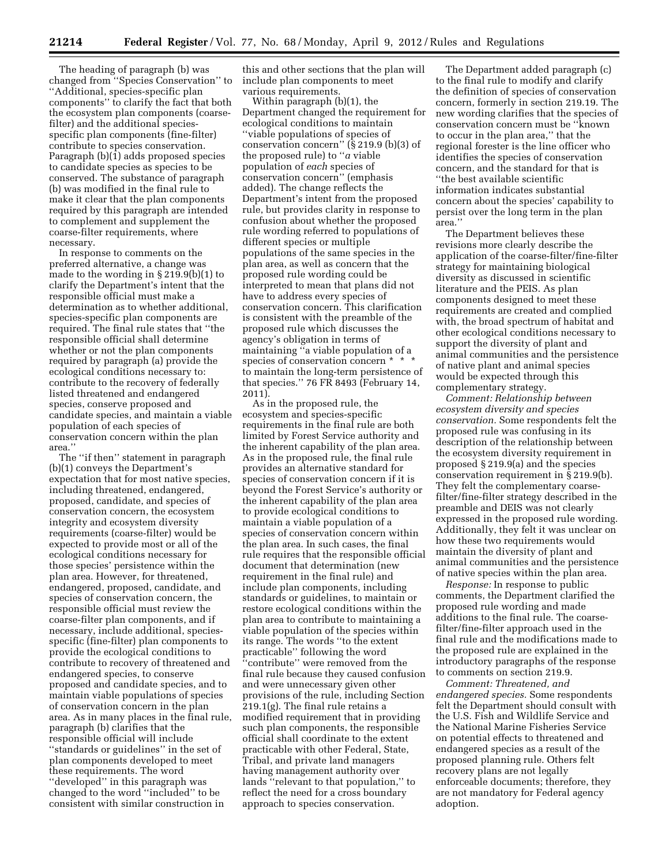The heading of paragraph (b) was changed from ''Species Conservation'' to ''Additional, species-specific plan components'' to clarify the fact that both the ecosystem plan components (coarsefilter) and the additional speciesspecific plan components (fine-filter) contribute to species conservation. Paragraph (b)(1) adds proposed species to candidate species as species to be conserved. The substance of paragraph (b) was modified in the final rule to make it clear that the plan components required by this paragraph are intended to complement and supplement the coarse-filter requirements, where necessary.

In response to comments on the preferred alternative, a change was made to the wording in § 219.9(b)(1) to clarify the Department's intent that the responsible official must make a determination as to whether additional, species-specific plan components are required. The final rule states that ''the responsible official shall determine whether or not the plan components required by paragraph (a) provide the ecological conditions necessary to: contribute to the recovery of federally listed threatened and endangered species, conserve proposed and candidate species, and maintain a viable population of each species of conservation concern within the plan area.''

The ''if then'' statement in paragraph (b)(1) conveys the Department's expectation that for most native species, including threatened, endangered, proposed, candidate, and species of conservation concern, the ecosystem integrity and ecosystem diversity requirements (coarse-filter) would be expected to provide most or all of the ecological conditions necessary for those species' persistence within the plan area. However, for threatened, endangered, proposed, candidate, and species of conservation concern, the responsible official must review the coarse-filter plan components, and if necessary, include additional, speciesspecific (fine-filter) plan components to provide the ecological conditions to contribute to recovery of threatened and endangered species, to conserve proposed and candidate species, and to maintain viable populations of species of conservation concern in the plan area. As in many places in the final rule, paragraph (b) clarifies that the responsible official will include ''standards or guidelines'' in the set of plan components developed to meet these requirements. The word "developed" in this paragraph was changed to the word ''included'' to be consistent with similar construction in

this and other sections that the plan will include plan components to meet various requirements.

Within paragraph (b)(1), the Department changed the requirement for ecological conditions to maintain ''viable populations of species of conservation concern'' (§ 219.9 (b)(3) of the proposed rule) to ''*a* viable population of *each* species of conservation concern'' (emphasis added). The change reflects the Department's intent from the proposed rule, but provides clarity in response to confusion about whether the proposed rule wording referred to populations of different species or multiple populations of the same species in the plan area, as well as concern that the proposed rule wording could be interpreted to mean that plans did not have to address every species of conservation concern. This clarification is consistent with the preamble of the proposed rule which discusses the agency's obligation in terms of maintaining ''a viable population of a species of conservation concern \* \* \* to maintain the long-term persistence of that species.'' 76 FR 8493 (February 14, 2011).

As in the proposed rule, the ecosystem and species-specific requirements in the final rule are both limited by Forest Service authority and the inherent capability of the plan area. As in the proposed rule, the final rule provides an alternative standard for species of conservation concern if it is beyond the Forest Service's authority or the inherent capability of the plan area to provide ecological conditions to maintain a viable population of a species of conservation concern within the plan area. In such cases, the final rule requires that the responsible official document that determination (new requirement in the final rule) and include plan components, including standards or guidelines, to maintain or restore ecological conditions within the plan area to contribute to maintaining a viable population of the species within its range. The words ''to the extent practicable'' following the word ''contribute'' were removed from the final rule because they caused confusion and were unnecessary given other provisions of the rule, including Section 219.1(g). The final rule retains a modified requirement that in providing such plan components, the responsible official shall coordinate to the extent practicable with other Federal, State, Tribal, and private land managers having management authority over lands ''relevant to that population,'' to reflect the need for a cross boundary approach to species conservation.

The Department added paragraph (c) to the final rule to modify and clarify the definition of species of conservation concern, formerly in section 219.19. The new wording clarifies that the species of conservation concern must be ''known to occur in the plan area,'' that the regional forester is the line officer who identifies the species of conservation concern, and the standard for that is ''the best available scientific information indicates substantial concern about the species' capability to persist over the long term in the plan area.''

The Department believes these revisions more clearly describe the application of the coarse-filter/fine-filter strategy for maintaining biological diversity as discussed in scientific literature and the PEIS. As plan components designed to meet these requirements are created and complied with, the broad spectrum of habitat and other ecological conditions necessary to support the diversity of plant and animal communities and the persistence of native plant and animal species would be expected through this complementary strategy.

*Comment: Relationship between ecosystem diversity and species conservation.* Some respondents felt the proposed rule was confusing in its description of the relationship between the ecosystem diversity requirement in proposed § 219.9(a) and the species conservation requirement in § 219.9(b). They felt the complementary coarsefilter/fine-filter strategy described in the preamble and DEIS was not clearly expressed in the proposed rule wording. Additionally, they felt it was unclear on how these two requirements would maintain the diversity of plant and animal communities and the persistence of native species within the plan area.

*Response:* In response to public comments, the Department clarified the proposed rule wording and made additions to the final rule. The coarsefilter/fine-filter approach used in the final rule and the modifications made to the proposed rule are explained in the introductory paragraphs of the response to comments on section 219.9.

*Comment: Threatened, and endangered species.* Some respondents felt the Department should consult with the U.S. Fish and Wildlife Service and the National Marine Fisheries Service on potential effects to threatened and endangered species as a result of the proposed planning rule. Others felt recovery plans are not legally enforceable documents; therefore, they are not mandatory for Federal agency adoption.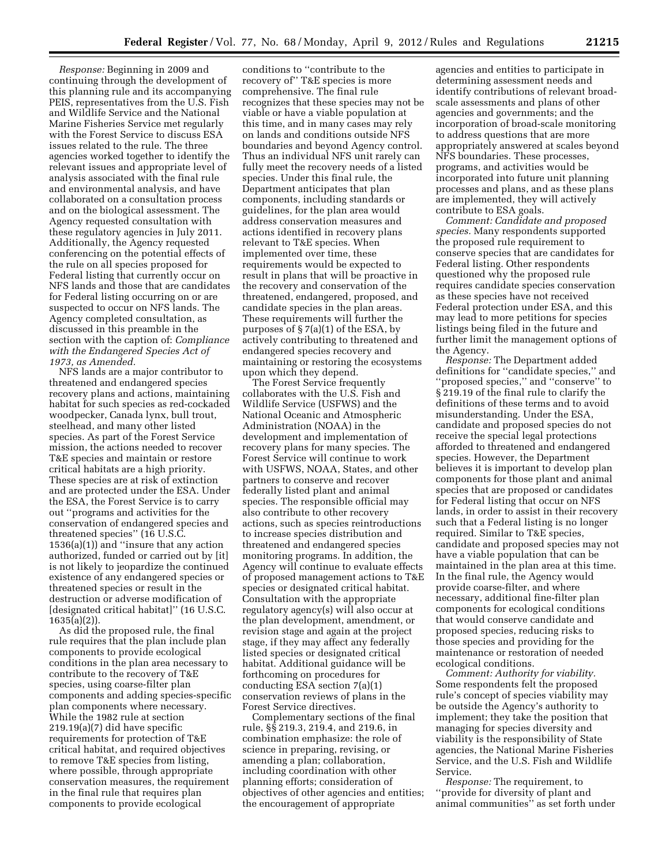*Response:* Beginning in 2009 and continuing through the development of this planning rule and its accompanying PEIS, representatives from the U.S. Fish and Wildlife Service and the National Marine Fisheries Service met regularly with the Forest Service to discuss ESA issues related to the rule. The three agencies worked together to identify the relevant issues and appropriate level of analysis associated with the final rule and environmental analysis, and have collaborated on a consultation process and on the biological assessment. The Agency requested consultation with these regulatory agencies in July 2011. Additionally, the Agency requested conferencing on the potential effects of the rule on all species proposed for Federal listing that currently occur on NFS lands and those that are candidates for Federal listing occurring on or are suspected to occur on NFS lands. The Agency completed consultation, as discussed in this preamble in the section with the caption of: *Compliance with the Endangered Species Act of 1973, as Amended.* 

NFS lands are a major contributor to threatened and endangered species recovery plans and actions, maintaining habitat for such species as red-cockaded woodpecker, Canada lynx, bull trout, steelhead, and many other listed species. As part of the Forest Service mission, the actions needed to recover T&E species and maintain or restore critical habitats are a high priority. These species are at risk of extinction and are protected under the ESA. Under the ESA, the Forest Service is to carry out ''programs and activities for the conservation of endangered species and threatened species'' (16 U.S.C.  $1536(a)(1)$  and "insure that any action" authorized, funded or carried out by [it] is not likely to jeopardize the continued existence of any endangered species or threatened species or result in the destruction or adverse modification of [designated critical habitat]'' (16 U.S.C. 1635(a)(2)).

As did the proposed rule, the final rule requires that the plan include plan components to provide ecological conditions in the plan area necessary to contribute to the recovery of T&E species, using coarse-filter plan components and adding species-specific plan components where necessary. While the 1982 rule at section 219.19(a)(7) did have specific requirements for protection of T&E critical habitat, and required objectives to remove T&E species from listing, where possible, through appropriate conservation measures, the requirement in the final rule that requires plan components to provide ecological

conditions to ''contribute to the recovery of'' T&E species is more comprehensive. The final rule recognizes that these species may not be viable or have a viable population at this time, and in many cases may rely on lands and conditions outside NFS boundaries and beyond Agency control. Thus an individual NFS unit rarely can fully meet the recovery needs of a listed species. Under this final rule, the Department anticipates that plan components, including standards or guidelines, for the plan area would address conservation measures and actions identified in recovery plans relevant to T&E species. When implemented over time, these requirements would be expected to result in plans that will be proactive in the recovery and conservation of the threatened, endangered, proposed, and candidate species in the plan areas. These requirements will further the purposes of § 7(a)(1) of the ESA, by actively contributing to threatened and endangered species recovery and maintaining or restoring the ecosystems upon which they depend.

The Forest Service frequently collaborates with the U.S. Fish and Wildlife Service (USFWS) and the National Oceanic and Atmospheric Administration (NOAA) in the development and implementation of recovery plans for many species. The Forest Service will continue to work with USFWS, NOAA, States, and other partners to conserve and recover federally listed plant and animal species. The responsible official may also contribute to other recovery actions, such as species reintroductions to increase species distribution and threatened and endangered species monitoring programs. In addition, the Agency will continue to evaluate effects of proposed management actions to T&E species or designated critical habitat. Consultation with the appropriate regulatory agency(s) will also occur at the plan development, amendment, or revision stage and again at the project stage, if they may affect any federally listed species or designated critical habitat. Additional guidance will be forthcoming on procedures for conducting ESA section 7(a)(1) conservation reviews of plans in the Forest Service directives.

Complementary sections of the final rule, §§ 219.3, 219.4, and 219.6, in combination emphasize: the role of science in preparing, revising, or amending a plan; collaboration, including coordination with other planning efforts; consideration of objectives of other agencies and entities; the encouragement of appropriate

agencies and entities to participate in determining assessment needs and identify contributions of relevant broadscale assessments and plans of other agencies and governments; and the incorporation of broad-scale monitoring to address questions that are more appropriately answered at scales beyond NFS boundaries. These processes, programs, and activities would be incorporated into future unit planning processes and plans, and as these plans are implemented, they will actively contribute to ESA goals.

*Comment: Candidate and proposed species.* Many respondents supported the proposed rule requirement to conserve species that are candidates for Federal listing. Other respondents questioned why the proposed rule requires candidate species conservation as these species have not received Federal protection under ESA, and this may lead to more petitions for species listings being filed in the future and further limit the management options of the Agency.

*Response:* The Department added definitions for ''candidate species,'' and ''proposed species,'' and ''conserve'' to § 219.19 of the final rule to clarify the definitions of these terms and to avoid misunderstanding. Under the ESA, candidate and proposed species do not receive the special legal protections afforded to threatened and endangered species. However, the Department believes it is important to develop plan components for those plant and animal species that are proposed or candidates for Federal listing that occur on NFS lands, in order to assist in their recovery such that a Federal listing is no longer required. Similar to T&E species, candidate and proposed species may not have a viable population that can be maintained in the plan area at this time. In the final rule, the Agency would provide coarse-filter, and where necessary, additional fine-filter plan components for ecological conditions that would conserve candidate and proposed species, reducing risks to those species and providing for the maintenance or restoration of needed ecological conditions.

*Comment: Authority for viability.*  Some respondents felt the proposed rule's concept of species viability may be outside the Agency's authority to implement; they take the position that managing for species diversity and viability is the responsibility of State agencies, the National Marine Fisheries Service, and the U.S. Fish and Wildlife Service.

*Response:* The requirement, to ''provide for diversity of plant and animal communities'' as set forth under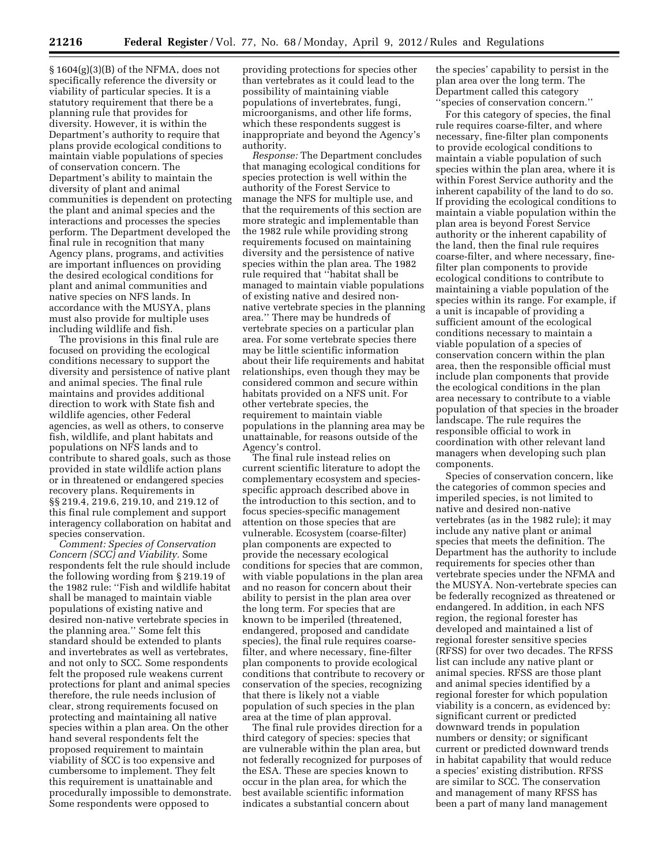§ 1604(g)(3)(B) of the NFMA, does not specifically reference the diversity or viability of particular species. It is a statutory requirement that there be a planning rule that provides for diversity. However, it is within the Department's authority to require that plans provide ecological conditions to maintain viable populations of species of conservation concern. The Department's ability to maintain the diversity of plant and animal communities is dependent on protecting the plant and animal species and the interactions and processes the species perform. The Department developed the final rule in recognition that many Agency plans, programs, and activities are important influences on providing the desired ecological conditions for plant and animal communities and native species on NFS lands. In accordance with the MUSYA, plans must also provide for multiple uses including wildlife and fish.

The provisions in this final rule are focused on providing the ecological conditions necessary to support the diversity and persistence of native plant and animal species. The final rule maintains and provides additional direction to work with State fish and wildlife agencies, other Federal agencies, as well as others, to conserve fish, wildlife, and plant habitats and populations on NFS lands and to contribute to shared goals, such as those provided in state wildlife action plans or in threatened or endangered species recovery plans. Requirements in §§ 219.4, 219.6, 219.10, and 219.12 of this final rule complement and support interagency collaboration on habitat and species conservation.

*Comment: Species of Conservation Concern (SCC) and Viability.* Some respondents felt the rule should include the following wording from § 219.19 of the 1982 rule: ''Fish and wildlife habitat shall be managed to maintain viable populations of existing native and desired non-native vertebrate species in the planning area.'' Some felt this standard should be extended to plants and invertebrates as well as vertebrates, and not only to SCC. Some respondents felt the proposed rule weakens current protections for plant and animal species therefore, the rule needs inclusion of clear, strong requirements focused on protecting and maintaining all native species within a plan area. On the other hand several respondents felt the proposed requirement to maintain viability of SCC is too expensive and cumbersome to implement. They felt this requirement is unattainable and procedurally impossible to demonstrate. Some respondents were opposed to

providing protections for species other than vertebrates as it could lead to the possibility of maintaining viable populations of invertebrates, fungi, microorganisms, and other life forms, which these respondents suggest is inappropriate and beyond the Agency's authority.

*Response:* The Department concludes that managing ecological conditions for species protection is well within the authority of the Forest Service to manage the NFS for multiple use, and that the requirements of this section are more strategic and implementable than the 1982 rule while providing strong requirements focused on maintaining diversity and the persistence of native species within the plan area. The 1982 rule required that ''habitat shall be managed to maintain viable populations of existing native and desired nonnative vertebrate species in the planning area.'' There may be hundreds of vertebrate species on a particular plan area. For some vertebrate species there may be little scientific information about their life requirements and habitat relationships, even though they may be considered common and secure within habitats provided on a NFS unit. For other vertebrate species, the requirement to maintain viable populations in the planning area may be unattainable, for reasons outside of the Agency's control.

The final rule instead relies on current scientific literature to adopt the complementary ecosystem and speciesspecific approach described above in the introduction to this section, and to focus species-specific management attention on those species that are vulnerable. Ecosystem (coarse-filter) plan components are expected to provide the necessary ecological conditions for species that are common, with viable populations in the plan area and no reason for concern about their ability to persist in the plan area over the long term. For species that are known to be imperiled (threatened, endangered, proposed and candidate species), the final rule requires coarsefilter, and where necessary, fine-filter plan components to provide ecological conditions that contribute to recovery or conservation of the species, recognizing that there is likely not a viable population of such species in the plan area at the time of plan approval.

The final rule provides direction for a third category of species: species that are vulnerable within the plan area, but not federally recognized for purposes of the ESA. These are species known to occur in the plan area, for which the best available scientific information indicates a substantial concern about

the species' capability to persist in the plan area over the long term. The Department called this category ''species of conservation concern.''

For this category of species, the final rule requires coarse-filter, and where necessary, fine-filter plan components to provide ecological conditions to maintain a viable population of such species within the plan area, where it is within Forest Service authority and the inherent capability of the land to do so. If providing the ecological conditions to maintain a viable population within the plan area is beyond Forest Service authority or the inherent capability of the land, then the final rule requires coarse-filter, and where necessary, finefilter plan components to provide ecological conditions to contribute to maintaining a viable population of the species within its range. For example, if a unit is incapable of providing a sufficient amount of the ecological conditions necessary to maintain a viable population of a species of conservation concern within the plan area, then the responsible official must include plan components that provide the ecological conditions in the plan area necessary to contribute to a viable population of that species in the broader landscape. The rule requires the responsible official to work in coordination with other relevant land managers when developing such plan components.

Species of conservation concern, like the categories of common species and imperiled species, is not limited to native and desired non-native vertebrates (as in the 1982 rule); it may include any native plant or animal species that meets the definition. The Department has the authority to include requirements for species other than vertebrate species under the NFMA and the MUSYA. Non-vertebrate species can be federally recognized as threatened or endangered. In addition, in each NFS region, the regional forester has developed and maintained a list of regional forester sensitive species (RFSS) for over two decades. The RFSS list can include any native plant or animal species. RFSS are those plant and animal species identified by a regional forester for which population viability is a concern, as evidenced by: significant current or predicted downward trends in population numbers or density; or significant current or predicted downward trends in habitat capability that would reduce a species' existing distribution. RFSS are similar to SCC. The conservation and management of many RFSS has been a part of many land management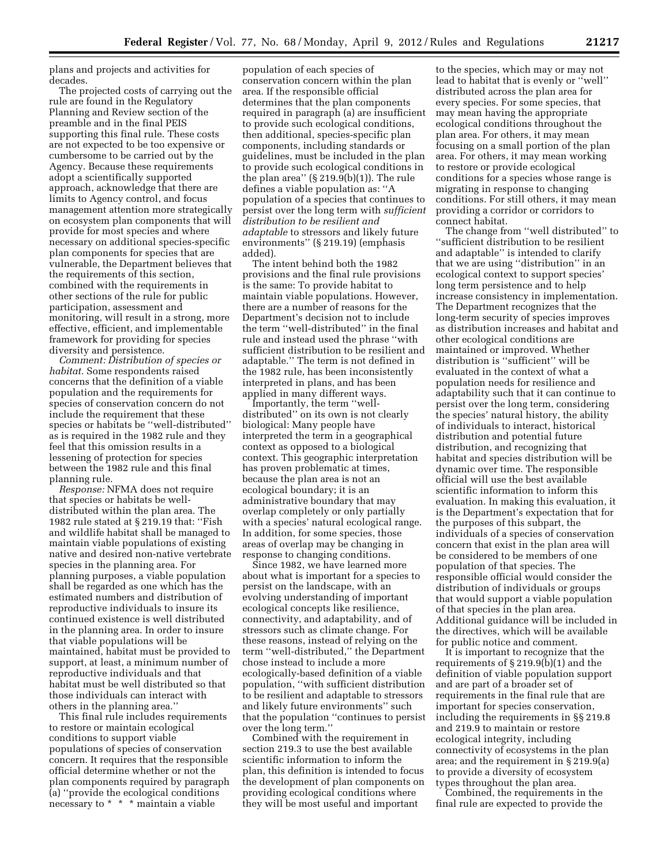plans and projects and activities for decades.

The projected costs of carrying out the rule are found in the Regulatory Planning and Review section of the preamble and in the final PEIS supporting this final rule. These costs are not expected to be too expensive or cumbersome to be carried out by the Agency. Because these requirements adopt a scientifically supported approach, acknowledge that there are limits to Agency control, and focus management attention more strategically on ecosystem plan components that will provide for most species and where necessary on additional species-specific plan components for species that are vulnerable, the Department believes that the requirements of this section, combined with the requirements in other sections of the rule for public participation, assessment and monitoring, will result in a strong, more effective, efficient, and implementable framework for providing for species diversity and persistence.

*Comment: Distribution of species or habitat.* Some respondents raised concerns that the definition of a viable population and the requirements for species of conservation concern do not include the requirement that these species or habitats be ''well-distributed'' as is required in the 1982 rule and they feel that this omission results in a lessening of protection for species between the 1982 rule and this final planning rule.

*Response:* NFMA does not require that species or habitats be welldistributed within the plan area. The 1982 rule stated at § 219.19 that: ''Fish and wildlife habitat shall be managed to maintain viable populations of existing native and desired non-native vertebrate species in the planning area. For planning purposes, a viable population shall be regarded as one which has the estimated numbers and distribution of reproductive individuals to insure its continued existence is well distributed in the planning area. In order to insure that viable populations will be maintained, habitat must be provided to support, at least, a minimum number of reproductive individuals and that habitat must be well distributed so that those individuals can interact with others in the planning area.''

This final rule includes requirements to restore or maintain ecological conditions to support viable populations of species of conservation concern. It requires that the responsible official determine whether or not the plan components required by paragraph (a) ''provide the ecological conditions necessary to \* \* \* maintain a viable

population of each species of conservation concern within the plan area. If the responsible official determines that the plan components required in paragraph (a) are insufficient to provide such ecological conditions, then additional, species-specific plan components, including standards or guidelines, must be included in the plan to provide such ecological conditions in the plan area''  $(\S 219.9(b)(1))$ . The rule defines a viable population as: ''A population of a species that continues to persist over the long term with *sufficient distribution to be resilient and adaptable* to stressors and likely future environments'' (§ 219.19) (emphasis added).

The intent behind both the 1982 provisions and the final rule provisions is the same: To provide habitat to maintain viable populations. However, there are a number of reasons for the Department's decision not to include the term ''well-distributed'' in the final rule and instead used the phrase ''with sufficient distribution to be resilient and adaptable.'' The term is not defined in the 1982 rule, has been inconsistently interpreted in plans, and has been applied in many different ways.

Importantly, the term ''welldistributed'' on its own is not clearly biological: Many people have interpreted the term in a geographical context as opposed to a biological context. This geographic interpretation has proven problematic at times, because the plan area is not an ecological boundary; it is an administrative boundary that may overlap completely or only partially with a species' natural ecological range. In addition, for some species, those areas of overlap may be changing in response to changing conditions.

Since 1982, we have learned more about what is important for a species to persist on the landscape, with an evolving understanding of important ecological concepts like resilience, connectivity, and adaptability, and of stressors such as climate change. For these reasons, instead of relying on the term ''well-distributed,'' the Department chose instead to include a more ecologically-based definition of a viable population, ''with sufficient distribution to be resilient and adaptable to stressors and likely future environments'' such that the population ''continues to persist over the long term.''

Combined with the requirement in section 219.3 to use the best available scientific information to inform the plan, this definition is intended to focus the development of plan components on providing ecological conditions where they will be most useful and important

to the species, which may or may not lead to habitat that is evenly or ''well'' distributed across the plan area for every species. For some species, that may mean having the appropriate ecological conditions throughout the plan area. For others, it may mean focusing on a small portion of the plan area. For others, it may mean working to restore or provide ecological conditions for a species whose range is migrating in response to changing conditions. For still others, it may mean providing a corridor or corridors to connect habitat.

The change from ''well distributed'' to ''sufficient distribution to be resilient and adaptable'' is intended to clarify that we are using ''distribution'' in an ecological context to support species' long term persistence and to help increase consistency in implementation. The Department recognizes that the long-term security of species improves as distribution increases and habitat and other ecological conditions are maintained or improved. Whether distribution is ''sufficient'' will be evaluated in the context of what a population needs for resilience and adaptability such that it can continue to persist over the long term, considering the species' natural history, the ability of individuals to interact, historical distribution and potential future distribution, and recognizing that habitat and species distribution will be dynamic over time. The responsible official will use the best available scientific information to inform this evaluation. In making this evaluation, it is the Department's expectation that for the purposes of this subpart, the individuals of a species of conservation concern that exist in the plan area will be considered to be members of one population of that species. The responsible official would consider the distribution of individuals or groups that would support a viable population of that species in the plan area. Additional guidance will be included in the directives, which will be available for public notice and comment.

It is important to recognize that the requirements of  $\S 219.9(b)(1)$  and the definition of viable population support and are part of a broader set of requirements in the final rule that are important for species conservation, including the requirements in §§ 219.8 and 219.9 to maintain or restore ecological integrity, including connectivity of ecosystems in the plan area; and the requirement in § 219.9(a) to provide a diversity of ecosystem types throughout the plan area.

Combined, the requirements in the final rule are expected to provide the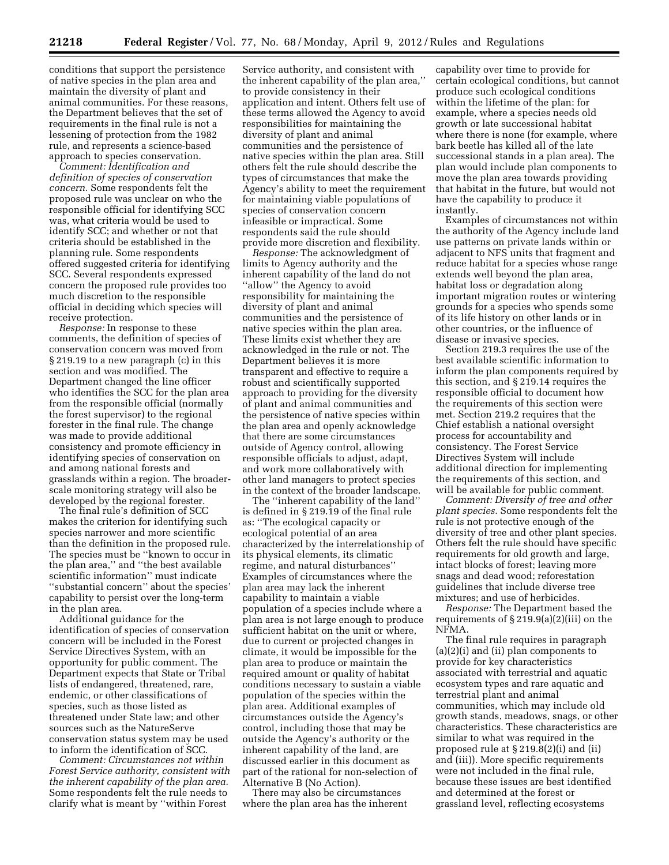**21218 Federal Register** / Vol. 77, No. 68 / Monday, April 9, 2012 / Rules and Regulations

conditions that support the persistence of native species in the plan area and maintain the diversity of plant and animal communities. For these reasons, the Department believes that the set of requirements in the final rule is not a lessening of protection from the 1982 rule, and represents a science-based approach to species conservation.

*Comment: Identification and definition of species of conservation concern.* Some respondents felt the proposed rule was unclear on who the responsible official for identifying SCC was, what criteria would be used to identify SCC; and whether or not that criteria should be established in the planning rule. Some respondents offered suggested criteria for identifying SCC. Several respondents expressed concern the proposed rule provides too much discretion to the responsible official in deciding which species will receive protection.

*Response:* In response to these comments, the definition of species of conservation concern was moved from § 219.19 to a new paragraph (c) in this section and was modified. The Department changed the line officer who identifies the SCC for the plan area from the responsible official (normally the forest supervisor) to the regional forester in the final rule. The change was made to provide additional consistency and promote efficiency in identifying species of conservation on and among national forests and grasslands within a region. The broaderscale monitoring strategy will also be developed by the regional forester.

The final rule's definition of SCC makes the criterion for identifying such species narrower and more scientific than the definition in the proposed rule. The species must be ''known to occur in the plan area,'' and ''the best available scientific information'' must indicate ''substantial concern'' about the species' capability to persist over the long-term in the plan area.

Additional guidance for the identification of species of conservation concern will be included in the Forest Service Directives System, with an opportunity for public comment. The Department expects that State or Tribal lists of endangered, threatened, rare, endemic, or other classifications of species, such as those listed as threatened under State law; and other sources such as the NatureServe conservation status system may be used to inform the identification of SCC.

*Comment: Circumstances not within Forest Service authority, consistent with the inherent capability of the plan area.*  Some respondents felt the rule needs to clarify what is meant by ''within Forest

Service authority, and consistent with the inherent capability of the plan area,'' to provide consistency in their application and intent. Others felt use of these terms allowed the Agency to avoid responsibilities for maintaining the diversity of plant and animal communities and the persistence of native species within the plan area. Still others felt the rule should describe the types of circumstances that make the Agency's ability to meet the requirement for maintaining viable populations of species of conservation concern infeasible or impractical. Some respondents said the rule should provide more discretion and flexibility.

*Response:* The acknowledgment of limits to Agency authority and the inherent capability of the land do not ''allow'' the Agency to avoid responsibility for maintaining the diversity of plant and animal communities and the persistence of native species within the plan area. These limits exist whether they are acknowledged in the rule or not. The Department believes it is more transparent and effective to require a robust and scientifically supported approach to providing for the diversity of plant and animal communities and the persistence of native species within the plan area and openly acknowledge that there are some circumstances outside of Agency control, allowing responsible officials to adjust, adapt, and work more collaboratively with other land managers to protect species in the context of the broader landscape.

The ''inherent capability of the land'' is defined in § 219.19 of the final rule as: ''The ecological capacity or ecological potential of an area characterized by the interrelationship of its physical elements, its climatic regime, and natural disturbances'' Examples of circumstances where the plan area may lack the inherent capability to maintain a viable population of a species include where a plan area is not large enough to produce sufficient habitat on the unit or where, due to current or projected changes in climate, it would be impossible for the plan area to produce or maintain the required amount or quality of habitat conditions necessary to sustain a viable population of the species within the plan area. Additional examples of circumstances outside the Agency's control, including those that may be outside the Agency's authority or the inherent capability of the land, are discussed earlier in this document as part of the rational for non-selection of Alternative B (No Action).

There may also be circumstances where the plan area has the inherent

capability over time to provide for certain ecological conditions, but cannot produce such ecological conditions within the lifetime of the plan: for example, where a species needs old growth or late successional habitat where there is none (for example, where bark beetle has killed all of the late successional stands in a plan area). The plan would include plan components to move the plan area towards providing that habitat in the future, but would not have the capability to produce it instantly.

Examples of circumstances not within the authority of the Agency include land use patterns on private lands within or adjacent to NFS units that fragment and reduce habitat for a species whose range extends well beyond the plan area, habitat loss or degradation along important migration routes or wintering grounds for a species who spends some of its life history on other lands or in other countries, or the influence of disease or invasive species.

Section 219.3 requires the use of the best available scientific information to inform the plan components required by this section, and § 219.14 requires the responsible official to document how the requirements of this section were met. Section 219.2 requires that the Chief establish a national oversight process for accountability and consistency. The Forest Service Directives System will include additional direction for implementing the requirements of this section, and will be available for public comment.

*Comment: Diversity of tree and other plant species.* Some respondents felt the rule is not protective enough of the diversity of tree and other plant species. Others felt the rule should have specific requirements for old growth and large, intact blocks of forest; leaving more snags and dead wood; reforestation guidelines that include diverse tree mixtures; and use of herbicides.

*Response:* The Department based the requirements of  $\S 219.9(a)(2)(iii)$  on the NFMA.

The final rule requires in paragraph (a)(2)(i) and (ii) plan components to provide for key characteristics associated with terrestrial and aquatic ecosystem types and rare aquatic and terrestrial plant and animal communities, which may include old growth stands, meadows, snags, or other characteristics. These characteristics are similar to what was required in the proposed rule at § 219.8(2)(i) and (ii) and (iii)). More specific requirements were not included in the final rule, because these issues are best identified and determined at the forest or grassland level, reflecting ecosystems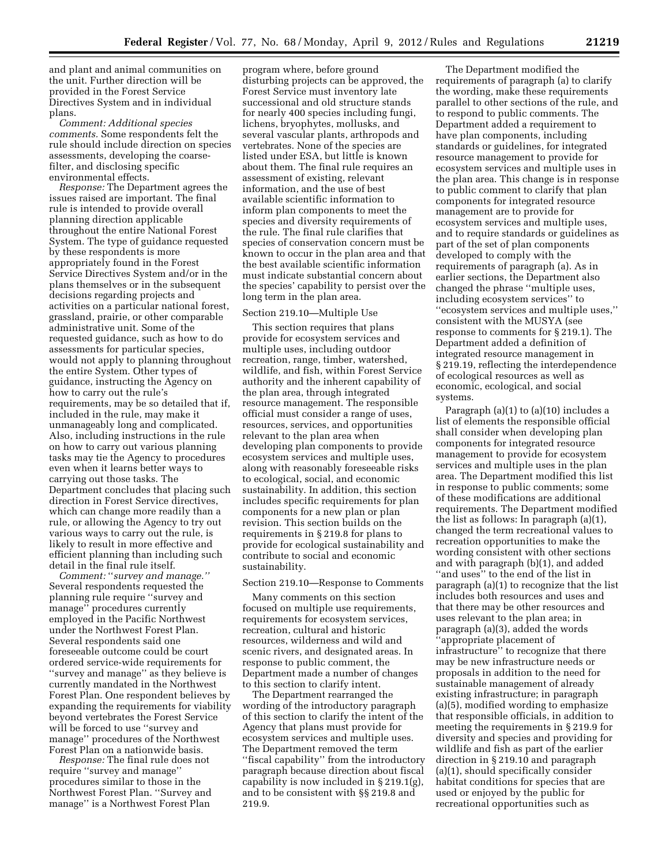and plant and animal communities on the unit. Further direction will be provided in the Forest Service Directives System and in individual plans.

*Comment: Additional species comments.* Some respondents felt the rule should include direction on species assessments, developing the coarsefilter, and disclosing specific environmental effects.

*Response:* The Department agrees the issues raised are important. The final rule is intended to provide overall planning direction applicable throughout the entire National Forest System. The type of guidance requested by these respondents is more appropriately found in the Forest Service Directives System and/or in the plans themselves or in the subsequent decisions regarding projects and activities on a particular national forest, grassland, prairie, or other comparable administrative unit. Some of the requested guidance, such as how to do assessments for particular species, would not apply to planning throughout the entire System. Other types of guidance, instructing the Agency on how to carry out the rule's requirements, may be so detailed that if, included in the rule, may make it unmanageably long and complicated. Also, including instructions in the rule on how to carry out various planning tasks may tie the Agency to procedures even when it learns better ways to carrying out those tasks. The Department concludes that placing such direction in Forest Service directives, which can change more readily than a rule, or allowing the Agency to try out various ways to carry out the rule, is likely to result in more effective and efficient planning than including such detail in the final rule itself.

*Comment:* ''*survey and manage.''*  Several respondents requested the planning rule require ''survey and manage'' procedures currently employed in the Pacific Northwest under the Northwest Forest Plan. Several respondents said one foreseeable outcome could be court ordered service-wide requirements for ''survey and manage'' as they believe is currently mandated in the Northwest Forest Plan. One respondent believes by expanding the requirements for viability beyond vertebrates the Forest Service will be forced to use ''survey and manage'' procedures of the Northwest Forest Plan on a nationwide basis.

*Response:* The final rule does not require ''survey and manage'' procedures similar to those in the Northwest Forest Plan. ''Survey and manage'' is a Northwest Forest Plan

program where, before ground disturbing projects can be approved, the Forest Service must inventory late successional and old structure stands for nearly 400 species including fungi, lichens, bryophytes, mollusks, and several vascular plants, arthropods and vertebrates. None of the species are listed under ESA, but little is known about them. The final rule requires an assessment of existing, relevant information, and the use of best available scientific information to inform plan components to meet the species and diversity requirements of the rule. The final rule clarifies that species of conservation concern must be known to occur in the plan area and that the best available scientific information must indicate substantial concern about the species' capability to persist over the long term in the plan area.

#### Section 219.10—Multiple Use

This section requires that plans provide for ecosystem services and multiple uses, including outdoor recreation, range, timber, watershed, wildlife, and fish, within Forest Service authority and the inherent capability of the plan area, through integrated resource management. The responsible official must consider a range of uses, resources, services, and opportunities relevant to the plan area when developing plan components to provide ecosystem services and multiple uses, along with reasonably foreseeable risks to ecological, social, and economic sustainability. In addition, this section includes specific requirements for plan components for a new plan or plan revision. This section builds on the requirements in § 219.8 for plans to provide for ecological sustainability and contribute to social and economic sustainability.

### Section 219.10—Response to Comments

Many comments on this section focused on multiple use requirements, requirements for ecosystem services, recreation, cultural and historic resources, wilderness and wild and scenic rivers, and designated areas. In response to public comment, the Department made a number of changes to this section to clarify intent.

The Department rearranged the wording of the introductory paragraph of this section to clarify the intent of the Agency that plans must provide for ecosystem services and multiple uses. The Department removed the term ''fiscal capability'' from the introductory paragraph because direction about fiscal capability is now included in § 219.1(g), and to be consistent with §§ 219.8 and 219.9.

The Department modified the requirements of paragraph (a) to clarify the wording, make these requirements parallel to other sections of the rule, and to respond to public comments. The Department added a requirement to have plan components, including standards or guidelines, for integrated resource management to provide for ecosystem services and multiple uses in the plan area. This change is in response to public comment to clarify that plan components for integrated resource management are to provide for ecosystem services and multiple uses, and to require standards or guidelines as part of the set of plan components developed to comply with the requirements of paragraph (a). As in earlier sections, the Department also changed the phrase ''multiple uses, including ecosystem services'' to ''ecosystem services and multiple uses,'' consistent with the MUSYA (see response to comments for § 219.1). The Department added a definition of integrated resource management in § 219.19, reflecting the interdependence of ecological resources as well as economic, ecological, and social systems.

Paragraph (a)(1) to (a)(10) includes a list of elements the responsible official shall consider when developing plan components for integrated resource management to provide for ecosystem services and multiple uses in the plan area. The Department modified this list in response to public comments; some of these modifications are additional requirements. The Department modified the list as follows: In paragraph (a)(1), changed the term recreational values to recreation opportunities to make the wording consistent with other sections and with paragraph (b)(1), and added ''and uses'' to the end of the list in paragraph (a)(1) to recognize that the list includes both resources and uses and that there may be other resources and uses relevant to the plan area; in paragraph (a)(3), added the words ''appropriate placement of infrastructure'' to recognize that there may be new infrastructure needs or proposals in addition to the need for sustainable management of already existing infrastructure; in paragraph (a)(5), modified wording to emphasize that responsible officials, in addition to meeting the requirements in § 219.9 for diversity and species and providing for wildlife and fish as part of the earlier direction in § 219.10 and paragraph (a)(1), should specifically consider habitat conditions for species that are used or enjoyed by the public for recreational opportunities such as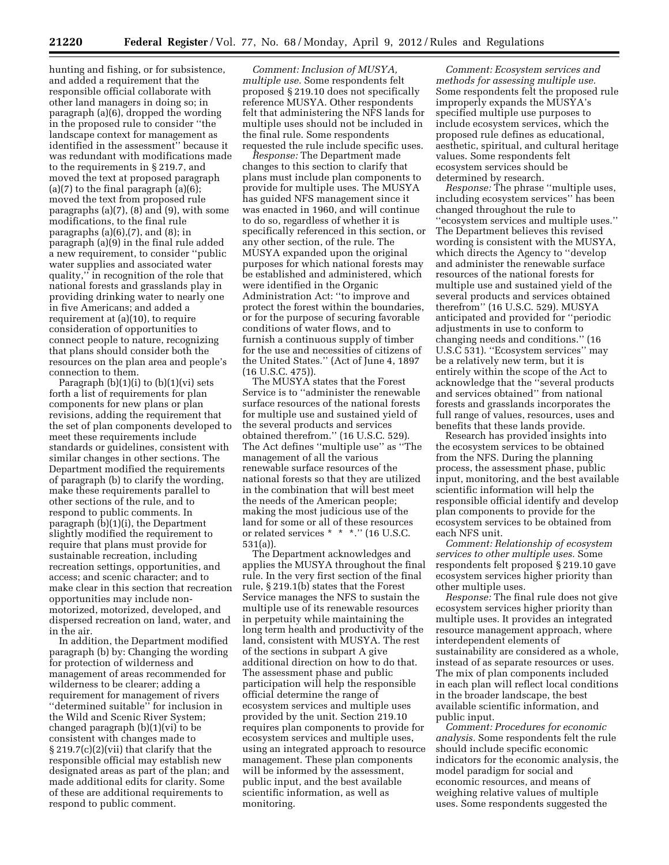hunting and fishing, or for subsistence, and added a requirement that the responsible official collaborate with other land managers in doing so; in paragraph (a)(6), dropped the wording in the proposed rule to consider ''the landscape context for management as identified in the assessment'' because it was redundant with modifications made to the requirements in § 219.7, and moved the text at proposed paragraph (a)(7) to the final paragraph (a)(6); moved the text from proposed rule paragraphs (a)(7), (8) and (9), with some modifications, to the final rule paragraphs  $(a)(6)$ ,  $(7)$ , and  $(8)$ ; in paragraph (a)(9) in the final rule added a new requirement, to consider ''public water supplies and associated water quality,'' in recognition of the role that national forests and grasslands play in providing drinking water to nearly one in five Americans; and added a requirement at (a)(10), to require consideration of opportunities to connect people to nature, recognizing that plans should consider both the resources on the plan area and people's connection to them.

Paragraph  $(b)(1)(i)$  to  $(b)(1)(vi)$  sets forth a list of requirements for plan components for new plans or plan revisions, adding the requirement that the set of plan components developed to meet these requirements include standards or guidelines, consistent with similar changes in other sections. The Department modified the requirements of paragraph (b) to clarify the wording, make these requirements parallel to other sections of the rule, and to respond to public comments. In paragraph (b)(1)(i), the Department slightly modified the requirement to require that plans must provide for sustainable recreation, including recreation settings, opportunities, and access; and scenic character; and to make clear in this section that recreation opportunities may include nonmotorized, motorized, developed, and dispersed recreation on land, water, and in the air.

In addition, the Department modified paragraph (b) by: Changing the wording for protection of wilderness and management of areas recommended for wilderness to be clearer; adding a requirement for management of rivers ''determined suitable'' for inclusion in the Wild and Scenic River System; changed paragraph (b)(1)(vi) to be consistent with changes made to § 219.7(c)(2)(vii) that clarify that the responsible official may establish new designated areas as part of the plan; and made additional edits for clarity. Some of these are additional requirements to respond to public comment.

*Comment: Inclusion of MUSYA, multiple use.* Some respondents felt proposed § 219.10 does not specifically reference MUSYA. Other respondents felt that administering the NFS lands for multiple uses should not be included in the final rule. Some respondents requested the rule include specific uses.

*Response:* The Department made changes to this section to clarify that plans must include plan components to provide for multiple uses. The MUSYA has guided NFS management since it was enacted in 1960, and will continue to do so, regardless of whether it is specifically referenced in this section, or any other section, of the rule. The MUSYA expanded upon the original purposes for which national forests may be established and administered, which were identified in the Organic Administration Act: ''to improve and protect the forest within the boundaries, or for the purpose of securing favorable conditions of water flows, and to furnish a continuous supply of timber for the use and necessities of citizens of the United States.'' (Act of June 4, 1897 (16 U.S.C. 475)).

The MUSYA states that the Forest Service is to ''administer the renewable surface resources of the national forests for multiple use and sustained yield of the several products and services obtained therefrom.'' (16 U.S.C. 529). The Act defines ''multiple use'' as ''The management of all the various renewable surface resources of the national forests so that they are utilized in the combination that will best meet the needs of the American people; making the most judicious use of the land for some or all of these resources or related services \* \* \*.'' (16 U.S.C. 531(a)).

The Department acknowledges and applies the MUSYA throughout the final rule. In the very first section of the final rule, § 219.1(b) states that the Forest Service manages the NFS to sustain the multiple use of its renewable resources in perpetuity while maintaining the long term health and productivity of the land, consistent with MUSYA. The rest of the sections in subpart A give additional direction on how to do that. The assessment phase and public participation will help the responsible official determine the range of ecosystem services and multiple uses provided by the unit. Section 219.10 requires plan components to provide for ecosystem services and multiple uses, using an integrated approach to resource management. These plan components will be informed by the assessment, public input, and the best available scientific information, as well as monitoring.

*Comment: Ecosystem services and methods for assessing multiple use.*  Some respondents felt the proposed rule improperly expands the MUSYA's specified multiple use purposes to include ecosystem services, which the proposed rule defines as educational, aesthetic, spiritual, and cultural heritage values. Some respondents felt ecosystem services should be determined by research.

*Response:* The phrase ''multiple uses, including ecosystem services'' has been changed throughout the rule to ''ecosystem services and multiple uses.'' The Department believes this revised wording is consistent with the MUSYA, which directs the Agency to ''develop and administer the renewable surface resources of the national forests for multiple use and sustained yield of the several products and services obtained therefrom'' (16 U.S.C. 529). MUSYA anticipated and provided for ''periodic adjustments in use to conform to changing needs and conditions.'' (16 U.S.C 531). ''Ecosystem services'' may be a relatively new term, but it is entirely within the scope of the Act to acknowledge that the ''several products and services obtained'' from national forests and grasslands incorporates the full range of values, resources, uses and benefits that these lands provide.

Research has provided insights into the ecosystem services to be obtained from the NFS. During the planning process, the assessment phase, public input, monitoring, and the best available scientific information will help the responsible official identify and develop plan components to provide for the ecosystem services to be obtained from each NFS unit.

*Comment: Relationship of ecosystem services to other multiple uses.* Some respondents felt proposed § 219.10 gave ecosystem services higher priority than other multiple uses.

*Response:* The final rule does not give ecosystem services higher priority than multiple uses. It provides an integrated resource management approach, where interdependent elements of sustainability are considered as a whole, instead of as separate resources or uses. The mix of plan components included in each plan will reflect local conditions in the broader landscape, the best available scientific information, and public input.

*Comment: Procedures for economic analysis.* Some respondents felt the rule should include specific economic indicators for the economic analysis, the model paradigm for social and economic resources, and means of weighing relative values of multiple uses. Some respondents suggested the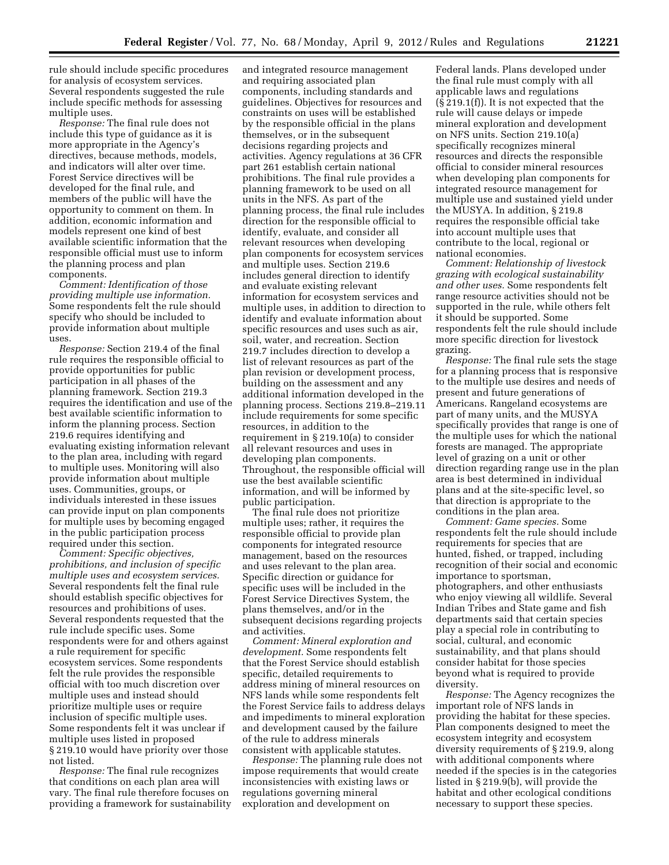rule should include specific procedures for analysis of ecosystem services. Several respondents suggested the rule include specific methods for assessing multiple uses.

*Response:* The final rule does not include this type of guidance as it is more appropriate in the Agency's directives, because methods, models, and indicators will alter over time. Forest Service directives will be developed for the final rule, and members of the public will have the opportunity to comment on them. In addition, economic information and models represent one kind of best available scientific information that the responsible official must use to inform the planning process and plan components.

*Comment: Identification of those providing multiple use information.*  Some respondents felt the rule should specify who should be included to provide information about multiple uses.

*Response:* Section 219.4 of the final rule requires the responsible official to provide opportunities for public participation in all phases of the planning framework. Section 219.3 requires the identification and use of the best available scientific information to inform the planning process. Section 219.6 requires identifying and evaluating existing information relevant to the plan area, including with regard to multiple uses. Monitoring will also provide information about multiple uses. Communities, groups, or individuals interested in these issues can provide input on plan components for multiple uses by becoming engaged in the public participation process required under this section.

*Comment: Specific objectives, prohibitions, and inclusion of specific multiple uses and ecosystem services.*  Several respondents felt the final rule should establish specific objectives for resources and prohibitions of uses. Several respondents requested that the rule include specific uses. Some respondents were for and others against a rule requirement for specific ecosystem services. Some respondents felt the rule provides the responsible official with too much discretion over multiple uses and instead should prioritize multiple uses or require inclusion of specific multiple uses. Some respondents felt it was unclear if multiple uses listed in proposed § 219.10 would have priority over those not listed.

*Response:* The final rule recognizes that conditions on each plan area will vary. The final rule therefore focuses on providing a framework for sustainability and integrated resource management and requiring associated plan components, including standards and guidelines. Objectives for resources and constraints on uses will be established by the responsible official in the plans themselves, or in the subsequent decisions regarding projects and activities. Agency regulations at 36 CFR part 261 establish certain national prohibitions. The final rule provides a planning framework to be used on all units in the NFS. As part of the planning process, the final rule includes direction for the responsible official to identify, evaluate, and consider all relevant resources when developing plan components for ecosystem services and multiple uses. Section 219.6 includes general direction to identify and evaluate existing relevant information for ecosystem services and multiple uses, in addition to direction to identify and evaluate information about specific resources and uses such as air, soil, water, and recreation. Section 219.7 includes direction to develop a list of relevant resources as part of the plan revision or development process, building on the assessment and any additional information developed in the planning process. Sections 219.8–219.11 include requirements for some specific resources, in addition to the requirement in § 219.10(a) to consider all relevant resources and uses in developing plan components. Throughout, the responsible official will use the best available scientific information, and will be informed by public participation.

The final rule does not prioritize multiple uses; rather, it requires the responsible official to provide plan components for integrated resource management, based on the resources and uses relevant to the plan area. Specific direction or guidance for specific uses will be included in the Forest Service Directives System, the plans themselves, and/or in the subsequent decisions regarding projects and activities.

*Comment: Mineral exploration and development.* Some respondents felt that the Forest Service should establish specific, detailed requirements to address mining of mineral resources on NFS lands while some respondents felt the Forest Service fails to address delays and impediments to mineral exploration and development caused by the failure of the rule to address minerals consistent with applicable statutes.

*Response:* The planning rule does not impose requirements that would create inconsistencies with existing laws or regulations governing mineral exploration and development on

Federal lands. Plans developed under the final rule must comply with all applicable laws and regulations (§ 219.1(f)). It is not expected that the rule will cause delays or impede mineral exploration and development on NFS units. Section 219.10(a) specifically recognizes mineral resources and directs the responsible official to consider mineral resources when developing plan components for integrated resource management for multiple use and sustained yield under the MUSYA. In addition, § 219.8 requires the responsible official take into account multiple uses that contribute to the local, regional or national economies.

*Comment: Relationship of livestock grazing with ecological sustainability and other uses.* Some respondents felt range resource activities should not be supported in the rule, while others felt it should be supported. Some respondents felt the rule should include more specific direction for livestock grazing.

*Response:* The final rule sets the stage for a planning process that is responsive to the multiple use desires and needs of present and future generations of Americans. Rangeland ecosystems are part of many units, and the MUSYA specifically provides that range is one of the multiple uses for which the national forests are managed. The appropriate level of grazing on a unit or other direction regarding range use in the plan area is best determined in individual plans and at the site-specific level, so that direction is appropriate to the conditions in the plan area.

*Comment: Game species.* Some respondents felt the rule should include requirements for species that are hunted, fished, or trapped, including recognition of their social and economic importance to sportsman, photographers, and other enthusiasts who enjoy viewing all wildlife. Several Indian Tribes and State game and fish departments said that certain species play a special role in contributing to social, cultural, and economic sustainability, and that plans should consider habitat for those species beyond what is required to provide diversity.

*Response:* The Agency recognizes the important role of NFS lands in providing the habitat for these species. Plan components designed to meet the ecosystem integrity and ecosystem diversity requirements of § 219.9, along with additional components where needed if the species is in the categories listed in § 219.9(b), will provide the habitat and other ecological conditions necessary to support these species.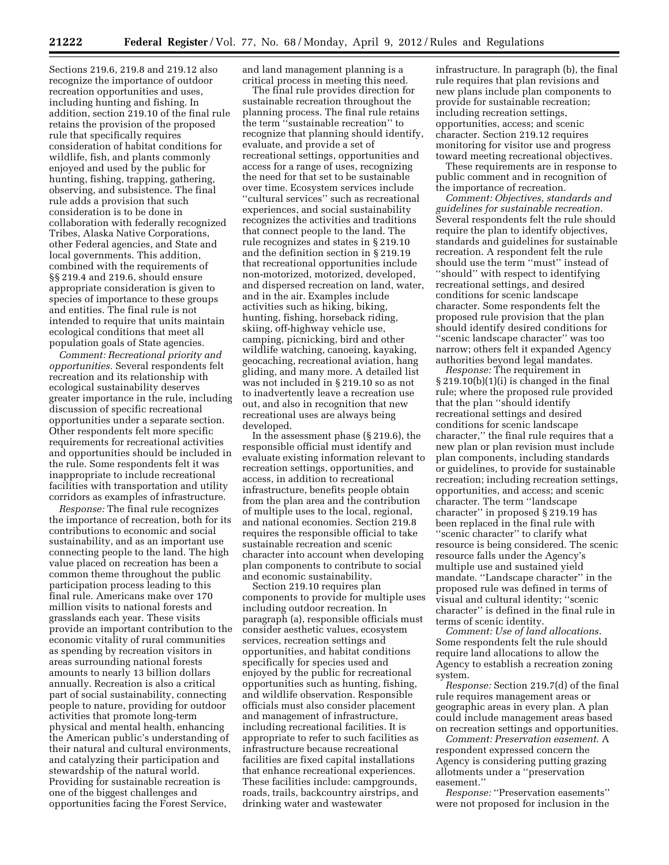Sections 219.6, 219.8 and 219.12 also recognize the importance of outdoor recreation opportunities and uses, including hunting and fishing. In addition, section 219.10 of the final rule retains the provision of the proposed rule that specifically requires consideration of habitat conditions for wildlife, fish, and plants commonly enjoyed and used by the public for hunting, fishing, trapping, gathering, observing, and subsistence. The final rule adds a provision that such consideration is to be done in collaboration with federally recognized Tribes, Alaska Native Corporations, other Federal agencies, and State and local governments. This addition, combined with the requirements of §§ 219.4 and 219.6, should ensure appropriate consideration is given to species of importance to these groups and entities. The final rule is not intended to require that units maintain ecological conditions that meet all population goals of State agencies.

*Comment: Recreational priority and opportunities.* Several respondents felt recreation and its relationship with ecological sustainability deserves greater importance in the rule, including discussion of specific recreational opportunities under a separate section. Other respondents felt more specific requirements for recreational activities and opportunities should be included in the rule. Some respondents felt it was inappropriate to include recreational facilities with transportation and utility corridors as examples of infrastructure.

*Response:* The final rule recognizes the importance of recreation, both for its contributions to economic and social sustainability, and as an important use connecting people to the land. The high value placed on recreation has been a common theme throughout the public participation process leading to this final rule. Americans make over 170 million visits to national forests and grasslands each year. These visits provide an important contribution to the economic vitality of rural communities as spending by recreation visitors in areas surrounding national forests amounts to nearly 13 billion dollars annually. Recreation is also a critical part of social sustainability, connecting people to nature, providing for outdoor activities that promote long-term physical and mental health, enhancing the American public's understanding of their natural and cultural environments, and catalyzing their participation and stewardship of the natural world. Providing for sustainable recreation is one of the biggest challenges and opportunities facing the Forest Service,

and land management planning is a critical process in meeting this need.

The final rule provides direction for sustainable recreation throughout the planning process. The final rule retains the term ''sustainable recreation'' to recognize that planning should identify, evaluate, and provide a set of recreational settings, opportunities and access for a range of uses, recognizing the need for that set to be sustainable over time. Ecosystem services include ''cultural services'' such as recreational experiences, and social sustainability recognizes the activities and traditions that connect people to the land. The rule recognizes and states in § 219.10 and the definition section in § 219.19 that recreational opportunities include non-motorized, motorized, developed, and dispersed recreation on land, water, and in the air. Examples include activities such as hiking, biking, hunting, fishing, horseback riding, skiing, off-highway vehicle use, camping, picnicking, bird and other wildlife watching, canoeing, kayaking, geocaching, recreational aviation, hang gliding, and many more. A detailed list was not included in § 219.10 so as not to inadvertently leave a recreation use out, and also in recognition that new recreational uses are always being developed.

In the assessment phase (§ 219.6), the responsible official must identify and evaluate existing information relevant to recreation settings, opportunities, and access, in addition to recreational infrastructure, benefits people obtain from the plan area and the contribution of multiple uses to the local, regional, and national economies. Section 219.8 requires the responsible official to take sustainable recreation and scenic character into account when developing plan components to contribute to social and economic sustainability.

Section 219.10 requires plan components to provide for multiple uses including outdoor recreation. In paragraph (a), responsible officials must consider aesthetic values, ecosystem services, recreation settings and opportunities, and habitat conditions specifically for species used and enjoyed by the public for recreational opportunities such as hunting, fishing, and wildlife observation. Responsible officials must also consider placement and management of infrastructure, including recreational facilities. It is appropriate to refer to such facilities as infrastructure because recreational facilities are fixed capital installations that enhance recreational experiences. These facilities include: campgrounds, roads, trails, backcountry airstrips, and drinking water and wastewater

infrastructure. In paragraph (b), the final rule requires that plan revisions and new plans include plan components to provide for sustainable recreation; including recreation settings, opportunities, access; and scenic character. Section 219.12 requires monitoring for visitor use and progress toward meeting recreational objectives.

These requirements are in response to public comment and in recognition of the importance of recreation.

*Comment: Objectives, standards and guidelines for sustainable recreation.*  Several respondents felt the rule should require the plan to identify objectives, standards and guidelines for sustainable recreation. A respondent felt the rule should use the term ''must'' instead of ''should'' with respect to identifying recreational settings, and desired conditions for scenic landscape character. Some respondents felt the proposed rule provision that the plan should identify desired conditions for ''scenic landscape character'' was too narrow; others felt it expanded Agency authorities beyond legal mandates.

*Response:* The requirement in § 219.10(b)(1)(i) is changed in the final rule; where the proposed rule provided that the plan ''should identify recreational settings and desired conditions for scenic landscape character,'' the final rule requires that a new plan or plan revision must include plan components, including standards or guidelines, to provide for sustainable recreation; including recreation settings, opportunities, and access; and scenic character. The term ''landscape character'' in proposed § 219.19 has been replaced in the final rule with ''scenic character'' to clarify what resource is being considered. The scenic resource falls under the Agency's multiple use and sustained yield mandate. ''Landscape character'' in the proposed rule was defined in terms of visual and cultural identity; ''scenic character'' is defined in the final rule in terms of scenic identity.

*Comment: Use of land allocations.*  Some respondents felt the rule should require land allocations to allow the Agency to establish a recreation zoning system.

*Response:* Section 219.7(d) of the final rule requires management areas or geographic areas in every plan. A plan could include management areas based on recreation settings and opportunities.

*Comment: Preservation easement.* A respondent expressed concern the Agency is considering putting grazing allotments under a ''preservation easement.''

*Response:* ''Preservation easements'' were not proposed for inclusion in the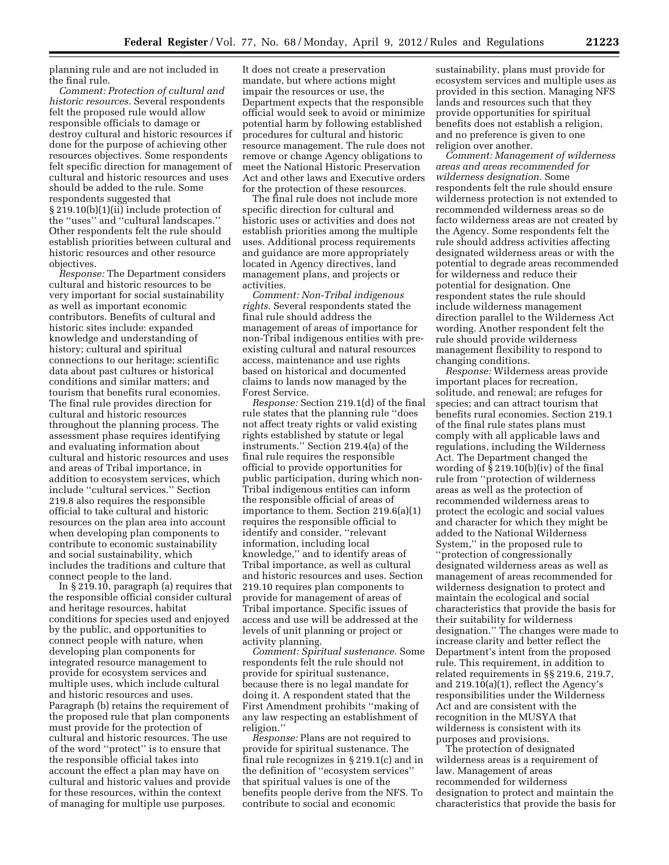planning rule and are not included in the final rule.

*Comment: Protection of cultural and historic resources.* Several respondents felt the proposed rule would allow responsible officials to damage or destroy cultural and historic resources if done for the purpose of achieving other resources objectives. Some respondents felt specific direction for management of cultural and historic resources and uses should be added to the rule. Some respondents suggested that § 219.10(b)(1)(ii) include protection of the ''uses'' and ''cultural landscapes.'' Other respondents felt the rule should establish priorities between cultural and historic resources and other resource objectives.

*Response:* The Department considers cultural and historic resources to be very important for social sustainability as well as important economic contributors. Benefits of cultural and historic sites include: expanded knowledge and understanding of history; cultural and spiritual connections to our heritage; scientific data about past cultures or historical conditions and similar matters; and tourism that benefits rural economies. The final rule provides direction for cultural and historic resources throughout the planning process. The assessment phase requires identifying and evaluating information about cultural and historic resources and uses and areas of Tribal importance, in addition to ecosystem services, which include ''cultural services.'' Section 219.8 also requires the responsible official to take cultural and historic resources on the plan area into account when developing plan components to contribute to economic sustainability and social sustainability, which includes the traditions and culture that connect people to the land.

In § 219.10, paragraph (a) requires that the responsible official consider cultural and heritage resources, habitat conditions for species used and enjoyed by the public, and opportunities to connect people with nature, when developing plan components for integrated resource management to provide for ecosystem services and multiple uses, which include cultural and historic resources and uses. Paragraph (b) retains the requirement of the proposed rule that plan components must provide for the protection of cultural and historic resources. The use of the word ''protect'' is to ensure that the responsible official takes into account the effect a plan may have on cultural and historic values and provide for these resources, within the context of managing for multiple use purposes.

It does not create a preservation mandate, but where actions might impair the resources or use, the Department expects that the responsible official would seek to avoid or minimize potential harm by following established procedures for cultural and historic resource management. The rule does not remove or change Agency obligations to meet the National Historic Preservation Act and other laws and Executive orders for the protection of these resources.

The final rule does not include more specific direction for cultural and historic uses or activities and does not establish priorities among the multiple uses. Additional process requirements and guidance are more appropriately located in Agency directives, land management plans, and projects or activities.

*Comment: Non-Tribal indigenous rights.* Several respondents stated the final rule should address the management of areas of importance for non-Tribal indigenous entities with preexisting cultural and natural resources access, maintenance and use rights based on historical and documented claims to lands now managed by the Forest Service.

*Response:* Section 219.1(d) of the final rule states that the planning rule ''does not affect treaty rights or valid existing rights established by statute or legal instruments.'' Section 219.4(a) of the final rule requires the responsible official to provide opportunities for public participation, during which non-Tribal indigenous entities can inform the responsible official of areas of importance to them. Section 219.6(a)(1) requires the responsible official to identify and consider, ''relevant information, including local knowledge,'' and to identify areas of Tribal importance, as well as cultural and historic resources and uses. Section 219.10 requires plan components to provide for management of areas of Tribal importance. Specific issues of access and use will be addressed at the levels of unit planning or project or activity planning.

*Comment: Spiritual sustenance.* Some respondents felt the rule should not provide for spiritual sustenance, because there is no legal mandate for doing it. A respondent stated that the First Amendment prohibits ''making of any law respecting an establishment of religion.''

*Response:* Plans are not required to provide for spiritual sustenance. The final rule recognizes in § 219.1(c) and in the definition of ''ecosystem services'' that spiritual values is one of the benefits people derive from the NFS. To contribute to social and economic

sustainability, plans must provide for ecosystem services and multiple uses as provided in this section. Managing NFS lands and resources such that they provide opportunities for spiritual benefits does not establish a religion, and no preference is given to one religion over another.

*Comment: Management of wilderness areas and areas recommended for wilderness designation.* Some respondents felt the rule should ensure wilderness protection is not extended to recommended wilderness areas so de facto wilderness areas are not created by the Agency. Some respondents felt the rule should address activities affecting designated wilderness areas or with the potential to degrade areas recommended for wilderness and reduce their potential for designation. One respondent states the rule should include wilderness management direction parallel to the Wilderness Act wording. Another respondent felt the rule should provide wilderness management flexibility to respond to changing conditions.

*Response:* Wilderness areas provide important places for recreation, solitude, and renewal; are refuges for species; and can attract tourism that benefits rural economies. Section 219.1 of the final rule states plans must comply with all applicable laws and regulations, including the Wilderness Act. The Department changed the wording of § 219.10(b)(iv) of the final rule from ''protection of wilderness areas as well as the protection of recommended wilderness areas to protect the ecologic and social values and character for which they might be added to the National Wilderness System,'' in the proposed rule to ''protection of congressionally designated wilderness areas as well as management of areas recommended for wilderness designation to protect and maintain the ecological and social characteristics that provide the basis for their suitability for wilderness designation.'' The changes were made to increase clarity and better reflect the Department's intent from the proposed rule. This requirement, in addition to related requirements in §§ 219.6, 219.7, and 219.10(a)(1), reflect the Agency's responsibilities under the Wilderness Act and are consistent with the recognition in the MUSYA that wilderness is consistent with its purposes and provisions.

The protection of designated wilderness areas is a requirement of law. Management of areas recommended for wilderness designation to protect and maintain the characteristics that provide the basis for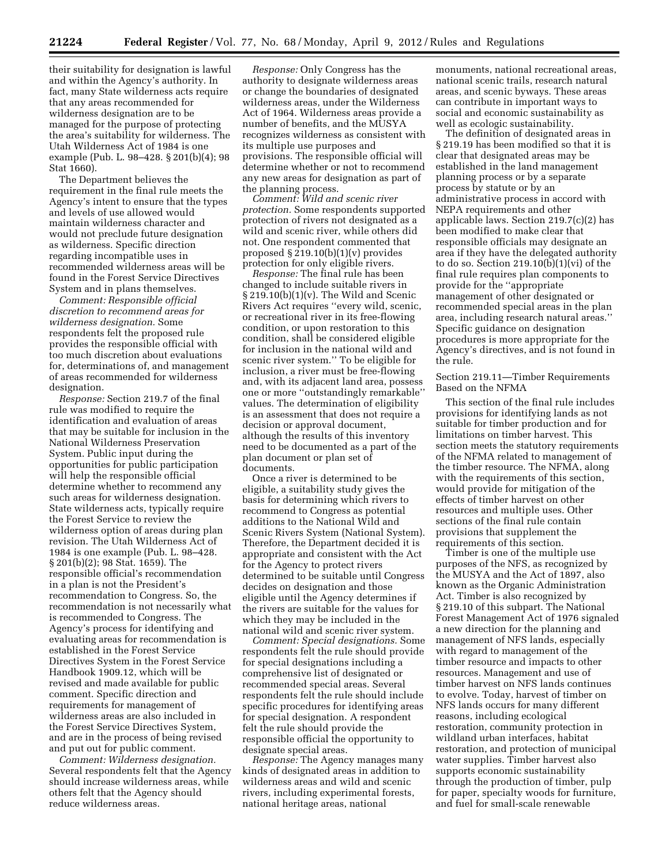their suitability for designation is lawful and within the Agency's authority. In fact, many State wilderness acts require that any areas recommended for wilderness designation are to be managed for the purpose of protecting the area's suitability for wilderness. The Utah Wilderness Act of 1984 is one example (Pub. L. 98–428. § 201(b)(4); 98 Stat 1660).

The Department believes the requirement in the final rule meets the Agency's intent to ensure that the types and levels of use allowed would maintain wilderness character and would not preclude future designation as wilderness. Specific direction regarding incompatible uses in recommended wilderness areas will be found in the Forest Service Directives System and in plans themselves.

*Comment: Responsible official discretion to recommend areas for wilderness designation.* Some respondents felt the proposed rule provides the responsible official with too much discretion about evaluations for, determinations of, and management of areas recommended for wilderness designation.

*Response:* Section 219.7 of the final rule was modified to require the identification and evaluation of areas that may be suitable for inclusion in the National Wilderness Preservation System. Public input during the opportunities for public participation will help the responsible official determine whether to recommend any such areas for wilderness designation. State wilderness acts, typically require the Forest Service to review the wilderness option of areas during plan revision. The Utah Wilderness Act of 1984 is one example (Pub. L. 98–428. § 201(b)(2); 98 Stat. 1659). The responsible official's recommendation in a plan is not the President's recommendation to Congress. So, the recommendation is not necessarily what is recommended to Congress. The Agency's process for identifying and evaluating areas for recommendation is established in the Forest Service Directives System in the Forest Service Handbook 1909.12, which will be revised and made available for public comment. Specific direction and requirements for management of wilderness areas are also included in the Forest Service Directives System, and are in the process of being revised and put out for public comment.

*Comment: Wilderness designation.*  Several respondents felt that the Agency should increase wilderness areas, while others felt that the Agency should reduce wilderness areas.

*Response:* Only Congress has the authority to designate wilderness areas or change the boundaries of designated wilderness areas, under the Wilderness Act of 1964. Wilderness areas provide a number of benefits, and the MUSYA recognizes wilderness as consistent with its multiple use purposes and provisions. The responsible official will determine whether or not to recommend any new areas for designation as part of the planning process.

*Comment: Wild and scenic river protection.* Some respondents supported protection of rivers not designated as a wild and scenic river, while others did not. One respondent commented that proposed  $\S 219.10(b)(1)(v)$  provides protection for only eligible rivers.

*Response:* The final rule has been changed to include suitable rivers in § 219.10(b)(1)(v). The Wild and Scenic Rivers Act requires ''every wild, scenic, or recreational river in its free-flowing condition, or upon restoration to this condition, shall be considered eligible for inclusion in the national wild and scenic river system.'' To be eligible for inclusion, a river must be free-flowing and, with its adjacent land area, possess one or more ''outstandingly remarkable'' values. The determination of eligibility is an assessment that does not require a decision or approval document, although the results of this inventory need to be documented as a part of the plan document or plan set of documents.

Once a river is determined to be eligible, a suitability study gives the basis for determining which rivers to recommend to Congress as potential additions to the National Wild and Scenic Rivers System (National System). Therefore, the Department decided it is appropriate and consistent with the Act for the Agency to protect rivers determined to be suitable until Congress decides on designation and those eligible until the Agency determines if the rivers are suitable for the values for which they may be included in the national wild and scenic river system.

*Comment: Special designations.* Some respondents felt the rule should provide for special designations including a comprehensive list of designated or recommended special areas. Several respondents felt the rule should include specific procedures for identifying areas for special designation. A respondent felt the rule should provide the responsible official the opportunity to designate special areas.

*Response:* The Agency manages many kinds of designated areas in addition to wilderness areas and wild and scenic rivers, including experimental forests, national heritage areas, national

monuments, national recreational areas, national scenic trails, research natural areas, and scenic byways. These areas can contribute in important ways to social and economic sustainability as well as ecologic sustainability.

The definition of designated areas in § 219.19 has been modified so that it is clear that designated areas may be established in the land management planning process or by a separate process by statute or by an administrative process in accord with NEPA requirements and other applicable laws. Section 219.7(c)(2) has been modified to make clear that responsible officials may designate an area if they have the delegated authority to do so. Section 219.10(b)(1)(vi) of the final rule requires plan components to provide for the ''appropriate management of other designated or recommended special areas in the plan area, including research natural areas.'' Specific guidance on designation procedures is more appropriate for the Agency's directives, and is not found in the rule.

Section 219.11—Timber Requirements Based on the NFMA

This section of the final rule includes provisions for identifying lands as not suitable for timber production and for limitations on timber harvest. This section meets the statutory requirements of the NFMA related to management of the timber resource. The NFMA, along with the requirements of this section, would provide for mitigation of the effects of timber harvest on other resources and multiple uses. Other sections of the final rule contain provisions that supplement the requirements of this section.

Timber is one of the multiple use purposes of the NFS, as recognized by the MUSYA and the Act of 1897, also known as the Organic Administration Act. Timber is also recognized by § 219.10 of this subpart. The National Forest Management Act of 1976 signaled a new direction for the planning and management of NFS lands, especially with regard to management of the timber resource and impacts to other resources. Management and use of timber harvest on NFS lands continues to evolve. Today, harvest of timber on NFS lands occurs for many different reasons, including ecological restoration, community protection in wildland urban interfaces, habitat restoration, and protection of municipal water supplies. Timber harvest also supports economic sustainability through the production of timber, pulp for paper, specialty woods for furniture, and fuel for small-scale renewable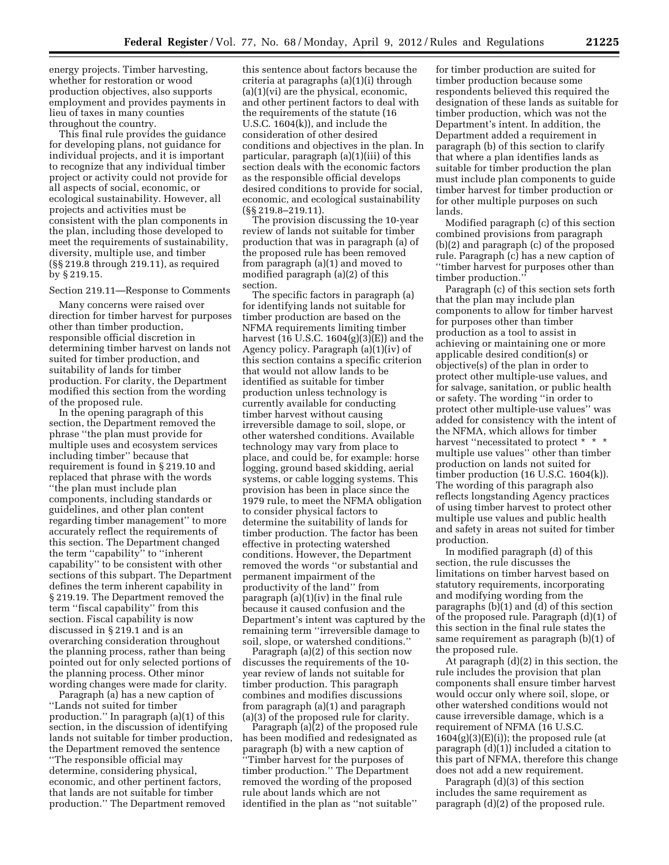energy projects. Timber harvesting, whether for restoration or wood production objectives, also supports employment and provides payments in lieu of taxes in many counties throughout the country.

This final rule provides the guidance for developing plans, not guidance for individual projects, and it is important to recognize that any individual timber project or activity could not provide for all aspects of social, economic, or ecological sustainability. However, all projects and activities must be consistent with the plan components in the plan, including those developed to meet the requirements of sustainability, diversity, multiple use, and timber (§§ 219.8 through 219.11), as required by § 219.15.

#### Section 219.11—Response to Comments

Many concerns were raised over direction for timber harvest for purposes other than timber production, responsible official discretion in determining timber harvest on lands not suited for timber production, and suitability of lands for timber production. For clarity, the Department modified this section from the wording of the proposed rule.

In the opening paragraph of this section, the Department removed the phrase ''the plan must provide for multiple uses and ecosystem services including timber'' because that requirement is found in § 219.10 and replaced that phrase with the words ''the plan must include plan components, including standards or guidelines, and other plan content regarding timber management'' to more accurately reflect the requirements of this section. The Department changed the term ''capability'' to ''inherent capability'' to be consistent with other sections of this subpart. The Department defines the term inherent capability in § 219.19. The Department removed the term ''fiscal capability'' from this section. Fiscal capability is now discussed in § 219.1 and is an overarching consideration throughout the planning process, rather than being pointed out for only selected portions of the planning process. Other minor wording changes were made for clarity.

Paragraph (a) has a new caption of ''Lands not suited for timber production.'' In paragraph (a)(1) of this section, in the discussion of identifying lands not suitable for timber production, the Department removed the sentence ''The responsible official may determine, considering physical, economic, and other pertinent factors, that lands are not suitable for timber production.'' The Department removed

this sentence about factors because the criteria at paragraphs (a)(1)(i) through (a)(1)(vi) are the physical, economic, and other pertinent factors to deal with the requirements of the statute (16 U.S.C. 1604(k)), and include the consideration of other desired conditions and objectives in the plan. In particular, paragraph (a)(1)(iii) of this section deals with the economic factors as the responsible official develops desired conditions to provide for social, economic, and ecological sustainability (§§ 219.8–219.11).

The provision discussing the 10-year review of lands not suitable for timber production that was in paragraph (a) of the proposed rule has been removed from paragraph (a)(1) and moved to modified paragraph (a)(2) of this section.

The specific factors in paragraph (a) for identifying lands not suitable for timber production are based on the NFMA requirements limiting timber harvest (16 U.S.C. 1604(g)(3)(E)) and the Agency policy. Paragraph (a)(1)(iv) of this section contains a specific criterion that would not allow lands to be identified as suitable for timber production unless technology is currently available for conducting timber harvest without causing irreversible damage to soil, slope, or other watershed conditions. Available technology may vary from place to place, and could be, for example: horse logging, ground based skidding, aerial systems, or cable logging systems. This provision has been in place since the 1979 rule, to meet the NFMA obligation to consider physical factors to determine the suitability of lands for timber production. The factor has been effective in protecting watershed conditions. However, the Department removed the words ''or substantial and permanent impairment of the productivity of the land'' from paragraph (a)(1)(iv) in the final rule because it caused confusion and the Department's intent was captured by the remaining term ''irreversible damage to soil, slope, or watershed conditions.''

Paragraph (a)(2) of this section now discusses the requirements of the 10 year review of lands not suitable for timber production. This paragraph combines and modifies discussions from paragraph (a)(1) and paragraph (a)(3) of the proposed rule for clarity.

Paragraph (a)(2) of the proposed rule has been modified and redesignated as paragraph (b) with a new caption of ''Timber harvest for the purposes of timber production.'' The Department removed the wording of the proposed rule about lands which are not identified in the plan as ''not suitable''

for timber production are suited for timber production because some respondents believed this required the designation of these lands as suitable for timber production, which was not the Department's intent. In addition, the Department added a requirement in paragraph (b) of this section to clarify that where a plan identifies lands as suitable for timber production the plan must include plan components to guide timber harvest for timber production or for other multiple purposes on such lands.

Modified paragraph (c) of this section combined provisions from paragraph (b)(2) and paragraph (c) of the proposed rule. Paragraph (c) has a new caption of ''timber harvest for purposes other than timber production.''

Paragraph (c) of this section sets forth that the plan may include plan components to allow for timber harvest for purposes other than timber production as a tool to assist in achieving or maintaining one or more applicable desired condition(s) or objective(s) of the plan in order to protect other multiple-use values, and for salvage, sanitation, or public health or safety. The wording ''in order to protect other multiple-use values'' was added for consistency with the intent of the NFMA, which allows for timber harvest "necessitated to protect \* \* \* multiple use values'' other than timber production on lands not suited for timber production (16 U.S.C. 1604(k)). The wording of this paragraph also reflects longstanding Agency practices of using timber harvest to protect other multiple use values and public health and safety in areas not suited for timber production.

In modified paragraph (d) of this section, the rule discusses the limitations on timber harvest based on statutory requirements, incorporating and modifying wording from the paragraphs (b)(1) and (d) of this section of the proposed rule. Paragraph (d)(1) of this section in the final rule states the same requirement as paragraph (b)(1) of the proposed rule.

At paragraph (d)(2) in this section, the rule includes the provision that plan components shall ensure timber harvest would occur only where soil, slope, or other watershed conditions would not cause irreversible damage, which is a requirement of NFMA (16 U.S.C.  $1604(g)(3)(E)(i)$ ; the proposed rule (at paragraph (d)(1)) included a citation to this part of NFMA, therefore this change does not add a new requirement.

Paragraph (d)(3) of this section includes the same requirement as paragraph (d)(2) of the proposed rule.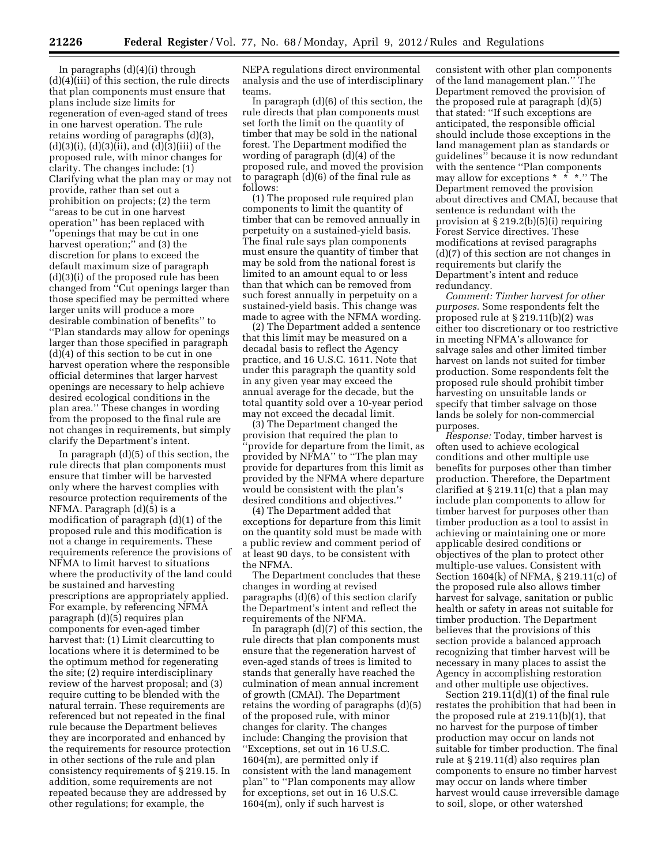In paragraphs (d)(4)(i) through (d)(4)(iii) of this section, the rule directs that plan components must ensure that plans include size limits for regeneration of even-aged stand of trees in one harvest operation. The rule retains wording of paragraphs (d)(3),  $(d)(3)(i)$ ,  $(d)(3)(ii)$ , and  $(d)(3)(iii)$  of the proposed rule, with minor changes for clarity. The changes include: (1) Clarifying what the plan may or may not provide, rather than set out a prohibition on projects; (2) the term ''areas to be cut in one harvest operation'' has been replaced with ''openings that may be cut in one harvest operation;" and (3) the discretion for plans to exceed the default maximum size of paragraph (d)(3)(i) of the proposed rule has been changed from ''Cut openings larger than those specified may be permitted where larger units will produce a more desirable combination of benefits'' to ''Plan standards may allow for openings larger than those specified in paragraph (d)(4) of this section to be cut in one harvest operation where the responsible official determines that larger harvest openings are necessary to help achieve desired ecological conditions in the plan area.'' These changes in wording from the proposed to the final rule are not changes in requirements, but simply clarify the Department's intent.

In paragraph (d)(5) of this section, the rule directs that plan components must ensure that timber will be harvested only where the harvest complies with resource protection requirements of the NFMA. Paragraph (d)(5) is a modification of paragraph (d)(1) of the proposed rule and this modification is not a change in requirements. These requirements reference the provisions of NFMA to limit harvest to situations where the productivity of the land could be sustained and harvesting prescriptions are appropriately applied. For example, by referencing NFMA paragraph (d)(5) requires plan components for even-aged timber harvest that: (1) Limit clearcutting to locations where it is determined to be the optimum method for regenerating the site; (2) require interdisciplinary review of the harvest proposal; and (3) require cutting to be blended with the natural terrain. These requirements are referenced but not repeated in the final rule because the Department believes they are incorporated and enhanced by the requirements for resource protection in other sections of the rule and plan consistency requirements of § 219.15. In addition, some requirements are not repeated because they are addressed by other regulations; for example, the

NEPA regulations direct environmental analysis and the use of interdisciplinary teams.

In paragraph (d)(6) of this section, the rule directs that plan components must set forth the limit on the quantity of timber that may be sold in the national forest. The Department modified the wording of paragraph (d)(4) of the proposed rule, and moved the provision to paragraph (d)(6) of the final rule as follows:

(1) The proposed rule required plan components to limit the quantity of timber that can be removed annually in perpetuity on a sustained-yield basis. The final rule says plan components must ensure the quantity of timber that may be sold from the national forest is limited to an amount equal to or less than that which can be removed from such forest annually in perpetuity on a sustained-yield basis. This change was made to agree with the NFMA wording.

(2) The Department added a sentence that this limit may be measured on a decadal basis to reflect the Agency practice, and 16 U.S.C. 1611. Note that under this paragraph the quantity sold in any given year may exceed the annual average for the decade, but the total quantity sold over a 10-year period may not exceed the decadal limit.

(3) The Department changed the provision that required the plan to ''provide for departure from the limit, as provided by NFMA'' to ''The plan may provide for departures from this limit as provided by the NFMA where departure would be consistent with the plan's desired conditions and objectives.''

(4) The Department added that exceptions for departure from this limit on the quantity sold must be made with a public review and comment period of at least 90 days, to be consistent with the NFMA.

The Department concludes that these changes in wording at revised paragraphs (d)(6) of this section clarify the Department's intent and reflect the requirements of the NFMA.

In paragraph  $(d)(7)$  of this section, the rule directs that plan components must ensure that the regeneration harvest of even-aged stands of trees is limited to stands that generally have reached the culmination of mean annual increment of growth (CMAI). The Department retains the wording of paragraphs (d)(5) of the proposed rule, with minor changes for clarity. The changes include: Changing the provision that ''Exceptions, set out in 16 U.S.C. 1604(m), are permitted only if consistent with the land management plan'' to ''Plan components may allow for exceptions, set out in 16 U.S.C. 1604(m), only if such harvest is

consistent with other plan components of the land management plan.'' The Department removed the provision of the proposed rule at paragraph (d)(5) that stated: ''If such exceptions are anticipated, the responsible official should include those exceptions in the land management plan as standards or guidelines'' because it is now redundant with the sentence ''Plan components may allow for exceptions \* \* \*.'' The Department removed the provision about directives and CMAI, because that sentence is redundant with the provision at  $\S 219.2(b)(5)(i)$  requiring Forest Service directives. These modifications at revised paragraphs (d)(7) of this section are not changes in requirements but clarify the Department's intent and reduce redundancy.

*Comment: Timber harvest for other purposes.* Some respondents felt the proposed rule at § 219.11(b)(2) was either too discretionary or too restrictive in meeting NFMA's allowance for salvage sales and other limited timber harvest on lands not suited for timber production. Some respondents felt the proposed rule should prohibit timber harvesting on unsuitable lands or specify that timber salvage on those lands be solely for non-commercial purposes.

*Response:* Today, timber harvest is often used to achieve ecological conditions and other multiple use benefits for purposes other than timber production. Therefore, the Department clarified at § 219.11(c) that a plan may include plan components to allow for timber harvest for purposes other than timber production as a tool to assist in achieving or maintaining one or more applicable desired conditions or objectives of the plan to protect other multiple-use values. Consistent with Section 1604(k) of NFMA, § 219.11(c) of the proposed rule also allows timber harvest for salvage, sanitation or public health or safety in areas not suitable for timber production. The Department believes that the provisions of this section provide a balanced approach recognizing that timber harvest will be necessary in many places to assist the Agency in accomplishing restoration and other multiple use objectives.

Section 219.11(d)(1) of the final rule restates the prohibition that had been in the proposed rule at 219.11(b)(1), that no harvest for the purpose of timber production may occur on lands not suitable for timber production. The final rule at § 219.11(d) also requires plan components to ensure no timber harvest may occur on lands where timber harvest would cause irreversible damage to soil, slope, or other watershed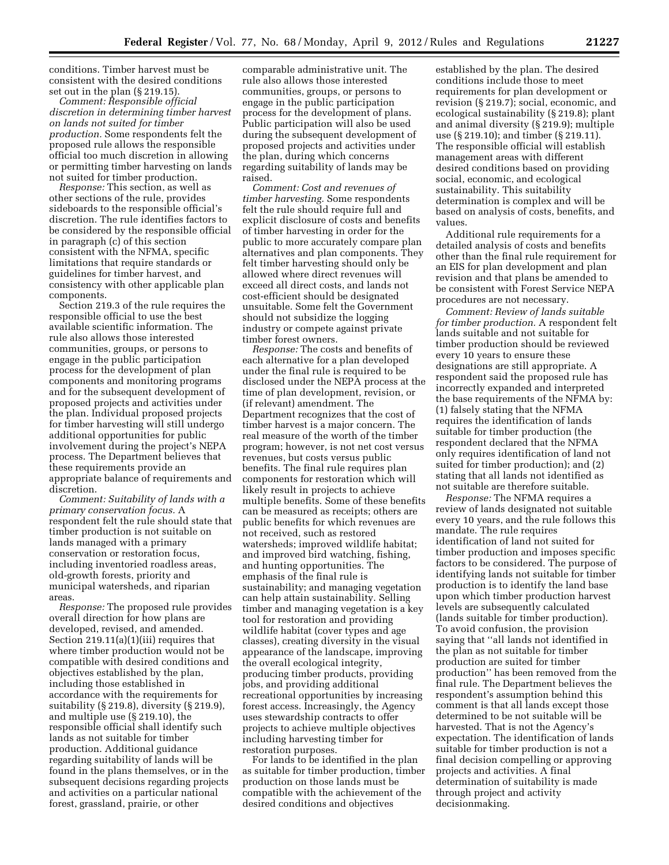conditions. Timber harvest must be consistent with the desired conditions set out in the plan (§ 219.15).

*Comment: Responsible official discretion in determining timber harvest on lands not suited for timber production.* Some respondents felt the proposed rule allows the responsible official too much discretion in allowing or permitting timber harvesting on lands not suited for timber production.

*Response:* This section, as well as other sections of the rule, provides sideboards to the responsible official's discretion. The rule identifies factors to be considered by the responsible official in paragraph (c) of this section consistent with the NFMA, specific limitations that require standards or guidelines for timber harvest, and consistency with other applicable plan components.

Section 219.3 of the rule requires the responsible official to use the best available scientific information. The rule also allows those interested communities, groups, or persons to engage in the public participation process for the development of plan components and monitoring programs and for the subsequent development of proposed projects and activities under the plan. Individual proposed projects for timber harvesting will still undergo additional opportunities for public involvement during the project's NEPA process. The Department believes that these requirements provide an appropriate balance of requirements and discretion.

*Comment: Suitability of lands with a primary conservation focus.* A respondent felt the rule should state that timber production is not suitable on lands managed with a primary conservation or restoration focus, including inventoried roadless areas, old-growth forests, priority and municipal watersheds, and riparian areas.

*Response:* The proposed rule provides overall direction for how plans are developed, revised, and amended. Section 219.11(a)(1)(iii) requires that where timber production would not be compatible with desired conditions and objectives established by the plan, including those established in accordance with the requirements for suitability (§ 219.8), diversity (§ 219.9), and multiple use (§ 219.10), the responsible official shall identify such lands as not suitable for timber production. Additional guidance regarding suitability of lands will be found in the plans themselves, or in the subsequent decisions regarding projects and activities on a particular national forest, grassland, prairie, or other

comparable administrative unit. The rule also allows those interested communities, groups, or persons to engage in the public participation process for the development of plans. Public participation will also be used during the subsequent development of proposed projects and activities under the plan, during which concerns regarding suitability of lands may be raised.

*Comment: Cost and revenues of timber harvesting.* Some respondents felt the rule should require full and explicit disclosure of costs and benefits of timber harvesting in order for the public to more accurately compare plan alternatives and plan components. They felt timber harvesting should only be allowed where direct revenues will exceed all direct costs, and lands not cost-efficient should be designated unsuitable. Some felt the Government should not subsidize the logging industry or compete against private timber forest owners.

*Response:* The costs and benefits of each alternative for a plan developed under the final rule is required to be disclosed under the NEPA process at the time of plan development, revision, or (if relevant) amendment. The Department recognizes that the cost of timber harvest is a major concern. The real measure of the worth of the timber program; however, is not net cost versus revenues, but costs versus public benefits. The final rule requires plan components for restoration which will likely result in projects to achieve multiple benefits. Some of these benefits can be measured as receipts; others are public benefits for which revenues are not received, such as restored watersheds; improved wildlife habitat; and improved bird watching, fishing, and hunting opportunities. The emphasis of the final rule is sustainability; and managing vegetation can help attain sustainability. Selling timber and managing vegetation is a key tool for restoration and providing wildlife habitat (cover types and age classes), creating diversity in the visual appearance of the landscape, improving the overall ecological integrity, producing timber products, providing jobs, and providing additional recreational opportunities by increasing forest access. Increasingly, the Agency uses stewardship contracts to offer projects to achieve multiple objectives including harvesting timber for restoration purposes.

For lands to be identified in the plan as suitable for timber production, timber production on those lands must be compatible with the achievement of the desired conditions and objectives

established by the plan. The desired conditions include those to meet requirements for plan development or revision (§ 219.7); social, economic, and ecological sustainability (§ 219.8); plant and animal diversity (§ 219.9); multiple use (§ 219.10); and timber (§ 219.11). The responsible official will establish management areas with different desired conditions based on providing social, economic, and ecological sustainability. This suitability determination is complex and will be based on analysis of costs, benefits, and values.

Additional rule requirements for a detailed analysis of costs and benefits other than the final rule requirement for an EIS for plan development and plan revision and that plans be amended to be consistent with Forest Service NEPA procedures are not necessary.

*Comment: Review of lands suitable for timber production.* A respondent felt lands suitable and not suitable for timber production should be reviewed every 10 years to ensure these designations are still appropriate. A respondent said the proposed rule has incorrectly expanded and interpreted the base requirements of the NFMA by: (1) falsely stating that the NFMA requires the identification of lands suitable for timber production (the respondent declared that the NFMA only requires identification of land not suited for timber production); and (2) stating that all lands not identified as not suitable are therefore suitable.

*Response:* The NFMA requires a review of lands designated not suitable every 10 years, and the rule follows this mandate. The rule requires identification of land not suited for timber production and imposes specific factors to be considered. The purpose of identifying lands not suitable for timber production is to identify the land base upon which timber production harvest levels are subsequently calculated (lands suitable for timber production). To avoid confusion, the provision saying that ''all lands not identified in the plan as not suitable for timber production are suited for timber production'' has been removed from the final rule. The Department believes the respondent's assumption behind this comment is that all lands except those determined to be not suitable will be harvested. That is not the Agency's expectation. The identification of lands suitable for timber production is not a final decision compelling or approving projects and activities. A final determination of suitability is made through project and activity decisionmaking.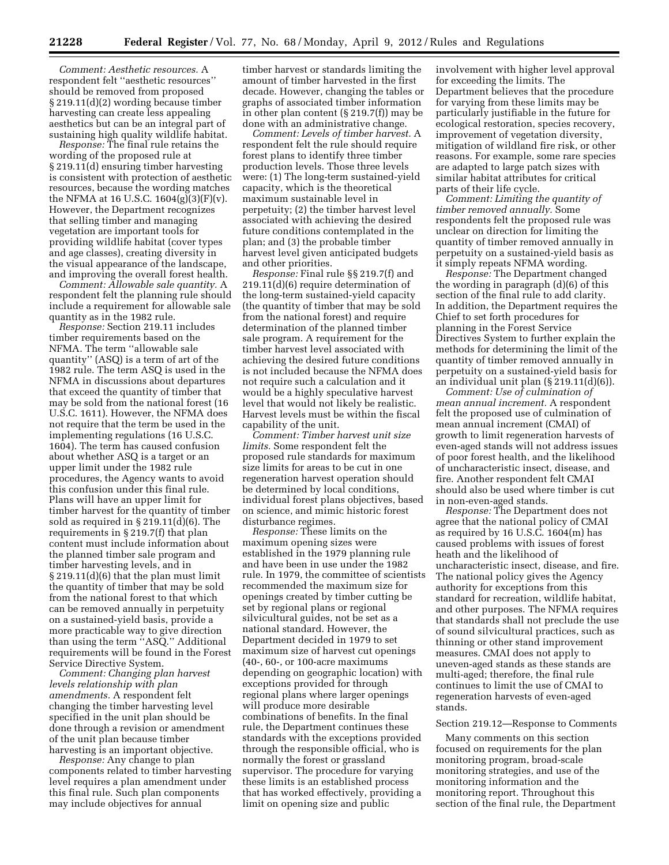*Comment: Aesthetic resources.* A respondent felt ''aesthetic resources'' should be removed from proposed § 219.11(d)(2) wording because timber harvesting can create less appealing aesthetics but can be an integral part of sustaining high quality wildlife habitat.

*Response:* The final rule retains the wording of the proposed rule at § 219.11(d) ensuring timber harvesting is consistent with protection of aesthetic resources, because the wording matches the NFMA at 16 U.S.C.  $1604(g)(3)(F)(v)$ . However, the Department recognizes that selling timber and managing vegetation are important tools for providing wildlife habitat (cover types and age classes), creating diversity in the visual appearance of the landscape, and improving the overall forest health.

*Comment: Allowable sale quantity.* A respondent felt the planning rule should include a requirement for allowable sale quantity as in the 1982 rule.

*Response:* Section 219.11 includes timber requirements based on the NFMA. The term ''allowable sale quantity'' (ASQ) is a term of art of the 1982 rule. The term ASQ is used in the NFMA in discussions about departures that exceed the quantity of timber that may be sold from the national forest (16 U.S.C. 1611). However, the NFMA does not require that the term be used in the implementing regulations (16 U.S.C. 1604). The term has caused confusion about whether ASQ is a target or an upper limit under the 1982 rule procedures, the Agency wants to avoid this confusion under this final rule. Plans will have an upper limit for timber harvest for the quantity of timber sold as required in § 219.11(d)(6). The requirements in § 219.7(f) that plan content must include information about the planned timber sale program and timber harvesting levels, and in § 219.11(d)(6) that the plan must limit the quantity of timber that may be sold from the national forest to that which can be removed annually in perpetuity on a sustained-yield basis, provide a more practicable way to give direction than using the term ''ASQ.'' Additional requirements will be found in the Forest Service Directive System.

*Comment: Changing plan harvest levels relationship with plan amendments.* A respondent felt changing the timber harvesting level specified in the unit plan should be done through a revision or amendment of the unit plan because timber harvesting is an important objective.

*Response:* Any change to plan components related to timber harvesting level requires a plan amendment under this final rule. Such plan components may include objectives for annual

timber harvest or standards limiting the amount of timber harvested in the first decade. However, changing the tables or graphs of associated timber information in other plan content (§ 219.7(f)) may be done with an administrative change.

*Comment: Levels of timber harvest.* A respondent felt the rule should require forest plans to identify three timber production levels. Those three levels were: (1) The long-term sustained-yield capacity, which is the theoretical maximum sustainable level in perpetuity; (2) the timber harvest level associated with achieving the desired future conditions contemplated in the plan; and (3) the probable timber harvest level given anticipated budgets and other priorities.

*Response:* Final rule §§ 219.7(f) and 219.11(d)(6) require determination of the long-term sustained-yield capacity (the quantity of timber that may be sold from the national forest) and require determination of the planned timber sale program. A requirement for the timber harvest level associated with achieving the desired future conditions is not included because the NFMA does not require such a calculation and it would be a highly speculative harvest level that would not likely be realistic. Harvest levels must be within the fiscal capability of the unit.

*Comment: Timber harvest unit size limits.* Some respondent felt the proposed rule standards for maximum size limits for areas to be cut in one regeneration harvest operation should be determined by local conditions, individual forest plans objectives, based on science, and mimic historic forest disturbance regimes.

*Response:* These limits on the maximum opening sizes were established in the 1979 planning rule and have been in use under the 1982 rule. In 1979, the committee of scientists recommended the maximum size for openings created by timber cutting be set by regional plans or regional silvicultural guides, not be set as a national standard. However, the Department decided in 1979 to set maximum size of harvest cut openings (40-, 60-, or 100-acre maximums depending on geographic location) with exceptions provided for through regional plans where larger openings will produce more desirable combinations of benefits. In the final rule, the Department continues these standards with the exceptions provided through the responsible official, who is normally the forest or grassland supervisor. The procedure for varying these limits is an established process that has worked effectively, providing a limit on opening size and public

involvement with higher level approval for exceeding the limits. The Department believes that the procedure for varying from these limits may be particularly justifiable in the future for ecological restoration, species recovery, improvement of vegetation diversity, mitigation of wildland fire risk, or other reasons. For example, some rare species are adapted to large patch sizes with similar habitat attributes for critical parts of their life cycle.

*Comment: Limiting the quantity of timber removed annually.* Some respondents felt the proposed rule was unclear on direction for limiting the quantity of timber removed annually in perpetuity on a sustained-yield basis as it simply repeats NFMA wording.

*Response:* The Department changed the wording in paragraph (d)(6) of this section of the final rule to add clarity. In addition, the Department requires the Chief to set forth procedures for planning in the Forest Service Directives System to further explain the methods for determining the limit of the quantity of timber removed annually in perpetuity on a sustained-yield basis for an individual unit plan (§ 219.11(d)(6)).

*Comment: Use of culmination of mean annual increment.* A respondent felt the proposed use of culmination of mean annual increment (CMAI) of growth to limit regeneration harvests of even-aged stands will not address issues of poor forest health, and the likelihood of uncharacteristic insect, disease, and fire. Another respondent felt CMAI should also be used where timber is cut in non-even-aged stands.

*Response:* The Department does not agree that the national policy of CMAI as required by 16 U.S.C. 1604(m) has caused problems with issues of forest heath and the likelihood of uncharacteristic insect, disease, and fire. The national policy gives the Agency authority for exceptions from this standard for recreation, wildlife habitat, and other purposes. The NFMA requires that standards shall not preclude the use of sound silvicultural practices, such as thinning or other stand improvement measures. CMAI does not apply to uneven-aged stands as these stands are multi-aged; therefore, the final rule continues to limit the use of CMAI to regeneration harvests of even-aged stands.

# Section 219.12—Response to Comments

Many comments on this section focused on requirements for the plan monitoring program, broad-scale monitoring strategies, and use of the monitoring information and the monitoring report. Throughout this section of the final rule, the Department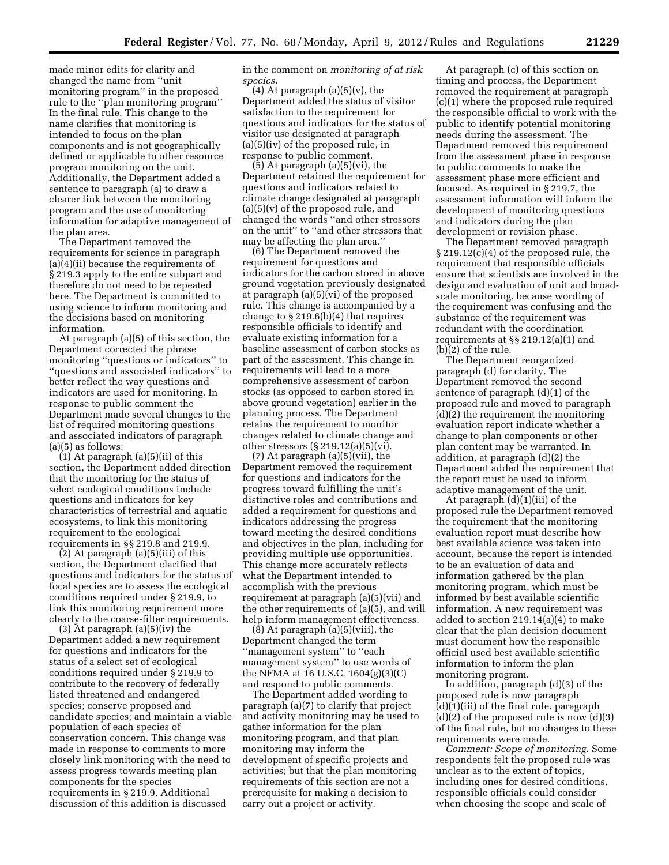made minor edits for clarity and changed the name from ''unit monitoring program'' in the proposed rule to the ''plan monitoring program'' In the final rule. This change to the name clarifies that monitoring is intended to focus on the plan components and is not geographically defined or applicable to other resource program monitoring on the unit. Additionally, the Department added a sentence to paragraph (a) to draw a clearer link between the monitoring program and the use of monitoring information for adaptive management of the plan area.

The Department removed the requirements for science in paragraph (a)(4)(ii) because the requirements of § 219.3 apply to the entire subpart and therefore do not need to be repeated here. The Department is committed to using science to inform monitoring and the decisions based on monitoring information.

At paragraph (a)(5) of this section, the Department corrected the phrase monitoring ''questions or indicators'' to ''questions and associated indicators'' to better reflect the way questions and indicators are used for monitoring. In response to public comment the Department made several changes to the list of required monitoring questions and associated indicators of paragraph (a)(5) as follows:

(1) At paragraph (a)(5)(ii) of this section, the Department added direction that the monitoring for the status of select ecological conditions include questions and indicators for key characteristics of terrestrial and aquatic ecosystems, to link this monitoring requirement to the ecological requirements in §§ 219.8 and 219.9.

(2) At paragraph (a)(5)(iii) of this section, the Department clarified that questions and indicators for the status of focal species are to assess the ecological conditions required under § 219.9, to link this monitoring requirement more clearly to the coarse-filter requirements.

(3) At paragraph (a)(5)(iv) the Department added a new requirement for questions and indicators for the status of a select set of ecological conditions required under § 219.9 to contribute to the recovery of federally listed threatened and endangered species; conserve proposed and candidate species; and maintain a viable population of each species of conservation concern. This change was made in response to comments to more closely link monitoring with the need to assess progress towards meeting plan components for the species requirements in § 219.9. Additional discussion of this addition is discussed

in the comment on *monitoring of at risk species.* 

 $(4)$  At paragraph  $(a)(5)(v)$ , the Department added the status of visitor satisfaction to the requirement for questions and indicators for the status of visitor use designated at paragraph (a)(5)(iv) of the proposed rule, in response to public comment.

(5) At paragraph (a)(5)(vi), the Department retained the requirement for questions and indicators related to climate change designated at paragraph (a)(5)(v) of the proposed rule, and changed the words ''and other stressors on the unit'' to ''and other stressors that may be affecting the plan area.''

(6) The Department removed the requirement for questions and indicators for the carbon stored in above ground vegetation previously designated at paragraph (a)(5)(vi) of the proposed rule. This change is accompanied by a change to  $\S 219.6(b)(4)$  that requires responsible officials to identify and evaluate existing information for a baseline assessment of carbon stocks as part of the assessment. This change in requirements will lead to a more comprehensive assessment of carbon stocks (as opposed to carbon stored in above ground vegetation) earlier in the planning process. The Department retains the requirement to monitor changes related to climate change and other stressors  $(\S 219.12(a)(5)(vi))$ .

(7) At paragraph (a)(5)(vii), the Department removed the requirement for questions and indicators for the progress toward fulfilling the unit's distinctive roles and contributions and added a requirement for questions and indicators addressing the progress toward meeting the desired conditions and objectives in the plan, including for providing multiple use opportunities. This change more accurately reflects what the Department intended to accomplish with the previous requirement at paragraph (a)(5)(vii) and the other requirements of (a)(5), and will help inform management effectiveness.

(8) At paragraph (a)(5)(viii), the Department changed the term ''management system'' to ''each management system'' to use words of the NFMA at 16 U.S.C. 1604(g)(3)(C) and respond to public comments.

The Department added wording to paragraph (a)(7) to clarify that project and activity monitoring may be used to gather information for the plan monitoring program, and that plan monitoring may inform the development of specific projects and activities; but that the plan monitoring requirements of this section are not a prerequisite for making a decision to carry out a project or activity.

At paragraph (c) of this section on timing and process, the Department removed the requirement at paragraph (c)(1) where the proposed rule required the responsible official to work with the public to identify potential monitoring needs during the assessment. The Department removed this requirement from the assessment phase in response to public comments to make the assessment phase more efficient and focused. As required in § 219.7, the assessment information will inform the development of monitoring questions and indicators during the plan development or revision phase.

The Department removed paragraph § 219.12(c)(4) of the proposed rule, the requirement that responsible officials ensure that scientists are involved in the design and evaluation of unit and broadscale monitoring, because wording of the requirement was confusing and the substance of the requirement was redundant with the coordination requirements at §§ 219.12(a)(1) and (b)(2) of the rule.

The Department reorganized paragraph (d) for clarity. The Department removed the second sentence of paragraph (d)(1) of the proposed rule and moved to paragraph (d)(2) the requirement the monitoring evaluation report indicate whether a change to plan components or other plan content may be warranted. In addition, at paragraph (d)(2) the Department added the requirement that the report must be used to inform adaptive management of the unit.

At paragraph (d)(1)(iii) of the proposed rule the Department removed the requirement that the monitoring evaluation report must describe how best available science was taken into account, because the report is intended to be an evaluation of data and information gathered by the plan monitoring program, which must be informed by best available scientific information. A new requirement was added to section 219.14(a)(4) to make clear that the plan decision document must document how the responsible official used best available scientific information to inform the plan monitoring program.

In addition, paragraph (d)(3) of the proposed rule is now paragraph (d)(1)(iii) of the final rule, paragraph  $(d)(2)$  of the proposed rule is now  $(d)(3)$ of the final rule, but no changes to these requirements were made.

*Comment: Scope of monitoring.* Some respondents felt the proposed rule was unclear as to the extent of topics, including ones for desired conditions, responsible officials could consider when choosing the scope and scale of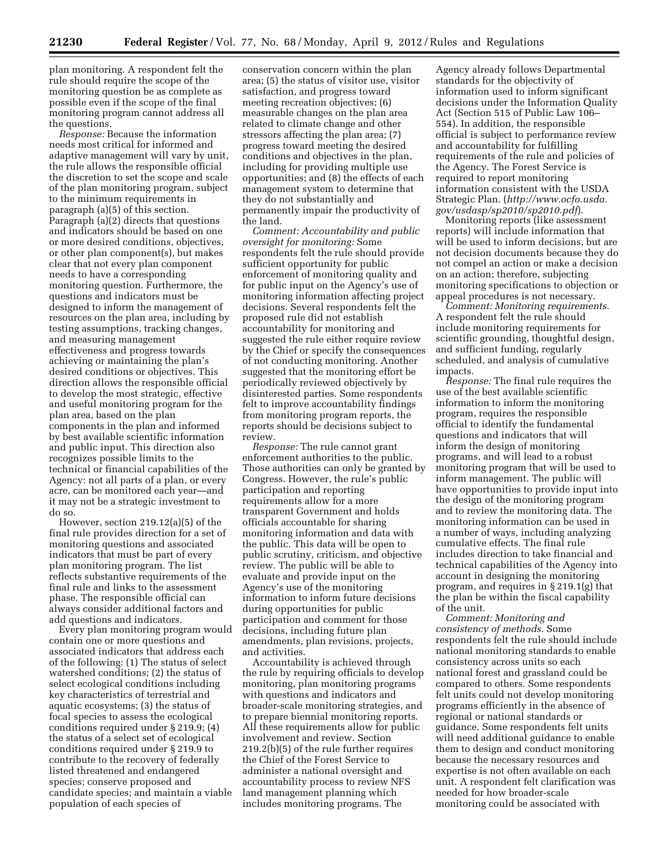plan monitoring. A respondent felt the rule should require the scope of the monitoring question be as complete as possible even if the scope of the final monitoring program cannot address all the questions.

*Response:* Because the information needs most critical for informed and adaptive management will vary by unit, the rule allows the responsible official the discretion to set the scope and scale of the plan monitoring program, subject to the minimum requirements in paragraph (a)(5) of this section. Paragraph (a)(2) directs that questions and indicators should be based on one or more desired conditions, objectives, or other plan component(s), but makes clear that not every plan component needs to have a corresponding monitoring question. Furthermore, the questions and indicators must be designed to inform the management of resources on the plan area, including by testing assumptions, tracking changes, and measuring management effectiveness and progress towards achieving or maintaining the plan's desired conditions or objectives. This direction allows the responsible official to develop the most strategic, effective and useful monitoring program for the plan area, based on the plan components in the plan and informed by best available scientific information and public input. This direction also recognizes possible limits to the technical or financial capabilities of the Agency: not all parts of a plan, or every acre, can be monitored each year—and it may not be a strategic investment to do so.

However, section 219.12(a)(5) of the final rule provides direction for a set of monitoring questions and associated indicators that must be part of every plan monitoring program. The list reflects substantive requirements of the final rule and links to the assessment phase. The responsible official can always consider additional factors and add questions and indicators.

Every plan monitoring program would contain one or more questions and associated indicators that address each of the following: (1) The status of select watershed conditions; (2) the status of select ecological conditions including key characteristics of terrestrial and aquatic ecosystems; (3) the status of focal species to assess the ecological conditions required under § 219.9; (4) the status of a select set of ecological conditions required under § 219.9 to contribute to the recovery of federally listed threatened and endangered species; conserve proposed and candidate species; and maintain a viable population of each species of

conservation concern within the plan area; (5) the status of visitor use, visitor satisfaction, and progress toward meeting recreation objectives; (6) measurable changes on the plan area related to climate change and other stressors affecting the plan area; (7) progress toward meeting the desired conditions and objectives in the plan, including for providing multiple use opportunities; and (8) the effects of each management system to determine that they do not substantially and permanently impair the productivity of the land.

*Comment: Accountability and public oversight for monitoring:* Some respondents felt the rule should provide sufficient opportunity for public enforcement of monitoring quality and for public input on the Agency's use of monitoring information affecting project decisions. Several respondents felt the proposed rule did not establish accountability for monitoring and suggested the rule either require review by the Chief or specify the consequences of not conducting monitoring. Another suggested that the monitoring effort be periodically reviewed objectively by disinterested parties. Some respondents felt to improve accountability findings from monitoring program reports, the reports should be decisions subject to review.

*Response:* The rule cannot grant enforcement authorities to the public. Those authorities can only be granted by Congress. However, the rule's public participation and reporting requirements allow for a more transparent Government and holds officials accountable for sharing monitoring information and data with the public. This data will be open to public scrutiny, criticism, and objective review. The public will be able to evaluate and provide input on the Agency's use of the monitoring information to inform future decisions during opportunities for public participation and comment for those decisions, including future plan amendments, plan revisions, projects, and activities.

Accountability is achieved through the rule by requiring officials to develop monitoring, plan monitoring programs with questions and indicators and broader-scale monitoring strategies, and to prepare biennial monitoring reports. All these requirements allow for public involvement and review. Section 219.2(b)(5) of the rule further requires the Chief of the Forest Service to administer a national oversight and accountability process to review NFS land management planning which includes monitoring programs. The

Agency already follows Departmental standards for the objectivity of information used to inform significant decisions under the Information Quality Act (Section 515 of Public Law 106– 554). In addition, the responsible official is subject to performance review and accountability for fulfilling requirements of the rule and policies of the Agency. The Forest Service is required to report monitoring information consistent with the USDA Strategic Plan. (*[http://www.ocfo.usda.](http://www.ocfo.usda.gov/usdasp/sp2010/sp2010.pdf) [gov/usdasp/sp2010/sp2010.pdf](http://www.ocfo.usda.gov/usdasp/sp2010/sp2010.pdf)*).

Monitoring reports (like assessment reports) will include information that will be used to inform decisions, but are not decision documents because they do not compel an action or make a decision on an action; therefore, subjecting monitoring specifications to objection or appeal procedures is not necessary.

*Comment: Monitoring requirements.*  A respondent felt the rule should include monitoring requirements for scientific grounding, thoughtful design, and sufficient funding, regularly scheduled, and analysis of cumulative impacts.

*Response:* The final rule requires the use of the best available scientific information to inform the monitoring program, requires the responsible official to identify the fundamental questions and indicators that will inform the design of monitoring programs, and will lead to a robust monitoring program that will be used to inform management. The public will have opportunities to provide input into the design of the monitoring program and to review the monitoring data. The monitoring information can be used in a number of ways, including analyzing cumulative effects. The final rule includes direction to take financial and technical capabilities of the Agency into account in designing the monitoring program, and requires in § 219.1(g) that the plan be within the fiscal capability of the unit.

*Comment: Monitoring and consistency of methods.* Some respondents felt the rule should include national monitoring standards to enable consistency across units so each national forest and grassland could be compared to others. Some respondents felt units could not develop monitoring programs efficiently in the absence of regional or national standards or guidance. Some respondents felt units will need additional guidance to enable them to design and conduct monitoring because the necessary resources and expertise is not often available on each unit. A respondent felt clarification was needed for how broader-scale monitoring could be associated with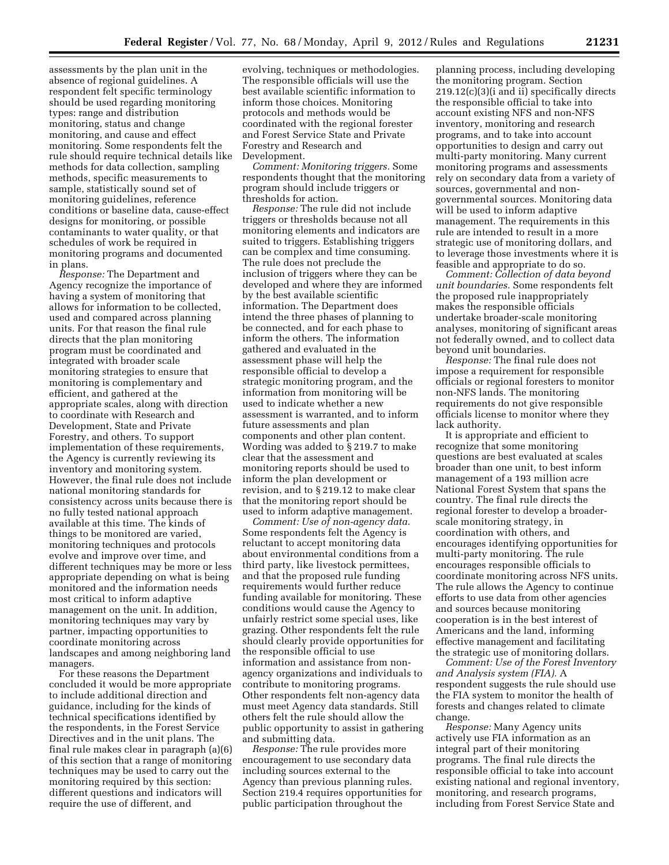assessments by the plan unit in the absence of regional guidelines. A respondent felt specific terminology should be used regarding monitoring types: range and distribution monitoring, status and change monitoring, and cause and effect monitoring. Some respondents felt the rule should require technical details like methods for data collection, sampling methods, specific measurements to sample, statistically sound set of monitoring guidelines, reference conditions or baseline data, cause-effect designs for monitoring, or possible contaminants to water quality, or that schedules of work be required in monitoring programs and documented in plans.

*Response:* The Department and Agency recognize the importance of having a system of monitoring that allows for information to be collected, used and compared across planning units. For that reason the final rule directs that the plan monitoring program must be coordinated and integrated with broader scale monitoring strategies to ensure that monitoring is complementary and efficient, and gathered at the appropriate scales, along with direction to coordinate with Research and Development, State and Private Forestry, and others. To support implementation of these requirements, the Agency is currently reviewing its inventory and monitoring system. However, the final rule does not include national monitoring standards for consistency across units because there is no fully tested national approach available at this time. The kinds of things to be monitored are varied, monitoring techniques and protocols evolve and improve over time, and different techniques may be more or less appropriate depending on what is being monitored and the information needs most critical to inform adaptive management on the unit. In addition, monitoring techniques may vary by partner, impacting opportunities to coordinate monitoring across landscapes and among neighboring land managers.

For these reasons the Department concluded it would be more appropriate to include additional direction and guidance, including for the kinds of technical specifications identified by the respondents, in the Forest Service Directives and in the unit plans. The final rule makes clear in paragraph (a)(6) of this section that a range of monitoring techniques may be used to carry out the monitoring required by this section: different questions and indicators will require the use of different, and

evolving, techniques or methodologies. The responsible officials will use the best available scientific information to inform those choices. Monitoring protocols and methods would be coordinated with the regional forester and Forest Service State and Private Forestry and Research and Development.

*Comment: Monitoring triggers.* Some respondents thought that the monitoring program should include triggers or thresholds for action.

*Response:* The rule did not include triggers or thresholds because not all monitoring elements and indicators are suited to triggers. Establishing triggers can be complex and time consuming. The rule does not preclude the inclusion of triggers where they can be developed and where they are informed by the best available scientific information. The Department does intend the three phases of planning to be connected, and for each phase to inform the others. The information gathered and evaluated in the assessment phase will help the responsible official to develop a strategic monitoring program, and the information from monitoring will be used to indicate whether a new assessment is warranted, and to inform future assessments and plan components and other plan content. Wording was added to § 219.7 to make clear that the assessment and monitoring reports should be used to inform the plan development or revision, and to § 219.12 to make clear that the monitoring report should be used to inform adaptive management.

*Comment: Use of non-agency data.*  Some respondents felt the Agency is reluctant to accept monitoring data about environmental conditions from a third party, like livestock permittees, and that the proposed rule funding requirements would further reduce funding available for monitoring. These conditions would cause the Agency to unfairly restrict some special uses, like grazing. Other respondents felt the rule should clearly provide opportunities for the responsible official to use information and assistance from nonagency organizations and individuals to contribute to monitoring programs. Other respondents felt non-agency data must meet Agency data standards. Still others felt the rule should allow the public opportunity to assist in gathering and submitting data.

*Response:* The rule provides more encouragement to use secondary data including sources external to the Agency than previous planning rules. Section 219.4 requires opportunities for public participation throughout the

planning process, including developing the monitoring program. Section 219.12(c)(3)(i and ii) specifically directs the responsible official to take into account existing NFS and non-NFS inventory, monitoring and research programs, and to take into account opportunities to design and carry out multi-party monitoring. Many current monitoring programs and assessments rely on secondary data from a variety of sources, governmental and nongovernmental sources. Monitoring data will be used to inform adaptive management. The requirements in this rule are intended to result in a more strategic use of monitoring dollars, and to leverage those investments where it is feasible and appropriate to do so.

*Comment: Collection of data beyond unit boundaries.* Some respondents felt the proposed rule inappropriately makes the responsible officials undertake broader-scale monitoring analyses, monitoring of significant areas not federally owned, and to collect data beyond unit boundaries.

*Response:* The final rule does not impose a requirement for responsible officials or regional foresters to monitor non-NFS lands. The monitoring requirements do not give responsible officials license to monitor where they lack authority.

It is appropriate and efficient to recognize that some monitoring questions are best evaluated at scales broader than one unit, to best inform management of a 193 million acre National Forest System that spans the country. The final rule directs the regional forester to develop a broaderscale monitoring strategy, in coordination with others, and encourages identifying opportunities for multi-party monitoring. The rule encourages responsible officials to coordinate monitoring across NFS units. The rule allows the Agency to continue efforts to use data from other agencies and sources because monitoring cooperation is in the best interest of Americans and the land, informing effective management and facilitating the strategic use of monitoring dollars.

*Comment: Use of the Forest Inventory and Analysis system (FIA).* A respondent suggests the rule should use the FIA system to monitor the health of forests and changes related to climate change.

*Response:* Many Agency units actively use FIA information as an integral part of their monitoring programs. The final rule directs the responsible official to take into account existing national and regional inventory, monitoring, and research programs, including from Forest Service State and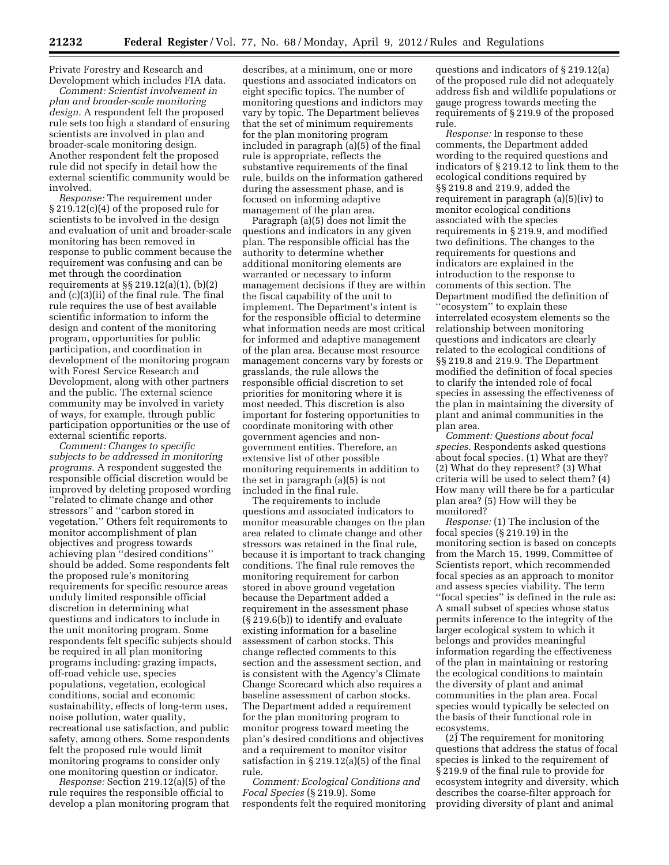Private Forestry and Research and Development which includes FIA data.

*Comment: Scientist involvement in plan and broader-scale monitoring design.* A respondent felt the proposed rule sets too high a standard of ensuring scientists are involved in plan and broader-scale monitoring design. Another respondent felt the proposed rule did not specify in detail how the external scientific community would be involved.

*Response:* The requirement under § 219.12(c)(4) of the proposed rule for scientists to be involved in the design and evaluation of unit and broader-scale monitoring has been removed in response to public comment because the requirement was confusing and can be met through the coordination requirements at §§ 219.12(a)(1), (b)(2) and (c)(3)(ii) of the final rule. The final rule requires the use of best available scientific information to inform the design and content of the monitoring program, opportunities for public participation, and coordination in development of the monitoring program with Forest Service Research and Development, along with other partners and the public. The external science community may be involved in variety of ways, for example, through public participation opportunities or the use of external scientific reports.

*Comment: Changes to specific subjects to be addressed in monitoring programs.* A respondent suggested the responsible official discretion would be improved by deleting proposed wording ''related to climate change and other stressors'' and ''carbon stored in vegetation.'' Others felt requirements to monitor accomplishment of plan objectives and progress towards achieving plan ''desired conditions'' should be added. Some respondents felt the proposed rule's monitoring requirements for specific resource areas unduly limited responsible official discretion in determining what questions and indicators to include in the unit monitoring program. Some respondents felt specific subjects should be required in all plan monitoring programs including: grazing impacts, off-road vehicle use, species populations, vegetation, ecological conditions, social and economic sustainability, effects of long-term uses, noise pollution, water quality, recreational use satisfaction, and public safety, among others. Some respondents felt the proposed rule would limit monitoring programs to consider only one monitoring question or indicator.

*Response:* Section 219.12(a)(5) of the rule requires the responsible official to develop a plan monitoring program that

describes, at a minimum, one or more questions and associated indicators on eight specific topics. The number of monitoring questions and indictors may vary by topic. The Department believes that the set of minimum requirements for the plan monitoring program included in paragraph (a)(5) of the final rule is appropriate, reflects the substantive requirements of the final rule, builds on the information gathered during the assessment phase, and is focused on informing adaptive management of the plan area.

Paragraph (a)(5) does not limit the questions and indicators in any given plan. The responsible official has the authority to determine whether additional monitoring elements are warranted or necessary to inform management decisions if they are within the fiscal capability of the unit to implement. The Department's intent is for the responsible official to determine what information needs are most critical for informed and adaptive management of the plan area. Because most resource management concerns vary by forests or grasslands, the rule allows the responsible official discretion to set priorities for monitoring where it is most needed. This discretion is also important for fostering opportunities to coordinate monitoring with other government agencies and nongovernment entities. Therefore, an extensive list of other possible monitoring requirements in addition to the set in paragraph (a)(5) is not included in the final rule.

The requirements to include questions and associated indicators to monitor measurable changes on the plan area related to climate change and other stressors was retained in the final rule, because it is important to track changing conditions. The final rule removes the monitoring requirement for carbon stored in above ground vegetation because the Department added a requirement in the assessment phase (§ 219.6(b)) to identify and evaluate existing information for a baseline assessment of carbon stocks. This change reflected comments to this section and the assessment section, and is consistent with the Agency's Climate Change Scorecard which also requires a baseline assessment of carbon stocks. The Department added a requirement for the plan monitoring program to monitor progress toward meeting the plan's desired conditions and objectives and a requirement to monitor visitor satisfaction in § 219.12(a)(5) of the final rule.

*Comment: Ecological Conditions and Focal Species* (§ 219.9). Some respondents felt the required monitoring

questions and indicators of § 219.12(a) of the proposed rule did not adequately address fish and wildlife populations or gauge progress towards meeting the requirements of § 219.9 of the proposed rule.

*Response:* In response to these comments, the Department added wording to the required questions and indicators of § 219.12 to link them to the ecological conditions required by §§ 219.8 and 219.9, added the requirement in paragraph (a)(5)(iv) to monitor ecological conditions associated with the species requirements in § 219.9, and modified two definitions. The changes to the requirements for questions and indicators are explained in the introduction to the response to comments of this section. The Department modified the definition of ''ecosystem'' to explain these interrelated ecosystem elements so the relationship between monitoring questions and indicators are clearly related to the ecological conditions of §§ 219.8 and 219.9. The Department modified the definition of focal species to clarify the intended role of focal species in assessing the effectiveness of the plan in maintaining the diversity of plant and animal communities in the plan area.

*Comment: Questions about focal species.* Respondents asked questions about focal species. (1) What are they? (2) What do they represent? (3) What criteria will be used to select them? (4) How many will there be for a particular plan area? (5) How will they be monitored?

*Response:* (1) The inclusion of the focal species (§ 219.19) in the monitoring section is based on concepts from the March 15, 1999, Committee of Scientists report, which recommended focal species as an approach to monitor and assess species viability. The term ''focal species'' is defined in the rule as: A small subset of species whose status permits inference to the integrity of the larger ecological system to which it belongs and provides meaningful information regarding the effectiveness of the plan in maintaining or restoring the ecological conditions to maintain the diversity of plant and animal communities in the plan area. Focal species would typically be selected on the basis of their functional role in ecosystems.

(2) The requirement for monitoring questions that address the status of focal species is linked to the requirement of § 219.9 of the final rule to provide for ecosystem integrity and diversity, which describes the coarse-filter approach for providing diversity of plant and animal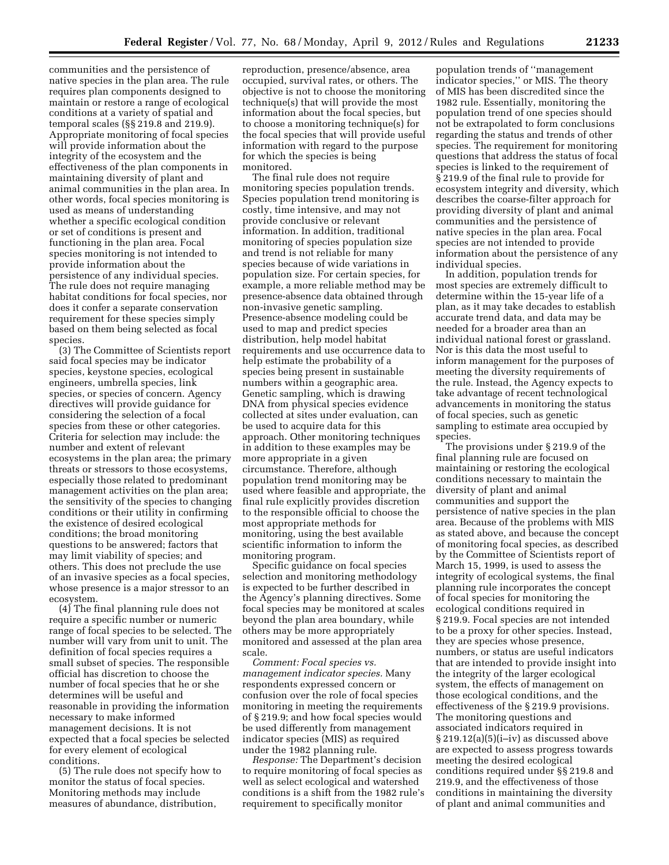communities and the persistence of native species in the plan area. The rule requires plan components designed to maintain or restore a range of ecological conditions at a variety of spatial and temporal scales (§§ 219.8 and 219.9). Appropriate monitoring of focal species will provide information about the integrity of the ecosystem and the effectiveness of the plan components in maintaining diversity of plant and animal communities in the plan area. In other words, focal species monitoring is used as means of understanding whether a specific ecological condition or set of conditions is present and functioning in the plan area. Focal species monitoring is not intended to provide information about the persistence of any individual species. The rule does not require managing habitat conditions for focal species, nor does it confer a separate conservation requirement for these species simply based on them being selected as focal species.

(3) The Committee of Scientists report said focal species may be indicator species, keystone species, ecological engineers, umbrella species, link species, or species of concern. Agency directives will provide guidance for considering the selection of a focal species from these or other categories. Criteria for selection may include: the number and extent of relevant ecosystems in the plan area; the primary threats or stressors to those ecosystems, especially those related to predominant management activities on the plan area; the sensitivity of the species to changing conditions or their utility in confirming the existence of desired ecological conditions; the broad monitoring questions to be answered; factors that may limit viability of species; and others. This does not preclude the use of an invasive species as a focal species, whose presence is a major stressor to an ecosystem.

(4) The final planning rule does not require a specific number or numeric range of focal species to be selected. The number will vary from unit to unit. The definition of focal species requires a small subset of species. The responsible official has discretion to choose the number of focal species that he or she determines will be useful and reasonable in providing the information necessary to make informed management decisions. It is not expected that a focal species be selected for every element of ecological conditions.

(5) The rule does not specify how to monitor the status of focal species. Monitoring methods may include measures of abundance, distribution,

reproduction, presence/absence, area occupied, survival rates, or others. The objective is not to choose the monitoring technique(s) that will provide the most information about the focal species, but to choose a monitoring technique(s) for the focal species that will provide useful information with regard to the purpose for which the species is being monitored.

The final rule does not require monitoring species population trends. Species population trend monitoring is costly, time intensive, and may not provide conclusive or relevant information. In addition, traditional monitoring of species population size and trend is not reliable for many species because of wide variations in population size. For certain species, for example, a more reliable method may be presence-absence data obtained through non-invasive genetic sampling. Presence-absence modeling could be used to map and predict species distribution, help model habitat requirements and use occurrence data to help estimate the probability of a species being present in sustainable numbers within a geographic area. Genetic sampling, which is drawing DNA from physical species evidence collected at sites under evaluation, can be used to acquire data for this approach. Other monitoring techniques in addition to these examples may be more appropriate in a given circumstance. Therefore, although population trend monitoring may be used where feasible and appropriate, the final rule explicitly provides discretion to the responsible official to choose the most appropriate methods for monitoring, using the best available scientific information to inform the monitoring program.

Specific guidance on focal species selection and monitoring methodology is expected to be further described in the Agency's planning directives. Some focal species may be monitored at scales beyond the plan area boundary, while others may be more appropriately monitored and assessed at the plan area scale.

*Comment: Focal species vs. management indicator species.* Many respondents expressed concern or confusion over the role of focal species monitoring in meeting the requirements of § 219.9; and how focal species would be used differently from management indicator species (MIS) as required under the 1982 planning rule.

*Response:* The Department's decision to require monitoring of focal species as well as select ecological and watershed conditions is a shift from the 1982 rule's requirement to specifically monitor

population trends of ''management indicator species,'' or MIS. The theory of MIS has been discredited since the 1982 rule. Essentially, monitoring the population trend of one species should not be extrapolated to form conclusions regarding the status and trends of other species. The requirement for monitoring questions that address the status of focal species is linked to the requirement of § 219.9 of the final rule to provide for ecosystem integrity and diversity, which describes the coarse-filter approach for providing diversity of plant and animal communities and the persistence of native species in the plan area. Focal species are not intended to provide information about the persistence of any individual species.

In addition, population trends for most species are extremely difficult to determine within the 15-year life of a plan, as it may take decades to establish accurate trend data, and data may be needed for a broader area than an individual national forest or grassland. Nor is this data the most useful to inform management for the purposes of meeting the diversity requirements of the rule. Instead, the Agency expects to take advantage of recent technological advancements in monitoring the status of focal species, such as genetic sampling to estimate area occupied by species.

The provisions under § 219.9 of the final planning rule are focused on maintaining or restoring the ecological conditions necessary to maintain the diversity of plant and animal communities and support the persistence of native species in the plan area. Because of the problems with MIS as stated above, and because the concept of monitoring focal species, as described by the Committee of Scientists report of March 15, 1999, is used to assess the integrity of ecological systems, the final planning rule incorporates the concept of focal species for monitoring the ecological conditions required in § 219.9. Focal species are not intended to be a proxy for other species. Instead, they are species whose presence, numbers, or status are useful indicators that are intended to provide insight into the integrity of the larger ecological system, the effects of management on those ecological conditions, and the effectiveness of the § 219.9 provisions. The monitoring questions and associated indicators required in § 219.12(a)(5)(i–iv) as discussed above are expected to assess progress towards meeting the desired ecological conditions required under §§ 219.8 and 219.9, and the effectiveness of those conditions in maintaining the diversity of plant and animal communities and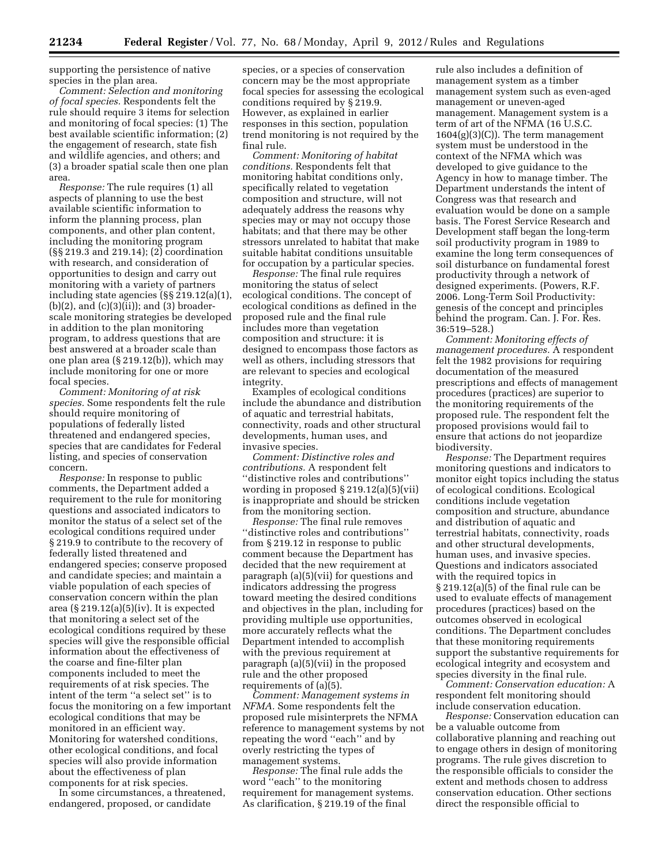supporting the persistence of native species in the plan area.

*Comment: Selection and monitoring of focal species.* Respondents felt the rule should require 3 items for selection and monitoring of focal species: (1) The best available scientific information; (2) the engagement of research, state fish and wildlife agencies, and others; and (3) a broader spatial scale then one plan area.

*Response:* The rule requires (1) all aspects of planning to use the best available scientific information to inform the planning process, plan components, and other plan content, including the monitoring program (§§ 219.3 and 219.14); (2) coordination with research, and consideration of opportunities to design and carry out monitoring with a variety of partners including state agencies (§§ 219.12(a)(1),  $(b)(2)$ , and  $(c)(3)(ii)$ ; and  $(3)$  broaderscale monitoring strategies be developed in addition to the plan monitoring program, to address questions that are best answered at a broader scale than one plan area (§ 219.12(b)), which may include monitoring for one or more focal species.

*Comment: Monitoring of at risk species.* Some respondents felt the rule should require monitoring of populations of federally listed threatened and endangered species, species that are candidates for Federal listing, and species of conservation concern.

*Response:* In response to public comments, the Department added a requirement to the rule for monitoring questions and associated indicators to monitor the status of a select set of the ecological conditions required under § 219.9 to contribute to the recovery of federally listed threatened and endangered species; conserve proposed and candidate species; and maintain a viable population of each species of conservation concern within the plan area  $(\S 219.12(a)(5)(iv)$ . It is expected that monitoring a select set of the ecological conditions required by these species will give the responsible official information about the effectiveness of the coarse and fine-filter plan components included to meet the requirements of at risk species. The intent of the term ''a select set'' is to focus the monitoring on a few important ecological conditions that may be monitored in an efficient way. Monitoring for watershed conditions, other ecological conditions, and focal species will also provide information about the effectiveness of plan components for at risk species.

In some circumstances, a threatened, endangered, proposed, or candidate

species, or a species of conservation concern may be the most appropriate focal species for assessing the ecological conditions required by § 219.9. However, as explained in earlier responses in this section, population trend monitoring is not required by the final rule.

*Comment: Monitoring of habitat conditions.* Respondents felt that monitoring habitat conditions only, specifically related to vegetation composition and structure, will not adequately address the reasons why species may or may not occupy those habitats; and that there may be other stressors unrelated to habitat that make suitable habitat conditions unsuitable for occupation by a particular species.

*Response:* The final rule requires monitoring the status of select ecological conditions. The concept of ecological conditions as defined in the proposed rule and the final rule includes more than vegetation composition and structure: it is designed to encompass those factors as well as others, including stressors that are relevant to species and ecological integrity.

Examples of ecological conditions include the abundance and distribution of aquatic and terrestrial habitats, connectivity, roads and other structural developments, human uses, and invasive species.

*Comment: Distinctive roles and contributions.* A respondent felt ''distinctive roles and contributions'' wording in proposed § 219.12(a)(5)(vii) is inappropriate and should be stricken from the monitoring section.

*Response:* The final rule removes ''distinctive roles and contributions'' from § 219.12 in response to public comment because the Department has decided that the new requirement at paragraph (a)(5)(vii) for questions and indicators addressing the progress toward meeting the desired conditions and objectives in the plan, including for providing multiple use opportunities, more accurately reflects what the Department intended to accomplish with the previous requirement at paragraph (a)(5)(vii) in the proposed rule and the other proposed requirements of (a)(5).

*Comment: Management systems in NFMA.* Some respondents felt the proposed rule misinterprets the NFMA reference to management systems by not repeating the word ''each'' and by overly restricting the types of management systems.

*Response:* The final rule adds the word ''each'' to the monitoring requirement for management systems. As clarification, § 219.19 of the final

rule also includes a definition of management system as a timber management system such as even-aged management or uneven-aged management. Management system is a term of art of the NFMA (16 U.S.C.  $1604(g)(3)(C)$ . The term management system must be understood in the context of the NFMA which was developed to give guidance to the Agency in how to manage timber. The Department understands the intent of Congress was that research and evaluation would be done on a sample basis. The Forest Service Research and Development staff began the long-term soil productivity program in 1989 to examine the long term consequences of soil disturbance on fundamental forest productivity through a network of designed experiments. (Powers, R.F. 2006. Long-Term Soil Productivity: genesis of the concept and principles behind the program. Can. J. For. Res. 36:519–528.)

*Comment: Monitoring effects of management procedures.* A respondent felt the 1982 provisions for requiring documentation of the measured prescriptions and effects of management procedures (practices) are superior to the monitoring requirements of the proposed rule. The respondent felt the proposed provisions would fail to ensure that actions do not jeopardize biodiversity.

*Response:* The Department requires monitoring questions and indicators to monitor eight topics including the status of ecological conditions. Ecological conditions include vegetation composition and structure, abundance and distribution of aquatic and terrestrial habitats, connectivity, roads and other structural developments, human uses, and invasive species. Questions and indicators associated with the required topics in § 219.12(a)(5) of the final rule can be used to evaluate effects of management procedures (practices) based on the outcomes observed in ecological conditions. The Department concludes that these monitoring requirements support the substantive requirements for ecological integrity and ecosystem and species diversity in the final rule.

*Comment: Conservation education:* A respondent felt monitoring should include conservation education.

*Response:* Conservation education can be a valuable outcome from collaborative planning and reaching out to engage others in design of monitoring programs. The rule gives discretion to the responsible officials to consider the extent and methods chosen to address conservation education. Other sections direct the responsible official to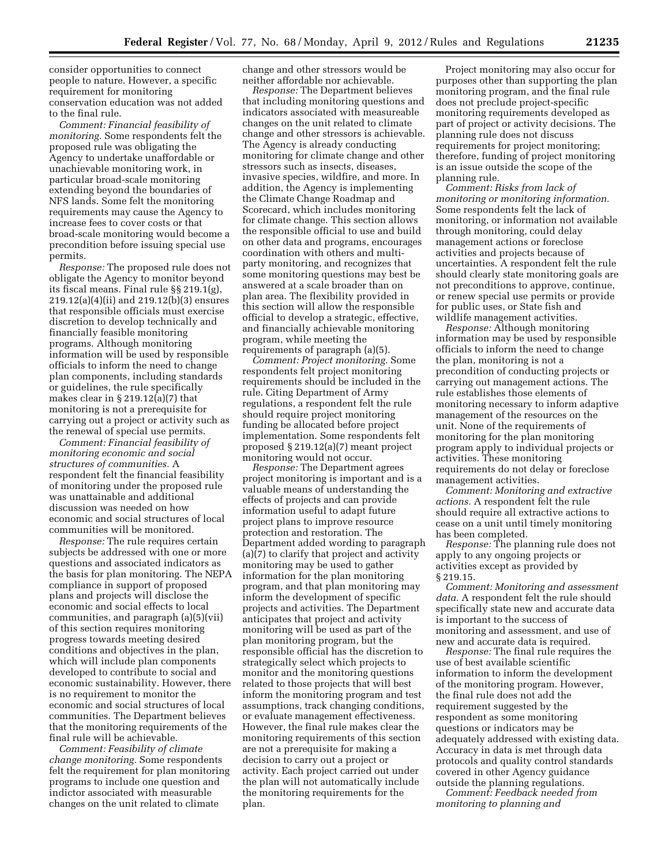consider opportunities to connect people to nature. However, a specific requirement for monitoring conservation education was not added to the final rule.

*Comment: Financial feasibility of monitoring.* Some respondents felt the proposed rule was obligating the Agency to undertake unaffordable or unachievable monitoring work, in particular broad-scale monitoring extending beyond the boundaries of NFS lands. Some felt the monitoring requirements may cause the Agency to increase fees to cover costs or that broad-scale monitoring would become a precondition before issuing special use permits.

*Response:* The proposed rule does not obligate the Agency to monitor beyond its fiscal means. Final rule §§ 219.1(g), 219.12(a)(4)(ii) and 219.12(b)(3) ensures that responsible officials must exercise discretion to develop technically and financially feasible monitoring programs. Although monitoring information will be used by responsible officials to inform the need to change plan components, including standards or guidelines, the rule specifically makes clear in § 219.12(a)(7) that monitoring is not a prerequisite for carrying out a project or activity such as the renewal of special use permits.

*Comment: Financial feasibility of monitoring economic and social structures of communities.* A respondent felt the financial feasibility of monitoring under the proposed rule was unattainable and additional discussion was needed on how economic and social structures of local communities will be monitored.

*Response:* The rule requires certain subjects be addressed with one or more questions and associated indicators as the basis for plan monitoring. The NEPA compliance in support of proposed plans and projects will disclose the economic and social effects to local communities, and paragraph (a)(5)(vii) of this section requires monitoring progress towards meeting desired conditions and objectives in the plan, which will include plan components developed to contribute to social and economic sustainability. However, there is no requirement to monitor the economic and social structures of local communities. The Department believes that the monitoring requirements of the final rule will be achievable.

*Comment: Feasibility of climate change monitoring.* Some respondents felt the requirement for plan monitoring programs to include one question and indictor associated with measurable changes on the unit related to climate

change and other stressors would be neither affordable nor achievable.

*Response:* The Department believes that including monitoring questions and indicators associated with measureable changes on the unit related to climate change and other stressors is achievable. The Agency is already conducting monitoring for climate change and other stressors such as insects, diseases, invasive species, wildfire, and more. In addition, the Agency is implementing the Climate Change Roadmap and Scorecard, which includes monitoring for climate change. This section allows the responsible official to use and build on other data and programs, encourages coordination with others and multiparty monitoring, and recognizes that some monitoring questions may best be answered at a scale broader than on plan area. The flexibility provided in this section will allow the responsible official to develop a strategic, effective, and financially achievable monitoring program, while meeting the requirements of paragraph (a)(5).

*Comment: Project monitoring.* Some respondents felt project monitoring requirements should be included in the rule. Citing Department of Army regulations, a respondent felt the rule should require project monitoring funding be allocated before project implementation. Some respondents felt proposed § 219.12(a)(7) meant project monitoring would not occur.

*Response:* The Department agrees project monitoring is important and is a valuable means of understanding the effects of projects and can provide information useful to adapt future project plans to improve resource protection and restoration. The Department added wording to paragraph  $(a)(7)$  to clarify that project and activity monitoring may be used to gather information for the plan monitoring program, and that plan monitoring may inform the development of specific projects and activities. The Department anticipates that project and activity monitoring will be used as part of the plan monitoring program, but the responsible official has the discretion to strategically select which projects to monitor and the monitoring questions related to those projects that will best inform the monitoring program and test assumptions, track changing conditions, or evaluate management effectiveness. However, the final rule makes clear the monitoring requirements of this section are not a prerequisite for making a decision to carry out a project or activity. Each project carried out under the plan will not automatically include the monitoring requirements for the plan.

Project monitoring may also occur for purposes other than supporting the plan monitoring program, and the final rule does not preclude project-specific monitoring requirements developed as part of project or activity decisions. The planning rule does not discuss requirements for project monitoring; therefore, funding of project monitoring is an issue outside the scope of the planning rule.

*Comment: Risks from lack of monitoring or monitoring information.*  Some respondents felt the lack of monitoring, or information not available through monitoring, could delay management actions or foreclose activities and projects because of uncertainties. A respondent felt the rule should clearly state monitoring goals are not preconditions to approve, continue, or renew special use permits or provide for public uses, or State fish and wildlife management activities.

*Response:* Although monitoring information may be used by responsible officials to inform the need to change the plan, monitoring is not a precondition of conducting projects or carrying out management actions. The rule establishes those elements of monitoring necessary to inform adaptive management of the resources on the unit. None of the requirements of monitoring for the plan monitoring program apply to individual projects or activities. These monitoring requirements do not delay or foreclose management activities.

*Comment: Monitoring and extractive actions.* A respondent felt the rule should require all extractive actions to cease on a unit until timely monitoring has been completed.

*Response:* The planning rule does not apply to any ongoing projects or activities except as provided by § 219.15.

*Comment: Monitoring and assessment data.* A respondent felt the rule should specifically state new and accurate data is important to the success of monitoring and assessment, and use of new and accurate data is required.

*Response:* The final rule requires the use of best available scientific information to inform the development of the monitoring program. However, the final rule does not add the requirement suggested by the respondent as some monitoring questions or indicators may be adequately addressed with existing data. Accuracy in data is met through data protocols and quality control standards covered in other Agency guidance outside the planning regulations.

*Comment: Feedback needed from monitoring to planning and*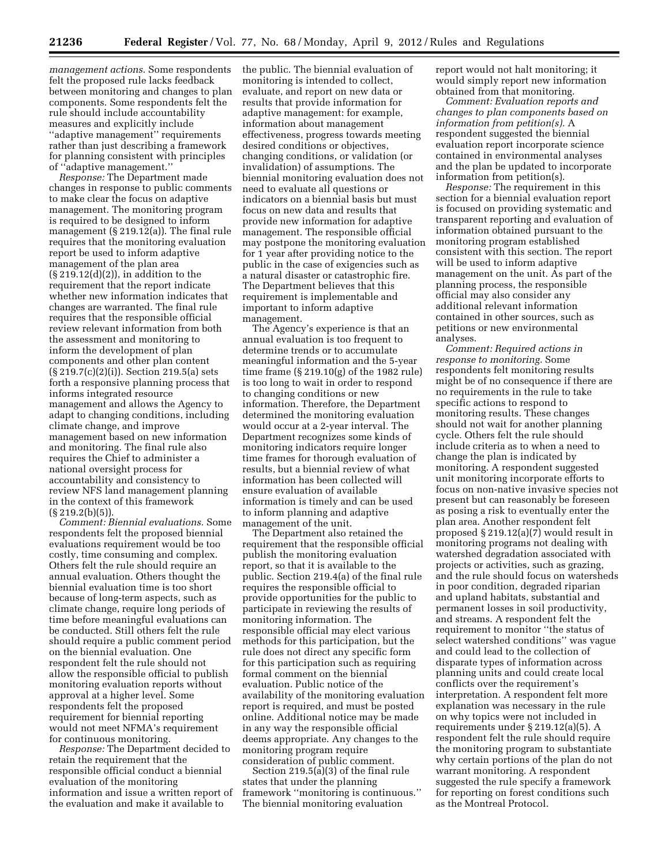*management actions.* Some respondents felt the proposed rule lacks feedback between monitoring and changes to plan components. Some respondents felt the rule should include accountability measures and explicitly include ''adaptive management'' requirements rather than just describing a framework for planning consistent with principles of ''adaptive management.''

*Response:* The Department made changes in response to public comments to make clear the focus on adaptive management. The monitoring program is required to be designed to inform management (§ 219.12(a)). The final rule requires that the monitoring evaluation report be used to inform adaptive management of the plan area (§ 219.12(d)(2)), in addition to the requirement that the report indicate whether new information indicates that changes are warranted. The final rule requires that the responsible official review relevant information from both the assessment and monitoring to inform the development of plan components and other plan content (§ 219.7(c)(2)(i)). Section 219.5(a) sets forth a responsive planning process that informs integrated resource management and allows the Agency to adapt to changing conditions, including climate change, and improve management based on new information and monitoring. The final rule also requires the Chief to administer a national oversight process for accountability and consistency to review NFS land management planning in the context of this framework  $(S 219.2(b)(5))$ .

*Comment: Biennial evaluations.* Some respondents felt the proposed biennial evaluations requirement would be too costly, time consuming and complex. Others felt the rule should require an annual evaluation. Others thought the biennial evaluation time is too short because of long-term aspects, such as climate change, require long periods of time before meaningful evaluations can be conducted. Still others felt the rule should require a public comment period on the biennial evaluation. One respondent felt the rule should not allow the responsible official to publish monitoring evaluation reports without approval at a higher level. Some respondents felt the proposed requirement for biennial reporting would not meet NFMA's requirement for continuous monitoring.

*Response:* The Department decided to retain the requirement that the responsible official conduct a biennial evaluation of the monitoring information and issue a written report of the evaluation and make it available to

the public. The biennial evaluation of monitoring is intended to collect, evaluate, and report on new data or results that provide information for adaptive management: for example, information about management effectiveness, progress towards meeting desired conditions or objectives, changing conditions, or validation (or invalidation) of assumptions. The biennial monitoring evaluation does not need to evaluate all questions or indicators on a biennial basis but must focus on new data and results that provide new information for adaptive management. The responsible official may postpone the monitoring evaluation for 1 year after providing notice to the public in the case of exigencies such as a natural disaster or catastrophic fire. The Department believes that this requirement is implementable and important to inform adaptive management.

The Agency's experience is that an annual evaluation is too frequent to determine trends or to accumulate meaningful information and the 5-year time frame (§ 219.10(g) of the 1982 rule) is too long to wait in order to respond to changing conditions or new information. Therefore, the Department determined the monitoring evaluation would occur at a 2-year interval. The Department recognizes some kinds of monitoring indicators require longer time frames for thorough evaluation of results, but a biennial review of what information has been collected will ensure evaluation of available information is timely and can be used to inform planning and adaptive management of the unit.

The Department also retained the requirement that the responsible official publish the monitoring evaluation report, so that it is available to the public. Section 219.4(a) of the final rule requires the responsible official to provide opportunities for the public to participate in reviewing the results of monitoring information. The responsible official may elect various methods for this participation, but the rule does not direct any specific form for this participation such as requiring formal comment on the biennial evaluation. Public notice of the availability of the monitoring evaluation report is required, and must be posted online. Additional notice may be made in any way the responsible official deems appropriate. Any changes to the monitoring program require consideration of public comment.

Section 219.5(a)(3) of the final rule states that under the planning framework ''monitoring is continuous.'' The biennial monitoring evaluation

report would not halt monitoring; it would simply report new information obtained from that monitoring.

*Comment: Evaluation reports and changes to plan components based on information from petition(s).* A respondent suggested the biennial evaluation report incorporate science contained in environmental analyses and the plan be updated to incorporate information from petition(s).

*Response:* The requirement in this section for a biennial evaluation report is focused on providing systematic and transparent reporting and evaluation of information obtained pursuant to the monitoring program established consistent with this section. The report will be used to inform adaptive management on the unit. As part of the planning process, the responsible official may also consider any additional relevant information contained in other sources, such as petitions or new environmental analyses.

*Comment: Required actions in response to monitoring.* Some respondents felt monitoring results might be of no consequence if there are no requirements in the rule to take specific actions to respond to monitoring results. These changes should not wait for another planning cycle. Others felt the rule should include criteria as to when a need to change the plan is indicated by monitoring. A respondent suggested unit monitoring incorporate efforts to focus on non-native invasive species not present but can reasonably be foreseen as posing a risk to eventually enter the plan area. Another respondent felt proposed § 219.12(a)(7) would result in monitoring programs not dealing with watershed degradation associated with projects or activities, such as grazing, and the rule should focus on watersheds in poor condition, degraded riparian and upland habitats, substantial and permanent losses in soil productivity, and streams. A respondent felt the requirement to monitor ''the status of select watershed conditions'' was vague and could lead to the collection of disparate types of information across planning units and could create local conflicts over the requirement's interpretation. A respondent felt more explanation was necessary in the rule on why topics were not included in requirements under § 219.12(a)(5). A respondent felt the rule should require the monitoring program to substantiate why certain portions of the plan do not warrant monitoring. A respondent suggested the rule specify a framework for reporting on forest conditions such as the Montreal Protocol.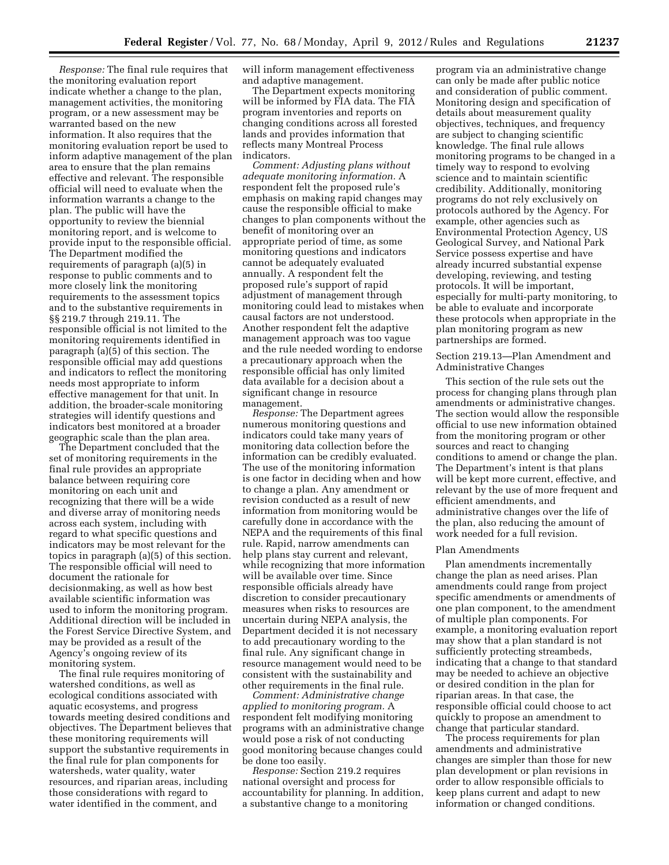*Response:* The final rule requires that the monitoring evaluation report indicate whether a change to the plan, management activities, the monitoring program, or a new assessment may be warranted based on the new information. It also requires that the monitoring evaluation report be used to inform adaptive management of the plan area to ensure that the plan remains effective and relevant. The responsible official will need to evaluate when the information warrants a change to the plan. The public will have the opportunity to review the biennial monitoring report, and is welcome to provide input to the responsible official. The Department modified the requirements of paragraph (a)(5) in response to public comments and to more closely link the monitoring requirements to the assessment topics and to the substantive requirements in §§ 219.7 through 219.11. The responsible official is not limited to the monitoring requirements identified in paragraph (a)(5) of this section. The responsible official may add questions and indicators to reflect the monitoring needs most appropriate to inform effective management for that unit. In addition, the broader-scale monitoring strategies will identify questions and indicators best monitored at a broader geographic scale than the plan area.

The Department concluded that the set of monitoring requirements in the final rule provides an appropriate balance between requiring core monitoring on each unit and recognizing that there will be a wide and diverse array of monitoring needs across each system, including with regard to what specific questions and indicators may be most relevant for the topics in paragraph (a)(5) of this section. The responsible official will need to document the rationale for decisionmaking, as well as how best available scientific information was used to inform the monitoring program. Additional direction will be included in the Forest Service Directive System, and may be provided as a result of the Agency's ongoing review of its monitoring system.

The final rule requires monitoring of watershed conditions, as well as ecological conditions associated with aquatic ecosystems, and progress towards meeting desired conditions and objectives. The Department believes that these monitoring requirements will support the substantive requirements in the final rule for plan components for watersheds, water quality, water resources, and riparian areas, including those considerations with regard to water identified in the comment, and

will inform management effectiveness and adaptive management.

The Department expects monitoring will be informed by FIA data. The FIA program inventories and reports on changing conditions across all forested lands and provides information that reflects many Montreal Process indicators.

*Comment: Adjusting plans without adequate monitoring information.* A respondent felt the proposed rule's emphasis on making rapid changes may cause the responsible official to make changes to plan components without the benefit of monitoring over an appropriate period of time, as some monitoring questions and indicators cannot be adequately evaluated annually. A respondent felt the proposed rule's support of rapid adjustment of management through monitoring could lead to mistakes when causal factors are not understood. Another respondent felt the adaptive management approach was too vague and the rule needed wording to endorse a precautionary approach when the responsible official has only limited data available for a decision about a significant change in resource management.

*Response:* The Department agrees numerous monitoring questions and indicators could take many years of monitoring data collection before the information can be credibly evaluated. The use of the monitoring information is one factor in deciding when and how to change a plan. Any amendment or revision conducted as a result of new information from monitoring would be carefully done in accordance with the NEPA and the requirements of this final rule. Rapid, narrow amendments can help plans stay current and relevant, while recognizing that more information will be available over time. Since responsible officials already have discretion to consider precautionary measures when risks to resources are uncertain during NEPA analysis, the Department decided it is not necessary to add precautionary wording to the final rule. Any significant change in resource management would need to be consistent with the sustainability and other requirements in the final rule.

*Comment: Administrative change applied to monitoring program.* A respondent felt modifying monitoring programs with an administrative change would pose a risk of not conducting good monitoring because changes could be done too easily.

*Response:* Section 219.2 requires national oversight and process for accountability for planning. In addition, a substantive change to a monitoring

program via an administrative change can only be made after public notice and consideration of public comment. Monitoring design and specification of details about measurement quality objectives, techniques, and frequency are subject to changing scientific knowledge. The final rule allows monitoring programs to be changed in a timely way to respond to evolving science and to maintain scientific credibility. Additionally, monitoring programs do not rely exclusively on protocols authored by the Agency. For example, other agencies such as Environmental Protection Agency, US Geological Survey, and National Park Service possess expertise and have already incurred substantial expense developing, reviewing, and testing protocols. It will be important, especially for multi-party monitoring, to be able to evaluate and incorporate these protocols when appropriate in the plan monitoring program as new partnerships are formed.

# Section 219.13—Plan Amendment and Administrative Changes

This section of the rule sets out the process for changing plans through plan amendments or administrative changes. The section would allow the responsible official to use new information obtained from the monitoring program or other sources and react to changing conditions to amend or change the plan. The Department's intent is that plans will be kept more current, effective, and relevant by the use of more frequent and efficient amendments, and administrative changes over the life of the plan, also reducing the amount of work needed for a full revision.

#### Plan Amendments

Plan amendments incrementally change the plan as need arises. Plan amendments could range from project specific amendments or amendments of one plan component, to the amendment of multiple plan components. For example, a monitoring evaluation report may show that a plan standard is not sufficiently protecting streambeds, indicating that a change to that standard may be needed to achieve an objective or desired condition in the plan for riparian areas. In that case, the responsible official could choose to act quickly to propose an amendment to change that particular standard.

The process requirements for plan amendments and administrative changes are simpler than those for new plan development or plan revisions in order to allow responsible officials to keep plans current and adapt to new information or changed conditions.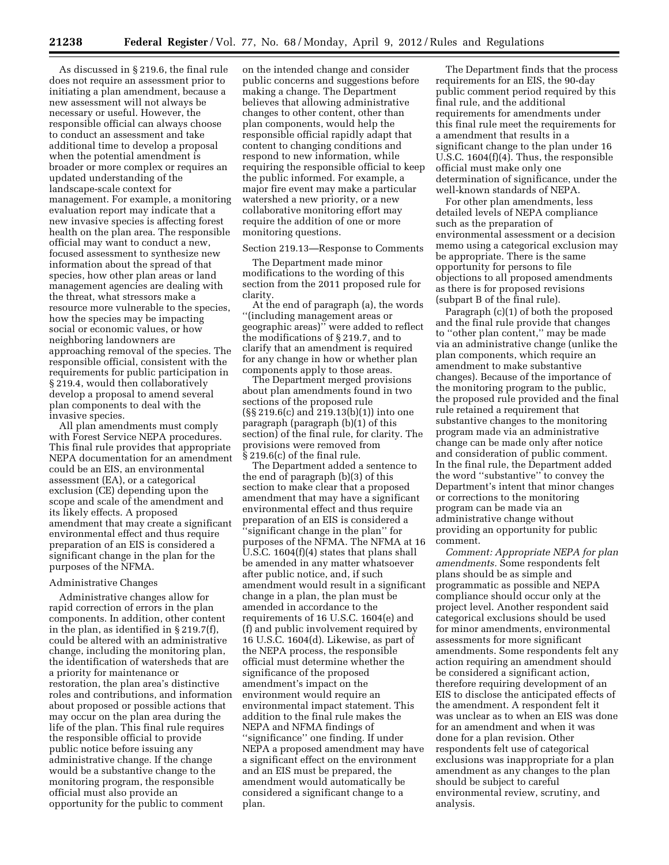As discussed in § 219.6, the final rule does not require an assessment prior to initiating a plan amendment, because a new assessment will not always be necessary or useful. However, the responsible official can always choose to conduct an assessment and take additional time to develop a proposal when the potential amendment is broader or more complex or requires an updated understanding of the landscape-scale context for management. For example, a monitoring evaluation report may indicate that a new invasive species is affecting forest health on the plan area. The responsible official may want to conduct a new, focused assessment to synthesize new information about the spread of that species, how other plan areas or land management agencies are dealing with the threat, what stressors make a resource more vulnerable to the species, how the species may be impacting social or economic values, or how neighboring landowners are approaching removal of the species. The responsible official, consistent with the requirements for public participation in § 219.4, would then collaboratively develop a proposal to amend several plan components to deal with the invasive species.

All plan amendments must comply with Forest Service NEPA procedures. This final rule provides that appropriate NEPA documentation for an amendment could be an EIS, an environmental assessment (EA), or a categorical exclusion (CE) depending upon the scope and scale of the amendment and its likely effects. A proposed amendment that may create a significant environmental effect and thus require preparation of an EIS is considered a significant change in the plan for the purposes of the NFMA.

### Administrative Changes

Administrative changes allow for rapid correction of errors in the plan components. In addition, other content in the plan, as identified in § 219.7(f), could be altered with an administrative change, including the monitoring plan, the identification of watersheds that are a priority for maintenance or restoration, the plan area's distinctive roles and contributions, and information about proposed or possible actions that may occur on the plan area during the life of the plan. This final rule requires the responsible official to provide public notice before issuing any administrative change. If the change would be a substantive change to the monitoring program, the responsible official must also provide an opportunity for the public to comment

on the intended change and consider public concerns and suggestions before making a change. The Department believes that allowing administrative changes to other content, other than plan components, would help the responsible official rapidly adapt that content to changing conditions and respond to new information, while requiring the responsible official to keep the public informed. For example, a major fire event may make a particular watershed a new priority, or a new collaborative monitoring effort may require the addition of one or more monitoring questions.

#### Section 219.13—Response to Comments

The Department made minor modifications to the wording of this section from the 2011 proposed rule for clarity.

At the end of paragraph (a), the words ''(including management areas or geographic areas)'' were added to reflect the modifications of § 219.7, and to clarify that an amendment is required for any change in how or whether plan components apply to those areas.

The Department merged provisions about plan amendments found in two sections of the proposed rule (§§ 219.6(c) and 219.13(b)(1)) into one paragraph (paragraph (b)(1) of this section) of the final rule, for clarity. The provisions were removed from § 219.6(c) of the final rule.

The Department added a sentence to the end of paragraph (b)(3) of this section to make clear that a proposed amendment that may have a significant environmental effect and thus require preparation of an EIS is considered a 'significant change in the plan'' for purposes of the NFMA. The NFMA at 16 U.S.C. 1604(f)(4) states that plans shall be amended in any matter whatsoever after public notice, and, if such amendment would result in a significant change in a plan, the plan must be amended in accordance to the requirements of 16 U.S.C. 1604(e) and (f) and public involvement required by 16 U.S.C. 1604(d). Likewise, as part of the NEPA process, the responsible official must determine whether the significance of the proposed amendment's impact on the environment would require an environmental impact statement. This addition to the final rule makes the NEPA and NFMA findings of ''significance'' one finding. If under NEPA a proposed amendment may have a significant effect on the environment and an EIS must be prepared, the amendment would automatically be considered a significant change to a plan.

The Department finds that the process requirements for an EIS, the 90-day public comment period required by this final rule, and the additional requirements for amendments under this final rule meet the requirements for a amendment that results in a significant change to the plan under 16 U.S.C. 1604(f)(4). Thus, the responsible official must make only one determination of significance, under the well-known standards of NEPA.

For other plan amendments, less detailed levels of NEPA compliance such as the preparation of environmental assessment or a decision memo using a categorical exclusion may be appropriate. There is the same opportunity for persons to file objections to all proposed amendments as there is for proposed revisions (subpart B of the final rule).

Paragraph (c)(1) of both the proposed and the final rule provide that changes to ''other plan content,'' may be made via an administrative change (unlike the plan components, which require an amendment to make substantive changes). Because of the importance of the monitoring program to the public, the proposed rule provided and the final rule retained a requirement that substantive changes to the monitoring program made via an administrative change can be made only after notice and consideration of public comment. In the final rule, the Department added the word ''substantive'' to convey the Department's intent that minor changes or corrections to the monitoring program can be made via an administrative change without providing an opportunity for public comment.

*Comment: Appropriate NEPA for plan amendments.* Some respondents felt plans should be as simple and programmatic as possible and NEPA compliance should occur only at the project level. Another respondent said categorical exclusions should be used for minor amendments, environmental assessments for more significant amendments. Some respondents felt any action requiring an amendment should be considered a significant action, therefore requiring development of an EIS to disclose the anticipated effects of the amendment. A respondent felt it was unclear as to when an EIS was done for an amendment and when it was done for a plan revision. Other respondents felt use of categorical exclusions was inappropriate for a plan amendment as any changes to the plan should be subject to careful environmental review, scrutiny, and analysis.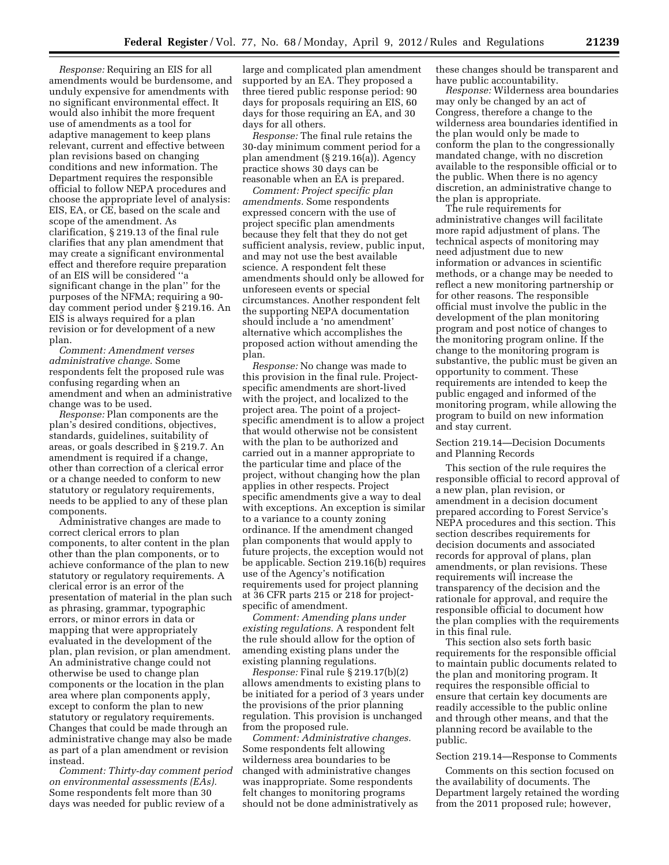*Response:* Requiring an EIS for all amendments would be burdensome, and unduly expensive for amendments with no significant environmental effect. It would also inhibit the more frequent use of amendments as a tool for adaptive management to keep plans relevant, current and effective between plan revisions based on changing conditions and new information. The Department requires the responsible official to follow NEPA procedures and choose the appropriate level of analysis: EIS, EA, or CE, based on the scale and scope of the amendment. As clarification, § 219.13 of the final rule clarifies that any plan amendment that may create a significant environmental effect and therefore require preparation of an EIS will be considered ''a significant change in the plan'' for the purposes of the NFMA; requiring a 90 day comment period under § 219.16. An EIS is always required for a plan revision or for development of a new plan.

*Comment: Amendment verses administrative change.* Some respondents felt the proposed rule was confusing regarding when an amendment and when an administrative change was to be used.

*Response:* Plan components are the plan's desired conditions, objectives, standards, guidelines, suitability of areas, or goals described in § 219.7. An amendment is required if a change, other than correction of a clerical error or a change needed to conform to new statutory or regulatory requirements, needs to be applied to any of these plan components.

Administrative changes are made to correct clerical errors to plan components, to alter content in the plan other than the plan components, or to achieve conformance of the plan to new statutory or regulatory requirements. A clerical error is an error of the presentation of material in the plan such as phrasing, grammar, typographic errors, or minor errors in data or mapping that were appropriately evaluated in the development of the plan, plan revision, or plan amendment. An administrative change could not otherwise be used to change plan components or the location in the plan area where plan components apply, except to conform the plan to new statutory or regulatory requirements. Changes that could be made through an administrative change may also be made as part of a plan amendment or revision instead.

*Comment: Thirty-day comment period on environmental assessments (EAs).*  Some respondents felt more than 30 days was needed for public review of a

large and complicated plan amendment supported by an EA. They proposed a three tiered public response period: 90 days for proposals requiring an EIS, 60 days for those requiring an EA, and 30 days for all others.

*Response:* The final rule retains the 30-day minimum comment period for a plan amendment (§ 219.16(a)). Agency practice shows 30 days can be reasonable when an EA is prepared.

*Comment: Project specific plan amendments.* Some respondents expressed concern with the use of project specific plan amendments because they felt that they do not get sufficient analysis, review, public input, and may not use the best available science. A respondent felt these amendments should only be allowed for unforeseen events or special circumstances. Another respondent felt the supporting NEPA documentation should include a 'no amendment' alternative which accomplishes the proposed action without amending the plan.

*Response:* No change was made to this provision in the final rule. Projectspecific amendments are short-lived with the project, and localized to the project area. The point of a projectspecific amendment is to allow a project that would otherwise not be consistent with the plan to be authorized and carried out in a manner appropriate to the particular time and place of the project, without changing how the plan applies in other respects. Project specific amendments give a way to deal with exceptions. An exception is similar to a variance to a county zoning ordinance. If the amendment changed plan components that would apply to future projects, the exception would not be applicable. Section 219.16(b) requires use of the Agency's notification requirements used for project planning at 36 CFR parts 215 or 218 for projectspecific of amendment.

*Comment: Amending plans under existing regulations.* A respondent felt the rule should allow for the option of amending existing plans under the existing planning regulations.

*Response:* Final rule § 219.17(b)(2) allows amendments to existing plans to be initiated for a period of 3 years under the provisions of the prior planning regulation. This provision is unchanged from the proposed rule.

*Comment: Administrative changes.*  Some respondents felt allowing wilderness area boundaries to be changed with administrative changes was inappropriate. Some respondents felt changes to monitoring programs should not be done administratively as these changes should be transparent and have public accountability.

*Response:* Wilderness area boundaries may only be changed by an act of Congress, therefore a change to the wilderness area boundaries identified in the plan would only be made to conform the plan to the congressionally mandated change, with no discretion available to the responsible official or to the public. When there is no agency discretion, an administrative change to the plan is appropriate.

The rule requirements for administrative changes will facilitate more rapid adjustment of plans. The technical aspects of monitoring may need adjustment due to new information or advances in scientific methods, or a change may be needed to reflect a new monitoring partnership or for other reasons. The responsible official must involve the public in the development of the plan monitoring program and post notice of changes to the monitoring program online. If the change to the monitoring program is substantive, the public must be given an opportunity to comment. These requirements are intended to keep the public engaged and informed of the monitoring program, while allowing the program to build on new information and stay current.

Section 219.14—Decision Documents and Planning Records

This section of the rule requires the responsible official to record approval of a new plan, plan revision, or amendment in a decision document prepared according to Forest Service's NEPA procedures and this section. This section describes requirements for decision documents and associated records for approval of plans, plan amendments, or plan revisions. These requirements will increase the transparency of the decision and the rationale for approval, and require the responsible official to document how the plan complies with the requirements in this final rule.

This section also sets forth basic requirements for the responsible official to maintain public documents related to the plan and monitoring program. It requires the responsible official to ensure that certain key documents are readily accessible to the public online and through other means, and that the planning record be available to the public.

#### Section 219.14—Response to Comments

Comments on this section focused on the availability of documents. The Department largely retained the wording from the 2011 proposed rule; however,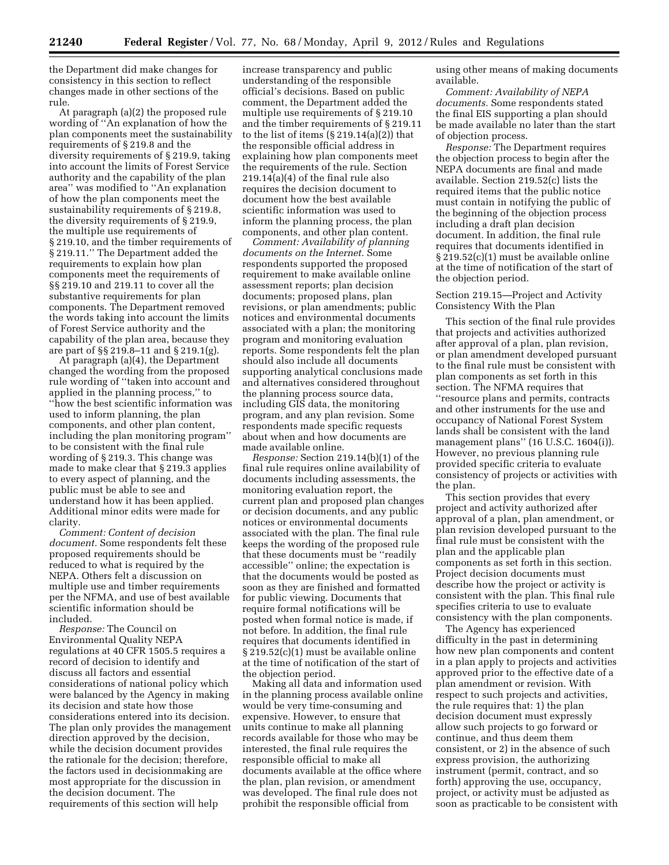the Department did make changes for consistency in this section to reflect changes made in other sections of the rule.

At paragraph (a)(2) the proposed rule wording of ''An explanation of how the plan components meet the sustainability requirements of § 219.8 and the diversity requirements of § 219.9, taking into account the limits of Forest Service authority and the capability of the plan area'' was modified to ''An explanation of how the plan components meet the sustainability requirements of § 219.8, the diversity requirements of § 219.9, the multiple use requirements of § 219.10, and the timber requirements of § 219.11.'' The Department added the requirements to explain how plan components meet the requirements of §§ 219.10 and 219.11 to cover all the substantive requirements for plan components. The Department removed the words taking into account the limits of Forest Service authority and the capability of the plan area, because they are part of §§ 219.8–11 and § 219.1(g).

At paragraph (a)(4), the Department changed the wording from the proposed rule wording of ''taken into account and applied in the planning process,'' to ''how the best scientific information was used to inform planning, the plan components, and other plan content, including the plan monitoring program'' to be consistent with the final rule wording of § 219.3. This change was made to make clear that § 219.3 applies to every aspect of planning, and the public must be able to see and understand how it has been applied. Additional minor edits were made for clarity.

*Comment: Content of decision document.* Some respondents felt these proposed requirements should be reduced to what is required by the NEPA. Others felt a discussion on multiple use and timber requirements per the NFMA, and use of best available scientific information should be included.

*Response:* The Council on Environmental Quality NEPA regulations at 40 CFR 1505.5 requires a record of decision to identify and discuss all factors and essential considerations of national policy which were balanced by the Agency in making its decision and state how those considerations entered into its decision. The plan only provides the management direction approved by the decision, while the decision document provides the rationale for the decision; therefore, the factors used in decisionmaking are most appropriate for the discussion in the decision document. The requirements of this section will help

increase transparency and public understanding of the responsible official's decisions. Based on public comment, the Department added the multiple use requirements of § 219.10 and the timber requirements of § 219.11 to the list of items (§ 219.14(a)(2)) that the responsible official address in explaining how plan components meet the requirements of the rule. Section 219.14(a)(4) of the final rule also requires the decision document to document how the best available scientific information was used to inform the planning process, the plan components, and other plan content.

*Comment: Availability of planning documents on the Internet.* Some respondents supported the proposed requirement to make available online assessment reports; plan decision documents; proposed plans, plan revisions, or plan amendments; public notices and environmental documents associated with a plan; the monitoring program and monitoring evaluation reports. Some respondents felt the plan should also include all documents supporting analytical conclusions made and alternatives considered throughout the planning process source data, including GIS data, the monitoring program, and any plan revision. Some respondents made specific requests about when and how documents are made available online.

*Response:* Section 219.14(b)(1) of the final rule requires online availability of documents including assessments, the monitoring evaluation report, the current plan and proposed plan changes or decision documents, and any public notices or environmental documents associated with the plan. The final rule keeps the wording of the proposed rule that these documents must be ''readily accessible'' online; the expectation is that the documents would be posted as soon as they are finished and formatted for public viewing. Documents that require formal notifications will be posted when formal notice is made, if not before. In addition, the final rule requires that documents identified in § 219.52(c)(1) must be available online at the time of notification of the start of the objection period.

Making all data and information used in the planning process available online would be very time-consuming and expensive. However, to ensure that units continue to make all planning records available for those who may be interested, the final rule requires the responsible official to make all documents available at the office where the plan, plan revision, or amendment was developed. The final rule does not prohibit the responsible official from

using other means of making documents available.

*Comment: Availability of NEPA documents.* Some respondents stated the final EIS supporting a plan should be made available no later than the start of objection process.

*Response:* The Department requires the objection process to begin after the NEPA documents are final and made available. Section 219.52(c) lists the required items that the public notice must contain in notifying the public of the beginning of the objection process including a draft plan decision document. In addition, the final rule requires that documents identified in § 219.52(c)(1) must be available online at the time of notification of the start of the objection period.

# Section 219.15—Project and Activity Consistency With the Plan

This section of the final rule provides that projects and activities authorized after approval of a plan, plan revision, or plan amendment developed pursuant to the final rule must be consistent with plan components as set forth in this section. The NFMA requires that ''resource plans and permits, contracts and other instruments for the use and occupancy of National Forest System lands shall be consistent with the land management plans'' (16 U.S.C. 1604(i)). However, no previous planning rule provided specific criteria to evaluate consistency of projects or activities with the plan.

This section provides that every project and activity authorized after approval of a plan, plan amendment, or plan revision developed pursuant to the final rule must be consistent with the plan and the applicable plan components as set forth in this section. Project decision documents must describe how the project or activity is consistent with the plan. This final rule specifies criteria to use to evaluate consistency with the plan components.

The Agency has experienced difficulty in the past in determining how new plan components and content in a plan apply to projects and activities approved prior to the effective date of a plan amendment or revision. With respect to such projects and activities, the rule requires that: 1) the plan decision document must expressly allow such projects to go forward or continue, and thus deem them consistent, or 2) in the absence of such express provision, the authorizing instrument (permit, contract, and so forth) approving the use, occupancy, project, or activity must be adjusted as soon as practicable to be consistent with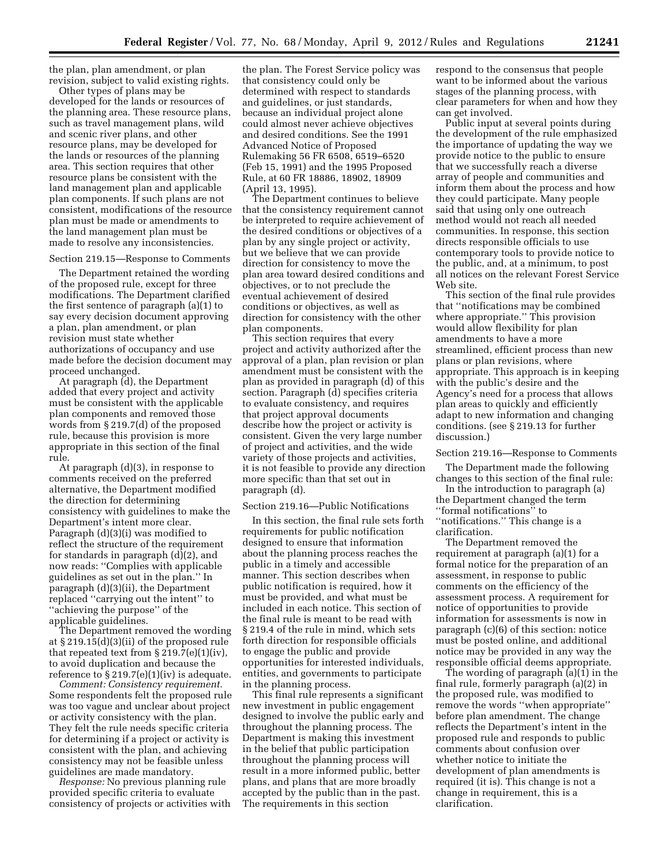the plan, plan amendment, or plan revision, subject to valid existing rights.

Other types of plans may be developed for the lands or resources of the planning area. These resource plans, such as travel management plans, wild and scenic river plans, and other resource plans, may be developed for the lands or resources of the planning area. This section requires that other resource plans be consistent with the land management plan and applicable plan components. If such plans are not consistent, modifications of the resource plan must be made or amendments to the land management plan must be made to resolve any inconsistencies.

## Section 219.15—Response to Comments

The Department retained the wording of the proposed rule, except for three modifications. The Department clarified the first sentence of paragraph (a)(1) to say every decision document approving a plan, plan amendment, or plan revision must state whether authorizations of occupancy and use made before the decision document may proceed unchanged.

At paragraph (d), the Department added that every project and activity must be consistent with the applicable plan components and removed those words from § 219.7(d) of the proposed rule, because this provision is more appropriate in this section of the final rule.

At paragraph (d)(3), in response to comments received on the preferred alternative, the Department modified the direction for determining consistency with guidelines to make the Department's intent more clear. Paragraph (d)(3)(i) was modified to reflect the structure of the requirement for standards in paragraph (d)(2), and now reads: ''Complies with applicable guidelines as set out in the plan.'' In paragraph (d)(3)(ii), the Department replaced ''carrying out the intent'' to ''achieving the purpose'' of the applicable guidelines.

The Department removed the wording at § 219.15(d)(3)(ii) of the proposed rule that repeated text from  $\S 219.7(e)(1)(iv)$ , to avoid duplication and because the reference to  $\S 219.7(e)(1)(iv)$  is adequate.

*Comment: Consistency requirement.*  Some respondents felt the proposed rule was too vague and unclear about project or activity consistency with the plan. They felt the rule needs specific criteria for determining if a project or activity is consistent with the plan, and achieving consistency may not be feasible unless guidelines are made mandatory.

*Response:* No previous planning rule provided specific criteria to evaluate consistency of projects or activities with

the plan. The Forest Service policy was that consistency could only be determined with respect to standards and guidelines, or just standards, because an individual project alone could almost never achieve objectives and desired conditions. See the 1991 Advanced Notice of Proposed Rulemaking 56 FR 6508, 6519–6520 (Feb 15, 1991) and the 1995 Proposed Rule, at 60 FR 18886, 18902, 18909 (April 13, 1995).

The Department continues to believe that the consistency requirement cannot be interpreted to require achievement of the desired conditions or objectives of a plan by any single project or activity, but we believe that we can provide direction for consistency to move the plan area toward desired conditions and objectives, or to not preclude the eventual achievement of desired conditions or objectives, as well as direction for consistency with the other plan components.

This section requires that every project and activity authorized after the approval of a plan, plan revision or plan amendment must be consistent with the plan as provided in paragraph (d) of this section. Paragraph (d) specifies criteria to evaluate consistency, and requires that project approval documents describe how the project or activity is consistent. Given the very large number of project and activities, and the wide variety of those projects and activities, it is not feasible to provide any direction more specific than that set out in paragraph (d).

### Section 219.16—Public Notifications

In this section, the final rule sets forth requirements for public notification designed to ensure that information about the planning process reaches the public in a timely and accessible manner. This section describes when public notification is required, how it must be provided, and what must be included in each notice. This section of the final rule is meant to be read with § 219.4 of the rule in mind, which sets forth direction for responsible officials to engage the public and provide opportunities for interested individuals, entities, and governments to participate in the planning process.

This final rule represents a significant new investment in public engagement designed to involve the public early and throughout the planning process. The Department is making this investment in the belief that public participation throughout the planning process will result in a more informed public, better plans, and plans that are more broadly accepted by the public than in the past. The requirements in this section

respond to the consensus that people want to be informed about the various stages of the planning process, with clear parameters for when and how they can get involved.

Public input at several points during the development of the rule emphasized the importance of updating the way we provide notice to the public to ensure that we successfully reach a diverse array of people and communities and inform them about the process and how they could participate. Many people said that using only one outreach method would not reach all needed communities. In response, this section directs responsible officials to use contemporary tools to provide notice to the public, and, at a minimum, to post all notices on the relevant Forest Service Web site.

This section of the final rule provides that ''notifications may be combined where appropriate.'' This provision would allow flexibility for plan amendments to have a more streamlined, efficient process than new plans or plan revisions, where appropriate. This approach is in keeping with the public's desire and the Agency's need for a process that allows plan areas to quickly and efficiently adapt to new information and changing conditions. (see § 219.13 for further discussion.)

### Section 219.16—Response to Comments

The Department made the following changes to this section of the final rule:

In the introduction to paragraph (a) the Department changed the term ''formal notifications'' to ''notifications.'' This change is a clarification.

The Department removed the requirement at paragraph (a)(1) for a formal notice for the preparation of an assessment, in response to public comments on the efficiency of the assessment process. A requirement for notice of opportunities to provide information for assessments is now in paragraph (c)(6) of this section: notice must be posted online, and additional notice may be provided in any way the responsible official deems appropriate.

The wording of paragraph (a)(1) in the final rule, formerly paragraph (a)(2) in the proposed rule, was modified to remove the words ''when appropriate'' before plan amendment. The change reflects the Department's intent in the proposed rule and responds to public comments about confusion over whether notice to initiate the development of plan amendments is required (it is). This change is not a change in requirement, this is a clarification.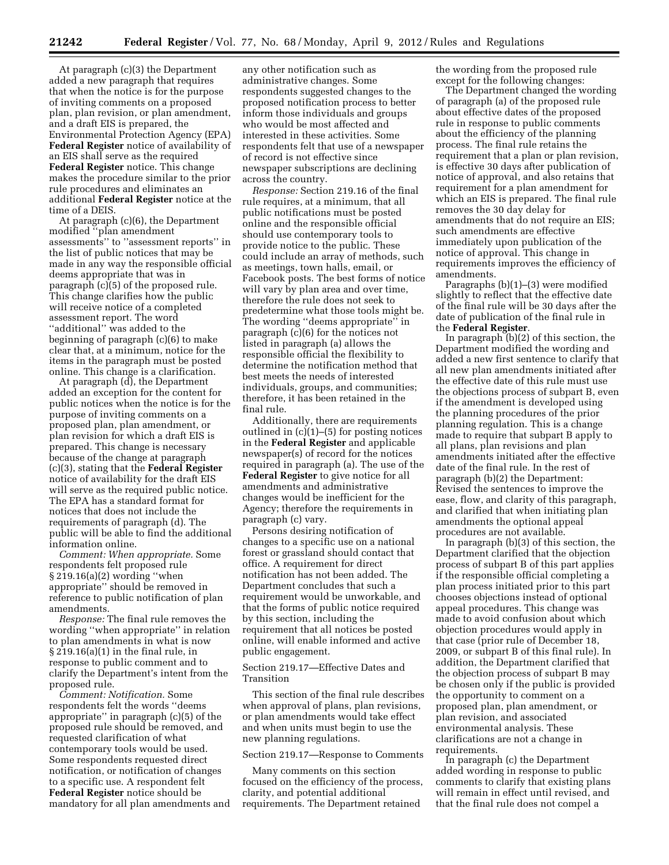At paragraph (c)(3) the Department added a new paragraph that requires that when the notice is for the purpose of inviting comments on a proposed plan, plan revision, or plan amendment, and a draft EIS is prepared, the Environmental Protection Agency (EPA) **Federal Register** notice of availability of an EIS shall serve as the required **Federal Register** notice. This change makes the procedure similar to the prior rule procedures and eliminates an additional **Federal Register** notice at the time of a DEIS.

At paragraph (c)(6), the Department modified ''plan amendment assessments'' to ''assessment reports'' in the list of public notices that may be made in any way the responsible official deems appropriate that was in paragraph (c)(5) of the proposed rule. This change clarifies how the public will receive notice of a completed assessment report. The word ''additional'' was added to the beginning of paragraph (c)(6) to make clear that, at a minimum, notice for the items in the paragraph must be posted online. This change is a clarification.

At paragraph (d), the Department added an exception for the content for public notices when the notice is for the purpose of inviting comments on a proposed plan, plan amendment, or plan revision for which a draft EIS is prepared. This change is necessary because of the change at paragraph (c)(3), stating that the **Federal Register**  notice of availability for the draft EIS will serve as the required public notice. The EPA has a standard format for notices that does not include the requirements of paragraph (d). The public will be able to find the additional information online.

*Comment: When appropriate.* Some respondents felt proposed rule § 219.16(a)(2) wording ''when appropriate'' should be removed in reference to public notification of plan amendments.

*Response:* The final rule removes the wording ''when appropriate'' in relation to plan amendments in what is now § 219.16(a)(1) in the final rule, in response to public comment and to clarify the Department's intent from the proposed rule.

*Comment: Notification.* Some respondents felt the words ''deems appropriate'' in paragraph (c)(5) of the proposed rule should be removed, and requested clarification of what contemporary tools would be used. Some respondents requested direct notification, or notification of changes to a specific use. A respondent felt **Federal Register** notice should be mandatory for all plan amendments and

any other notification such as administrative changes. Some respondents suggested changes to the proposed notification process to better inform those individuals and groups who would be most affected and interested in these activities. Some respondents felt that use of a newspaper of record is not effective since newspaper subscriptions are declining across the country.

*Response:* Section 219.16 of the final rule requires, at a minimum, that all public notifications must be posted online and the responsible official should use contemporary tools to provide notice to the public. These could include an array of methods, such as meetings, town halls, email, or Facebook posts. The best forms of notice will vary by plan area and over time, therefore the rule does not seek to predetermine what those tools might be. The wording ''deems appropriate'' in paragraph (c)(6) for the notices not listed in paragraph (a) allows the responsible official the flexibility to determine the notification method that best meets the needs of interested individuals, groups, and communities; therefore, it has been retained in the final rule.

Additionally, there are requirements outlined in (c)(1)–(5) for posting notices in the **Federal Register** and applicable newspaper(s) of record for the notices required in paragraph (a). The use of the **Federal Register** to give notice for all amendments and administrative changes would be inefficient for the Agency; therefore the requirements in paragraph (c) vary.

Persons desiring notification of changes to a specific use on a national forest or grassland should contact that office. A requirement for direct notification has not been added. The Department concludes that such a requirement would be unworkable, and that the forms of public notice required by this section, including the requirement that all notices be posted online, will enable informed and active public engagement.

# Section 219.17—Effective Dates and Transition

This section of the final rule describes when approval of plans, plan revisions, or plan amendments would take effect and when units must begin to use the new planning regulations.

# Section 219.17—Response to Comments

Many comments on this section focused on the efficiency of the process, clarity, and potential additional requirements. The Department retained

the wording from the proposed rule except for the following changes:

The Department changed the wording of paragraph (a) of the proposed rule about effective dates of the proposed rule in response to public comments about the efficiency of the planning process. The final rule retains the requirement that a plan or plan revision, is effective 30 days after publication of notice of approval, and also retains that requirement for a plan amendment for which an EIS is prepared. The final rule removes the 30 day delay for amendments that do not require an EIS; such amendments are effective immediately upon publication of the notice of approval. This change in requirements improves the efficiency of amendments.

Paragraphs (b)(1)–(3) were modified slightly to reflect that the effective date of the final rule will be 30 days after the date of publication of the final rule in the **Federal Register**.

In paragraph (b)(2) of this section, the Department modified the wording and added a new first sentence to clarify that all new plan amendments initiated after the effective date of this rule must use the objections process of subpart B, even if the amendment is developed using the planning procedures of the prior planning regulation. This is a change made to require that subpart B apply to all plans, plan revisions and plan amendments initiated after the effective date of the final rule. In the rest of paragraph (b)(2) the Department: Revised the sentences to improve the ease, flow, and clarity of this paragraph, and clarified that when initiating plan amendments the optional appeal procedures are not available.

In paragraph (b)(3) of this section, the Department clarified that the objection process of subpart B of this part applies if the responsible official completing a plan process initiated prior to this part chooses objections instead of optional appeal procedures. This change was made to avoid confusion about which objection procedures would apply in that case (prior rule of December 18, 2009, or subpart B of this final rule). In addition, the Department clarified that the objection process of subpart B may be chosen only if the public is provided the opportunity to comment on a proposed plan, plan amendment, or plan revision, and associated environmental analysis. These clarifications are not a change in requirements.

In paragraph (c) the Department added wording in response to public comments to clarify that existing plans will remain in effect until revised, and that the final rule does not compel a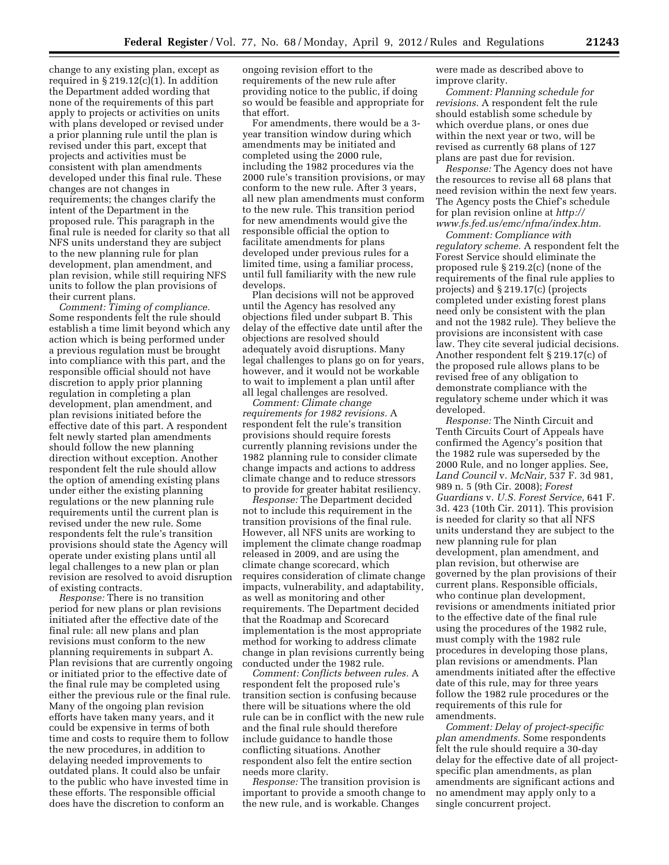change to any existing plan, except as required in  $\S 219.12(c)(1)$ . In addition the Department added wording that none of the requirements of this part apply to projects or activities on units with plans developed or revised under a prior planning rule until the plan is revised under this part, except that projects and activities must be consistent with plan amendments developed under this final rule. These changes are not changes in requirements; the changes clarify the intent of the Department in the proposed rule. This paragraph in the final rule is needed for clarity so that all NFS units understand they are subject to the new planning rule for plan development, plan amendment, and plan revision, while still requiring NFS units to follow the plan provisions of their current plans.

*Comment: Timing of compliance.*  Some respondents felt the rule should establish a time limit beyond which any action which is being performed under a previous regulation must be brought into compliance with this part, and the responsible official should not have discretion to apply prior planning regulation in completing a plan development, plan amendment, and plan revisions initiated before the effective date of this part. A respondent felt newly started plan amendments should follow the new planning direction without exception. Another respondent felt the rule should allow the option of amending existing plans under either the existing planning regulations or the new planning rule requirements until the current plan is revised under the new rule. Some respondents felt the rule's transition provisions should state the Agency will operate under existing plans until all legal challenges to a new plan or plan revision are resolved to avoid disruption of existing contracts.

*Response:* There is no transition period for new plans or plan revisions initiated after the effective date of the final rule: all new plans and plan revisions must conform to the new planning requirements in subpart A. Plan revisions that are currently ongoing or initiated prior to the effective date of the final rule may be completed using either the previous rule or the final rule. Many of the ongoing plan revision efforts have taken many years, and it could be expensive in terms of both time and costs to require them to follow the new procedures, in addition to delaying needed improvements to outdated plans. It could also be unfair to the public who have invested time in these efforts. The responsible official does have the discretion to conform an

ongoing revision effort to the requirements of the new rule after providing notice to the public, if doing so would be feasible and appropriate for that effort.

For amendments, there would be a 3 year transition window during which amendments may be initiated and completed using the 2000 rule, including the 1982 procedures via the 2000 rule's transition provisions, or may conform to the new rule. After 3 years, all new plan amendments must conform to the new rule. This transition period for new amendments would give the responsible official the option to facilitate amendments for plans developed under previous rules for a limited time, using a familiar process, until full familiarity with the new rule develops.

Plan decisions will not be approved until the Agency has resolved any objections filed under subpart B. This delay of the effective date until after the objections are resolved should adequately avoid disruptions. Many legal challenges to plans go on for years, however, and it would not be workable to wait to implement a plan until after all legal challenges are resolved.

*Comment: Climate change requirements for 1982 revisions.* A respondent felt the rule's transition provisions should require forests currently planning revisions under the 1982 planning rule to consider climate change impacts and actions to address climate change and to reduce stressors to provide for greater habitat resiliency.

*Response:* The Department decided not to include this requirement in the transition provisions of the final rule. However, all NFS units are working to implement the climate change roadmap released in 2009, and are using the climate change scorecard, which requires consideration of climate change impacts, vulnerability, and adaptability, as well as monitoring and other requirements. The Department decided that the Roadmap and Scorecard implementation is the most appropriate method for working to address climate change in plan revisions currently being conducted under the 1982 rule.

*Comment: Conflicts between rules.* A respondent felt the proposed rule's transition section is confusing because there will be situations where the old rule can be in conflict with the new rule and the final rule should therefore include guidance to handle those conflicting situations. Another respondent also felt the entire section needs more clarity.

*Response:* The transition provision is important to provide a smooth change to the new rule, and is workable. Changes

were made as described above to improve clarity.

*Comment: Planning schedule for revisions.* A respondent felt the rule should establish some schedule by which overdue plans, or ones due within the next year or two, will be revised as currently 68 plans of 127 plans are past due for revision.

*Response:* The Agency does not have the resources to revise all 68 plans that need revision within the next few years. The Agency posts the Chief's schedule for plan revision online at *[http://](http://www.fs.fed.us/emc/nfma/index.htm)  [www.fs.fed.us/emc/nfma/index.htm.](http://www.fs.fed.us/emc/nfma/index.htm)* 

*Comment: Compliance with regulatory scheme.* A respondent felt the Forest Service should eliminate the proposed rule § 219.2(c) (none of the requirements of the final rule applies to projects) and § 219.17(c) (projects completed under existing forest plans need only be consistent with the plan and not the 1982 rule). They believe the provisions are inconsistent with case law. They cite several judicial decisions. Another respondent felt § 219.17(c) of the proposed rule allows plans to be revised free of any obligation to demonstrate compliance with the regulatory scheme under which it was developed.

*Response:* The Ninth Circuit and Tenth Circuits Court of Appeals have confirmed the Agency's position that the 1982 rule was superseded by the 2000 Rule, and no longer applies. See, *Land Council* v. *McNair,* 537 F. 3d 981, 989 n. 5 (9th Cir. 2008); *Forest Guardians* v. *U.S. Forest Service,* 641 F. 3d. 423 (10th Cir. 2011). This provision is needed for clarity so that all NFS units understand they are subject to the new planning rule for plan development, plan amendment, and plan revision, but otherwise are governed by the plan provisions of their current plans. Responsible officials, who continue plan development, revisions or amendments initiated prior to the effective date of the final rule using the procedures of the 1982 rule, must comply with the 1982 rule procedures in developing those plans, plan revisions or amendments. Plan amendments initiated after the effective date of this rule, may for three years follow the 1982 rule procedures or the requirements of this rule for amendments.

*Comment: Delay of project-specific plan amendments.* Some respondents felt the rule should require a 30-day delay for the effective date of all projectspecific plan amendments, as plan amendments are significant actions and no amendment may apply only to a single concurrent project.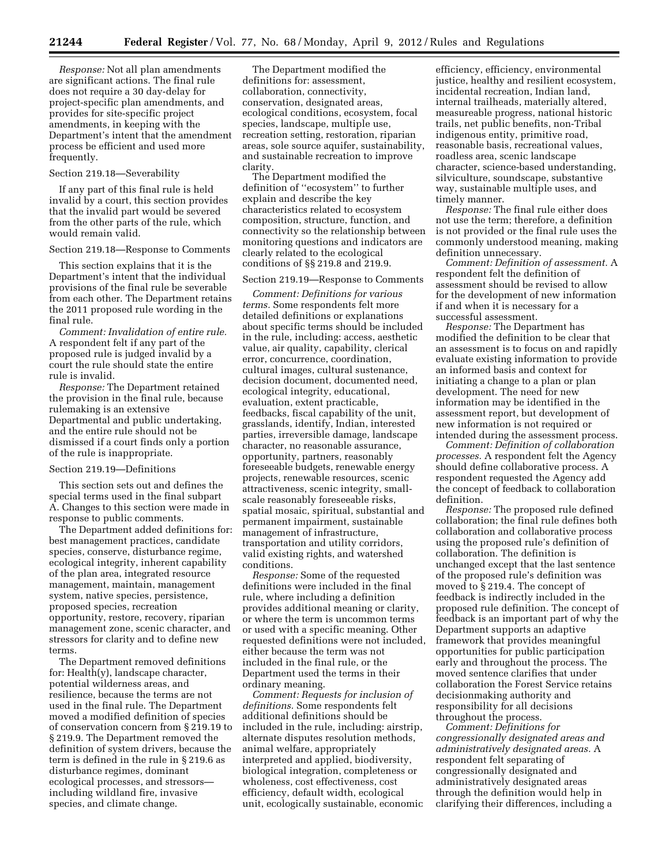*Response:* Not all plan amendments are significant actions. The final rule does not require a 30 day-delay for project-specific plan amendments, and provides for site-specific project amendments, in keeping with the Department's intent that the amendment process be efficient and used more frequently.

# Section 219.18—Severability

If any part of this final rule is held invalid by a court, this section provides that the invalid part would be severed from the other parts of the rule, which would remain valid.

# Section 219.18—Response to Comments

This section explains that it is the Department's intent that the individual provisions of the final rule be severable from each other. The Department retains the 2011 proposed rule wording in the final rule.

*Comment: Invalidation of entire rule.*  A respondent felt if any part of the proposed rule is judged invalid by a court the rule should state the entire rule is invalid.

*Response:* The Department retained the provision in the final rule, because rulemaking is an extensive Departmental and public undertaking, and the entire rule should not be dismissed if a court finds only a portion of the rule is inappropriate.

## Section 219.19—Definitions

This section sets out and defines the special terms used in the final subpart A. Changes to this section were made in response to public comments.

The Department added definitions for: best management practices, candidate species, conserve, disturbance regime, ecological integrity, inherent capability of the plan area, integrated resource management, maintain, management system, native species, persistence, proposed species, recreation opportunity, restore, recovery, riparian management zone, scenic character, and stressors for clarity and to define new terms.

The Department removed definitions for: Health(y), landscape character, potential wilderness areas, and resilience, because the terms are not used in the final rule. The Department moved a modified definition of species of conservation concern from § 219.19 to § 219.9. The Department removed the definition of system drivers, because the term is defined in the rule in § 219.6 as disturbance regimes, dominant ecological processes, and stressors including wildland fire, invasive species, and climate change.

The Department modified the definitions for: assessment, collaboration, connectivity, conservation, designated areas, ecological conditions, ecosystem, focal species, landscape, multiple use, recreation setting, restoration, riparian areas, sole source aquifer, sustainability, and sustainable recreation to improve clarity.

The Department modified the definition of ''ecosystem'' to further explain and describe the key characteristics related to ecosystem composition, structure, function, and connectivity so the relationship between monitoring questions and indicators are clearly related to the ecological conditions of §§ 219.8 and 219.9.

### Section 219.19—Response to Comments

*Comment: Definitions for various terms.* Some respondents felt more detailed definitions or explanations about specific terms should be included in the rule, including: access, aesthetic value, air quality, capability, clerical error, concurrence, coordination, cultural images, cultural sustenance, decision document, documented need, ecological integrity, educational, evaluation, extent practicable, feedbacks, fiscal capability of the unit, grasslands, identify, Indian, interested parties, irreversible damage, landscape character, no reasonable assurance, opportunity, partners, reasonably foreseeable budgets, renewable energy projects, renewable resources, scenic attractiveness, scenic integrity, smallscale reasonably foreseeable risks, spatial mosaic, spiritual, substantial and permanent impairment, sustainable management of infrastructure, transportation and utility corridors, valid existing rights, and watershed conditions.

*Response:* Some of the requested definitions were included in the final rule, where including a definition provides additional meaning or clarity, or where the term is uncommon terms or used with a specific meaning. Other requested definitions were not included, either because the term was not included in the final rule, or the Department used the terms in their ordinary meaning.

*Comment: Requests for inclusion of definitions.* Some respondents felt additional definitions should be included in the rule, including: airstrip, alternate disputes resolution methods, animal welfare, appropriately interpreted and applied, biodiversity, biological integration, completeness or wholeness, cost effectiveness, cost efficiency, default width, ecological unit, ecologically sustainable, economic

efficiency, efficiency, environmental justice, healthy and resilient ecosystem, incidental recreation, Indian land, internal trailheads, materially altered, measureable progress, national historic trails, net public benefits, non-Tribal indigenous entity, primitive road, reasonable basis, recreational values, roadless area, scenic landscape character, science-based understanding, silviculture, soundscape, substantive way, sustainable multiple uses, and timely manner.

*Response:* The final rule either does not use the term; therefore, a definition is not provided or the final rule uses the commonly understood meaning, making definition unnecessary.

*Comment: Definition of assessment.* A respondent felt the definition of assessment should be revised to allow for the development of new information if and when it is necessary for a successful assessment.

*Response:* The Department has modified the definition to be clear that an assessment is to focus on and rapidly evaluate existing information to provide an informed basis and context for initiating a change to a plan or plan development. The need for new information may be identified in the assessment report, but development of new information is not required or intended during the assessment process.

*Comment: Definition of collaboration processes.* A respondent felt the Agency should define collaborative process. A respondent requested the Agency add the concept of feedback to collaboration definition.

*Response:* The proposed rule defined collaboration; the final rule defines both collaboration and collaborative process using the proposed rule's definition of collaboration. The definition is unchanged except that the last sentence of the proposed rule's definition was moved to § 219.4. The concept of feedback is indirectly included in the proposed rule definition. The concept of feedback is an important part of why the Department supports an adaptive framework that provides meaningful opportunities for public participation early and throughout the process. The moved sentence clarifies that under collaboration the Forest Service retains decisionmaking authority and responsibility for all decisions throughout the process.

*Comment: Definitions for congressionally designated areas and administratively designated areas.* A respondent felt separating of congressionally designated and administratively designated areas through the definition would help in clarifying their differences, including a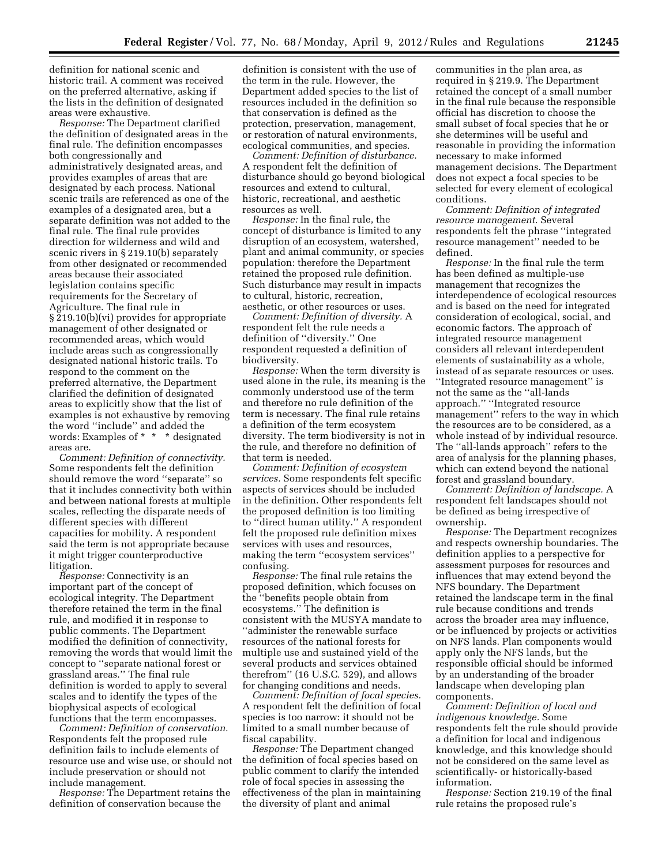definition for national scenic and historic trail. A comment was received on the preferred alternative, asking if the lists in the definition of designated areas were exhaustive.

*Response:* The Department clarified the definition of designated areas in the final rule. The definition encompasses both congressionally and administratively designated areas, and provides examples of areas that are designated by each process. National scenic trails are referenced as one of the examples of a designated area, but a separate definition was not added to the final rule. The final rule provides direction for wilderness and wild and scenic rivers in § 219.10(b) separately from other designated or recommended areas because their associated legislation contains specific requirements for the Secretary of Agriculture. The final rule in § 219.10(b)(vi) provides for appropriate management of other designated or recommended areas, which would include areas such as congressionally designated national historic trails. To respond to the comment on the preferred alternative, the Department clarified the definition of designated areas to explicitly show that the list of examples is not exhaustive by removing the word ''include'' and added the words: Examples of \* \* \* designated areas are.

*Comment: Definition of connectivity.*  Some respondents felt the definition should remove the word ''separate'' so that it includes connectivity both within and between national forests at multiple scales, reflecting the disparate needs of different species with different capacities for mobility. A respondent said the term is not appropriate because it might trigger counterproductive litigation.

*Response:* Connectivity is an important part of the concept of ecological integrity. The Department therefore retained the term in the final rule, and modified it in response to public comments. The Department modified the definition of connectivity, removing the words that would limit the concept to ''separate national forest or grassland areas.'' The final rule definition is worded to apply to several scales and to identify the types of the biophysical aspects of ecological functions that the term encompasses.

*Comment: Definition of conservation.*  Respondents felt the proposed rule definition fails to include elements of resource use and wise use, or should not include preservation or should not include management.

*Response:* The Department retains the definition of conservation because the

definition is consistent with the use of the term in the rule. However, the Department added species to the list of resources included in the definition so that conservation is defined as the protection, preservation, management, or restoration of natural environments, ecological communities, and species.

*Comment: Definition of disturbance.*  A respondent felt the definition of disturbance should go beyond biological resources and extend to cultural, historic, recreational, and aesthetic resources as well.

*Response:* In the final rule, the concept of disturbance is limited to any disruption of an ecosystem, watershed, plant and animal community, or species population: therefore the Department retained the proposed rule definition. Such disturbance may result in impacts to cultural, historic, recreation, aesthetic, or other resources or uses.

*Comment: Definition of diversity.* A respondent felt the rule needs a definition of ''diversity.'' One respondent requested a definition of biodiversity.

*Response:* When the term diversity is used alone in the rule, its meaning is the commonly understood use of the term and therefore no rule definition of the term is necessary. The final rule retains a definition of the term ecosystem diversity. The term biodiversity is not in the rule, and therefore no definition of that term is needed.

*Comment: Definition of ecosystem services.* Some respondents felt specific aspects of services should be included in the definition. Other respondents felt the proposed definition is too limiting to ''direct human utility.'' A respondent felt the proposed rule definition mixes services with uses and resources, making the term ''ecosystem services'' confusing.

*Response:* The final rule retains the proposed definition, which focuses on the ''benefits people obtain from ecosystems.'' The definition is consistent with the MUSYA mandate to ''administer the renewable surface resources of the national forests for multiple use and sustained yield of the several products and services obtained therefrom'' (16 U.S.C. 529), and allows for changing conditions and needs.

*Comment: Definition of focal species.*  A respondent felt the definition of focal species is too narrow: it should not be limited to a small number because of fiscal capability.

*Response:* The Department changed the definition of focal species based on public comment to clarify the intended role of focal species in assessing the effectiveness of the plan in maintaining the diversity of plant and animal

communities in the plan area, as required in § 219.9. The Department retained the concept of a small number in the final rule because the responsible official has discretion to choose the small subset of focal species that he or she determines will be useful and reasonable in providing the information necessary to make informed management decisions. The Department does not expect a focal species to be selected for every element of ecological conditions.

*Comment: Definition of integrated resource management.* Several respondents felt the phrase ''integrated resource management'' needed to be defined.

*Response:* In the final rule the term has been defined as multiple-use management that recognizes the interdependence of ecological resources and is based on the need for integrated consideration of ecological, social, and economic factors. The approach of integrated resource management considers all relevant interdependent elements of sustainability as a whole, instead of as separate resources or uses. ''Integrated resource management'' is not the same as the ''all-lands approach.'' ''Integrated resource management'' refers to the way in which the resources are to be considered, as a whole instead of by individual resource. The ''all-lands approach'' refers to the area of analysis for the planning phases, which can extend beyond the national forest and grassland boundary.

*Comment: Definition of landscape.* A respondent felt landscapes should not be defined as being irrespective of ownership.

*Response:* The Department recognizes and respects ownership boundaries. The definition applies to a perspective for assessment purposes for resources and influences that may extend beyond the NFS boundary. The Department retained the landscape term in the final rule because conditions and trends across the broader area may influence, or be influenced by projects or activities on NFS lands. Plan components would apply only the NFS lands, but the responsible official should be informed by an understanding of the broader landscape when developing plan components.

*Comment: Definition of local and indigenous knowledge.* Some respondents felt the rule should provide a definition for local and indigenous knowledge, and this knowledge should not be considered on the same level as scientifically- or historically-based information.

*Response:* Section 219.19 of the final rule retains the proposed rule's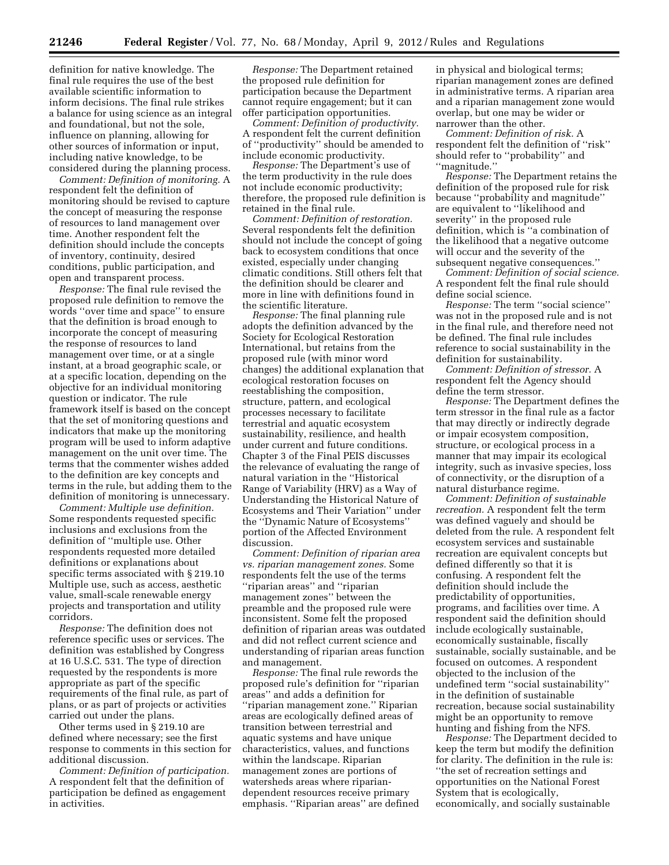definition for native knowledge. The final rule requires the use of the best available scientific information to inform decisions. The final rule strikes a balance for using science as an integral and foundational, but not the sole, influence on planning, allowing for other sources of information or input, including native knowledge, to be considered during the planning process.

*Comment: Definition of monitoring.* A respondent felt the definition of monitoring should be revised to capture the concept of measuring the response of resources to land management over time. Another respondent felt the definition should include the concepts of inventory, continuity, desired conditions, public participation, and open and transparent process.

*Response:* The final rule revised the proposed rule definition to remove the words ''over time and space'' to ensure that the definition is broad enough to incorporate the concept of measuring the response of resources to land management over time, or at a single instant, at a broad geographic scale, or at a specific location, depending on the objective for an individual monitoring question or indicator. The rule framework itself is based on the concept that the set of monitoring questions and indicators that make up the monitoring program will be used to inform adaptive management on the unit over time. The terms that the commenter wishes added to the definition are key concepts and terms in the rule, but adding them to the definition of monitoring is unnecessary.

*Comment: Multiple use definition.*  Some respondents requested specific inclusions and exclusions from the definition of ''multiple use. Other respondents requested more detailed definitions or explanations about specific terms associated with § 219.10 Multiple use, such as access, aesthetic value, small-scale renewable energy projects and transportation and utility corridors.

*Response:* The definition does not reference specific uses or services. The definition was established by Congress at 16 U.S.C. 531. The type of direction requested by the respondents is more appropriate as part of the specific requirements of the final rule, as part of plans, or as part of projects or activities carried out under the plans.

Other terms used in § 219.10 are defined where necessary; see the first response to comments in this section for additional discussion.

*Comment: Definition of participation.*  A respondent felt that the definition of participation be defined as engagement in activities.

*Response:* The Department retained the proposed rule definition for participation because the Department cannot require engagement; but it can offer participation opportunities.

*Comment: Definition of productivity.*  A respondent felt the current definition of ''productivity'' should be amended to include economic productivity.

*Response:* The Department's use of the term productivity in the rule does not include economic productivity; therefore, the proposed rule definition is retained in the final rule.

*Comment: Definition of restoration.*  Several respondents felt the definition should not include the concept of going back to ecosystem conditions that once existed, especially under changing climatic conditions. Still others felt that the definition should be clearer and more in line with definitions found in the scientific literature.

*Response:* The final planning rule adopts the definition advanced by the Society for Ecological Restoration International, but retains from the proposed rule (with minor word changes) the additional explanation that ecological restoration focuses on reestablishing the composition, structure, pattern, and ecological processes necessary to facilitate terrestrial and aquatic ecosystem sustainability, resilience, and health under current and future conditions. Chapter 3 of the Final PEIS discusses the relevance of evaluating the range of natural variation in the ''Historical Range of Variability (HRV) as a Way of Understanding the Historical Nature of Ecosystems and Their Variation'' under the ''Dynamic Nature of Ecosystems'' portion of the Affected Environment discussion.

*Comment: Definition of riparian area vs. riparian management zones.* Some respondents felt the use of the terms ''riparian areas'' and ''riparian management zones'' between the preamble and the proposed rule were inconsistent. Some felt the proposed definition of riparian areas was outdated and did not reflect current science and understanding of riparian areas function and management.

*Response:* The final rule rewords the proposed rule's definition for ''riparian areas'' and adds a definition for ''riparian management zone.'' Riparian areas are ecologically defined areas of transition between terrestrial and aquatic systems and have unique characteristics, values, and functions within the landscape. Riparian management zones are portions of watersheds areas where ripariandependent resources receive primary emphasis. ''Riparian areas'' are defined in physical and biological terms; riparian management zones are defined in administrative terms. A riparian area and a riparian management zone would overlap, but one may be wider or narrower than the other.

*Comment: Definition of risk.* A respondent felt the definition of ''risk'' should refer to ''probability'' and ''magnitude.''

*Response:* The Department retains the definition of the proposed rule for risk because ''probability and magnitude'' are equivalent to ''likelihood and severity'' in the proposed rule definition, which is ''a combination of the likelihood that a negative outcome will occur and the severity of the subsequent negative consequences.''

*Comment: Definition of social science.*  A respondent felt the final rule should define social science.

*Response:* The term ''social science'' was not in the proposed rule and is not in the final rule, and therefore need not be defined. The final rule includes reference to social sustainability in the definition for sustainability.

*Comment: Definition of stressor.* A respondent felt the Agency should define the term stressor.

*Response:* The Department defines the term stressor in the final rule as a factor that may directly or indirectly degrade or impair ecosystem composition, structure, or ecological process in a manner that may impair its ecological integrity, such as invasive species, loss of connectivity, or the disruption of a natural disturbance regime.

*Comment: Definition of sustainable recreation.* A respondent felt the term was defined vaguely and should be deleted from the rule. A respondent felt ecosystem services and sustainable recreation are equivalent concepts but defined differently so that it is confusing. A respondent felt the definition should include the predictability of opportunities, programs, and facilities over time. A respondent said the definition should include ecologically sustainable, economically sustainable, fiscally sustainable, socially sustainable, and be focused on outcomes. A respondent objected to the inclusion of the undefined term ''social sustainability'' in the definition of sustainable recreation, because social sustainability might be an opportunity to remove hunting and fishing from the NFS.

*Response:* The Department decided to keep the term but modify the definition for clarity. The definition in the rule is: ''the set of recreation settings and opportunities on the National Forest System that is ecologically, economically, and socially sustainable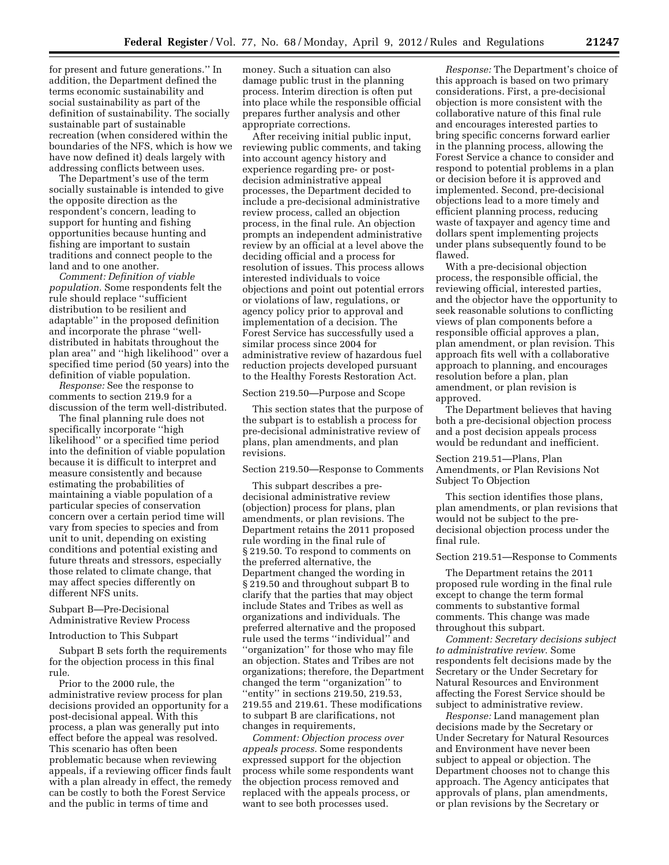for present and future generations.'' In addition, the Department defined the terms economic sustainability and social sustainability as part of the definition of sustainability. The socially sustainable part of sustainable recreation (when considered within the boundaries of the NFS, which is how we have now defined it) deals largely with addressing conflicts between uses.

The Department's use of the term socially sustainable is intended to give the opposite direction as the respondent's concern, leading to support for hunting and fishing opportunities because hunting and fishing are important to sustain traditions and connect people to the land and to one another.

*Comment: Definition of viable population.* Some respondents felt the rule should replace ''sufficient distribution to be resilient and adaptable'' in the proposed definition and incorporate the phrase ''welldistributed in habitats throughout the plan area'' and ''high likelihood'' over a specified time period (50 years) into the definition of viable population.

*Response:* See the response to comments to section 219.9 for a discussion of the term well-distributed.

The final planning rule does not specifically incorporate ''high likelihood'' or a specified time period into the definition of viable population because it is difficult to interpret and measure consistently and because estimating the probabilities of maintaining a viable population of a particular species of conservation concern over a certain period time will vary from species to species and from unit to unit, depending on existing conditions and potential existing and future threats and stressors, especially those related to climate change, that may affect species differently on different NFS units.

# Subpart B—Pre-Decisional Administrative Review Process

### Introduction to This Subpart

Subpart B sets forth the requirements for the objection process in this final rule.

Prior to the 2000 rule, the administrative review process for plan decisions provided an opportunity for a post-decisional appeal. With this process, a plan was generally put into effect before the appeal was resolved. This scenario has often been problematic because when reviewing appeals, if a reviewing officer finds fault with a plan already in effect, the remedy can be costly to both the Forest Service and the public in terms of time and

money. Such a situation can also damage public trust in the planning process. Interim direction is often put into place while the responsible official prepares further analysis and other appropriate corrections.

After receiving initial public input, reviewing public comments, and taking into account agency history and experience regarding pre- or postdecision administrative appeal processes, the Department decided to include a pre-decisional administrative review process, called an objection process, in the final rule. An objection prompts an independent administrative review by an official at a level above the deciding official and a process for resolution of issues. This process allows interested individuals to voice objections and point out potential errors or violations of law, regulations, or agency policy prior to approval and implementation of a decision. The Forest Service has successfully used a similar process since 2004 for administrative review of hazardous fuel reduction projects developed pursuant to the Healthy Forests Restoration Act.

#### Section 219.50—Purpose and Scope

This section states that the purpose of the subpart is to establish a process for pre-decisional administrative review of plans, plan amendments, and plan revisions.

### Section 219.50—Response to Comments

This subpart describes a predecisional administrative review (objection) process for plans, plan amendments, or plan revisions. The Department retains the 2011 proposed rule wording in the final rule of § 219.50. To respond to comments on the preferred alternative, the Department changed the wording in § 219.50 and throughout subpart B to clarify that the parties that may object include States and Tribes as well as organizations and individuals. The preferred alternative and the proposed rule used the terms ''individual'' and ''organization'' for those who may file an objection. States and Tribes are not organizations; therefore, the Department changed the term ''organization'' to ''entity'' in sections 219.50, 219.53, 219.55 and 219.61. These modifications to subpart B are clarifications, not changes in requirements,

*Comment: Objection process over appeals process.* Some respondents expressed support for the objection process while some respondents want the objection process removed and replaced with the appeals process, or want to see both processes used.

*Response:* The Department's choice of this approach is based on two primary considerations. First, a pre-decisional objection is more consistent with the collaborative nature of this final rule and encourages interested parties to bring specific concerns forward earlier in the planning process, allowing the Forest Service a chance to consider and respond to potential problems in a plan or decision before it is approved and implemented. Second, pre-decisional objections lead to a more timely and efficient planning process, reducing waste of taxpayer and agency time and dollars spent implementing projects under plans subsequently found to be flawed.

With a pre-decisional objection process, the responsible official, the reviewing official, interested parties, and the objector have the opportunity to seek reasonable solutions to conflicting views of plan components before a responsible official approves a plan, plan amendment, or plan revision. This approach fits well with a collaborative approach to planning, and encourages resolution before a plan, plan amendment, or plan revision is approved.

The Department believes that having both a pre-decisional objection process and a post decision appeals process would be redundant and inefficient.

# Section 219.51—Plans, Plan Amendments, or Plan Revisions Not Subject To Objection

This section identifies those plans, plan amendments, or plan revisions that would not be subject to the predecisional objection process under the final rule.

### Section 219.51—Response to Comments

The Department retains the 2011 proposed rule wording in the final rule except to change the term formal comments to substantive formal comments. This change was made throughout this subpart.

*Comment: Secretary decisions subject to administrative review.* Some respondents felt decisions made by the Secretary or the Under Secretary for Natural Resources and Environment affecting the Forest Service should be subject to administrative review.

*Response:* Land management plan decisions made by the Secretary or Under Secretary for Natural Resources and Environment have never been subject to appeal or objection. The Department chooses not to change this approach. The Agency anticipates that approvals of plans, plan amendments, or plan revisions by the Secretary or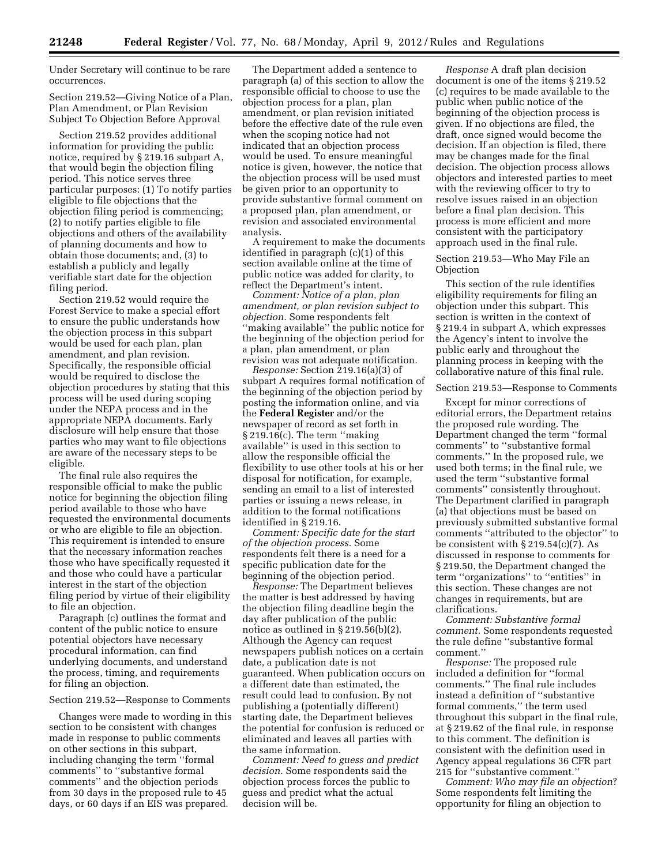Under Secretary will continue to be rare occurrences.

Section 219.52—Giving Notice of a Plan, Plan Amendment, or Plan Revision Subject To Objection Before Approval

Section 219.52 provides additional information for providing the public notice, required by § 219.16 subpart A, that would begin the objection filing period. This notice serves three particular purposes: (1) To notify parties eligible to file objections that the objection filing period is commencing; (2) to notify parties eligible to file objections and others of the availability of planning documents and how to obtain those documents; and, (3) to establish a publicly and legally verifiable start date for the objection filing period.

Section 219.52 would require the Forest Service to make a special effort to ensure the public understands how the objection process in this subpart would be used for each plan, plan amendment, and plan revision. Specifically, the responsible official would be required to disclose the objection procedures by stating that this process will be used during scoping under the NEPA process and in the appropriate NEPA documents. Early disclosure will help ensure that those parties who may want to file objections are aware of the necessary steps to be eligible.

The final rule also requires the responsible official to make the public notice for beginning the objection filing period available to those who have requested the environmental documents or who are eligible to file an objection. This requirement is intended to ensure that the necessary information reaches those who have specifically requested it and those who could have a particular interest in the start of the objection filing period by virtue of their eligibility to file an objection.

Paragraph (c) outlines the format and content of the public notice to ensure potential objectors have necessary procedural information, can find underlying documents, and understand the process, timing, and requirements for filing an objection.

# Section 219.52—Response to Comments

Changes were made to wording in this section to be consistent with changes made in response to public comments on other sections in this subpart, including changing the term ''formal comments'' to ''substantive formal comments'' and the objection periods from 30 days in the proposed rule to 45 days, or 60 days if an EIS was prepared.

The Department added a sentence to paragraph (a) of this section to allow the responsible official to choose to use the objection process for a plan, plan amendment, or plan revision initiated before the effective date of the rule even when the scoping notice had not indicated that an objection process would be used. To ensure meaningful notice is given, however, the notice that the objection process will be used must be given prior to an opportunity to provide substantive formal comment on a proposed plan, plan amendment, or revision and associated environmental analysis.

A requirement to make the documents identified in paragraph (c)(1) of this section available online at the time of public notice was added for clarity, to reflect the Department's intent.

*Comment: Notice of a plan, plan amendment, or plan revision subject to objection.* Some respondents felt ''making available'' the public notice for the beginning of the objection period for a plan, plan amendment, or plan revision was not adequate notification.

*Response:* Section 219.16(a)(3) of subpart A requires formal notification of the beginning of the objection period by posting the information online, and via the **Federal Register** and/or the newspaper of record as set forth in § 219.16(c). The term ''making available'' is used in this section to allow the responsible official the flexibility to use other tools at his or her disposal for notification, for example, sending an email to a list of interested parties or issuing a news release, in addition to the formal notifications identified in § 219.16.

*Comment: Specific date for the start of the objection process.* Some respondents felt there is a need for a specific publication date for the beginning of the objection period.

*Response:* The Department believes the matter is best addressed by having the objection filing deadline begin the day after publication of the public notice as outlined in § 219.56(b)(2). Although the Agency can request newspapers publish notices on a certain date, a publication date is not guaranteed. When publication occurs on a different date than estimated, the result could lead to confusion. By not publishing a (potentially different) starting date, the Department believes the potential for confusion is reduced or eliminated and leaves all parties with the same information.

*Comment: Need to guess and predict decision.* Some respondents said the objection process forces the public to guess and predict what the actual decision will be.

*Response* A draft plan decision document is one of the items § 219.52 (c) requires to be made available to the public when public notice of the beginning of the objection process is given. If no objections are filed, the draft, once signed would become the decision. If an objection is filed, there may be changes made for the final decision. The objection process allows objectors and interested parties to meet with the reviewing officer to try to resolve issues raised in an objection before a final plan decision. This process is more efficient and more consistent with the participatory approach used in the final rule.

## Section 219.53—Who May File an **Objection**

This section of the rule identifies eligibility requirements for filing an objection under this subpart. This section is written in the context of § 219.4 in subpart A, which expresses the Agency's intent to involve the public early and throughout the planning process in keeping with the collaborative nature of this final rule.

#### Section 219.53—Response to Comments

Except for minor corrections of editorial errors, the Department retains the proposed rule wording. The Department changed the term ''formal comments'' to ''substantive formal comments.'' In the proposed rule, we used both terms; in the final rule, we used the term ''substantive formal comments'' consistently throughout. The Department clarified in paragraph (a) that objections must be based on previously submitted substantive formal comments ''attributed to the objector'' to be consistent with  $\S 219.54(c)(7)$ . As discussed in response to comments for § 219.50, the Department changed the term ''organizations'' to ''entities'' in this section. These changes are not changes in requirements, but are clarifications.

*Comment: Substantive formal comment.* Some respondents requested the rule define ''substantive formal comment.''

*Response:* The proposed rule included a definition for ''formal comments.'' The final rule includes instead a definition of ''substantive formal comments,'' the term used throughout this subpart in the final rule, at § 219.62 of the final rule, in response to this comment. The definition is consistent with the definition used in Agency appeal regulations 36 CFR part 215 for ''substantive comment.''

*Comment: Who may file an objection*? Some respondents felt limiting the opportunity for filing an objection to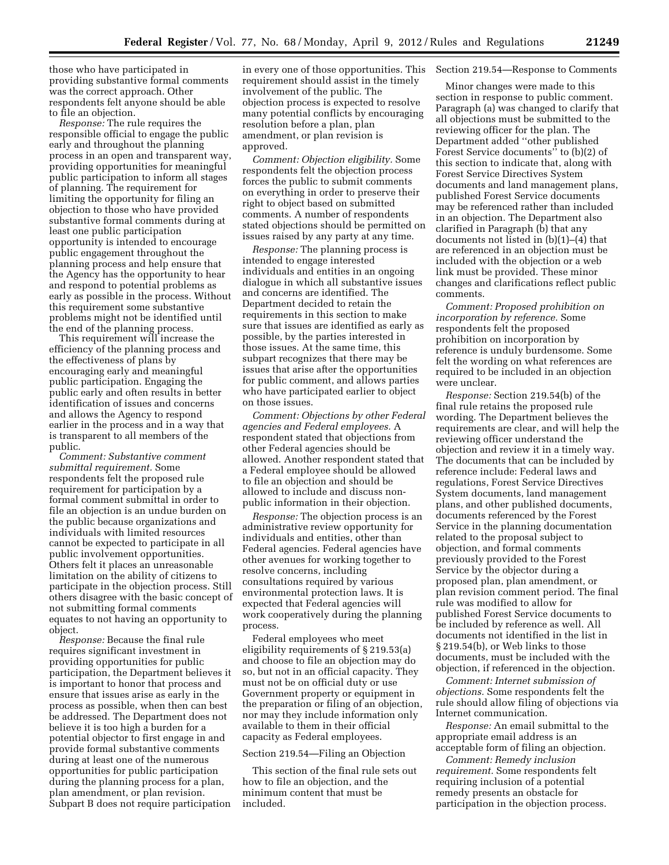those who have participated in providing substantive formal comments was the correct approach. Other respondents felt anyone should be able to file an objection.

*Response:* The rule requires the responsible official to engage the public early and throughout the planning process in an open and transparent way, providing opportunities for meaningful public participation to inform all stages of planning. The requirement for limiting the opportunity for filing an objection to those who have provided substantive formal comments during at least one public participation opportunity is intended to encourage public engagement throughout the planning process and help ensure that the Agency has the opportunity to hear and respond to potential problems as early as possible in the process. Without this requirement some substantive problems might not be identified until the end of the planning process.

This requirement will increase the efficiency of the planning process and the effectiveness of plans by encouraging early and meaningful public participation. Engaging the public early and often results in better identification of issues and concerns and allows the Agency to respond earlier in the process and in a way that is transparent to all members of the public.

*Comment: Substantive comment submittal requirement.* Some respondents felt the proposed rule requirement for participation by a formal comment submittal in order to file an objection is an undue burden on the public because organizations and individuals with limited resources cannot be expected to participate in all public involvement opportunities. Others felt it places an unreasonable limitation on the ability of citizens to participate in the objection process. Still others disagree with the basic concept of not submitting formal comments equates to not having an opportunity to object.

*Response:* Because the final rule requires significant investment in providing opportunities for public participation, the Department believes it is important to honor that process and ensure that issues arise as early in the process as possible, when then can best be addressed. The Department does not believe it is too high a burden for a potential objector to first engage in and provide formal substantive comments during at least one of the numerous opportunities for public participation during the planning process for a plan, plan amendment, or plan revision. Subpart B does not require participation

in every one of those opportunities. This requirement should assist in the timely involvement of the public. The objection process is expected to resolve many potential conflicts by encouraging resolution before a plan, plan amendment, or plan revision is approved.

*Comment: Objection eligibility.* Some respondents felt the objection process forces the public to submit comments on everything in order to preserve their right to object based on submitted comments. A number of respondents stated objections should be permitted on issues raised by any party at any time.

*Response:* The planning process is intended to engage interested individuals and entities in an ongoing dialogue in which all substantive issues and concerns are identified. The Department decided to retain the requirements in this section to make sure that issues are identified as early as possible, by the parties interested in those issues. At the same time, this subpart recognizes that there may be issues that arise after the opportunities for public comment, and allows parties who have participated earlier to object on those issues.

*Comment: Objections by other Federal agencies and Federal employees.* A respondent stated that objections from other Federal agencies should be allowed. Another respondent stated that a Federal employee should be allowed to file an objection and should be allowed to include and discuss nonpublic information in their objection.

*Response:* The objection process is an administrative review opportunity for individuals and entities, other than Federal agencies. Federal agencies have other avenues for working together to resolve concerns, including consultations required by various environmental protection laws. It is expected that Federal agencies will work cooperatively during the planning process.

Federal employees who meet eligibility requirements of § 219.53(a) and choose to file an objection may do so, but not in an official capacity. They must not be on official duty or use Government property or equipment in the preparation or filing of an objection, nor may they include information only available to them in their official capacity as Federal employees.

### Section 219.54—Filing an Objection

This section of the final rule sets out how to file an objection, and the minimum content that must be included.

### Section 219.54—Response to Comments

Minor changes were made to this section in response to public comment. Paragraph (a) was changed to clarify that all objections must be submitted to the reviewing officer for the plan. The Department added ''other published Forest Service documents'' to (b)(2) of this section to indicate that, along with Forest Service Directives System documents and land management plans, published Forest Service documents may be referenced rather than included in an objection. The Department also clarified in Paragraph (b) that any documents not listed in (b)(1)–(4) that are referenced in an objection must be included with the objection or a web link must be provided. These minor changes and clarifications reflect public comments.

*Comment: Proposed prohibition on incorporation by reference.* Some respondents felt the proposed prohibition on incorporation by reference is unduly burdensome. Some felt the wording on what references are required to be included in an objection were unclear.

*Response:* Section 219.54(b) of the final rule retains the proposed rule wording. The Department believes the requirements are clear, and will help the reviewing officer understand the objection and review it in a timely way. The documents that can be included by reference include: Federal laws and regulations, Forest Service Directives System documents, land management plans, and other published documents, documents referenced by the Forest Service in the planning documentation related to the proposal subject to objection, and formal comments previously provided to the Forest Service by the objector during a proposed plan, plan amendment, or plan revision comment period. The final rule was modified to allow for published Forest Service documents to be included by reference as well. All documents not identified in the list in § 219.54(b), or Web links to those documents, must be included with the objection, if referenced in the objection.

*Comment: Internet submission of objections.* Some respondents felt the rule should allow filing of objections via Internet communication.

*Response:* An email submittal to the appropriate email address is an acceptable form of filing an objection.

*Comment: Remedy inclusion requirement.* Some respondents felt requiring inclusion of a potential remedy presents an obstacle for participation in the objection process.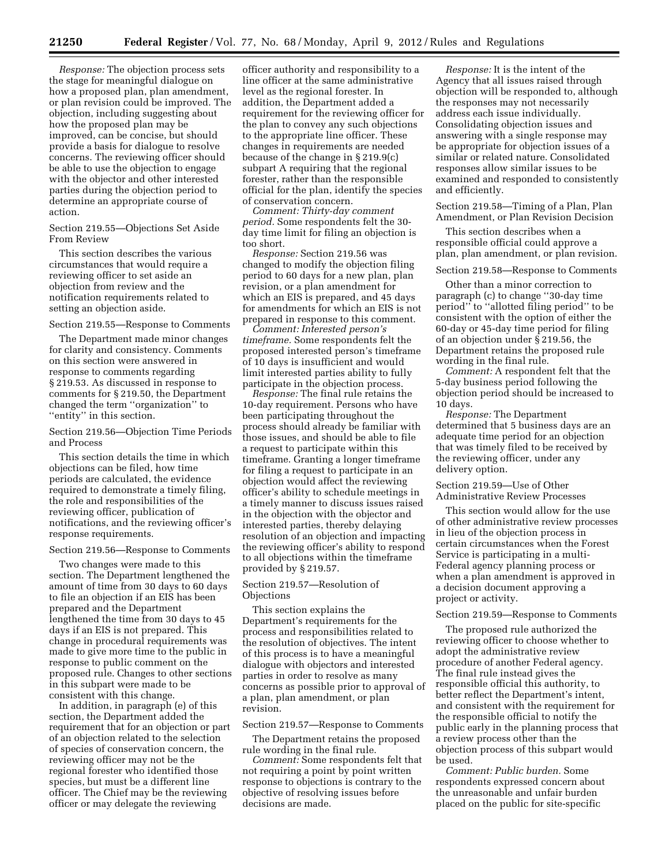*Response:* The objection process sets the stage for meaningful dialogue on how a proposed plan, plan amendment, or plan revision could be improved. The objection, including suggesting about how the proposed plan may be improved, can be concise, but should provide a basis for dialogue to resolve concerns. The reviewing officer should be able to use the objection to engage with the objector and other interested parties during the objection period to determine an appropriate course of action.

Section 219.55—Objections Set Aside From Review

This section describes the various circumstances that would require a reviewing officer to set aside an objection from review and the notification requirements related to setting an objection aside.

Section 219.55—Response to Comments

The Department made minor changes for clarity and consistency. Comments on this section were answered in response to comments regarding § 219.53. As discussed in response to comments for § 219.50, the Department changed the term ''organization'' to ''entity'' in this section.

Section 219.56—Objection Time Periods and Process

This section details the time in which objections can be filed, how time periods are calculated, the evidence required to demonstrate a timely filing, the role and responsibilities of the reviewing officer, publication of notifications, and the reviewing officer's response requirements.

#### Section 219.56—Response to Comments

Two changes were made to this section. The Department lengthened the amount of time from 30 days to 60 days to file an objection if an EIS has been prepared and the Department lengthened the time from 30 days to 45 days if an EIS is not prepared. This change in procedural requirements was made to give more time to the public in response to public comment on the proposed rule. Changes to other sections in this subpart were made to be consistent with this change.

In addition, in paragraph (e) of this section, the Department added the requirement that for an objection or part of an objection related to the selection of species of conservation concern, the reviewing officer may not be the regional forester who identified those species, but must be a different line officer. The Chief may be the reviewing officer or may delegate the reviewing

officer authority and responsibility to a line officer at the same administrative level as the regional forester. In addition, the Department added a requirement for the reviewing officer for the plan to convey any such objections to the appropriate line officer. These changes in requirements are needed because of the change in § 219.9(c) subpart A requiring that the regional forester, rather than the responsible official for the plan, identify the species of conservation concern.

*Comment: Thirty-day comment period.* Some respondents felt the 30 day time limit for filing an objection is too short.

*Response:* Section 219.56 was changed to modify the objection filing period to 60 days for a new plan, plan revision, or a plan amendment for which an EIS is prepared, and 45 days for amendments for which an EIS is not prepared in response to this comment.

*Comment: Interested person's timeframe.* Some respondents felt the proposed interested person's timeframe of 10 days is insufficient and would limit interested parties ability to fully participate in the objection process.

*Response:* The final rule retains the 10-day requirement. Persons who have been participating throughout the process should already be familiar with those issues, and should be able to file a request to participate within this timeframe. Granting a longer timeframe for filing a request to participate in an objection would affect the reviewing officer's ability to schedule meetings in a timely manner to discuss issues raised in the objection with the objector and interested parties, thereby delaying resolution of an objection and impacting the reviewing officer's ability to respond to all objections within the timeframe provided by § 219.57.

# Section 219.57—Resolution of **Objections**

This section explains the Department's requirements for the process and responsibilities related to the resolution of objectives. The intent of this process is to have a meaningful dialogue with objectors and interested parties in order to resolve as many concerns as possible prior to approval of a plan, plan amendment, or plan revision.

## Section 219.57—Response to Comments

The Department retains the proposed rule wording in the final rule.

*Comment:* Some respondents felt that not requiring a point by point written response to objections is contrary to the objective of resolving issues before decisions are made.

*Response:* It is the intent of the Agency that all issues raised through objection will be responded to, although the responses may not necessarily address each issue individually. Consolidating objection issues and answering with a single response may be appropriate for objection issues of a similar or related nature. Consolidated responses allow similar issues to be examined and responded to consistently and efficiently.

Section 219.58—Timing of a Plan, Plan Amendment, or Plan Revision Decision

This section describes when a responsible official could approve a plan, plan amendment, or plan revision.

## Section 219.58—Response to Comments

Other than a minor correction to paragraph (c) to change ''30-day time period'' to ''allotted filing period'' to be consistent with the option of either the 60-day or 45-day time period for filing of an objection under § 219.56, the Department retains the proposed rule wording in the final rule.

*Comment:* A respondent felt that the 5-day business period following the objection period should be increased to 10 days.

*Response:* The Department determined that 5 business days are an adequate time period for an objection that was timely filed to be received by the reviewing officer, under any delivery option.

# Section 219.59—Use of Other Administrative Review Processes

This section would allow for the use of other administrative review processes in lieu of the objection process in certain circumstances when the Forest Service is participating in a multi-Federal agency planning process or when a plan amendment is approved in a decision document approving a project or activity.

# Section 219.59—Response to Comments

The proposed rule authorized the reviewing officer to choose whether to adopt the administrative review procedure of another Federal agency. The final rule instead gives the responsible official this authority, to better reflect the Department's intent, and consistent with the requirement for the responsible official to notify the public early in the planning process that a review process other than the objection process of this subpart would be used.

*Comment: Public burden.* Some respondents expressed concern about the unreasonable and unfair burden placed on the public for site-specific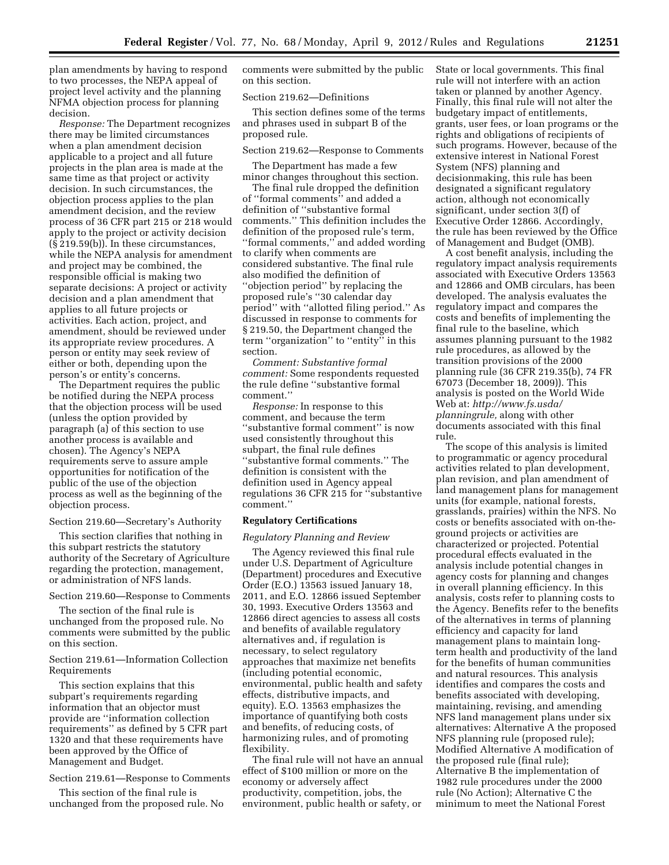plan amendments by having to respond to two processes, the NEPA appeal of project level activity and the planning NFMA objection process for planning decision.

*Response:* The Department recognizes there may be limited circumstances when a plan amendment decision applicable to a project and all future projects in the plan area is made at the same time as that project or activity decision. In such circumstances, the objection process applies to the plan amendment decision, and the review process of 36 CFR part 215 or 218 would apply to the project or activity decision (§ 219.59(b)). In these circumstances, while the NEPA analysis for amendment and project may be combined, the responsible official is making two separate decisions: A project or activity decision and a plan amendment that applies to all future projects or activities. Each action, project, and amendment, should be reviewed under its appropriate review procedures. A person or entity may seek review of either or both, depending upon the person's or entity's concerns.

The Department requires the public be notified during the NEPA process that the objection process will be used (unless the option provided by paragraph (a) of this section to use another process is available and chosen). The Agency's NEPA requirements serve to assure ample opportunities for notification of the public of the use of the objection process as well as the beginning of the objection process.

Section 219.60—Secretary's Authority

This section clarifies that nothing in this subpart restricts the statutory authority of the Secretary of Agriculture regarding the protection, management, or administration of NFS lands.

Section 219.60—Response to Comments

The section of the final rule is unchanged from the proposed rule. No comments were submitted by the public on this section.

Section 219.61—Information Collection Requirements

This section explains that this subpart's requirements regarding information that an objector must provide are ''information collection requirements'' as defined by 5 CFR part 1320 and that these requirements have been approved by the Office of Management and Budget.

Section 219.61—Response to Comments

This section of the final rule is unchanged from the proposed rule. No comments were submitted by the public on this section.

### Section 219.62—Definitions

This section defines some of the terms and phrases used in subpart B of the proposed rule.

Section 219.62—Response to Comments

The Department has made a few minor changes throughout this section.

The final rule dropped the definition of ''formal comments'' and added a definition of ''substantive formal comments.'' This definition includes the definition of the proposed rule's term, ''formal comments,'' and added wording to clarify when comments are considered substantive. The final rule also modified the definition of ''objection period'' by replacing the proposed rule's ''30 calendar day period'' with ''allotted filing period.'' As discussed in response to comments for § 219.50, the Department changed the term ''organization'' to ''entity'' in this section.

*Comment: Substantive formal comment:* Some respondents requested the rule define ''substantive formal comment.''

*Response:* In response to this comment, and because the term ''substantive formal comment'' is now used consistently throughout this subpart, the final rule defines ''substantive formal comments.'' The definition is consistent with the definition used in Agency appeal regulations 36 CFR 215 for ''substantive comment.''

# **Regulatory Certifications**

#### *Regulatory Planning and Review*

The Agency reviewed this final rule under U.S. Department of Agriculture (Department) procedures and Executive Order (E.O.) 13563 issued January 18, 2011, and E.O. 12866 issued September 30, 1993. Executive Orders 13563 and 12866 direct agencies to assess all costs and benefits of available regulatory alternatives and, if regulation is necessary, to select regulatory approaches that maximize net benefits (including potential economic, environmental, public health and safety effects, distributive impacts, and equity). E.O. 13563 emphasizes the importance of quantifying both costs and benefits, of reducing costs, of harmonizing rules, and of promoting flexibility.

The final rule will not have an annual effect of \$100 million or more on the economy or adversely affect productivity, competition, jobs, the environment, public health or safety, or

State or local governments. This final rule will not interfere with an action taken or planned by another Agency. Finally, this final rule will not alter the budgetary impact of entitlements, grants, user fees, or loan programs or the rights and obligations of recipients of such programs. However, because of the extensive interest in National Forest System (NFS) planning and decisionmaking, this rule has been designated a significant regulatory action, although not economically significant, under section 3(f) of Executive Order 12866. Accordingly, the rule has been reviewed by the Office of Management and Budget (OMB).

A cost benefit analysis, including the regulatory impact analysis requirements associated with Executive Orders 13563 and 12866 and OMB circulars, has been developed. The analysis evaluates the regulatory impact and compares the costs and benefits of implementing the final rule to the baseline, which assumes planning pursuant to the 1982 rule procedures, as allowed by the transition provisions of the 2000 planning rule (36 CFR 219.35(b), 74 FR 67073 (December 18, 2009)). This analysis is posted on the World Wide Web at: *[http://www.fs.usda/](http://www.fs.usda/planningrule)  [planningrule,](http://www.fs.usda/planningrule)* along with other documents associated with this final rule.

The scope of this analysis is limited to programmatic or agency procedural activities related to plan development, plan revision, and plan amendment of land management plans for management units (for example, national forests, grasslands, prairies) within the NFS. No costs or benefits associated with on-theground projects or activities are characterized or projected. Potential procedural effects evaluated in the analysis include potential changes in agency costs for planning and changes in overall planning efficiency. In this analysis, costs refer to planning costs to the Agency. Benefits refer to the benefits of the alternatives in terms of planning efficiency and capacity for land management plans to maintain longterm health and productivity of the land for the benefits of human communities and natural resources. This analysis identifies and compares the costs and benefits associated with developing, maintaining, revising, and amending NFS land management plans under six alternatives: Alternative A the proposed NFS planning rule (proposed rule); Modified Alternative A modification of the proposed rule (final rule); Alternative B the implementation of 1982 rule procedures under the 2000 rule (No Action); Alternative C the minimum to meet the National Forest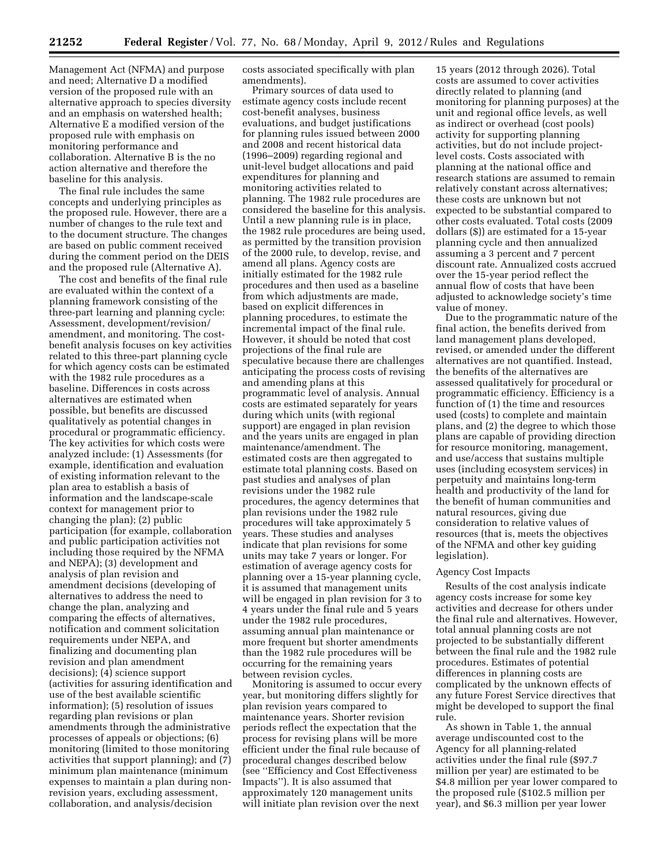Management Act (NFMA) and purpose and need; Alternative D a modified version of the proposed rule with an alternative approach to species diversity and an emphasis on watershed health; Alternative E a modified version of the proposed rule with emphasis on monitoring performance and collaboration. Alternative B is the no action alternative and therefore the baseline for this analysis.

The final rule includes the same concepts and underlying principles as the proposed rule. However, there are a number of changes to the rule text and to the document structure. The changes are based on public comment received during the comment period on the DEIS and the proposed rule (Alternative A).

The cost and benefits of the final rule are evaluated within the context of a planning framework consisting of the three-part learning and planning cycle: Assessment, development/revision/ amendment, and monitoring. The costbenefit analysis focuses on key activities related to this three-part planning cycle for which agency costs can be estimated with the 1982 rule procedures as a baseline. Differences in costs across alternatives are estimated when possible, but benefits are discussed qualitatively as potential changes in procedural or programmatic efficiency. The key activities for which costs were analyzed include: (1) Assessments (for example, identification and evaluation of existing information relevant to the plan area to establish a basis of information and the landscape-scale context for management prior to changing the plan); (2) public participation (for example, collaboration and public participation activities not including those required by the NFMA and NEPA); (3) development and analysis of plan revision and amendment decisions (developing of alternatives to address the need to change the plan, analyzing and comparing the effects of alternatives, notification and comment solicitation requirements under NEPA, and finalizing and documenting plan revision and plan amendment decisions); (4) science support (activities for assuring identification and use of the best available scientific information); (5) resolution of issues regarding plan revisions or plan amendments through the administrative processes of appeals or objections; (6) monitoring (limited to those monitoring activities that support planning); and (7) minimum plan maintenance (minimum expenses to maintain a plan during nonrevision years, excluding assessment, collaboration, and analysis/decision

costs associated specifically with plan amendments).

Primary sources of data used to estimate agency costs include recent cost-benefit analyses, business evaluations, and budget justifications for planning rules issued between 2000 and 2008 and recent historical data (1996–2009) regarding regional and unit-level budget allocations and paid expenditures for planning and monitoring activities related to planning. The 1982 rule procedures are considered the baseline for this analysis. Until a new planning rule is in place, the 1982 rule procedures are being used, as permitted by the transition provision of the 2000 rule, to develop, revise, and amend all plans. Agency costs are initially estimated for the 1982 rule procedures and then used as a baseline from which adjustments are made, based on explicit differences in planning procedures, to estimate the incremental impact of the final rule. However, it should be noted that cost projections of the final rule are speculative because there are challenges anticipating the process costs of revising and amending plans at this programmatic level of analysis. Annual costs are estimated separately for years during which units (with regional support) are engaged in plan revision and the years units are engaged in plan maintenance/amendment. The estimated costs are then aggregated to estimate total planning costs. Based on past studies and analyses of plan revisions under the 1982 rule procedures, the agency determines that plan revisions under the 1982 rule procedures will take approximately 5 years. These studies and analyses indicate that plan revisions for some units may take 7 years or longer. For estimation of average agency costs for planning over a 15-year planning cycle, it is assumed that management units will be engaged in plan revision for 3 to 4 years under the final rule and 5 years under the 1982 rule procedures, assuming annual plan maintenance or more frequent but shorter amendments than the 1982 rule procedures will be occurring for the remaining years between revision cycles.

Monitoring is assumed to occur every year, but monitoring differs slightly for plan revision years compared to maintenance years. Shorter revision periods reflect the expectation that the process for revising plans will be more efficient under the final rule because of procedural changes described below (see ''Efficiency and Cost Effectiveness Impacts''). It is also assumed that approximately 120 management units will initiate plan revision over the next

15 years (2012 through 2026). Total costs are assumed to cover activities directly related to planning (and monitoring for planning purposes) at the unit and regional office levels, as well as indirect or overhead (cost pools) activity for supporting planning activities, but do not include projectlevel costs. Costs associated with planning at the national office and research stations are assumed to remain relatively constant across alternatives; these costs are unknown but not expected to be substantial compared to other costs evaluated. Total costs (2009 dollars (\$)) are estimated for a 15-year planning cycle and then annualized assuming a 3 percent and 7 percent discount rate. Annualized costs accrued over the 15-year period reflect the annual flow of costs that have been adjusted to acknowledge society's time value of money.

Due to the programmatic nature of the final action, the benefits derived from land management plans developed, revised, or amended under the different alternatives are not quantified. Instead, the benefits of the alternatives are assessed qualitatively for procedural or programmatic efficiency. Efficiency is a function of (1) the time and resources used (costs) to complete and maintain plans, and (2) the degree to which those plans are capable of providing direction for resource monitoring, management, and use/access that sustains multiple uses (including ecosystem services) in perpetuity and maintains long-term health and productivity of the land for the benefit of human communities and natural resources, giving due consideration to relative values of resources (that is, meets the objectives of the NFMA and other key guiding legislation).

# Agency Cost Impacts

Results of the cost analysis indicate agency costs increase for some key activities and decrease for others under the final rule and alternatives. However, total annual planning costs are not projected to be substantially different between the final rule and the 1982 rule procedures. Estimates of potential differences in planning costs are complicated by the unknown effects of any future Forest Service directives that might be developed to support the final rule.

As shown in Table 1, the annual average undiscounted cost to the Agency for all planning-related activities under the final rule (\$97.7 million per year) are estimated to be \$4.8 million per year lower compared to the proposed rule (\$102.5 million per year), and \$6.3 million per year lower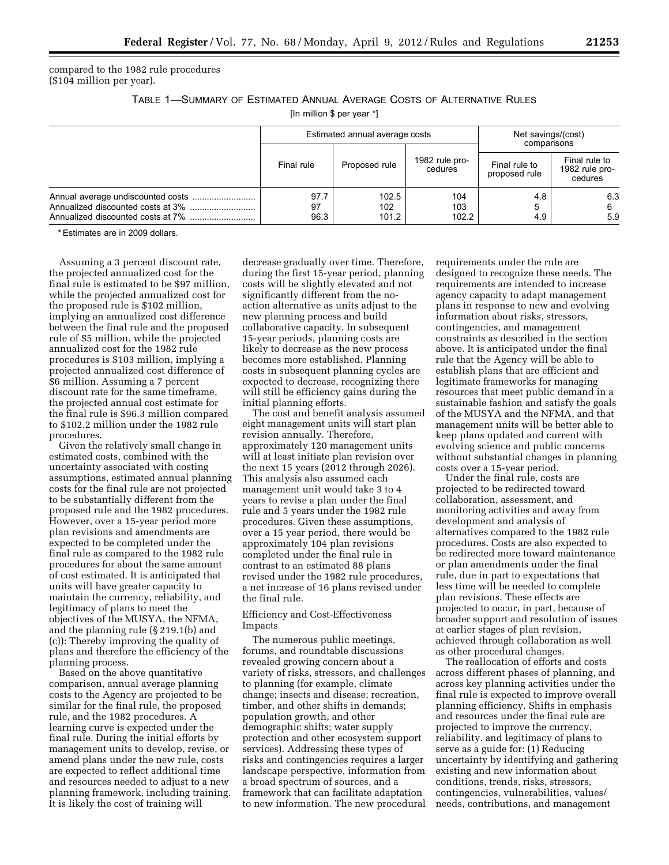compared to the 1982 rule procedures (\$104 million per year).

TABLE 1—SUMMARY OF ESTIMATED ANNUAL AVERAGE COSTS OF ALTERNATIVE RULES

[In million \$ per year \*]

| Estimated annual average costs |                       |                           | Net savings/(cost)<br>comparisons |                                            |
|--------------------------------|-----------------------|---------------------------|-----------------------------------|--------------------------------------------|
| Final rule                     | Proposed rule         | 1982 rule pro-<br>cedures | Final rule to<br>proposed rule    | Final rule to<br>1982 rule pro-<br>cedures |
| 97.7<br>97<br>96.3             | 102.5<br>102<br>101.2 | 104<br>103<br>102.2       | 4.8<br>5<br>4.9                   | 6.3<br>6<br>5.9                            |

\* Estimates are in 2009 dollars.

Assuming a 3 percent discount rate, the projected annualized cost for the final rule is estimated to be \$97 million, while the projected annualized cost for the proposed rule is \$102 million, implying an annualized cost difference between the final rule and the proposed rule of \$5 million, while the projected annualized cost for the 1982 rule procedures is \$103 million, implying a projected annualized cost difference of \$6 million. Assuming a 7 percent discount rate for the same timeframe, the projected annual cost estimate for the final rule is \$96.3 million compared to \$102.2 million under the 1982 rule procedures.

Given the relatively small change in estimated costs, combined with the uncertainty associated with costing assumptions, estimated annual planning costs for the final rule are not projected to be substantially different from the proposed rule and the 1982 procedures. However, over a 15-year period more plan revisions and amendments are expected to be completed under the final rule as compared to the 1982 rule procedures for about the same amount of cost estimated. It is anticipated that units will have greater capacity to maintain the currency, reliability, and legitimacy of plans to meet the objectives of the MUSYA, the NFMA, and the planning rule (§ 219.1(b) and (c)): Thereby improving the quality of plans and therefore the efficiency of the planning process.

Based on the above quantitative comparison, annual average planning costs to the Agency are projected to be similar for the final rule, the proposed rule, and the 1982 procedures. A learning curve is expected under the final rule. During the initial efforts by management units to develop, revise, or amend plans under the new rule, costs are expected to reflect additional time and resources needed to adjust to a new planning framework, including training. It is likely the cost of training will

decrease gradually over time. Therefore, during the first 15-year period, planning costs will be slightly elevated and not significantly different from the noaction alternative as units adjust to the new planning process and build collaborative capacity. In subsequent 15-year periods, planning costs are likely to decrease as the new process becomes more established. Planning costs in subsequent planning cycles are expected to decrease, recognizing there will still be efficiency gains during the initial planning efforts.

The cost and benefit analysis assumed eight management units will start plan revision annually. Therefore, approximately 120 management units will at least initiate plan revision over the next 15 years (2012 through 2026). This analysis also assumed each management unit would take 3 to 4 years to revise a plan under the final rule and 5 years under the 1982 rule procedures. Given these assumptions, over a 15 year period, there would be approximately 104 plan revisions completed under the final rule in contrast to an estimated 88 plans revised under the 1982 rule procedures, a net increase of 16 plans revised under the final rule.

# Efficiency and Cost-Effectiveness Impacts

The numerous public meetings, forums, and roundtable discussions revealed growing concern about a variety of risks, stressors, and challenges to planning (for example, climate change; insects and disease; recreation, timber, and other shifts in demands; population growth, and other demographic shifts; water supply protection and other ecosystem support services). Addressing these types of risks and contingencies requires a larger landscape perspective, information from a broad spectrum of sources, and a framework that can facilitate adaptation to new information. The new procedural

requirements under the rule are designed to recognize these needs. The requirements are intended to increase agency capacity to adapt management plans in response to new and evolving information about risks, stressors, contingencies, and management constraints as described in the section above. It is anticipated under the final rule that the Agency will be able to establish plans that are efficient and legitimate frameworks for managing resources that meet public demand in a sustainable fashion and satisfy the goals of the MUSYA and the NFMA, and that management units will be better able to keep plans updated and current with evolving science and public concerns without substantial changes in planning costs over a 15-year period.

Under the final rule, costs are projected to be redirected toward collaboration, assessment, and monitoring activities and away from development and analysis of alternatives compared to the 1982 rule procedures. Costs are also expected to be redirected more toward maintenance or plan amendments under the final rule, due in part to expectations that less time will be needed to complete plan revisions. These effects are projected to occur, in part, because of broader support and resolution of issues at earlier stages of plan revision, achieved through collaboration as well as other procedural changes.

The reallocation of efforts and costs across different phases of planning, and across key planning activities under the final rule is expected to improve overall planning efficiency. Shifts in emphasis and resources under the final rule are projected to improve the currency, reliability, and legitimacy of plans to serve as a guide for: (1) Reducing uncertainty by identifying and gathering existing and new information about conditions, trends, risks, stressors, contingencies, vulnerabilities, values/ needs, contributions, and management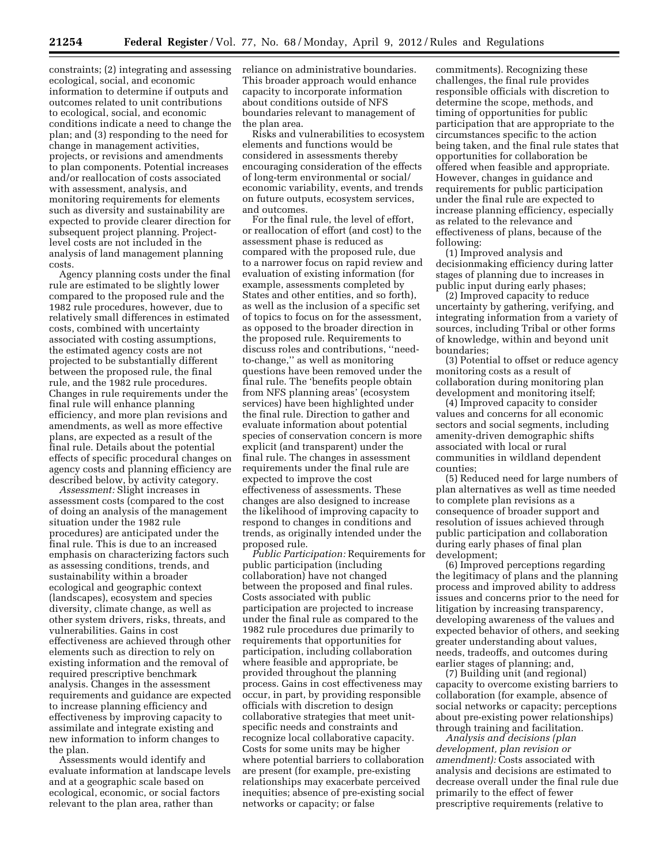constraints; (2) integrating and assessing ecological, social, and economic information to determine if outputs and outcomes related to unit contributions to ecological, social, and economic conditions indicate a need to change the plan; and (3) responding to the need for change in management activities, projects, or revisions and amendments to plan components. Potential increases and/or reallocation of costs associated with assessment, analysis, and monitoring requirements for elements such as diversity and sustainability are expected to provide clearer direction for subsequent project planning. Projectlevel costs are not included in the analysis of land management planning costs.

Agency planning costs under the final rule are estimated to be slightly lower compared to the proposed rule and the 1982 rule procedures, however, due to relatively small differences in estimated costs, combined with uncertainty associated with costing assumptions, the estimated agency costs are not projected to be substantially different between the proposed rule, the final rule, and the 1982 rule procedures. Changes in rule requirements under the final rule will enhance planning efficiency, and more plan revisions and amendments, as well as more effective plans, are expected as a result of the final rule. Details about the potential effects of specific procedural changes on agency costs and planning efficiency are described below, by activity category.

*Assessment:* Slight increases in assessment costs (compared to the cost of doing an analysis of the management situation under the 1982 rule procedures) are anticipated under the final rule. This is due to an increased emphasis on characterizing factors such as assessing conditions, trends, and sustainability within a broader ecological and geographic context (landscapes), ecosystem and species diversity, climate change, as well as other system drivers, risks, threats, and vulnerabilities. Gains in cost effectiveness are achieved through other elements such as direction to rely on existing information and the removal of required prescriptive benchmark analysis. Changes in the assessment requirements and guidance are expected to increase planning efficiency and effectiveness by improving capacity to assimilate and integrate existing and new information to inform changes to the plan.

Assessments would identify and evaluate information at landscape levels and at a geographic scale based on ecological, economic, or social factors relevant to the plan area, rather than

reliance on administrative boundaries. This broader approach would enhance capacity to incorporate information about conditions outside of NFS boundaries relevant to management of the plan area.

Risks and vulnerabilities to ecosystem elements and functions would be considered in assessments thereby encouraging consideration of the effects of long-term environmental or social/ economic variability, events, and trends on future outputs, ecosystem services, and outcomes.

For the final rule, the level of effort, or reallocation of effort (and cost) to the assessment phase is reduced as compared with the proposed rule, due to a narrower focus on rapid review and evaluation of existing information (for example, assessments completed by States and other entities, and so forth), as well as the inclusion of a specific set of topics to focus on for the assessment, as opposed to the broader direction in the proposed rule. Requirements to discuss roles and contributions, ''needto-change,'' as well as monitoring questions have been removed under the final rule. The 'benefits people obtain from NFS planning areas' (ecosystem services) have been highlighted under the final rule. Direction to gather and evaluate information about potential species of conservation concern is more explicit (and transparent) under the final rule. The changes in assessment requirements under the final rule are expected to improve the cost effectiveness of assessments. These changes are also designed to increase the likelihood of improving capacity to respond to changes in conditions and trends, as originally intended under the proposed rule.

*Public Participation:* Requirements for public participation (including collaboration) have not changed between the proposed and final rules. Costs associated with public participation are projected to increase under the final rule as compared to the 1982 rule procedures due primarily to requirements that opportunities for participation, including collaboration where feasible and appropriate, be provided throughout the planning process. Gains in cost effectiveness may occur, in part, by providing responsible officials with discretion to design collaborative strategies that meet unitspecific needs and constraints and recognize local collaborative capacity. Costs for some units may be higher where potential barriers to collaboration are present (for example, pre-existing relationships may exacerbate perceived inequities; absence of pre-existing social networks or capacity; or false

commitments). Recognizing these challenges, the final rule provides responsible officials with discretion to determine the scope, methods, and timing of opportunities for public participation that are appropriate to the circumstances specific to the action being taken, and the final rule states that opportunities for collaboration be offered when feasible and appropriate. However, changes in guidance and requirements for public participation under the final rule are expected to increase planning efficiency, especially as related to the relevance and effectiveness of plans, because of the following:

(1) Improved analysis and decisionmaking efficiency during latter stages of planning due to increases in public input during early phases;

(2) Improved capacity to reduce uncertainty by gathering, verifying, and integrating information from a variety of sources, including Tribal or other forms of knowledge, within and beyond unit boundaries;

(3) Potential to offset or reduce agency monitoring costs as a result of collaboration during monitoring plan development and monitoring itself;

(4) Improved capacity to consider values and concerns for all economic sectors and social segments, including amenity-driven demographic shifts associated with local or rural communities in wildland dependent counties;

(5) Reduced need for large numbers of plan alternatives as well as time needed to complete plan revisions as a consequence of broader support and resolution of issues achieved through public participation and collaboration during early phases of final plan development;

(6) Improved perceptions regarding the legitimacy of plans and the planning process and improved ability to address issues and concerns prior to the need for litigation by increasing transparency, developing awareness of the values and expected behavior of others, and seeking greater understanding about values, needs, tradeoffs, and outcomes during earlier stages of planning; and,

(7) Building unit (and regional) capacity to overcome existing barriers to collaboration (for example, absence of social networks or capacity; perceptions about pre-existing power relationships) through training and facilitation.

*Analysis and decisions (plan development, plan revision or amendment):* Costs associated with analysis and decisions are estimated to decrease overall under the final rule due primarily to the effect of fewer prescriptive requirements (relative to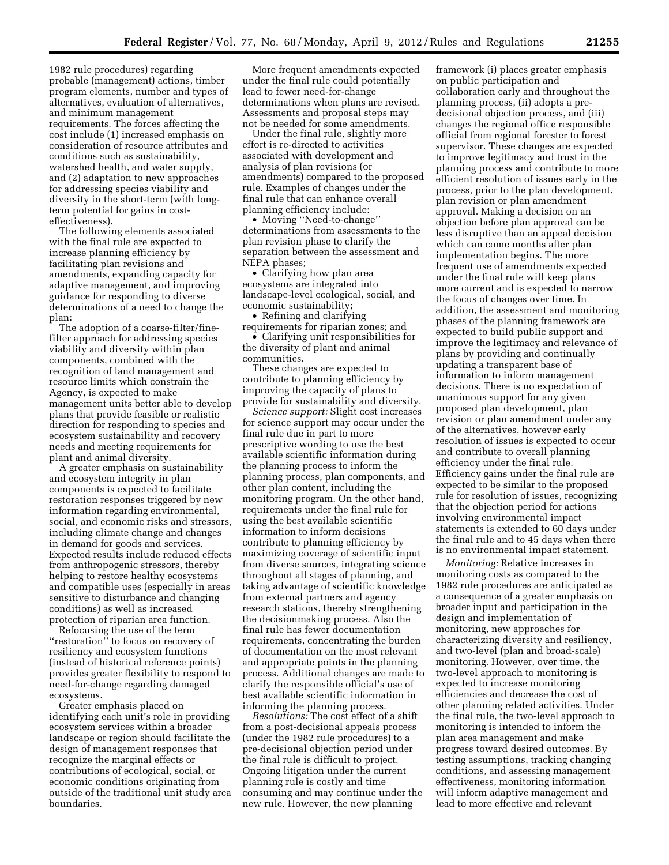1982 rule procedures) regarding probable (management) actions, timber program elements, number and types of alternatives, evaluation of alternatives, and minimum management requirements. The forces affecting the cost include (1) increased emphasis on consideration of resource attributes and conditions such as sustainability, watershed health, and water supply, and (2) adaptation to new approaches for addressing species viability and diversity in the short-term (with longterm potential for gains in costeffectiveness).

The following elements associated with the final rule are expected to increase planning efficiency by facilitating plan revisions and amendments, expanding capacity for adaptive management, and improving guidance for responding to diverse determinations of a need to change the plan:

The adoption of a coarse-filter/finefilter approach for addressing species viability and diversity within plan components, combined with the recognition of land management and resource limits which constrain the Agency, is expected to make management units better able to develop plans that provide feasible or realistic direction for responding to species and ecosystem sustainability and recovery needs and meeting requirements for plant and animal diversity.

A greater emphasis on sustainability and ecosystem integrity in plan components is expected to facilitate restoration responses triggered by new information regarding environmental, social, and economic risks and stressors, including climate change and changes in demand for goods and services. Expected results include reduced effects from anthropogenic stressors, thereby helping to restore healthy ecosystems and compatible uses (especially in areas sensitive to disturbance and changing conditions) as well as increased protection of riparian area function.

Refocusing the use of the term ''restoration'' to focus on recovery of resiliency and ecosystem functions (instead of historical reference points) provides greater flexibility to respond to need-for-change regarding damaged ecosystems.

Greater emphasis placed on identifying each unit's role in providing ecosystem services within a broader landscape or region should facilitate the design of management responses that recognize the marginal effects or contributions of ecological, social, or economic conditions originating from outside of the traditional unit study area boundaries.

More frequent amendments expected under the final rule could potentially lead to fewer need-for-change determinations when plans are revised. Assessments and proposal steps may not be needed for some amendments.

Under the final rule, slightly more effort is re-directed to activities associated with development and analysis of plan revisions (or amendments) compared to the proposed rule. Examples of changes under the final rule that can enhance overall planning efficiency include:

• Moving ''Need-to-change'' determinations from assessments to the plan revision phase to clarify the separation between the assessment and NEPA phases;

• Clarifying how plan area ecosystems are integrated into landscape-level ecological, social, and economic sustainability;

• Refining and clarifying requirements for riparian zones; and

• Clarifying unit responsibilities for the diversity of plant and animal communities.

These changes are expected to contribute to planning efficiency by improving the capacity of plans to provide for sustainability and diversity.

*Science support:* Slight cost increases for science support may occur under the final rule due in part to more prescriptive wording to use the best available scientific information during the planning process to inform the planning process, plan components, and other plan content, including the monitoring program. On the other hand, requirements under the final rule for using the best available scientific information to inform decisions contribute to planning efficiency by maximizing coverage of scientific input from diverse sources, integrating science throughout all stages of planning, and taking advantage of scientific knowledge from external partners and agency research stations, thereby strengthening the decisionmaking process. Also the final rule has fewer documentation requirements, concentrating the burden of documentation on the most relevant and appropriate points in the planning process. Additional changes are made to clarify the responsible official's use of best available scientific information in informing the planning process.

*Resolutions:* The cost effect of a shift from a post-decisional appeals process (under the 1982 rule procedures) to a pre-decisional objection period under the final rule is difficult to project. Ongoing litigation under the current planning rule is costly and time consuming and may continue under the new rule. However, the new planning

framework (i) places greater emphasis on public participation and collaboration early and throughout the planning process, (ii) adopts a predecisional objection process, and (iii) changes the regional office responsible official from regional forester to forest supervisor. These changes are expected to improve legitimacy and trust in the planning process and contribute to more efficient resolution of issues early in the process, prior to the plan development, plan revision or plan amendment approval. Making a decision on an objection before plan approval can be less disruptive than an appeal decision which can come months after plan implementation begins. The more frequent use of amendments expected under the final rule will keep plans more current and is expected to narrow the focus of changes over time. In addition, the assessment and monitoring phases of the planning framework are expected to build public support and improve the legitimacy and relevance of plans by providing and continually updating a transparent base of information to inform management decisions. There is no expectation of unanimous support for any given proposed plan development, plan revision or plan amendment under any of the alternatives, however early resolution of issues is expected to occur and contribute to overall planning efficiency under the final rule. Efficiency gains under the final rule are expected to be similar to the proposed rule for resolution of issues, recognizing that the objection period for actions involving environmental impact statements is extended to 60 days under the final rule and to 45 days when there is no environmental impact statement.

*Monitoring:* Relative increases in monitoring costs as compared to the 1982 rule procedures are anticipated as a consequence of a greater emphasis on broader input and participation in the design and implementation of monitoring, new approaches for characterizing diversity and resiliency, and two-level (plan and broad-scale) monitoring. However, over time, the two-level approach to monitoring is expected to increase monitoring efficiencies and decrease the cost of other planning related activities. Under the final rule, the two-level approach to monitoring is intended to inform the plan area management and make progress toward desired outcomes. By testing assumptions, tracking changing conditions, and assessing management effectiveness, monitoring information will inform adaptive management and lead to more effective and relevant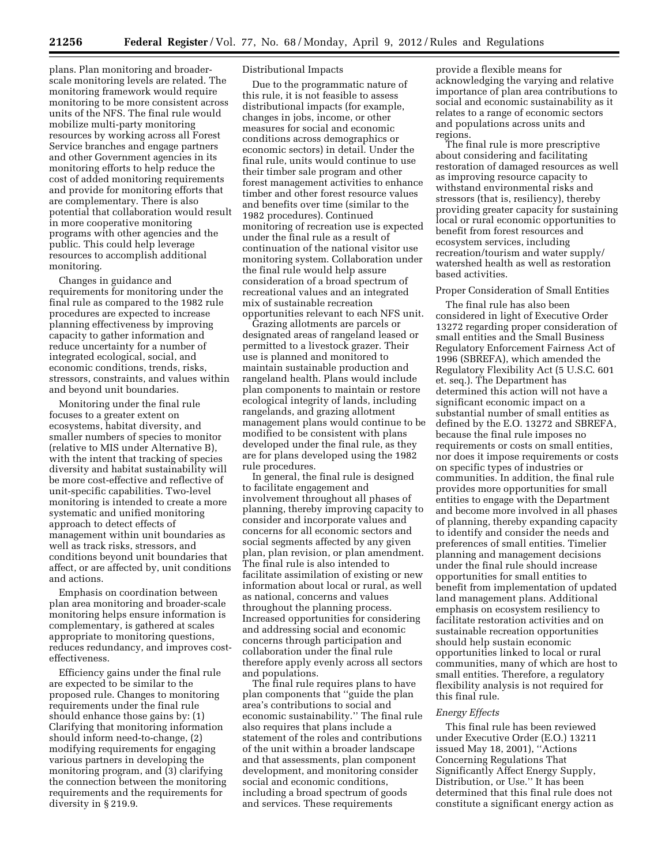plans. Plan monitoring and broaderscale monitoring levels are related. The monitoring framework would require monitoring to be more consistent across units of the NFS. The final rule would mobilize multi-party monitoring resources by working across all Forest Service branches and engage partners and other Government agencies in its monitoring efforts to help reduce the cost of added monitoring requirements and provide for monitoring efforts that are complementary. There is also potential that collaboration would result in more cooperative monitoring programs with other agencies and the public. This could help leverage resources to accomplish additional monitoring.

Changes in guidance and requirements for monitoring under the final rule as compared to the 1982 rule procedures are expected to increase planning effectiveness by improving capacity to gather information and reduce uncertainty for a number of integrated ecological, social, and economic conditions, trends, risks, stressors, constraints, and values within and beyond unit boundaries.

Monitoring under the final rule focuses to a greater extent on ecosystems, habitat diversity, and smaller numbers of species to monitor (relative to MIS under Alternative B), with the intent that tracking of species diversity and habitat sustainability will be more cost-effective and reflective of unit-specific capabilities. Two-level monitoring is intended to create a more systematic and unified monitoring approach to detect effects of management within unit boundaries as well as track risks, stressors, and conditions beyond unit boundaries that affect, or are affected by, unit conditions and actions.

Emphasis on coordination between plan area monitoring and broader-scale monitoring helps ensure information is complementary, is gathered at scales appropriate to monitoring questions, reduces redundancy, and improves costeffectiveness.

Efficiency gains under the final rule are expected to be similar to the proposed rule. Changes to monitoring requirements under the final rule should enhance those gains by: (1) Clarifying that monitoring information should inform need-to-change, (2) modifying requirements for engaging various partners in developing the monitoring program, and (3) clarifying the connection between the monitoring requirements and the requirements for diversity in § 219.9.

# Distributional Impacts

Due to the programmatic nature of this rule, it is not feasible to assess distributional impacts (for example, changes in jobs, income, or other measures for social and economic conditions across demographics or economic sectors) in detail. Under the final rule, units would continue to use their timber sale program and other forest management activities to enhance timber and other forest resource values and benefits over time (similar to the 1982 procedures). Continued monitoring of recreation use is expected under the final rule as a result of continuation of the national visitor use monitoring system. Collaboration under the final rule would help assure consideration of a broad spectrum of recreational values and an integrated mix of sustainable recreation opportunities relevant to each NFS unit.

Grazing allotments are parcels or designated areas of rangeland leased or permitted to a livestock grazer. Their use is planned and monitored to maintain sustainable production and rangeland health. Plans would include plan components to maintain or restore ecological integrity of lands, including rangelands, and grazing allotment management plans would continue to be modified to be consistent with plans developed under the final rule, as they are for plans developed using the 1982 rule procedures.

In general, the final rule is designed to facilitate engagement and involvement throughout all phases of planning, thereby improving capacity to consider and incorporate values and concerns for all economic sectors and social segments affected by any given plan, plan revision, or plan amendment. The final rule is also intended to facilitate assimilation of existing or new information about local or rural, as well as national, concerns and values throughout the planning process. Increased opportunities for considering and addressing social and economic concerns through participation and collaboration under the final rule therefore apply evenly across all sectors and populations.

The final rule requires plans to have plan components that ''guide the plan area's contributions to social and economic sustainability.'' The final rule also requires that plans include a statement of the roles and contributions of the unit within a broader landscape and that assessments, plan component development, and monitoring consider social and economic conditions, including a broad spectrum of goods and services. These requirements

provide a flexible means for acknowledging the varying and relative importance of plan area contributions to social and economic sustainability as it relates to a range of economic sectors and populations across units and regions.

The final rule is more prescriptive about considering and facilitating restoration of damaged resources as well as improving resource capacity to withstand environmental risks and stressors (that is, resiliency), thereby providing greater capacity for sustaining local or rural economic opportunities to benefit from forest resources and ecosystem services, including recreation/tourism and water supply/ watershed health as well as restoration based activities.

### Proper Consideration of Small Entities

The final rule has also been considered in light of Executive Order 13272 regarding proper consideration of small entities and the Small Business Regulatory Enforcement Fairness Act of 1996 (SBREFA), which amended the Regulatory Flexibility Act (5 U.S.C. 601 et. seq.). The Department has determined this action will not have a significant economic impact on a substantial number of small entities as defined by the E.O. 13272 and SBREFA, because the final rule imposes no requirements or costs on small entities, nor does it impose requirements or costs on specific types of industries or communities. In addition, the final rule provides more opportunities for small entities to engage with the Department and become more involved in all phases of planning, thereby expanding capacity to identify and consider the needs and preferences of small entities. Timelier planning and management decisions under the final rule should increase opportunities for small entities to benefit from implementation of updated land management plans. Additional emphasis on ecosystem resiliency to facilitate restoration activities and on sustainable recreation opportunities should help sustain economic opportunities linked to local or rural communities, many of which are host to small entities. Therefore, a regulatory flexibility analysis is not required for this final rule.

## *Energy Effects*

This final rule has been reviewed under Executive Order (E.O.) 13211 issued May 18, 2001), ''Actions Concerning Regulations That Significantly Affect Energy Supply, Distribution, or Use.'' It has been determined that this final rule does not constitute a significant energy action as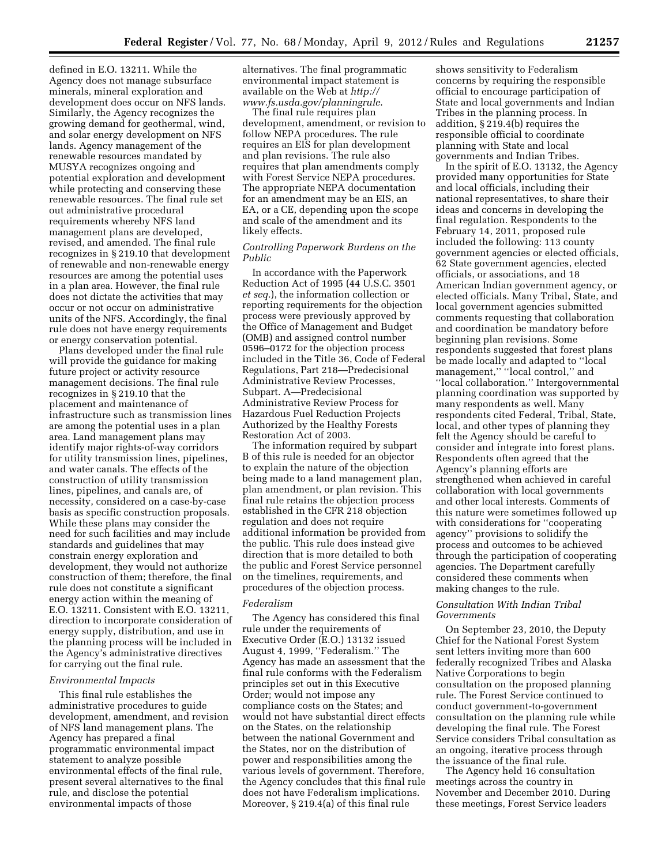defined in E.O. 13211. While the Agency does not manage subsurface minerals, mineral exploration and development does occur on NFS lands. Similarly, the Agency recognizes the growing demand for geothermal, wind, and solar energy development on NFS lands. Agency management of the renewable resources mandated by MUSYA recognizes ongoing and potential exploration and development while protecting and conserving these renewable resources. The final rule set out administrative procedural requirements whereby NFS land management plans are developed, revised, and amended. The final rule recognizes in § 219.10 that development of renewable and non-renewable energy resources are among the potential uses in a plan area. However, the final rule does not dictate the activities that may occur or not occur on administrative units of the NFS. Accordingly, the final rule does not have energy requirements or energy conservation potential.

Plans developed under the final rule will provide the guidance for making future project or activity resource management decisions. The final rule recognizes in § 219.10 that the placement and maintenance of infrastructure such as transmission lines are among the potential uses in a plan area. Land management plans may identify major rights-of-way corridors for utility transmission lines, pipelines, and water canals. The effects of the construction of utility transmission lines, pipelines, and canals are, of necessity, considered on a case-by-case basis as specific construction proposals. While these plans may consider the need for such facilities and may include standards and guidelines that may constrain energy exploration and development, they would not authorize construction of them; therefore, the final rule does not constitute a significant energy action within the meaning of E.O. 13211. Consistent with E.O. 13211, direction to incorporate consideration of energy supply, distribution, and use in the planning process will be included in the Agency's administrative directives for carrying out the final rule.

### *Environmental Impacts*

This final rule establishes the administrative procedures to guide development, amendment, and revision of NFS land management plans. The Agency has prepared a final programmatic environmental impact statement to analyze possible environmental effects of the final rule, present several alternatives to the final rule, and disclose the potential environmental impacts of those

alternatives. The final programmatic environmental impact statement is available on the Web at *[http://](http://www.fs.usda.gov/planningrule) [www.fs.usda.gov/planningrule](http://www.fs.usda.gov/planningrule)*.

The final rule requires plan development, amendment, or revision to follow NEPA procedures. The rule requires an EIS for plan development and plan revisions. The rule also requires that plan amendments comply with Forest Service NEPA procedures. The appropriate NEPA documentation for an amendment may be an EIS, an EA, or a CE, depending upon the scope and scale of the amendment and its likely effects.

# *Controlling Paperwork Burdens on the Public*

In accordance with the Paperwork Reduction Act of 1995 (44 U.S.C. 3501 *et seq.*), the information collection or reporting requirements for the objection process were previously approved by the Office of Management and Budget (OMB) and assigned control number 0596–0172 for the objection process included in the Title 36, Code of Federal Regulations, Part 218—Predecisional Administrative Review Processes, Subpart. A—Predecisional Administrative Review Process for Hazardous Fuel Reduction Projects Authorized by the Healthy Forests Restoration Act of 2003.

The information required by subpart B of this rule is needed for an objector to explain the nature of the objection being made to a land management plan, plan amendment, or plan revision. This final rule retains the objection process established in the CFR 218 objection regulation and does not require additional information be provided from the public. This rule does instead give direction that is more detailed to both the public and Forest Service personnel on the timelines, requirements, and procedures of the objection process.

### *Federalism*

The Agency has considered this final rule under the requirements of Executive Order (E.O.) 13132 issued August 4, 1999, ''Federalism.'' The Agency has made an assessment that the final rule conforms with the Federalism principles set out in this Executive Order; would not impose any compliance costs on the States; and would not have substantial direct effects on the States, on the relationship between the national Government and the States, nor on the distribution of power and responsibilities among the various levels of government. Therefore, the Agency concludes that this final rule does not have Federalism implications. Moreover, § 219.4(a) of this final rule

shows sensitivity to Federalism concerns by requiring the responsible official to encourage participation of State and local governments and Indian Tribes in the planning process. In addition, § 219.4(b) requires the responsible official to coordinate planning with State and local governments and Indian Tribes.

In the spirit of E.O. 13132, the Agency provided many opportunities for State and local officials, including their national representatives, to share their ideas and concerns in developing the final regulation. Respondents to the February 14, 2011, proposed rule included the following: 113 county government agencies or elected officials, 62 State government agencies, elected officials, or associations, and 18 American Indian government agency, or elected officials. Many Tribal, State, and local government agencies submitted comments requesting that collaboration and coordination be mandatory before beginning plan revisions. Some respondents suggested that forest plans be made locally and adapted to ''local management,'' ''local control,'' and ''local collaboration.'' Intergovernmental planning coordination was supported by many respondents as well. Many respondents cited Federal, Tribal, State, local, and other types of planning they felt the Agency should be careful to consider and integrate into forest plans. Respondents often agreed that the Agency's planning efforts are strengthened when achieved in careful collaboration with local governments and other local interests. Comments of this nature were sometimes followed up with considerations for ''cooperating agency'' provisions to solidify the process and outcomes to be achieved through the participation of cooperating agencies. The Department carefully considered these comments when making changes to the rule.

# *Consultation With Indian Tribal Governments*

On September 23, 2010, the Deputy Chief for the National Forest System sent letters inviting more than 600 federally recognized Tribes and Alaska Native Corporations to begin consultation on the proposed planning rule. The Forest Service continued to conduct government-to-government consultation on the planning rule while developing the final rule. The Forest Service considers Tribal consultation as an ongoing, iterative process through the issuance of the final rule.

The Agency held 16 consultation meetings across the country in November and December 2010. During these meetings, Forest Service leaders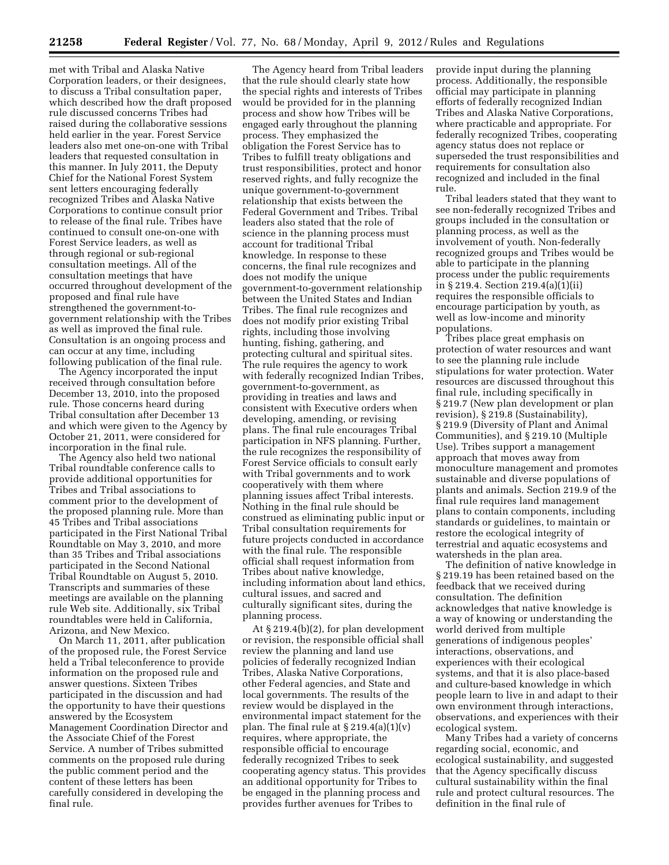met with Tribal and Alaska Native Corporation leaders, or their designees, to discuss a Tribal consultation paper, which described how the draft proposed rule discussed concerns Tribes had raised during the collaborative sessions held earlier in the year. Forest Service leaders also met one-on-one with Tribal leaders that requested consultation in this manner. In July 2011, the Deputy Chief for the National Forest System sent letters encouraging federally recognized Tribes and Alaska Native Corporations to continue consult prior to release of the final rule. Tribes have continued to consult one-on-one with Forest Service leaders, as well as through regional or sub-regional consultation meetings. All of the consultation meetings that have occurred throughout development of the proposed and final rule have strengthened the government-togovernment relationship with the Tribes as well as improved the final rule. Consultation is an ongoing process and can occur at any time, including following publication of the final rule.

The Agency incorporated the input received through consultation before December 13, 2010, into the proposed rule. Those concerns heard during Tribal consultation after December 13 and which were given to the Agency by October 21, 2011, were considered for incorporation in the final rule.

The Agency also held two national Tribal roundtable conference calls to provide additional opportunities for Tribes and Tribal associations to comment prior to the development of the proposed planning rule. More than 45 Tribes and Tribal associations participated in the First National Tribal Roundtable on May 3, 2010, and more than 35 Tribes and Tribal associations participated in the Second National Tribal Roundtable on August 5, 2010. Transcripts and summaries of these meetings are available on the planning rule Web site. Additionally, six Tribal roundtables were held in California, Arizona, and New Mexico.

On March 11, 2011, after publication of the proposed rule, the Forest Service held a Tribal teleconference to provide information on the proposed rule and answer questions. Sixteen Tribes participated in the discussion and had the opportunity to have their questions answered by the Ecosystem Management Coordination Director and the Associate Chief of the Forest Service. A number of Tribes submitted comments on the proposed rule during the public comment period and the content of these letters has been carefully considered in developing the final rule.

The Agency heard from Tribal leaders that the rule should clearly state how the special rights and interests of Tribes would be provided for in the planning process and show how Tribes will be engaged early throughout the planning process. They emphasized the obligation the Forest Service has to Tribes to fulfill treaty obligations and trust responsibilities, protect and honor reserved rights, and fully recognize the unique government-to-government relationship that exists between the Federal Government and Tribes. Tribal leaders also stated that the role of science in the planning process must account for traditional Tribal knowledge. In response to these concerns, the final rule recognizes and does not modify the unique government-to-government relationship between the United States and Indian Tribes. The final rule recognizes and does not modify prior existing Tribal rights, including those involving hunting, fishing, gathering, and protecting cultural and spiritual sites. The rule requires the agency to work with federally recognized Indian Tribes, government-to-government, as providing in treaties and laws and consistent with Executive orders when developing, amending, or revising plans. The final rule encourages Tribal participation in NFS planning. Further, the rule recognizes the responsibility of Forest Service officials to consult early with Tribal governments and to work cooperatively with them where planning issues affect Tribal interests. Nothing in the final rule should be construed as eliminating public input or Tribal consultation requirements for future projects conducted in accordance with the final rule. The responsible official shall request information from Tribes about native knowledge, including information about land ethics, cultural issues, and sacred and culturally significant sites, during the planning process.

At § 219.4(b)(2), for plan development or revision, the responsible official shall review the planning and land use policies of federally recognized Indian Tribes, Alaska Native Corporations, other Federal agencies, and State and local governments. The results of the review would be displayed in the environmental impact statement for the plan. The final rule at  $\S 219.4(a)(1)(v)$ requires, where appropriate, the responsible official to encourage federally recognized Tribes to seek cooperating agency status. This provides an additional opportunity for Tribes to be engaged in the planning process and provides further avenues for Tribes to

provide input during the planning process. Additionally, the responsible official may participate in planning efforts of federally recognized Indian Tribes and Alaska Native Corporations, where practicable and appropriate. For federally recognized Tribes, cooperating agency status does not replace or superseded the trust responsibilities and requirements for consultation also recognized and included in the final rule.

Tribal leaders stated that they want to see non-federally recognized Tribes and groups included in the consultation or planning process, as well as the involvement of youth. Non-federally recognized groups and Tribes would be able to participate in the planning process under the public requirements in § 219.4. Section 219.4(a)(1)(ii) requires the responsible officials to encourage participation by youth, as well as low-income and minority populations.

Tribes place great emphasis on protection of water resources and want to see the planning rule include stipulations for water protection. Water resources are discussed throughout this final rule, including specifically in § 219.7 (New plan development or plan revision), § 219.8 (Sustainability), § 219.9 (Diversity of Plant and Animal Communities), and § 219.10 (Multiple Use). Tribes support a management approach that moves away from monoculture management and promotes sustainable and diverse populations of plants and animals. Section 219.9 of the final rule requires land management plans to contain components, including standards or guidelines, to maintain or restore the ecological integrity of terrestrial and aquatic ecosystems and watersheds in the plan area.

The definition of native knowledge in § 219.19 has been retained based on the feedback that we received during consultation. The definition acknowledges that native knowledge is a way of knowing or understanding the world derived from multiple generations of indigenous peoples' interactions, observations, and experiences with their ecological systems, and that it is also place-based and culture-based knowledge in which people learn to live in and adapt to their own environment through interactions, observations, and experiences with their ecological system.

Many Tribes had a variety of concerns regarding social, economic, and ecological sustainability, and suggested that the Agency specifically discuss cultural sustainability within the final rule and protect cultural resources. The definition in the final rule of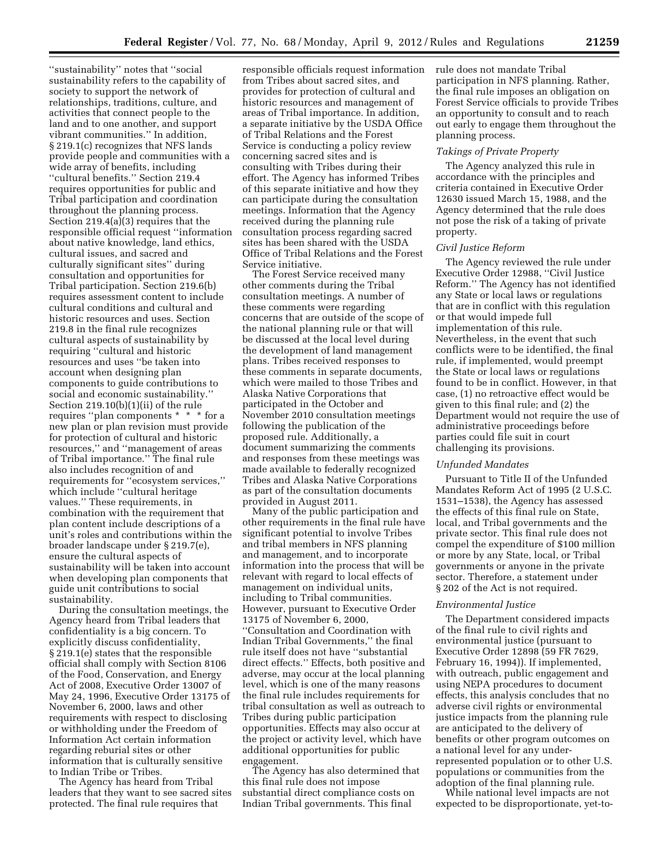''sustainability'' notes that ''social sustainability refers to the capability of society to support the network of relationships, traditions, culture, and activities that connect people to the land and to one another, and support vibrant communities.'' In addition, § 219.1(c) recognizes that NFS lands provide people and communities with a wide array of benefits, including ''cultural benefits.'' Section 219.4 requires opportunities for public and Tribal participation and coordination throughout the planning process. Section 219.4(a)(3) requires that the responsible official request ''information about native knowledge, land ethics, cultural issues, and sacred and culturally significant sites'' during consultation and opportunities for Tribal participation. Section 219.6(b) requires assessment content to include cultural conditions and cultural and historic resources and uses. Section 219.8 in the final rule recognizes cultural aspects of sustainability by requiring ''cultural and historic resources and uses ''be taken into account when designing plan components to guide contributions to social and economic sustainability.'' Section 219.10(b)(1)(ii) of the rule requires ''plan components \* \* \* for a new plan or plan revision must provide for protection of cultural and historic resources,'' and ''management of areas of Tribal importance.'' The final rule also includes recognition of and requirements for ''ecosystem services,'' which include ''cultural heritage values.'' These requirements, in combination with the requirement that plan content include descriptions of a unit's roles and contributions within the broader landscape under § 219.7(e), ensure the cultural aspects of sustainability will be taken into account when developing plan components that guide unit contributions to social sustainability.

During the consultation meetings, the Agency heard from Tribal leaders that confidentiality is a big concern. To explicitly discuss confidentiality, § 219.1(e) states that the responsible official shall comply with Section 8106 of the Food, Conservation, and Energy Act of 2008, Executive Order 13007 of May 24, 1996, Executive Order 13175 of November 6, 2000, laws and other requirements with respect to disclosing or withholding under the Freedom of Information Act certain information regarding reburial sites or other information that is culturally sensitive to Indian Tribe or Tribes.

The Agency has heard from Tribal leaders that they want to see sacred sites protected. The final rule requires that

responsible officials request information from Tribes about sacred sites, and provides for protection of cultural and historic resources and management of areas of Tribal importance. In addition, a separate initiative by the USDA Office of Tribal Relations and the Forest Service is conducting a policy review concerning sacred sites and is consulting with Tribes during their effort. The Agency has informed Tribes of this separate initiative and how they can participate during the consultation meetings. Information that the Agency received during the planning rule consultation process regarding sacred sites has been shared with the USDA Office of Tribal Relations and the Forest Service initiative.

The Forest Service received many other comments during the Tribal consultation meetings. A number of these comments were regarding concerns that are outside of the scope of the national planning rule or that will be discussed at the local level during the development of land management plans. Tribes received responses to these comments in separate documents, which were mailed to those Tribes and Alaska Native Corporations that participated in the October and November 2010 consultation meetings following the publication of the proposed rule. Additionally, a document summarizing the comments and responses from these meetings was made available to federally recognized Tribes and Alaska Native Corporations as part of the consultation documents provided in August 2011.

Many of the public participation and other requirements in the final rule have significant potential to involve Tribes and tribal members in NFS planning and management, and to incorporate information into the process that will be relevant with regard to local effects of management on individual units, including to Tribal communities. However, pursuant to Executive Order 13175 of November 6, 2000, ''Consultation and Coordination with Indian Tribal Governments,'' the final rule itself does not have ''substantial direct effects.'' Effects, both positive and adverse, may occur at the local planning level, which is one of the many reasons the final rule includes requirements for tribal consultation as well as outreach to Tribes during public participation opportunities. Effects may also occur at the project or activity level, which have additional opportunities for public engagement.

The Agency has also determined that this final rule does not impose substantial direct compliance costs on Indian Tribal governments. This final

rule does not mandate Tribal participation in NFS planning. Rather, the final rule imposes an obligation on Forest Service officials to provide Tribes an opportunity to consult and to reach out early to engage them throughout the planning process.

#### *Takings of Private Property*

The Agency analyzed this rule in accordance with the principles and criteria contained in Executive Order 12630 issued March 15, 1988, and the Agency determined that the rule does not pose the risk of a taking of private property.

### *Civil Justice Reform*

The Agency reviewed the rule under Executive Order 12988, ''Civil Justice Reform.'' The Agency has not identified any State or local laws or regulations that are in conflict with this regulation or that would impede full implementation of this rule. Nevertheless, in the event that such conflicts were to be identified, the final rule, if implemented, would preempt the State or local laws or regulations found to be in conflict. However, in that case, (1) no retroactive effect would be given to this final rule; and (2) the Department would not require the use of administrative proceedings before parties could file suit in court challenging its provisions.

### *Unfunded Mandates*

Pursuant to Title II of the Unfunded Mandates Reform Act of 1995 (2 U.S.C. 1531–1538), the Agency has assessed the effects of this final rule on State, local, and Tribal governments and the private sector. This final rule does not compel the expenditure of \$100 million or more by any State, local, or Tribal governments or anyone in the private sector. Therefore, a statement under § 202 of the Act is not required.

### *Environmental Justice*

The Department considered impacts of the final rule to civil rights and environmental justice (pursuant to Executive Order 12898 (59 FR 7629, February 16, 1994)). If implemented, with outreach, public engagement and using NEPA procedures to document effects, this analysis concludes that no adverse civil rights or environmental justice impacts from the planning rule are anticipated to the delivery of benefits or other program outcomes on a national level for any underrepresented population or to other U.S. populations or communities from the adoption of the final planning rule.

While national level impacts are not expected to be disproportionate, yet-to-